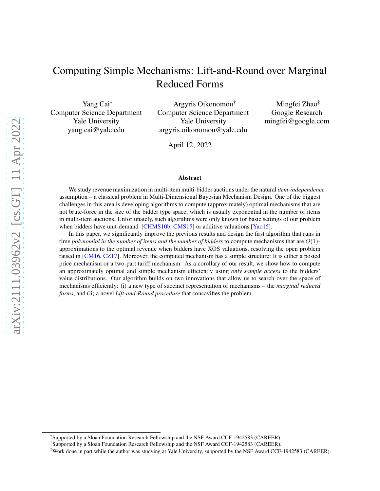# Computing Simple Mechanisms: Lift-and-Round over Marginal Reduced Forms

Yang Cai\* Computer Science Department Yale University yang.cai@yale.edu

Argyris Oikonomou† Computer Science Department Yale University argyris.oikonomou@yale.edu

Mingfei Zhao‡ Google Research mingfei@google.com

April 12, 2022

#### Abstract

We study revenue maximization in multi-item multi-bidder auctions under the natural *item-independence* assumption – a classical problem in Multi-Dimensional Bayesian Mechanism Design. One of the biggest challenges in this area is developing algorithms to compute (approximately) optimal mechanisms that are not brute-force in the size of the bidder type space, which is usually exponential in the number of items in multi-item auctions. Unfortunately, such algorithms were only known for basic settings of our problem when bidders have unit-demand [\[CHMS10b,](#page-63-0) [CMS15\]](#page-63-1) or additive valuations [\[Yao15\]](#page-64-0).

In this paper, we significantly improve the previous results and design the first algorithm that runs in time *polynomial in the number of items and the number of bidders* to compute mechanisms that are  $O(1)$ approximations to the optimal revenue when bidders have XOS valuations, resolving the open problem raised in [\[CM16,](#page-63-2) [CZ17\]](#page-63-3). Moreover, the computed mechanism has a simple structure: It is either a posted price mechanism or a two-part tariff mechanism. As a corollary of our result, we show how to compute an approximately optimal and simple mechanism efficiently using *only sample access* to the bidders' value distributions. Our algorithm builds on two innovations that allow us to search over the space of mechanisms efficiently: (i) a new type of succinct representation of mechanisms – the *marginal reduced forms*, and (ii) a novel *Lift-and-Round procedure* that concavifies the problem.

<sup>\*</sup>Supported by a Sloan Foundation Research Fellowship and the NSF Award CCF-1942583 (CAREER).

<sup>†</sup>Supported by a Sloan Foundation Research Fellowship and the NSF Award CCF-1942583 (CAREER).

<sup>‡</sup>Work done in part while the author was studying at Yale University, supported by the NSF Award CCF-1942583 (CAREER).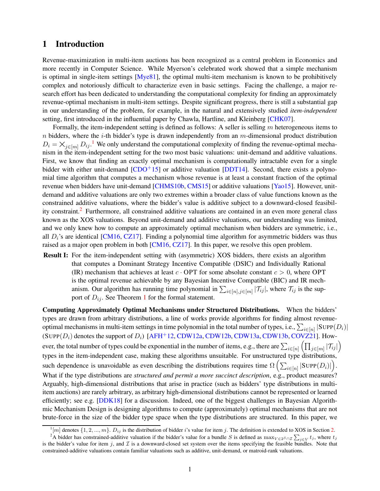## <span id="page-1-2"></span>1 Introduction

Revenue-maximization in multi-item auctions has been recognized as a central problem in Economics and more recently in Computer Science. While Myerson's celebrated work showed that a simple mechanism is optimal in single-item settings  $[Mye81]$ , the optimal multi-item mechanism is known to be prohibitively complex and notoriously difficult to characterize even in basic settings. Facing the challenge, a major research effort has been dedicated to understanding the computational complexity for finding an approximately revenue-optimal mechanism in multi-item settings. Despite significant progress, there is still a substantial gap in our understanding of the problem, for example, in the natural and extensively studied *item-independent* setting, first introduced in the influential paper by Chawla, Hartline, and Kleinberg [\[CHK07\]](#page-63-4).

Formally, the item-independent setting is defined as follows: A seller is selling  $m$  heterogeneous items to n bidders, where the *i*-th bidder's type is drawn independently from an m-dimensional product distribution  $D_i = \bigtimes_{j \in [m]} D_{ij}$ . We only understand the computational complexity of finding the revenue-optimal mechanism in the item-independent setting for the two most basic valuations: unit-demand and additive valuations. First, we know that finding an exactly optimal mechanism is computationally intractable even for a single bidder with either unit-demand  $[CDO<sup>+</sup>15]$  or additive valuation  $[DDT14]$ . Second, there exists a polynomial time algorithm that computes a mechanism whose revenue is at least a constant fraction of the optimal revenue when bidders have unit-demand [\[CHMS10b,](#page-63-0) [CMS15\]](#page-63-1) or additive valuations [\[Yao15\]](#page-64-0). However, unitdemand and additive valuations are only two extremes within a broader class of value functions known as the constrained additive valuations, where the bidder's value is additive subject to a downward-closed feasibility constraint.[2](#page-1-1) Furthermore, all constrained additive valuations are contained in an even more general class known as the XOS valuations. Beyond unit-demand and additive valuations, our understanding was limited, and we only knew how to compute an approximately optimal mechanism when bidders are symmetric, i.e., all  $D_i$ 's are identical [\[CM16,](#page-63-2) [CZ17\]](#page-63-3). Finding a polynomial time algorithm for asymmetric bidders was thus raised as a major open problem in both [\[CM16,](#page-63-2) [CZ17\]](#page-63-3). In this paper, we resolve this open problem.

Result I: For the item-independent setting with (asymmetric) XOS bidders, there exists an algorithm that computes a Dominant Strategy Incentive Compatible (DSIC) and Individually Rational (IR) mechanism that achieves at least  $c \cdot OPT$  for some absolute constant  $c > 0$ , where OPT is the optimal revenue achievable by any Bayesian Incentive Compatible (BIC) and IR mechanism. Our algorithm has running time polynomial in  $\sum_{i\in[n],j\in[m]}|\mathcal{T}_{ij}|$ , where  $\mathcal{T}_{ij}$  is the support of  $D_{ij}$ . See Theorem [1](#page-5-0) for the formal statement.

Computing Approximately Optimal Mechanisms under Structured Distributions. When the bidders' types are drawn from arbitrary distributions, a line of works provide algorithms for finding almost revenueoptimal mechanisms in multi-item settings in time polynomial in the total number of types, i.e.,  $\sum_{i\in[n]} |\text{SUPP}(D_i)|$ (SUPP $(D_i)$ ) denotes the support of  $D_i$ ) [\[AFH](#page-62-1)<sup>+</sup>12, [CDW12a,](#page-62-2) [CDW12b,](#page-62-3) [CDW13a,](#page-62-4) [CDW13b,](#page-62-5) [COVZ21\]](#page-63-6). However, the total number of types could be exponential in the number of items, e.g., there are  $\sum_{i\in[n]}(\prod_{j\in[m]}|\mathcal{T}_{ij}|)$ types in the item-independent case, making these algorithms unsuitable. For unstructured type distributions, such dependence is unavoidable as even describing the distributions requires time  $\Omega\left(\sum_{i\in[n]} |\text{Supp}(D_i)|\right)$ . What if the type distributions are *structured and permit a more succinct description*, e.g., product measures? Arguably, high-dimensional distributions that arise in practice (such as bidders' type distributions in multiitem auctions) are rarely arbitrary, as arbitrary high-dimensional distributions cannot be represented or learned efficiently; see e.g. [\[DDK18\]](#page-63-7) for a discussion. Indeed, one of the biggest challenges in Bayesian Algorithmic Mechanism Design is designing algorithms to compute (approximately) optimal mechanisms that are not brute-force in the size of the bidder type space when the type distributions are structured. In this paper, we

<span id="page-1-0"></span> $\lceil m \rceil$  denotes  $\{1, 2, ..., m\}$ .  $D_{ij}$  is the distribution of bidder i's value for item j. The definition is extended to XOS in Section [2.](#page-4-0)

<span id="page-1-1"></span><sup>&</sup>lt;sup>2</sup>A bidder has constrained-additive valuation if the bidder's value for a bundle S is defined as  $\max_{V \in 2^S \cap \mathcal{I}} \sum_{j \in V} t_j$ , where  $t_j$ is the bidder's value for item j, and  $\mathcal I$  is a downward-closed set system over the items specifying the feasible bundles. Note that constrained-additive valuations contain familiar valuations such as additive, unit-demand, or matroid-rank valuations.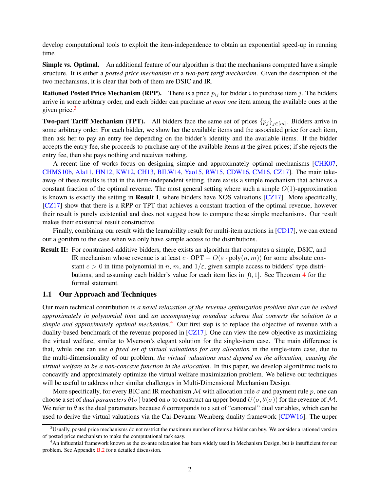develop computational tools to exploit the item-independence to obtain an exponential speed-up in running time.

Simple vs. Optimal. An additional feature of our algorithm is that the mechanisms computed have a simple structure. It is either a *posted price mechanism* or a *two-part tariff mechanism*. Given the description of the two mechanisms, it is clear that both of them are DSIC and IR.

**Rationed Posted Price Mechanism (RPP).** There is a price  $p_{ij}$  for bidder i to purchase item j. The bidders arrive in some arbitrary order, and each bidder can purchase *at most one* item among the available ones at the given price.<sup>[3](#page-2-0)</sup>

**Two-part Tariff Mechanism (TPT).** All bidders face the same set of prices  $\{p_j\}_{j\in[m]}$ . Bidders arrive in some arbitrary order. For each bidder, we show her the available items and the associated price for each item, then ask her to pay an entry fee depending on the bidder's identity and the available items. If the bidder accepts the entry fee, she proceeds to purchase any of the available items at the given prices; if she rejects the entry fee, then she pays nothing and receives nothing.

A recent line of works focus on designing simple and approximately optimal mechanisms [\[CHK07,](#page-63-4) [CHMS10b,](#page-63-0) [Ala11,](#page-62-6) [HN12,](#page-64-2) [KW12,](#page-64-3) [CH13,](#page-63-8) [BILW14,](#page-62-7) [Yao15,](#page-64-0) [RW15,](#page-64-4) [CDW16,](#page-63-9) [CM16,](#page-63-2) [CZ17\]](#page-63-3). The main takeaway of these results is that in the item-independent setting, there exists a simple mechanism that achieves a constant fraction of the optimal revenue. The most general setting where such a simple  $O(1)$ -approximation is known is exactly the setting in Result I, where bidders have XOS valuations [\[CZ17\]](#page-63-3). More specifically, [\[CZ17\]](#page-63-3) show that there is a RPP or TPT that achieves a constant fraction of the optimal revenue, however their result is purely existential and does not suggest how to compute these simple mechanisms. Our result makes their existential result constructive.

Finally, combining our result with the learnability result for multi-item auctions in [\[CD17\]](#page-62-8), we can extend our algorithm to the case when we only have sample access to the distributions.

Result II: For constrained-additive bidders, there exists an algorithm that computes a simple, DSIC, and IR mechanism whose revenue is at least  $c \cdot OPT - O(\varepsilon \cdot poly(n, m))$  for some absolute constant  $c > 0$  in time polynomial in n, m, and  $1/\varepsilon$ , given sample access to bidders' type distributions, and assuming each bidder's value for each item lies in  $[0, 1]$ . See Theorem [4](#page-13-0) for the formal statement.

### 1.1 Our Approach and Techniques

Our main technical contribution is *a novel relaxation of the revenue optimization problem that can be solved approximately in polynomial time* and *an accompanying rounding scheme that converts the solution to a simple and approximately optimal mechanism*. [4](#page-2-1) Our first step is to replace the objective of revenue with a duality-based benchmark of the revenue proposed in  $\lfloor$ CZ17. One can view the new objective as maximizing the virtual welfare, similar to Myerson's elegant solution for the single-item case. The main difference is that, while one can use *a fixed set of virtual valuations for any allocation* in the single-item case, due to the multi-dimensionality of our problem, *the virtual valuations must depend on the allocation, causing the virtual welfare to be a non-concave function in the allocation*. In this paper, we develop algorithmic tools to concavify and approximately optimize the virtual welfare maximization problem. We believe our techniques will be useful to address other similar challenges in Multi-Dimensional Mechanism Design.

More specifically, for every BIC and IR mechanism  $M$  with allocation rule  $\sigma$  and payment rule p, one can choose a set of *dual parameters*  $\theta(\sigma)$  based on  $\sigma$  to construct an upper bound  $U(\sigma, \theta(\sigma))$  for the revenue of M. We refer to  $\theta$  as the dual parameters because  $\theta$  corresponds to a set of "canonical" dual variables, which can be used to derive the virtual valuations via the Cai-Devanur-Weinberg duality framework [\[CDW16\]](#page-63-9). The upper

<span id="page-2-0"></span> $3$ Usually, posted price mechanisms do not restrict the maximum number of items a bidder can buy. We consider a rationed version of posted price mechanism to make the computational task easy.

<span id="page-2-1"></span><sup>4</sup>An influential framework known as the ex-ante relaxation has been widely used in Mechanism Design, but is insufficient for our problem. See Appendix [B.2](#page-16-0) for a detailed discussion.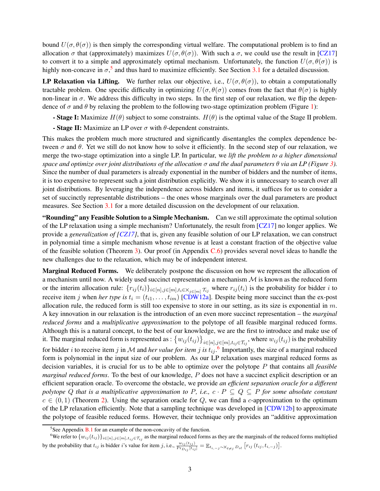bound  $U(\sigma, \theta(\sigma))$  is then simply the corresponding virtual welfare. The computational problem is to find an allocation  $\sigma$  that (approximately) maximizes  $U(\sigma, \theta(\sigma))$ . With such a  $\sigma$ , we could use the result in [\[CZ17\]](#page-63-3) to convert it to a simple and approximately optimal mechanism. Unfortunately, the function  $U(\sigma, \theta(\sigma))$  is highly non-concave in  $\sigma$ ,<sup>[5](#page-3-0)</sup> and thus hard to maximize efficiently. See Section [3.1](#page-7-0) for a detailed discussion.

LP Relaxation via Lifting. We further relax our objective, i.e.,  $U(\sigma, \theta(\sigma))$ , to obtain a computationally tractable problem. One specific difficulty in optimizing  $U(\sigma, \theta(\sigma))$  comes from the fact that  $\theta(\sigma)$  is highly non-linear in  $\sigma$ . We address this difficulty in two steps. In the first step of our relaxation, we flip the dependence of  $\sigma$  and  $\theta$  by relaxing the problem to the following two-stage optimization problem (Figure [1\)](#page-7-1):

- Stage I: Maximize  $H(\theta)$  subject to some constraints.  $H(\theta)$  is the optimal value of the Stage II problem.
- Stage II: Maximize an LP over  $\sigma$  with  $\theta$ -dependent constraints.

This makes the problem much more structured and significantly disentangles the complex dependence between  $\sigma$  and  $\theta$ . Yet we still do not know how to solve it efficiently. In the second step of our relaxation, we merge the two-stage optimization into a single LP. In particular, we *lift the problem to a higher dimensional space and optimize over joint distributions of the allocation* σ *and the dual parameters* θ *via an LP (Figure [3\)](#page-12-0).* Since the number of dual parameters is already exponential in the number of bidders and the number of items, it is too expensive to represent such a joint distribution explicitly. We show it is unnecessary to search over all joint distributions. By leveraging the independence across bidders and items, it suffices for us to consider a set of succinctly representable distributions – the ones whose marginals over the dual parameters are product measures. See Section [3.1](#page-7-0) for a more detailed discussion on the development of our relaxation.

"Rounding" any Feasible Solution to a Simple Mechanism. Can we still approximate the optimal solution of the LP relaxation using a simple mechanism? Unfortunately, the result from [\[CZ17\]](#page-63-3) no longer applies. We provide a *generalization of [\[CZ17\]](#page-63-3)*, that is, given any feasible solution of our LP relaxation, we can construct in polynomial time a simple mechanism whose revenue is at least a constant fraction of the objective value of the feasible solution (Theorem [3\)](#page-11-0). Our proof (in Appendix  $C.6$ ) provides several novel ideas to handle the new challenges due to the relaxation, which may be of independent interest.

Marginal Reduced Forms. We deliberately postpone the discussion on how we represent the allocation of a mechanism until now. A widely used succinct representation a mechanism  $M$  is known as the reduced form or the interim allocation rule:  $\{r_{ij}(t_i)\}_{i\in[n],j\in[m],t_i\in\mathbb{X}_{j\in[m]}}$ , where  $r_{ij}(t_i)$  is the probability for bidder i to receive item j when *her type is*  $t_i = (t_{i1}, \ldots, t_{im})$  [\[CDW12a\]](#page-62-2). Despite being more succinct than the ex-post allocation rule, the reduced form is still too expensive to store in our setting, as its size is exponential in  $m$ . A key innovation in our relaxation is the introduction of an even more succinct representation – the *marginal reduced forms* and a *multiplicative approximation* to the polytope of all feasible marginal reduced forms. Although this is a natural concept, to the best of our knowledge, we are the first to introduce and make use of it. The marginal reduced form is represented as :  $\{w_{ij}(t_{ij})\}_{i\in[n],j\in[m],t_{ij}\in\mathcal{T}_{ij}}$ , where  $w_{ij}(t_{ij})$  is the probability for bidder *i* to receive item *j* in M and *her value for item j is*  $t_{ij}$ . Importantly, the size of a marginal reduced form is polynomial in the input size of our problem. As our LP relaxation uses marginal reduced forms as decision variables, it is crucial for us to be able to optimize over the polytope P that contains all *feasible marginal reduced forms*. To the best of our knowledge, P does not have a succinct explicit description or an efficient separation oracle. To overcome the obstacle, we provide *an efficient separation oracle for a different polytope* Q that is a multiplicative approximation to P, i.e.,  $c \cdot P \subseteq Q \subseteq P$  for some absolute constant  $c \in (0, 1)$  (Theorem [2\)](#page-10-0). Using the separation oracle for Q, we can find a c-approximation to the optimum of the LP relaxation efficiently. Note that a sampling technique was developed in [\[CDW12b\]](#page-62-3) to approximate the polytope of feasible reduced forms. However, their technique only provides an "additive approximation

<span id="page-3-0"></span> ${}^{5}$ See Appendix [B.1](#page-15-0) for an example of the non-concavity of the function.

<span id="page-3-1"></span><sup>&</sup>lt;sup>6</sup>We refer to  $\{w_{ij}(t_{ij})\}_{i\in[n],j\in[m],t_{ij}\in\mathcal{T}_{ij}}$  as the marginal reduced forms as they are the marginals of the reduced forms multiplied by the probability that  $t_{ij}$  is bidder *i*'s value for item *j*, i.e.,  $\frac{w_{ij}(t_{ij})}{Pr_{D_{ij}}[t_{ij}]} = \mathbb{E}_{t_{i,-j} \sim \times_{\ell \neq j} D_{i\ell}} [r_{ij}(t_{ij}, t_{i,-j})].$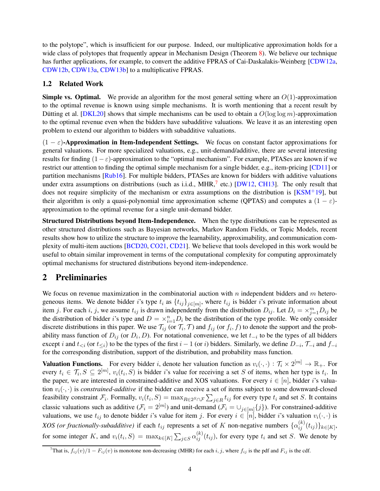to the polytope", which is insufficient for our purpose. Indeed, our multiplicative approximation holds for a wide class of polytopes that frequently appear in Mechanism Design (Theorem [8\)](#page-35-0). We believe our technique has further applications, for example, to convert the additive FPRAS of Cai-Daskalakis-Weinberg [\[CDW12a,](#page-62-2) [CDW12b,](#page-62-3) [CDW13a,](#page-62-4) [CDW13b\]](#page-62-5) to a multiplicative FPRAS.

## <span id="page-4-2"></span>1.2 Related Work

**Simple vs. Optimal.** We provide an algorithm for the most general setting where an  $O(1)$ -approximation to the optimal revenue is known using simple mechanisms. It is worth mentioning that a recent result by Dutting et al. [\[DKL20\]](#page-63-10) shows that simple mechanisms can be used to obtain a  $O(\log \log m)$ -approximation to the optimal revenue even when the bidders have subadditive valuations. We leave it as an interesting open problem to extend our algorithm to bidders with subadditive valuations.

 $(1 - \varepsilon)$ -Approximation in Item-Independent Settings. We focus on constant factor approximations for general valuations. For more specialized valuations, e.g., unit-demand/additive, there are several interesting results for finding  $(1 - \varepsilon)$ -approximation to the "optimal mechanism". For example, PTASes are known if we restrict our attention to finding the optimal simple mechanism for a single bidder, e.g., item-pricing [\[CD11\]](#page-62-9) or partition mechanisms [\[Rub16\]](#page-64-5). For multiple bidders, PTASes are known for bidders with additive valuations under extra assumptions on distributions (such as i.i.d., MHR, $<sup>7</sup>$  $<sup>7</sup>$  $<sup>7</sup>$  etc.) [\[DW12,](#page-64-6) [CH13\]](#page-63-8). The only result that</sup> does not require simplicity of the mechanism or extra assumptions on the distribution is  $KSM^+19$ , but their algorithm is only a quasi-polynomial time approximation scheme (QPTAS) and computes a  $(1 - \varepsilon)$ approximation to the optimal revenue for a single unit-demand bidder.

Structured Distributions beyond Item-Independence. When the type distributions can be represented as other structured distributions such as Bayesian networks, Markov Random Fields, or Topic Models, recent results show how to utilize the structure to improve the learnability, approximability, and communication complexity of multi-item auctions [\[BCD20,](#page-62-10) [CO21,](#page-63-11) [CD21\]](#page-62-11). We believe that tools developed in this work would be useful to obtain similar improvement in terms of the computational complexity for computing approximately optimal mechanisms for structured distributions beyond item-independence.

## <span id="page-4-0"></span>2 Preliminaries

We focus on revenue maximization in the combinatorial auction with n independent bidders and m heterogeneous items. We denote bidder i's type  $t_i$  as  $\{t_{ij}\}_{j\in[m]}$ , where  $t_{ij}$  is bidder i's private information about item j. For each i, j, we assume  $t_{ij}$  is drawn independently from the distribution  $D_{ij}$ . Let  $D_i = \times_{j=1}^m D_{ij}$  be the distribution of bidder *i*'s type and  $D = \times_{i=1}^{n} D_i$  be the distribution of the type profile. We only consider discrete distributions in this paper. We use  $\mathcal{T}_{ij}$  (or  $\mathcal{T}_i$ ,  $\mathcal{T}$ ) and  $f_{ij}$  (or  $f_i$ ,  $f$ ) to denote the support and the probability mass function of  $D_{ij}$  (or  $D_i$ , D). For notational convenience, we let  $t_{-i}$  to be the types of all bidders except *i* and  $t_{\le i}$  (or  $t_{\le i}$ ) to be the types of the first  $i - 1$  (or *i*) bidders. Similarly, we define  $D_{-i}$ ,  $\mathcal{T}_{-i}$  and  $f_{-i}$ for the corresponding distribution, support of the distribution, and probability mass function.

**Valuation Functions.** For every bidder i, denote her valuation function as  $v_i(\cdot, \cdot) : \mathcal{T}_i \times 2^{[m]} \to \mathbb{R}_+$ . For every  $t_i \in \mathcal{T}_i$ ,  $S \subseteq 2^{[m]}$ ,  $v_i(t_i, S)$  is bidder i's value for receiving a set S of items, when her type is  $t_i$ . In the paper, we are interested in constrained-additive and XOS valuations. For every  $i \in [n]$ , bidder i's valuation  $v_i(\cdot, \cdot)$  is *constrained-additive* if the bidder can receive a set of items subject to some downward-closed feasibility constraint  $\mathcal{F}_i$ . Formally,  $v_i(t_i, S) = \max_{R \in 2^S \cap \mathcal{F}} \sum_{j \in R} t_{ij}$  for every type  $t_i$  and set S. It contains classic valuations such as additive  $(\mathcal{F}_i = 2^{[m]})$  and unit-demand  $(\mathcal{F}_i = \cup_{j \in [m]} \{j\})$ . For constrained-additive valuations, we use  $t_{ij}$  to denote bidder i's value for item j. For every  $i \in [n]$ , bidder i's valuation  $v_i(\cdot, \cdot)$  is *XOS (or fractionally-subadditive)* if each  $t_{ij}$  represents a set of K non-negative numbers  $\{\alpha_{ij}^{(k)}(t_{ij})\}_{k\in[K]}$ , for some integer K, and  $v_i(t_i, S) = \max_{k \in [K]} \sum_{j \in S} \alpha_{ij}^{(k)}(t_{ij})$ , for every type  $t_i$  and set S. We denote by

<span id="page-4-1"></span><sup>&</sup>lt;sup>7</sup>That is,  $f_{ij}(v)/1 - F_{ij}(v)$  is monotone non-decreasing (MHR) for each i, j, where  $f_{ij}$  is the pdf and  $F_{ij}$  is the cdf.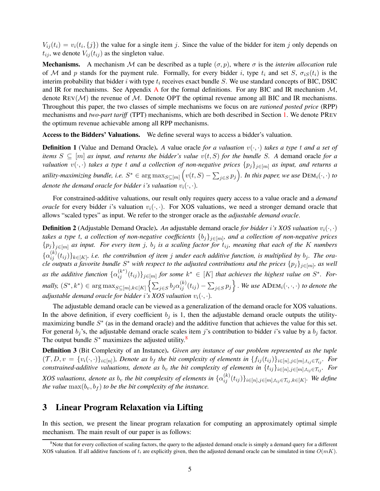$V_{ij}(t_i) = v_i(t_i, \{j\})$  the value for a single item j. Since the value of the bidder for item j only depends on  $t_{ij}$ , we denote  $V_{ij}(t_{ij})$  as the singleton value.

**Mechanisms.** A mechanism M can be described as a tuple  $(\sigma, p)$ , where  $\sigma$  is the *interim allocation* rule of M and p stands for the payment rule. Formally, for every bidder i, type  $t_i$  and set  $S$ ,  $\sigma_{iS}(t_i)$  is the interim probability that bidder i with type  $t_i$  receives exact bundle S. We use standard concepts of BIC, DSIC and IR for mechanisms. See [A](#page-14-0)ppendix A for the formal definitions. For any BIC and IR mechanism  $M$ , denote  $REV(\mathcal{M})$  the revenue of  $\mathcal{M}$ . Denote OPT the optimal revenue among all BIC and IR mechanisms. Throughout this paper, the two classes of simple mechanisms we focus on are *rationed posted price* (RPP) mechanisms and *two-part tariff* (TPT) mechanisms, which are both described in Section [1.](#page-1-2) We denote PREV the optimum revenue achievable among all RPP mechanisms.

Access to the Bidders' Valuations. We define several ways to access a bidder's valuation.

**Definition 1** (Value and Demand Oracle). A value oracle *for a valuation*  $v(\cdot, \cdot)$  *takes a type t and a set of items*  $S \subseteq [m]$  *as input, and returns the bidder's value*  $v(t, S)$  *for the bundle* S. A demand oracle *for a valuation*  $v(\cdot, \cdot)$  *takes a type t and a collection of non-negative prices*  $\{p_j\}_{j \in [m]}$  *as input, and returns a*  $u$ *tility-maximizing bundle, i.e.*  $S^* \in \argmax_{S \subseteq [m]} (v(t, S) - \sum_{j \in S} p_j)$ . In this paper, we use  $\text{DEM}_i(\cdot, \cdot)$  to *denote the demand oracle for bidder i's valuation*  $v_i(\cdot, \cdot)$ *.* 

For constrained-additive valuations, our result only requires query access to a value oracle and a *demand oracle* for every bidder i's valuation  $v_i(\cdot, \cdot)$ . For XOS valuations, we need a stronger demand oracle that allows "scaled types" as input. We refer to the stronger oracle as the *adjustable demand oracle*.

<span id="page-5-4"></span>**Definition 2** (Adjustable Demand Oracle). An adjustable demand oracle *for bidder* i's XOS valuation  $v_i(\cdot, \cdot)$ *takes a type* t*, a collection of non-negative coefficients* {bj}j∈[m] *, and a collection of non-negative prices*  ${p_j}_{j \in [m]}$  *as input. For every item j, b<sub>j</sub> is a scaling factor for*  $t_{ij}$ *, meaning that each of the K numbers*  $\{\alpha_{ij}^{(k)}(t_{ij})\}_{k\in [K]}$ , i.e. the contribution of item j under each additive function, is multiplied by  $b_j$ . The ora*cle outputs a favorite bundle*  $S^*$  *with respect to the adjusted contributions and the prices*  $\{p_j\}_{j\in[m]}$ *, as well* as the additive function  $\{\alpha_{ij}^{(k^*)}(t_{ij})\}_{j\in[m]}$  for some  $k^*\in[K]$  that achieves the highest value on  $S^*$ . For $p$  mally,  $(S^*, k^*) \in \arg\max_{S \subseteq [m], k \in [K]} \left\{ \sum_{j \in S} b_j \alpha_{ij}^{(k)}(t_{ij}) - \sum_{j \in S} p_j \right\}$ . We use  $\text{ADEM}_i(\cdot, \cdot, \cdot)$  to denote the *adjustable demand oracle for bidder* i's XOS valuation  $v_i(\cdot, \cdot)$ *.* 

The adjustable demand oracle can be viewed as a generalization of the demand oracle for XOS valuations. In the above definition, if every coefficient  $b_j$  is 1, then the adjustable demand oracle outputs the utilitymaximizing bundle  $S^*$  (as in the demand oracle) and the additive function that achieves the value for this set. For general  $b_j$ 's, the adjustable demand oracle scales item j's contribution to bidder i's value by a  $b_j$  factor. The output bundle  $S^*$  maximizes the adjusted utility.<sup>[8](#page-5-1)</sup>

<span id="page-5-2"></span>Definition 3 (Bit Complexity of an Instance). *Given any instance of our problem represented as the tuple*  $(\mathcal{T}, D, v = \{v_i(\cdot, \cdot)\}_{i \in [n]})$ , Denote as  $b_f$  the bit complexity of elements in  $\{f_{ij}(t_{ij})\}_{i \in [n], j \in [m], t_{ij} \in \mathcal{T}_{ij}}$ . For *constrained-additive valuations, denote as*  $b_v$  *the bit complexity of elements in*  $\{t_{ij}\}_{i\in[n],j\in[m],t_{ij}\in\mathcal{T}_{ij}}$ *. For XOS valuations, denote as*  $b_v$  *the bit complexity of elements in*  $\{\alpha_{ij}^{(k)}(t_{ij})\}_{i\in[n],j\in[m],t_{ij}\in\mathcal{T}_{ij},k\in[K]}$ *. We define the value*  $\max(b_v, b_f)$  *to be the bit complexity of the instance.* 

## <span id="page-5-3"></span>3 Linear Program Relaxation via Lifting

<span id="page-5-0"></span>In this section, we present the linear program relaxation for computing an approximately optimal simple mechanism. The main result of our paper is as follows:

<span id="page-5-1"></span> $8$ Note that for every collection of scaling factors, the query to the adjusted demand oracle is simply a demand query for a different XOS valuation. If all additive functions of  $t_i$  are explicitly given, then the adjusted demand oracle can be simulated in time  $O(mK)$ .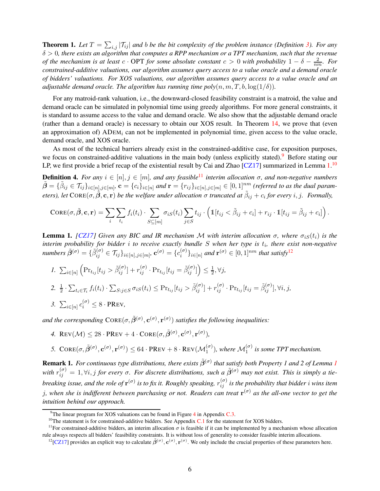**Theorem 1.** Let  $T = \sum_{i,j} |T_{ij}|$  and b be the bit complexity of the problem instance (Definition [3\)](#page-5-2). For any δ > 0*, there exists an algorithm that computes a RPP mechanism or a TPT mechanism, such that the revenue of the mechanism is at least*  $c \cdot OPT$  *for some absolute constant*  $c > 0$  *with probability*  $1 - \delta - \frac{2}{nm}$ *. For constrained-additive valuations, our algorithm assumes query access to a value oracle and a demand oracle of bidders' valuations. For XOS valuations, our algorithm assumes query access to a value oracle and an adjustable demand oracle. The algorithm has running time poly* $(n, m, T, b, \log(1/\delta))$ .

For any matroid-rank valuation, i.e., the downward-closed feasibility constraint is a matroid, the value and demand oracle can be simulated in polynomial time using greedy algorithms. For more general constraints, it is standard to assume access to the value and demand oracle. We also show that the adjustable demand oracle (rather than a demand oracle) is necessary to obtain our XOS result. In Theorem [14,](#page-57-0) we prove that (even an approximation of)  $ADEM_i$  can not be implemented in polynomial time, given access to the value oracle, demand oracle, and XOS oracle.

As most of the technical barriers already exist in the constrained-additive case, for exposition purposes, we focus on constrained-additive valuations in the main body (unless explicitly stated).<sup>[9](#page-6-0)</sup> Before stating our LP, we first provide a brief recap of the existential result by Cai and Zhao [\[CZ17\]](#page-63-3) summarized in Lemma  $1.^{10}$  $1.^{10}$  $1.^{10}$  $1.^{10}$ 

<span id="page-6-6"></span>**Definition 4.** *For any*  $i \in [n], j \in [m]$ *, and any feasible*<sup>[11](#page-6-3)</sup> *interim allocation*  $\sigma$ *, and non-negative numbers*  $\tilde{\bm{\beta}}=\{\tilde{\beta}_{ij}\in \mathcal{T}_{ij}\}_{i\in[n],j\in[m]}.$   $\mathbf{c}=\{c_i\}_{i\in[n]}$  and  $\mathbf{r}=\{r_{ij}\}_{i\in[n],j\in[m]}\in[0,1]^{nm}$  (referred to as the dual param*eters*), let  $C$ ORE $(\sigma, \tilde{\beta}, c, r)$  *be the welfare under allocation*  $\sigma$  *truncated at*  $\tilde{\beta}_{ij} + c_i$  *for every i*, *j. Formally,* 

$$
CORE(\sigma, \tilde{\beta}, \mathbf{c}, \mathbf{r}) = \sum_{i} \sum_{t_i} f_i(t_i) \cdot \sum_{S \subseteq [m]} \sigma_{iS}(t_i) \sum_{j \in S} t_{ij} \cdot \left( \mathbb{1}[t_{ij} < \tilde{\beta}_{ij} + c_i] + r_{ij} \cdot \mathbb{1}[t_{ij} = \tilde{\beta}_{ij} + c_i] \right).
$$

<span id="page-6-1"></span>**Lemma 1.** *[\[CZ17\]](#page-63-3)* Given any BIC and IR mechanism M with interim allocation  $\sigma$ , where  $\sigma_{iS}(t_i)$  is the interim probability for bidder *i* to receive exactly bundle S when her type is  $t_i$ , there exist non-negative  $numbers\ \tilde{\beta}^{(\sigma)}=\{\tilde{\beta}_{ij}^{(\sigma)}\in \mathcal{T}_{ij}\}_{i\in[n],j\in[m]},{\bf c}^{(\sigma)}=\{c_i^{(\sigma)}\}$  $\{e^{(\sigma)}\}_{i\in[n]}$  and  $\mathbf{r}^{(\sigma)} \in [0,1]^{nm}$  that satisfy<sup>[12](#page-6-4)</sup>

\n- 1. 
$$
\sum_{i \in [n]} \left( \Pr_{t_{ij}}[t_{ij} > \tilde{\beta}_{ij}^{(\sigma)}] + r_{ij}^{(\sigma)} \cdot \Pr_{t_{ij}}[t_{ij} = \tilde{\beta}_{ij}^{(\sigma)}] \right) \leq \frac{1}{2}, \forall j
$$
\n- 2.  $\frac{1}{2} \cdot \sum_{t_i \in \mathcal{T}_i} f_i(t_i) \cdot \sum_{S:j \in S} \sigma_{iS}(t_i) \leq \Pr_{t_{ij}}[t_{ij} > \tilde{\beta}_{ij}^{(\sigma)}] + r_{ij}^{(\sigma)} \cdot \Pr_{t_{ij}}[t_{ij} = \tilde{\beta}_{ij}^{(\sigma)}], \forall i, j$
\n- 3.  $\sum_{i \in [n]} c_i^{(\sigma)} \leq 8 \cdot \text{PREV}$
\n

and the corresponding  $Cone(\sigma, \tilde{\beta}^{(\sigma)}, c^{(\sigma)}, r^{(\sigma)})$  satisfies the following inequalities:

4. REV
$$
(\mathcal{M}) \leq 28 \cdot \text{PREV} + 4 \cdot \text{CORE}(\sigma, \tilde{\beta}^{(\sigma)}, \mathbf{c}^{(\sigma)}, \mathbf{r}^{(\sigma)}),
$$

5.  $CORE(\sigma, \tilde{\beta}^{(\sigma)}, \mathbf{c}^{(\sigma)}, \mathbf{r}^{(\sigma)}) \leq 64 \cdot PREV + 8 \cdot REV(\mathcal{M}_1^{(\sigma)})$ , where  $\mathcal{M}_1^{(\sigma)}$  is some TPT mechanism.

<span id="page-6-5"></span>**Remark [1](#page-6-1).** For continuous type distributions, there exists  $\tilde{\beta}^{(\sigma)}$  that satisfy both Property 1 and 2 of Lemma 1 with  $r_{ij}^{(\sigma)} = 1$ ,  $\forall i, j$  for every  $\sigma$ . For discrete distributions, such a  $\tilde{\beta}^{(\sigma)}$  may not exist. This is simply a tiebreaking issue, and the role of  $r^{(\sigma)}$  is to fix it. Roughly speaking,  $r_{ij}^{(\sigma)}$  is the probability that bidder  $i$  wins item j*, when she is indifferent between purchasing or not. Readers can treat* r (σ) *as the all-one vector to get the intuition behind our approach.*

<sup>&</sup>lt;sup>9</sup>The linear program for XOS valuations can be found in Figure  $4$  in Appendix [C.3.](#page-19-1)

<span id="page-6-2"></span><span id="page-6-0"></span> $10$ The statement is for constrained-additive bidders. See Appendix [C.1](#page-17-0) for the statement for XOS bidders.

<sup>&</sup>lt;sup>11</sup>For constrained-additive bidders, an interim allocation  $\sigma$  is feasible if it can be implemented by a mechanism whose allocation rule always respects all bidders' feasibility constraints. It is without loss of generality to consider feasible interim allocations.

<span id="page-6-4"></span><span id="page-6-3"></span><sup>&</sup>lt;sup>12</sup>[\[CZ17\]](#page-63-3) provides an explicit way to calculate  $\tilde{\beta}^{(\sigma)}$ ,  $\mathbf{c}^{(\sigma)}$ ,  $\mathbf{r}^{(\sigma)}$ . We only include the crucial properties of these parameters here.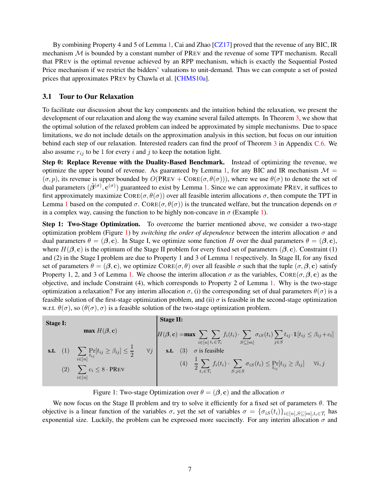By combining Property 4 and 5 of Lemma [1,](#page-6-1) Cai and Zhao [\[CZ17\]](#page-63-3) proved that the revenue of any BIC, IR mechanism M is bounded by a constant number of PREV and the revenue of some TPT mechanism. Recall that PREV is the optimal revenue achieved by an RPP mechanism, which is exactly the Sequential Posted Price mechanism if we restrict the bidders' valuations to unit-demand. Thus we can compute a set of posted prices that approximates PREV by Chawla et al. [\[CHMS10a\]](#page-63-12).

### <span id="page-7-0"></span>3.1 Tour to Our Relaxation

To facilitate our discussion about the key components and the intuition behind the relaxation, we present the development of our relaxation and along the way examine several failed attempts. In Theorem [3,](#page-11-0) we show that the optimal solution of the relaxed problem can indeed be approximated by simple mechanisms. Due to space limitations, we do not include details on the approximation analysis in this section, but focus on our intuition behind each step of our relaxation. Interested readers can find the proof of Theorem [3](#page-11-0) in Appendix [C.6.](#page-30-0) We also assume  $r_{ij}$  to be 1 for every i and j to keep the notation light.

Step 0: Replace Revenue with the Duality-Based Benchmark. Instead of optimizing the revenue, we optimize the upper bound of revenue. As guaranteed by Lemma [1,](#page-6-1) for any BIC and IR mechanism  $\mathcal{M} =$  $(\sigma, p)$ , its revenue is upper bounded by  $O(PREV + CORE(\sigma, \theta(\sigma)))$ , where we use  $\theta(\sigma)$  to denote the set of dual parameters  $(\tilde{\beta}^{(\sigma)}, \mathbf{c}^{(\sigma)})$  guaranteed to exist by Lemma [1.](#page-6-1) Since we can approximate PREV, it suffices to first approximately maximize  $CORE(\sigma, \theta(\sigma))$  over all feasible interim allocations  $\sigma$ , then compute the TPT in Lemma [1](#page-6-1) based on the computed  $\sigma$ . CORE( $\sigma$ ,  $\theta(\sigma)$ ) is the truncated welfare, but the truncation depends on  $\sigma$ in a complex way, causing the function to be highly non-concave in  $\sigma$  (Example [1\)](#page-15-1).

Step 1: Two-Stage Optimization. To overcome the barrier mentioned above, we consider a two-stage optimization problem (Figure [1\)](#page-7-1) by *switching the order of dependence* between the interim allocation  $\sigma$  and dual parameters  $\theta = (\beta, c)$ . In Stage I, we optimize some function H over the dual parameters  $\theta = (\beta, c)$ , where  $H(\beta, c)$  is the optimum of the Stage II problem for every fixed set of parameters ( $\beta, c$ ). Constraint (1) and (2) in the Stage I problem are due to Property 1 and 3 of Lemma [1](#page-6-1) respectively. In Stage II, for any fixed set of parameters  $\theta = (\beta, c)$ , we optimize CORE( $\sigma$ ,  $\theta$ ) over all feasible  $\sigma$  such that the tuple ( $\sigma$ ,  $\beta$ ,  $c$ ) satisfy Property 1, 2, and 3 of Lemma [1.](#page-6-1) We choose the interim allocation  $\sigma$  as the variables, CORE( $\sigma$ , $\beta$ , c) as the objective, and include Constraint (4), which corresponds to Property 2 of Lemma [1.](#page-6-1) Why is the two-stage optimization a relaxation? For any interim allocation  $\sigma$ , (i) the corresponding set of dual parameters  $\theta(\sigma)$  is a feasible solution of the first-stage optimization problem, and (ii)  $\sigma$  is feasible in the second-stage optimization w.r.t.  $\theta(\sigma)$ , so  $(\theta(\sigma), \sigma)$  is a feasible solution of the two-stage optimization problem.

| <b>Stage I:</b> |                   |                                                                                                                                                                                                          | <b>Stage II:</b>                                                                                                                                                                             |
|-----------------|-------------------|----------------------------------------------------------------------------------------------------------------------------------------------------------------------------------------------------------|----------------------------------------------------------------------------------------------------------------------------------------------------------------------------------------------|
|                 | max $H(\beta, c)$ | $H(\beta, \mathbf{c}) = \max \sum f_i(t_i) \cdot \sum \sigma_{iS}(t_i) \sum t_{ij} \cdot \mathbb{1}[t_{ij} \leq \beta_{ij} + c_i]$<br>$i \in [n]$ $t_i \in \mathcal{T}_i$ $S \subseteq [m]$<br>$i \in S$ |                                                                                                                                                                                              |
|                 |                   | <b>s.t.</b> (1) $\sum_{i \in [n]} \Pr_{t_{ij}}[t_{ij} \geq \beta_{ij}] \leq \frac{1}{2}$<br>$\forall j$<br>(2) $\sum c_i \leq 8 \cdot \text{PREV}$<br>$i \in [n]$                                        | s.t. (3) $\sigma$ is feasible<br>(4) $\frac{1}{2} \sum_{t_i \in \mathcal{T}_i} f_i(t_i) \cdot \sum_{S:j \in S} \sigma_{iS}(t_i) \leq \Pr_{t_{ij}}[t_{ij} \geq \beta_{ij}]$<br>$\forall i, j$ |

<span id="page-7-1"></span>Figure 1: Two-stage Optimization over  $\theta = (\beta, c)$  and the allocation  $\sigma$ 

We now focus on the Stage II problem and try to solve it efficiently for a fixed set of parameters  $\theta$ . The objective is a linear function of the variables  $\sigma$ , yet the set of variables  $\sigma = \{\sigma_{iS}(t_i)\}_{i \in [n], S \subseteq [m], t_i \in \mathcal{T}_i}$  has exponential size. Luckily, the problem can be expressed more succinctly. For any interim allocation  $\sigma$  and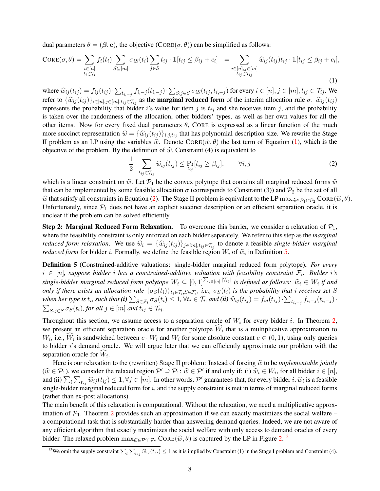dual parameters  $\theta = (\beta, c)$ , the objective  $(CORE(\sigma, \theta))$  can be simplified as follows:

$$
\text{CORE}(\sigma, \theta) = \sum_{\substack{i \in [n] \\ t_i \in \mathcal{T}_i}} f_i(t_i) \sum_{S \subseteq [m]} \sigma_{iS}(t_i) \sum_{j \in S} t_{ij} \cdot \mathbb{1}[t_{ij} \leq \beta_{ij} + c_i] = \sum_{\substack{i \in [n], j \in [m] \\ t_{ij} \in \mathcal{T}_{ij}}} \widehat{w}_{ij}(t_{ij}) t_{ij} \cdot \mathbb{1}[t_{ij} \leq \beta_{ij} + c_i],
$$
\n(1)

where  $\widehat{w}_{ij}(t_{ij}) = f_{ij}(t_{ij}) \cdot \sum_{t_{i,-j}} f_{i,-j}(t_{i,-j}) \cdot \sum_{S:j \in S} \sigma_{iS}(t_{ij}, t_{i,-j})$  for every  $i \in [n], j \in [m], t_{ij} \in \mathcal{T}_{ij}$ . We refer to  $\{\hat{w}_{ij}(t_{ij})\}_{i\in[n],j\in[m],t_{ij}\in\mathcal{T}_{ij}}$  as the **marginal reduced form** of the interim allocation rule  $\sigma$ .  $\hat{w}_{ij}(t_{ij})$ represents the probability that bidder i's value for item j is  $t_{ij}$  and she receives item j, and the probability is taken over the randomness of the allocation, other bidders' types, as well as her own values for all the other items. Now for every fixed dual parameters  $\theta$ , CORE is expressed as a linear function of the much more succinct representation  $\hat{w} = {\hat{w}_{ij}(t_{ij})}_{i,j,t_{ij}}$  that has polynomial description size. We rewrite the Stage II problem as an LP using the variables  $\hat{w}$ . Denote CORE $(\hat{w}, \theta)$  the last term of Equation [\(1\)](#page-8-0), which is the objective of the problem. By the definition of  $\hat{w}$ , Constraint (4) is equivalent to

<span id="page-8-0"></span>
$$
\frac{1}{2} \cdot \sum_{t_{ij} \in \mathcal{T}_{ij}} \widehat{w}_{ij}(t_{ij}) \le \Pr_{t_{ij}}[t_{ij} \ge \beta_{ij}], \qquad \forall i, j
$$
\n(2)

<span id="page-8-1"></span>which is a linear constraint on  $\hat{w}$ . Let  $\mathcal{P}_1$  be the convex polytope that contains all marginal reduced forms  $\hat{w}$ that can be implemented by some feasible allocation  $\sigma$  (corresponds to Constraint (3)) and  $\mathcal{P}_2$  be the set of all  $\hat{w}$  that satisfy all constraints in Equation [\(2\)](#page-8-1). The Stage II problem is equivalent to the LP max $\hat{w}_\epsilon P_1 \cap P_2$  CORE( $\hat{w}, \theta$ ). Unfortunately, since  $P_1$  does not have an explicit succinct description or an efficient separation oracle, it is unclear if the problem can be solved efficiently.

**Step 2: Marginal Reduced Form Relaxation.** To overcome this barrier, we consider a relaxation of  $\mathcal{P}_1$ , where the feasibility constraint is only enforced on each bidder separately. We refer to this step as the *marginal reduced form relaxation.* We use  $\hat{w}_i = {\hat{w}_{ij}(t_{ij})}_{j \in [m], t_{ij} \in T_{ij}}$  to denote a feasible *single-bidder marginal reduced form* for bidder *i*. Formally, we define the feasible region  $W_i$  of  $\hat{w}_i$  in Definition [5.](#page-8-2)

<span id="page-8-2"></span>Definition 5 (Constrained-additive valuations: single-bidder marginal reduced form polytope). *For every*  $i \in [n]$ , suppose bidder i has a constrained-additive valuation with feasibility constraint  $\mathcal{F}_i$ . Bidder i's *single-bidder marginal reduced form polytope*  $W_i$  ⊆  $[0,1]$  $\Sigma_{j \in [m]}$   $|\tau_{ij}|$  *is defined as follows:*  $\hat{w}_i \in W_i$  *if and only if there exists an allocation rule*  $\{\sigma_S(t_i)\}_{t_i \in \mathcal{T}_i, S \in \mathcal{F}_i}$ , *i.e.*,  $\sigma_S(t_i)$  *is the probability that i receives set* S *when her type is*  $t_i$ *, such that*  $(i)$   $\sum_{S \in \mathcal{F}_i} \sigma_S(t_i) \leq 1$ ,  $\forall t_i \in \mathcal{T}_i$ *, and*  $(ii)$   $\widehat{w}_{ij}(t_{ij}) = f_{ij}(t_{ij}) \cdot \sum_{t_{i,-j}} f_{i,-j}(t_{i,-j}) \cdot$  $\sum_{S:j\in S}\sigma_S(t_i)$ , for all  $j\in[m]$  and  $t_{ij}\in\mathcal{T}_{ij}$ .

Throughout this section, we assume access to a separation oracle of  $W_i$  for every bidder i. In Theorem [2,](#page-10-0) we present an efficient separation oracle for another polytope  $W_i$  that is a multiplicative approximation to  $W_i$ , i.e.,  $W_i$  is sandwiched between  $c \cdot W_i$  and  $W_i$  for some absolute constant  $c \in (0,1)$ , using only queries to bidder i's demand oracle. We will argue later that we can efficiently approximate our problem with the separation oracle for  $W_i$ .

Here is our relaxation to the (rewritten) Stage II problem: Instead of forcing  $\hat{w}$  to be *implementable jointly*  $(\widehat{w} \in \mathcal{P}_1)$ , we consider the relaxed region  $\mathcal{P}' \supseteq \mathcal{P}_1$ :  $\widehat{w} \in \mathcal{P}'$  if and only if: (i)  $\widehat{w}_i \in W_i$ , for all bidder  $i \in [n]$ , and (ii)  $\sum_i \sum_{t_{ij}} \hat{w}_{ij}(t_{ij}) \leq 1, \forall j \in [m]$ . In other words, P' guarantees that, for every bidder i,  $\hat{w}_i$  is a feasible single-bidder marginal reduced form for  $i$ , and the supply constraint is met in terms of marginal reduced forms (rather than ex-post allocations).

The main benefit of this relaxation is computational. Without the relaxation, we need a multiplicative approximation of  $\mathcal{P}_1$ . Theorem [2](#page-10-0) provides such an approximation if we can exactly maximizes the social welfare – a computational task that is substantially harder than answering demand queries. Indeed, we are not aware of any efficient algorithm that exactly maximizes the social welfare with only access to demand oracles of every bidder. The relaxed problem  $\max_{\widehat{w} \in \mathcal{P}' \cap \mathcal{P}_2} \text{CORE}(\widehat{w}, \theta)$  is captured by the LP in Figure [2.](#page-9-0)<sup>[13](#page-8-3)</sup>

<span id="page-8-3"></span><sup>&</sup>lt;sup>13</sup>We omit the supply constraint  $\sum_i \sum_{t_{ij}} \hat{w}_{ij}(t_{ij}) \leq 1$  as it is implied by Constraint (1) in the Stage I problem and Constraint (4).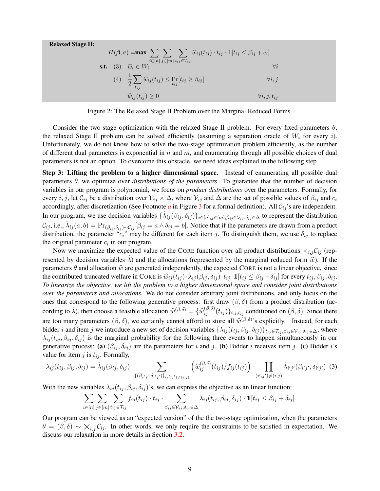Relaxed Stage II:

$$
H(\boldsymbol{\beta}, \mathbf{c}) = \max \sum_{i \in [n]} \sum_{j \in [m]} \sum_{t_{ij} \in \mathcal{T}_{ij}} \widehat{w}_{ij}(t_{ij}) \cdot t_{ij} \cdot \mathbb{1}[t_{ij} \leq \beta_{ij} + c_i]
$$
\n
$$
\text{s.t.} \quad (3) \quad \widehat{w}_i \in W_i \qquad \forall i
$$
\n
$$
(4) \quad \frac{1}{2} \sum_{t_{ij}} \widehat{w}_{ij}(t_{ij}) \leq \Pr_{t_{ij}}[t_{ij} \geq \beta_{ij}] \qquad \forall i, j
$$
\n
$$
\widehat{w}_{ij}(t_{ij}) \geq 0 \qquad \forall i, j, t_{ij}
$$

<span id="page-9-0"></span>Figure 2: The Relaxed Stage II Problem over the Marginal Reduced Forms

Consider the two-stage optimization with the relaxed Stage II problem. For every fixed parameters  $\theta$ , the relaxed Stage II problem can be solved efficiently (assuming a separation oracle of  $W_i$  for every i). Unfortunately, we do not know how to solve the two-stage optimization problem efficiently, as the number of different dual parameters is exponential in  $n$  and  $m$ , and enumerating through all possible choices of dual parameters is not an option. To overcome this obstacle, we need ideas explained in the following step.

Step 3: Lifting the problem to a higher dimensional space. Instead of enumerating all possible dual parameters  $\theta$ , we optimize over *distributions of the parameters*. To guarantee that the number of decision variables in our program is polynomial, we focus on *product distributions* over the parameters. Formally, for every i, j, let  $C_{ij}$  be a distribution over  $V_{ij} \times \Delta$ , where  $V_{ij}$  and  $\Delta$  are the set of possible values of  $\beta_{ij}$  and  $c_i$ [a](#page-11-0)ccordingly, after discretization (See Footnote  $a$  in Figure [3](#page-12-0) for a formal definition). All  $C_{ij}$ 's are independent. In our program, we use decision variables  $\{\hat{\lambda}_{ij}(\beta_{ij}, \delta_{ij})\}_{i \in [n], j \in [m], \beta_{ij} \in \mathcal{V}_{ij}, \delta_{ij} \in \Delta}$  to represent the distribution  $\mathcal{C}_{ij}$ , i.e.,  $\hat{\lambda}_{ij}(a, b) = \Pr_{(\beta_{ij}, \delta_{ij}) \sim \mathcal{C}_{ij}} [\beta_{ij} = a \wedge \delta_{ij} = b]$ . Notice that if the parameters are drawn from a product distribution, the parameter " $c_i$ " may be different for each item j. To distinguish them, we use  $\delta_{ij}$  to replace the original parameter  $c_i$  in our program.

Now we maximize the expected value of the CORE function over all product distributions  $\times_{i,j} C_{ij}$  (represented by decision variables  $\hat{\lambda}$ ) and the allocations (represented by the marginal reduced form  $\hat{w}$ ). If the parameters  $\theta$  and allocation  $\hat{w}$  are generated independently, the expected CORE is not a linear objective, since the contributed truncated welfare in CORE is  $\hat{w}_{ij}(t_{ij}) \cdot \hat{\lambda}_{ij} (\beta_{ij}, \delta_{ij}) \cdot t_{ij} \cdot 1[t_{ij} \leq \beta_{ij} + \delta_{ij}]$  for every  $t_{ij}, \beta_{ij}, \delta_{ij}$ . *To linearize the objective, we lift the problem to a higher dimensional space and consider joint distributions over the parameters and allocations.* We do not consider arbitrary joint distributions, and only focus on the ones that correspond to the following generative process: first draw  $(\beta, \delta)$  from a product distribution (according to  $\hat{\lambda}$ ), then choose a feasible allocation  $\hat{w}^{(\beta,\delta)} = {\{\hat{w}_{ij}^{(\beta,\delta)}(t_{ij})\}_{i,j,t_{ij}}}$  conditioned on  $(\beta,\delta)$ . Since there are too many parameters  $(\beta, \delta)$ , we certainly cannot afford to store all  $\widehat{w}^{(\beta,\delta)}$ 's explicitly. Instead, for each bidder *i* and item j we introduce a new set of decision variables  $\{\lambda_{ij}(t_{ij}, \beta_{ij}, \delta_{ij})\}_{t_{ij}\in\mathcal{T}_{ij}, \beta_{ij}\in\mathcal{V}_{ij}, \delta_{ij}\in\Delta}$ , where  $\lambda_{ij}(t_{ij}, \beta_{ij}, \delta_{ij})$  is the marginal probability for the following three events to happen simultaneously in our generative process: (a)  $(\beta_{ij}, \delta_{ij})$  are the parameters for i and j. (b) Bidder i receives item j. (c) Bidder i's value for item j is  $t_{ij}$ . Formally,

$$
\lambda_{ij}(t_{ij}, \beta_{ij}, \delta_{ij}) = \hat{\lambda}_{ij}(\beta_{ij}, \delta_{ij}) \cdot \sum_{\{(\beta_{i'j'}, \delta_{i'j'})\}_{(i',j')\neq(i,j)}} \left(\hat{w}_{ij}^{(\beta,\delta)}(t_{ij})/f_{ij}(t_{ij})\right) \cdot \prod_{(i',j')\neq(i,j)} \hat{\lambda}_{i'j'}(\beta_{i'j'}, \delta_{i'j'}) \tag{3}
$$

With the new variables  $\lambda_{ij}$  ( $t_{ij}, \beta_{ij}, \delta_{ij}$ )'s, we can express the objective as an linear function:

<span id="page-9-1"></span>
$$
\sum_{i\in[n]}\sum_{j\in[m]}\sum_{t_{ij}\in\mathcal{T}_{ij}}f_{ij}(t_{ij})\cdot t_{ij}\cdot\sum_{\beta_{ij}\in\mathcal{V}_{ij},\delta_{ij}\in\Delta}\lambda_{ij}(t_{ij},\beta_{ij},\delta_{ij})\cdot\mathbb{1}[t_{ij}\leq\beta_{ij}+\delta_{ij}].
$$

Our program can be viewed as an "expected version" of the the two-stage optimization, when the parameters  $\theta = (\beta, \delta) \sim \mathsf{X}_{i,j} C_{ij}$ . In other words, we only require the constraints to be satisfied in expectation. We discuss our relaxation in more details in Section [3.2.](#page-10-1)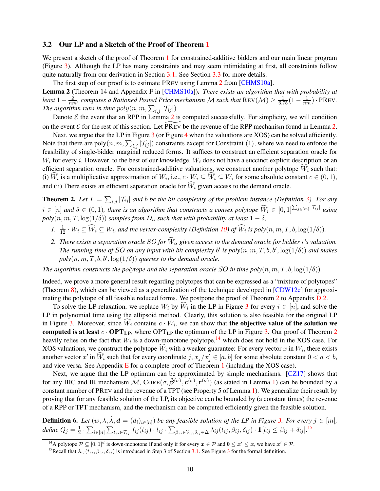### <span id="page-10-1"></span>3.2 Our LP and a Sketch of the Proof of Theorem [1](#page-5-0)

We present a sketch of the proof of Theorem [1](#page-5-0) for constrained-additive bidders and our main linear program (Figure [3\)](#page-12-0). Although the LP has many constraints and may seem intimidating at first, all constraints follow quite naturally from our derivation in Section [3.1.](#page-7-0) See Section [3.3](#page-11-1) for more details.

<span id="page-10-2"></span>The first step of our proof is to estimate PREV using Lemma [2](#page-10-2) from [\[CHMS10a\]](#page-63-12). Lemma 2 (Theorem 14 and Appendix F in [\[CHMS10a\]](#page-63-12)). *There exists an algorithm that with probability at* least  $1-\frac{2}{nm}$ , computes a Rationed Posted Price mechanism M such that  $\text{Rev}(\mathcal{M}) \ge \frac{1}{6.75}(1-\frac{1}{nm})\cdot \text{PREV}$ . *The algorithm runs in time*  $poly(n, m, \sum_{i,j} |\mathcal{T}_{ij}|)$ *.* 

Denote  $\mathcal E$  the event that an RPP in Lemma [2](#page-10-2) is computed successfully. For simplicity, we will condition on the event  $\mathcal E$  for the rest of this section. Let PREV be the revenue of the RPP mechanism found in Lemma [2.](#page-10-2)

Next, we argue that the LP in Figure [3](#page-12-0) (or Figure [4](#page-19-0) when the valuations are XOS) can be solved efficiently. Note that there are  $poly(n, m, \sum_{i,j} |\mathcal{T}_{ij}|)$  constraints except for Constraint (1), where we need to enforce the feasibility of single-bidder marginal reduced forms. It suffices to construct an efficient separation oracle for  $W_i$  for every *i*. However, to the best of our knowledge,  $W_i$  does not have a succinct explicit description or an efficient separation oracle. For constrained-additive valuations, we construct another polytope  $W_i$  such that: (i)  $W_i$  is a multiplicative approximation of  $W_i$ , i.e.,  $c \cdot W_i \subseteq W_i \subseteq W_i$  for some absolute constant  $c \in (0,1)$ , and (ii) There exists an efficient separation oracle for  $\widehat{W}_i$  given access to the demand oracle.

<span id="page-10-0"></span>**Theorem 2.** Let  $T = \sum_{i,j} |T_{ij}|$  and b be the bit complexity of the problem instance (Definition [3\)](#page-5-2). For any  $i \in [n]$  and  $\delta \in (0,1)$ , there is an algorithm that constructs a convex polytope  $\widehat{W}_i \in [0,1]^{\sum_{j\in [m]}|\mathcal{T}_{ij}|}$  using  $poly(n, m, T, \log(1/\delta))$  *samples from*  $D_i$ *, such that with probability at least*  $1 - \delta$ *,* 

- *1.*  $\frac{1}{12} \cdot W_i \subseteq \widehat{W}_i \subseteq W_i$ , and the vertex-complexity (Definition [10\)](#page-14-1) of  $\widehat{W}_i$  is  $poly(n, m, T, b, \log(1/\delta))$ .
- 2. There exists a separation oracle SO for  $W_i$ , given access to the demand oracle for bidder i's valuation. *The running time of SO on any input with bit complexity*  $b'$  is  $poly(n, m, T, b, b', \log(1/\delta))$  and makes  $poly(n, m, T, b, b', \log(1/\delta))$  *queries to the demand oracle.*

*The algorithm constructs the polytope and the separation oracle* SO *in time poly* $(n, m, T, b, \log(1/\delta))$ *.* 

Indeed, we prove a more general result regarding polytopes that can be expressed as a "mixture of polytopes" (Theorem [8\)](#page-35-0), which can be viewed as a generalization of the technique developed in [\[CDW12c\]](#page-62-12) for approxi-mating the polytope of all feasible reduced forms. We postpone the proof of Theorem [2](#page-10-0) to Appendix [D.2.](#page-39-0)

To solve the LP relaxation, we replace  $W_i$  by  $W_i$  in the LP in Figure [3](#page-12-0) for every  $i \in [n]$ , and solve the LP in polynomial time using the ellipsoid method. Clearly, this solution is also feasible for the original LP in Figure [3.](#page-12-0) Moreover, since  $W_i$  contains  $c \cdot W_i$ , we can show that **the objective value of the solution we** computed is at least  $c \cdot OPT_{LP}$ , where  $OPT_{LP}$  the optimum of the LP in Figure [3.](#page-12-0) Our proof of Theorem [2](#page-10-0) heavily relies on the fact that  $W_i$  is a down-monotone polytope,  $^{14}$  $^{14}$  $^{14}$  which does not hold in the XOS case. For XOS valuations, we construct the polytope  $W_i$  with a weaker guarantee: For every vector x in  $W_i$ , there exists another vector  $x'$  in  $\widehat{W}_i$  such that for every coordinate  $j$ ,  $x_j/x'_j \in [a, b]$  for some absolute constant  $0 < a < b$ , and vice versa. See Appendix  $E$  for a complete proof of Theorem [1](#page-5-0) (including the XOS case).

Next, we argue that the LP optimum can be approximated by simple mechanisms. [\[CZ17\]](#page-63-3) shows that for any BIC and IR mechanism  $M$ ,  $Cone(\sigma, \tilde{\beta}^{(\sigma)}, \mathbf{c}^{(\sigma)}, \mathbf{r}^{(\sigma)})$  (as stated in Lemma [1\)](#page-6-1) can be bounded by a constant number of PREV and the revenue of a TPT (see Property 5 of Lemma [1\)](#page-6-1). We generalize their result by proving that for any feasible solution of the LP, its objective can be bounded by (a constant times) the revenue of a RPP or TPT mechanism, and the mechanism can be computed efficiently given the feasible solution.

<span id="page-10-5"></span>**Definition 6.** Let  $(w, \lambda, \hat{\lambda}, d = (d_i)_{i \in [n]})$  be any feasible solution of the LP in Figure [3.](#page-12-0) For every  $j \in [m]$ ,  $define\ Q_j=\frac{1}{2}$  $\frac{1}{2}\cdot\sum_{i\in[n]}\sum_{t_{ij}\in\mathcal{T}_{ij}}f_{ij}(t_{ij})\cdot t_{ij}\cdot\sum_{\beta_{ij}\in\mathcal{V}_{ij},\delta_{ij}\in\Delta}\lambda_{ij}(t_{ij},\beta_{ij},\delta_{ij})\cdot\mathbb{1}[t_{ij}\leq\beta_{ij}+\delta_{ij}]^{15}$  $\frac{1}{2}\cdot\sum_{i\in[n]}\sum_{t_{ij}\in\mathcal{T}_{ij}}f_{ij}(t_{ij})\cdot t_{ij}\cdot\sum_{\beta_{ij}\in\mathcal{V}_{ij},\delta_{ij}\in\Delta}\lambda_{ij}(t_{ij},\beta_{ij},\delta_{ij})\cdot\mathbb{1}[t_{ij}\leq\beta_{ij}+\delta_{ij}]^{15}$  $\frac{1}{2}\cdot\sum_{i\in[n]}\sum_{t_{ij}\in\mathcal{T}_{ij}}f_{ij}(t_{ij})\cdot t_{ij}\cdot\sum_{\beta_{ij}\in\mathcal{V}_{ij},\delta_{ij}\in\Delta}\lambda_{ij}(t_{ij},\beta_{ij},\delta_{ij})\cdot\mathbb{1}[t_{ij}\leq\beta_{ij}+\delta_{ij}]^{15}$ 

<sup>&</sup>lt;sup>14</sup>A polytope  $P \subseteq [0,1]^d$  is down-monotone if and only if for every  $x \in P$  and  $0 \le x' \le x$ , we have  $x' \in P$ .

<span id="page-10-4"></span><span id="page-10-3"></span><sup>&</sup>lt;sup>15</sup>Recall that  $\lambda_{ij}(t_{ij}, \beta_{ij}, \delta_{ij})$  is introduced in Step 3 of Section [3.1.](#page-7-0) See Figure [3](#page-12-0) for the formal definition.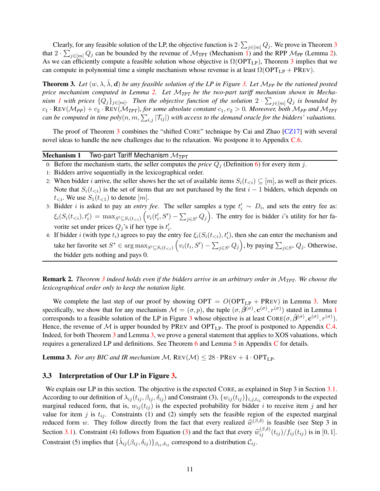Clearly, for any feasible solution of the LP, the objective function is  $2 \cdot \sum_{j \in [m]} Q_j$ . We prove in Theorem [3](#page-11-0) that  $2 \cdot \sum_{j \in [m]} Q_j$  can be bounded by the revenue of  $\mathcal{M}_{TPT}$  (Mechanism [1\)](#page-11-2) and the RPP  $\mathcal{M}_{PP}$  (Lemma [2\)](#page-10-2). As we can efficiently compute a feasible solution whose objective is  $\Omega(OPT<sub>LP</sub>)$ , Theorem [3](#page-11-0) implies that we can compute in polynomial time a simple mechanism whose revenue is at least  $\Omega(OPT_{LP} + PREV)$ .

<span id="page-11-0"></span>**Theorem [3.](#page-12-0)** Let  $(w, \lambda, \lambda, d)$  be any feasible solution of the LP in Figure 3. Let M<sub>PP</sub> be the rationed posted *price mechanism computed in Lemma [2.](#page-10-2) Let* M*TPT be the two-part tariff mechanism shown in Mechanism [1](#page-11-2)* with prices  $\{Q_j\}_{j\in[m]}$ . Then the objective function of the solution  $2 \cdot \sum_{j\in[m]} Q_j$  is bounded by  $c_1 \cdot$  REV( $M_{PP}$ ) +  $c_2 \cdot$  REV( $M_{TPT}$ )*, for some absolute constant*  $c_1, c_2 > 0$ *. Moreover, both*  $M_{PP}$  *and*  $M_{TPT}$ can be computed in time  $poly(n, m, \sum_{i,j} |\mathcal{T}_{ij}|)$  with access to the demand oracle for the bidders' valuations.

The proof of Theorem [3](#page-11-0) combines the "shifted CORE" technique by Cai and Zhao [\[CZ17\]](#page-63-3) with several novel ideas to handle the new challenges due to the relaxation. We postpone it to Appendix [C.6.](#page-30-0)

#### **Mechanism 1** Two-part Tariff Mechanism  $M_{TPT}$

- 0: Before the mechanism starts, the seller computes the *price*  $Q_i$  (Definition [6\)](#page-10-5) for every item j.
- 1: Bidders arrive sequentially in the lexicographical order.
- 2: When bidder i arrive, the seller shows her the set of available items  $S_i(t_{\leq i}) \subseteq [m]$ , as well as their prices. Note that  $S_i(t_{i})$  is the set of items that are not purchased by the first  $i - 1$  bidders, which depends on  $t_{\leq i}$ . We use  $S_1(t_{\leq 1})$  to denote  $[m]$ .
- 3: Bidder *i* is asked to pay an *entry fee*. The seller samples a type  $t'_i \sim D_i$ , and sets the entry fee as:  $\xi_i(S_i(t_{\le i}), t'_i) = \max_{S' \subseteq S_i(t_{\le i})} \left( v_i(t'_i, S') - \sum_{j \in S'} Q_j \right)$ . The entry fee is bidder *i*'s utility for her favorite set under prices  $Q_j$ 's if her type is  $t'_i$ .
- <span id="page-11-2"></span>4: If bidder i (with type  $t_i$ ) agrees to pay the entry fee  $\xi_i(S_i(t_{\le i}), t'_i)$ , then she can enter the mechanism and take her favorite set  $S^* \in \arg \max_{S' \subseteq S_i(t_{i})} (v_i(t_i, S') - \sum_{j \in S'} Q_j)$ , by paying  $\sum_{j \in S^*} Q_j$ . Otherwise, the bidder gets nothing and pays 0.

Remark 2. *Theorem [3](#page-11-0) indeed holds even if the bidders arrive in an arbitrary order in* M*TPT. We choose the lexicographical order only to keep the notation light.*

We complete the last step of our proof by showing  $OPT = O(OPT<sub>LP</sub> + PREV)$  in Lemma [3.](#page-11-3) More specifically, we show that for any mechanism  $\mathcal{M} = (\sigma, p)$ , the tuple  $(\sigma, \tilde{\beta}^{(\sigma)}, c^{(\sigma)}, r^{(\sigma)})$  stated in Lemma [1](#page-6-1) corresponds to a feasible solution of the LP in Figure [3](#page-12-0) whose objective is at least  $Cone(\sigma, \tilde{\beta}^{(\sigma)}, c^{(\sigma)}, r^{(\sigma)})$ . Hence, the revenue of  $M$  is upper bounded by PREV and OPT<sub>LP</sub>. The proof is postponed to Appendix [C.4.](#page-19-2) Indeed, for both Theorem [3](#page-11-0) and Lemma [3,](#page-11-3) we prove a general statement that applies to XOS valuations, which requires a generalized LP and definitions. See Theorem [6](#page-17-1) and Lemma [5](#page-19-3) in Appendix [C](#page-17-2) for details.

<span id="page-11-3"></span>**Lemma 3.** For any BIC and IR mechanism  $M$ ,  $Rev(M) \leq 28 \cdot PREV + 4 \cdot OPT_{LP}$ .

### <span id="page-11-1"></span>3.3 Interpretation of Our LP in Figure [3.](#page-12-0)

We explain our LP in this section. The objective is the expected CORE, as explained in Step 3 in Section [3.1.](#page-7-0) According to our definition of  $\lambda_{ij}(t_{ij},\beta_{ij},\delta_{ij})$  and Constraint (3),  $\{w_{ij}(t_{ij})\}_{i,j,t_{ij}}$  corresponds to the expected marginal reduced form, that is,  $w_{ij}(t_{ij})$  is the expected probability for bidder i to receive item j and her value for item j is  $t_{ij}$ . Constraints (1) and (2) simply sets the feasible region of the expected marginal reduced form w. They follow directly from the fact that every realized  $\widehat{w}^{(\beta,\delta)}$  is feasible (see Step 3 in Section [3.1\)](#page-7-0). Constraint (4) follows from Equation [\(3\)](#page-9-1) and the fact that every  $\hat{w}_{ij}^{(\beta,\delta)}(t_{ij})/f_{ij}(t_{ij})$  is in [0, 1]. Constraint (5) implies that  $\{\hat{\lambda}_{ij}(\beta_{ij}, \delta_{ij})\}_{\beta_{ij}, \delta_{ij}}$  correspond to a distribution  $\mathcal{C}_{ij}$ .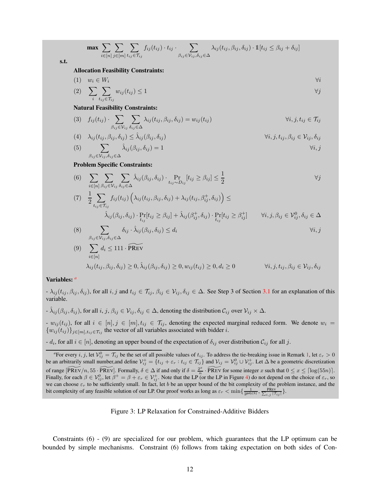$$
\max \sum_{i \in [n]} \sum_{j \in [m]} \sum_{t_{ij} \in \mathcal{T}_{ij}} f_{ij}(t_{ij}) \cdot t_{ij} \cdot \sum_{\beta_{ij} \in \mathcal{V}_{ij}, \delta_{ij} \in \Delta} \lambda_{ij}(t_{ij}, \beta_{ij}, \delta_{ij}) \cdot \mathbb{1}[t_{ij} \leq \beta_{ij} + \delta_{ij}]
$$

s.t.

#### Allocation Feasibility Constraints:

$$
(1) \t w_i \in W_i \t \forall i
$$
  
\n
$$
(2) \sum_{i} \sum_{t_{ij} \in \mathcal{T}_{ij}} w_{ij}(t_{ij}) \le 1 \t \forall j
$$

#### Natural Feasibility Constraints:

(3) 
$$
f_{ij}(t_{ij}) \cdot \sum_{\beta_{ij} \in \mathcal{V}_{ij}} \sum_{\delta_{ij} \in \Delta} \lambda_{ij}(t_{ij}, \beta_{ij}, \delta_{ij}) = w_{ij}(t_{ij})
$$
  $\forall i, j, t_{ij} \in \mathcal{T}_{ij}$ 

$$
(4) \quad \lambda_{ij}(t_{ij}, \beta_{ij}, \delta_{ij}) \leq \hat{\lambda}_{ij}(\beta_{ij}, \delta_{ij}) \qquad \qquad \forall i, j, t_{ij}, \beta_{ij} \in \mathcal{V}_{ij}, \delta_{ij}
$$

(5) 
$$
\sum_{\beta_{ij}\in\mathcal{V}_{ij},\delta_{ij}\in\Delta}\hat{\lambda}_{ij}(\beta_{ij},\delta_{ij})=1
$$
  $\forall i,j$ 

#### Problem Specific Constraints:

(6) 
$$
\sum_{i \in [n]} \sum_{\beta_{ij} \in \mathcal{V}_{ij}} \sum_{\delta_{ij} \in \Delta} \hat{\lambda}_{ij}(\beta_{ij}, \delta_{ij}) \cdot \Pr_{t_{ij} \sim D_{ij}}[t_{ij} \ge \beta_{ij}] \le \frac{1}{2}
$$
  
\n(7) 
$$
\frac{1}{2} \sum_{t_{ij} \in \mathcal{T}_{ij}} f_{ij}(t_{ij}) \left( \lambda_{ij}(t_{ij}, \beta_{ij}, \delta_{ij}) + \lambda_{ij}(t_{ij}, \beta_{ij}^{+}, \delta_{ij}) \right) \le
$$
  
\n
$$
\hat{\lambda}_{ij}(\beta_{ij}, \delta_{ij}) \cdot \Pr_{t_{ij}}[t_{ij} \ge \beta_{ij}] + \hat{\lambda}_{ij}(\beta_{ij}^{+}, \delta_{ij}) \cdot \Pr_{t_{ij}}[t_{ij} \ge \beta_{ij}^{+}] \qquad \forall i, j, \beta_{ij} \in \mathcal{V}_{ij}^{0}, \delta_{ij} \in \Delta
$$

(8) 
$$
\sum_{\beta_{ij} \in \mathcal{V}_{ij}, \delta_{ij} \in \Delta} \delta_{ij} \cdot \hat{\lambda}_{ij}(\beta_{ij}, \delta_{ij}) \le d_i
$$
  
(9) 
$$
\sum_{i \in [n]} d_i \le 111 \cdot \widetilde{PREV}
$$

$$
\lambda_{ij}(t_{ij}, \beta_{ij}, \delta_{ij}) \geq 0, \hat{\lambda}_{ij}(\beta_{ij}, \delta_{ij}) \geq 0, w_{ij}(t_{ij}) \geq 0, d_i \geq 0 \qquad \qquad \forall i, j, t_{ij}, \beta_{ij} \in \mathcal{V}_{ij}, \delta_{ij}
$$

#### Variables: *[a](#page-12-1)*

 $-\lambda_{ij}(t_{ij},\beta_{ij},\delta_{ij})$ , for all  $i, j$  and  $t_{ij} \in \mathcal{T}_{ij}, \beta_{ij} \in \mathcal{V}_{ij}, \delta_{ij} \in \Delta$ . See Step 3 of Section [3.1](#page-7-0) for an explanation of this variable.

 $\lambda_{ij}(\beta_{ij}, \delta_{ij})$ , for all  $i, j, \beta_{ij} \in \mathcal{V}_{ij}, \delta_{ij} \in \Delta$ , denoting the distribution  $\mathcal{C}_{ij}$  over  $\mathcal{V}_{ij} \times \Delta$ .

 $- w_{ij}(t_{ij})$ , for all  $i \in [n], j \in [m], t_{ij} \in \mathcal{T}_{ij}$ , denoting the expected marginal reduced form. We denote  $w_i =$  ${w_{ij}(t_{ij})}_{j\in[m],t_{ij}\in\mathcal{T}_{ij}}$  the vector of all variables associated with bidder i.

-  $d_i$ , for all  $i \in [n]$ , denoting an upper bound of the expectation of  $\delta_{ij}$  over distribution  $C_{ij}$  for all j.

<span id="page-12-0"></span>Figure 3: LP Relaxation for Constrained-Additive Bidders

Constraints (6) - (9) are specialized for our problem, which guarantees that the LP optimum can be bounded by simple mechanisms. Constraint (6) follows from taking expectation on both sides of Con-

<span id="page-12-1"></span><sup>&</sup>lt;sup>*a*</sup> For every *i*, *j*, let  $V_{ij}^0 = T_{ij}$  be the set of all possible values of  $t_{ij}$ . To address the tie-breaking issue in Remark [1,](#page-6-5) let  $\varepsilon_r > 0$ be an arbitrarily small number, and define  $\mathcal{V}_{ij}^+ = \{t_{ij} + \varepsilon_r : t_{ij} \in \mathcal{T}_{ij}\}$  and  $\mathcal{V}_{ij} = \mathcal{V}_{ij}^0 \cup \mathcal{V}_{ij}^+$ . Let  $\Delta$  be a geometric discretization of range  $\widetilde{[PREV/n, 55 \cdot PREV]}$ . Formally,  $\delta \in \Delta$  if and only if  $\delta = \frac{2^x}{n}$  $\frac{e^{x}}{n}$  · PREV for some integer x such that  $0 \le x \le \lceil \log(55n) \rceil$ . Finally, for each  $\beta \in \mathcal{V}_{ij}^0$ , let  $\beta^+ = \beta + \varepsilon_r \in \mathcal{V}_{ij}^+$ . Note that the LP (or the LP in Figure [4\)](#page-19-0) do not depend on the choice of  $\varepsilon_r$ , so we can choose  $\varepsilon_r$  to be sufficiently small. In fact, let b be an upper bound of the bit complexity of the problem instance, and the bit complexity of any feasible solution of our LP. Our proof works as long as  $\varepsilon_r < \min\{\frac{1}{2^{\text{poly}(b)}}, \frac{\text{PRev}}{\sum_{i,j} |\mathcal{T}_{ij}|}\}.$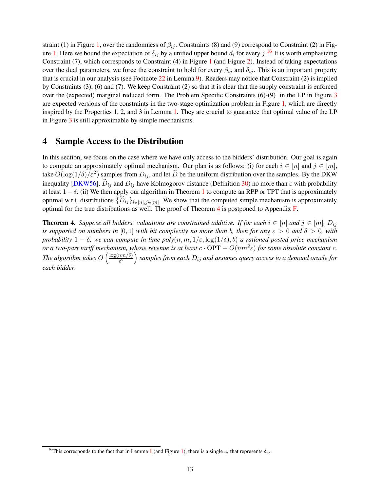straint (1) in Figure [1,](#page-7-1) over the randomness of  $\beta_{ij}$ . Constraints (8) and (9) correspond to Constraint (2) in Fig-ure [1.](#page-7-1) Here we bound the expectation of  $\delta_{ij}$  by a unified upper bound  $d_i$  for every  $j$ .<sup>[16](#page-13-1)</sup> It is worth emphasizing Constraint (7), which corresponds to Constraint (4) in Figure [1](#page-7-1) (and Figure [2\)](#page-9-0). Instead of taking expectations over the dual parameters, we force the constraint to hold for every  $\beta_{ij}$  and  $\delta_{ij}$ . This is an important property that is crucial in our analysis (see Footnote [22](#page-25-0) in Lemma [9\)](#page-24-0). Readers may notice that Constraint (2) is implied by Constraints (3), (6) and (7). We keep Constraint (2) so that it is clear that the supply constraint is enforced over the (expected) marginal reduced form. The Problem Specific Constraints (6)-(9) in the LP in Figure [3](#page-12-0) are expected versions of the constraints in the two-stage optimization problem in Figure [1,](#page-7-1) which are directly inspired by the Properties 1, 2, and 3 in Lemma [1.](#page-6-1) They are crucial to guarantee that optimal value of the LP in Figure [3](#page-12-0) is still approximable by simple mechanisms.

## <span id="page-13-2"></span>4 Sample Access to the Distribution

In this section, we focus on the case where we have only access to the bidders' distribution. Our goal is again to compute an approximately optimal mechanism. Our plan is as follows: (i) for each  $i \in [n]$  and  $j \in [m]$ , take  $O(\log(1/\delta)/\varepsilon^2)$  samples from  $D_{ij}$ , and let  $\widehat{D}$  be the uniform distribution over the samples. By the DKW inequality [\[DKW56\]](#page-64-8),  $\hat{D}_{ij}$  and  $D_{ij}$  have Kolmogorov distance (Definition [30\)](#page-55-0) no more than  $\varepsilon$  with probability at least  $1-\delta$  $1-\delta$ . (ii) We then apply our algorithm in Theorem 1 to compute an RPP or TPT that is approximately optimal w.r.t. distributions  $\{D_{ij}\}_{i\in[n],j\in[m]}$ . We show that the computed simple mechanism is approximately optimal for the true distributions as well. The proof of Theorem [4](#page-13-0) is postponed to Appendix [F.](#page-55-1)

<span id="page-13-0"></span>**Theorem 4.** *Suppose all bidders' valuations are constrained additive. If for each*  $i \in [n]$  *and*  $j \in [m]$ *,*  $D_{ij}$ *is supported on numbers in* [0, 1] *with bit complexity no more than* b, then for any  $\varepsilon > 0$  and  $\delta > 0$ , with *probability*  $1 - \delta$ , we can compute in time  $poly(n, m, 1/\varepsilon, \log(1/\delta), b)$  *a* rationed posted price mechanism *or a two-part tariff mechanism, whose revenue is at least*  $c \cdot OPT - O(nm^2\varepsilon)$  *for some absolute constant*  $c$ *. The algorithm takes*  $O\left(\frac{\log(n m/\delta)}{\epsilon^2}\right)$  $\left(\frac{nm/\delta)}{\varepsilon^2}\right)$  samples from each  $D_{ij}$  and assumes query access to a demand oracle for *each bidder.*

<span id="page-13-1"></span><sup>&</sup>lt;sup>[1](#page-6-1)6</sup>This corresponds to the fact that in Lemma 1 (and Figure [1\)](#page-7-1), there is a single  $c_i$  that represents  $\delta_{ij}$ .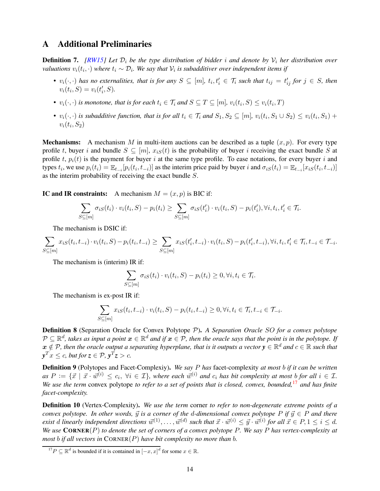## <span id="page-14-0"></span>A Additional Preliminaries

**Definition 7.** *[\[RW15\]](#page-64-4)* Let  $\mathcal{D}_i$  be the type distribution of bidder i and denote by  $\mathcal{V}_i$  her distribution over *valuations*  $v_i(t_i, \cdot)$  where  $t_i \sim \mathcal{D}_i$ . We say that  $\mathcal{V}_i$  is subadditiver over independent items if

- $v_i(\cdot, \cdot)$  has no externalities, that is for any  $S \subseteq [m]$ ,  $t_i, t'_i \in \mathcal{T}_i$  such that  $t_{ij} = t'_{ij}$  for  $j \in S$ , then  $v_i(t_i, S) = v_i(t'_i, S).$
- $v_i(\cdot, \cdot)$  is monotone, that is for each  $t_i \in \mathcal{T}_i$  and  $S \subseteq T \subseteq [m]$ ,  $v_i(t_i, S) \leq v_i(t_i, T)$
- $v_i(\cdot,\cdot)$  is subadditive function, that is for all  $t_i \in \mathcal{T}_i$  and  $S_1, S_2 \subseteq [m]$ ,  $v_i(t_i, S_1 \cup S_2) \le v_i(t_i, S_1) +$  $v_i(t_i, S_2)$

**Mechanisms:** A mechanism M in multi-item auctions can be described as a tuple  $(x, p)$ . For every type profile t, buyer i and bundle  $S \subseteq [m]$ ,  $x_iS(t)$  is the probability of buyer i receiving the exact bundle S at profile t,  $p_i(t)$  is the payment for buyer i at the same type profile. To ease notations, for every buyer i and types  $t_i$ , we use  $p_i(t_i) = \mathbb{E}_{t_{-i}}[p_i(t_i, t_{-i})]$  as the interim price paid by buyer i and  $\sigma_i s(t_i) = \mathbb{E}_{t_{-i}}[x_i s(t_i, t_{-i})]$ as the interim probability of receiving the exact bundle S.

IC and IR constraints: A mechanism  $M = (x, p)$  is BIC if:

$$
\sum_{S \subseteq [m]} \sigma_{iS}(t_i) \cdot v_i(t_i, S) - p_i(t_i) \ge \sum_{S \subseteq [m]} \sigma_{iS}(t'_i) \cdot v_i(t_i, S) - p_i(t'_i), \forall i, t_i, t'_i \in \mathcal{T}_i.
$$

The mechanism is DSIC if:

$$
\sum_{S \subseteq [m]} x_{iS}(t_i, t_{-i}) \cdot v_i(t_i, S) - p_i(t_i, t_{-i}) \ge \sum_{S \subseteq [m]} x_{iS}(t'_i, t_{-i}) \cdot v_i(t_i, S) - p_i(t'_i, t_{-i}), \forall i, t_i, t'_i \in \mathcal{T}_i, t_{-i} \in \mathcal{T}_{-i}.
$$

The mechanism is (interim) IR if:

$$
\sum_{S \subseteq [m]} \sigma_{iS}(t_i) \cdot v_i(t_i, S) - p_i(t_i) \ge 0, \forall i, t_i \in \mathcal{T}_i.
$$

The mechanism is ex-post IR if:

$$
\sum_{S \subseteq [m]} x_{iS}(t_i, t_{-i}) \cdot v_i(t_i, S) - p_i(t_i, t_{-i}) \ge 0, \forall i, t_i \in \mathcal{T}_i, t_{-i} \in \mathcal{T}_{-i}.
$$

Definition 8 (Separation Oracle for Convex Polytope P). *A Separation Oracle* SO *for a convex polytope*  $P\subseteq\mathbb{R}^d$ , takes as input a point  $\bm{x}\in\mathbb{R}^d$  and if  $\bm{x}\in\mathcal{P}$ , then the oracle says that the point is in the polytope. If  $x\notin \mathcal{P}$ , then the oracle output a separating hyperplane, that is it outputs a vector  $y\in\mathbb{R}^d$  and  $c\in\mathbb{R}$  such that  $y^T x \leq c$ , but for  $z \in \mathcal{P}$ ,  $y^T z > c$ .

Definition 9 (Polytopes and Facet-Complexiy). *We say* P *has* facet-complexity *at most* b *if it can be written*  $as P := \{\vec{x} \mid \vec{x} \cdot \vec{w}^{(i)} \le c_i, \ \forall i \in \mathcal{I}\}\$ , where each  $\vec{w}^{(i)}$  and  $c_i$  has bit complexity at most b for all  $i \in \mathcal{I}\$ . *We use the term* convex polytope *to refer to a set of points that is closed, convex, bounded,*[17](#page-14-2) *and has finite facet-complexity.*

<span id="page-14-1"></span>Definition 10 (Vertex-Complexity). *We use the term* corner *to refer to non-degenerate extreme points of a convex polytope. In other words,*  $\vec{y}$  *is a corner of the d-dimensional convex polytope* P *if*  $\vec{y} \in P$  *and there*  $e$ xist  $d$  linearly independent directions  $\vec{w}^{(1)}, \ldots, \vec{w}^{(d)}$  such that  $\vec{x} \cdot \vec{w}^{(i)} \leq \vec{y} \cdot \vec{w}^{(i)}$  for all  $\vec{x} \in P, 1 \leq i \leq d$ . *We use* CORNER(P) *to denote the set of corners of a convex polytope* P*. We say* P *has vertex-complexity at most* b *if all vectors in* CORNER(P) *have bit complexity no more than* b*.*

<span id="page-14-2"></span><sup>&</sup>lt;sup>17</sup> $P \subseteq \mathbb{R}^d$  is bounded if it is contained in  $[-x, x]^d$  for some  $x \in \mathbb{R}$ .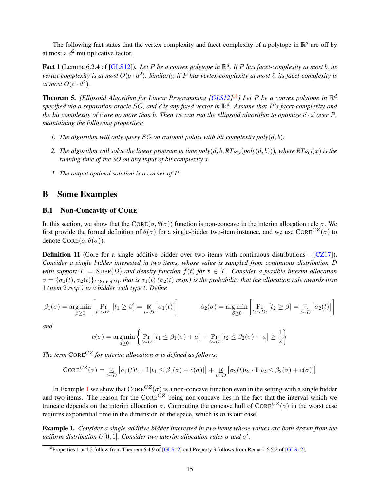The following fact states that the vertex-complexity and facet-complexity of a polytope in  $\mathbb{R}^d$  are off by at most a  $d^2$  multiplicative factor.

Fact 1 (Lemma 6.2.4 of [\[GLS12\]](#page-64-9)). Let P be a convex polytope in  $\mathbb{R}^d$ . If P has facet-complexity at most b, its *vertex-complexity is at most* O(b · d 2 )*. Similarly, if* P *has vertex-complexity at most* ℓ*, its facet-complexity is at most*  $O(\ell \cdot d^2)$ .

<span id="page-15-4"></span>**Theorem 5.** [Ellipsoid Algorithm for Linear Programming [\[GLS12\]](#page-64-9)<sup>[18](#page-15-2)</sup>] Let P be a convex polytope in  $\mathbb{R}^d$ specified via a separation oracle SO, and  $\vec{c}$  is any fixed vector in  $\mathbb{R}^d$ . Assume that P's facet-complexity and *the bit complexity of*  $\vec{c}$  *are no more than* b. Then we can run the ellipsoid algorithm to optimize  $\vec{c} \cdot \vec{x}$  *over* P, *maintaining the following properties:*

- *1. The algorithm will only query* SO *on rational points with bit complexity poly* $(d, b)$ *.*
- 2. The algorithm will solve the linear program in time  $poly(d, b, RT_{SO}(poly(d, b)))$ *, where*  $RT_{SO}(x)$  *is the running time of the SO on any input of bit complexity* x*.*
- *3. The output optimal solution is a corner of* P*.*

## <span id="page-15-0"></span>B Some Examples

#### B.1 Non-Concavity of CORE

In this section, we show that the CORE( $\sigma$ ,  $\theta(\sigma)$ ) function is non-concave in the interim allocation rule  $\sigma$ . We first provide the formal definition of  $\theta(\sigma)$  for a single-bidder two-item instance, and we use  $\text{CORE}^{CZ}(\sigma)$  to denote  $CORE(\sigma, \theta(\sigma))$ .

<span id="page-15-3"></span>**Definition 11** (Core for a single additive bidder over two items with continuous distributions - [\[CZ17\]](#page-63-3)). *Consider a single bidder interested in two items, whose value is sampled from continuous distribution* D *with support*  $T = \text{Supp}(D)$  *and density function*  $f(t)$  *for*  $t \in T$ *. Consider a feasible interim allocation*  $\sigma=\{\sigma_1(t),\sigma_2(t)\}_{t\in \text{Supp}(D)}$ , that is  $\sigma_1(t)$  ( $\sigma_2(t)$  resp.) is the probability that the allocation rule awards item 1 *(item* 2 *resp.) to a bidder with type* t*. Define*

$$
\beta_1(\sigma) = \underset{\beta \ge 0}{\arg \min} \left[ \Pr_{t_1 \sim D_1} \left[ t_1 \ge \beta \right] = \mathop{\mathbb{E}}_{t \sim D} \left[ \sigma_1(t) \right] \right] \qquad \beta_2(\sigma) = \underset{\beta \ge 0}{\arg \min} \left[ \Pr_{t_2 \sim D_2} \left[ t_2 \ge \beta \right] = \mathop{\mathbb{E}}_{t \sim D} \left[ \sigma_2(t) \right] \right]
$$

*and*

$$
c(\sigma) = \underset{a \ge 0}{\arg\min} \left\{ \Pr_{t \sim D} \left[ t_1 \le \beta_1(\sigma) + a \right] + \Pr_{t \sim D} \left[ t_2 \le \beta_2(\sigma) + a \right] \ge \frac{1}{2} \right\}
$$

*The term*  $\text{CORE}^{CZ}$  *for interim allocation*  $\sigma$  *is defined as follows:* 

$$
\text{Core}^{CZ}(\sigma) = \mathop{\mathbb{E}}_{t \sim D} \left[ \sigma_1(t)t_1 \cdot \mathbb{1}[t_1 \le \beta_1(\sigma) + c(\sigma)] \right] + \mathop{\mathbb{E}}_{t \sim D} \left[ \sigma_2(t)t_2 \cdot \mathbb{1}[t_2 \le \beta_2(\sigma) + c(\sigma)] \right]
$$

In Example [1](#page-15-1) we show that  $CORE^{CZ}(\sigma)$  is a non-concave function even in the setting with a single bidder and two items. The reason for the  $\text{Cone}^{CZ}$  being non-concave lies in the fact that the interval which we truncate depends on the interim allocation σ. Computing the concave hull of CORE<sup>CZ</sup>(σ) in the worst case requires exponential time in the dimension of the space, which is  $m$  is our case.

<span id="page-15-1"></span>Example 1. *Consider a single additive bidder interested in two items whose values are both drawn from the uniform distribution*  $U[0,1]$ . Consider two interim allocation rules  $\sigma$  and  $\sigma'$ :

<span id="page-15-2"></span><sup>&</sup>lt;sup>18</sup>Properties 1 and 2 follow from Theorem 6.4.9 of [\[GLS12\]](#page-64-9) and Property 3 follows from Remark 6.5.2 of [\[GLS12\]](#page-64-9).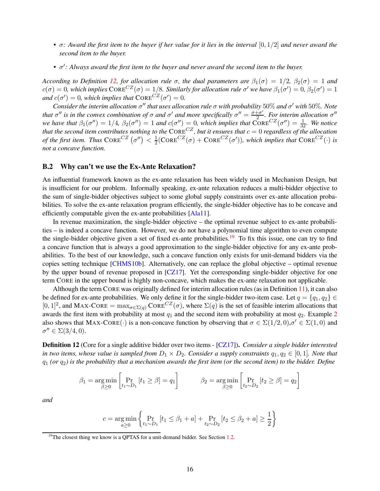- *σ*: Award the first item to the buyer if her value for it lies in the interval [0, 1/2] and never award the *second item to the buyer.*
- $\sigma'$ : Always award the first item to the buyer and never award the second item to the buyer.

*According to Definition [12,](#page-16-1) for allocation rule*  $\sigma$ *, the dual parameters are*  $\beta_1(\sigma) = 1/2$ *,*  $\beta_2(\sigma) = 1$  *and*  $c(\sigma) = 0$ , which implies  $\text{CORE}^{CZ}(\sigma) = 1/8$ . Similarly for allocation rule  $\sigma'$  we have  $\beta_1(\sigma') = 0$ ,  $\beta_2(\sigma') = 1$ *and*  $c(\sigma') = 0$ *, which implies that*  $\text{CORE}^{CZ}(\sigma') = 0$ *.* 

*Consider the interim allocation* σ ′′ *that uses allocation rule* σ *with probability* 50% *and* σ ′ *with* 50%*. Note that*  $\sigma''$  *is in the convex combination of*  $\sigma$  *and*  $\sigma'$  *and more specifically*  $\sigma'' = \frac{\sigma + \sigma'}{2}$ *. For interim allocation*  $\sigma''$ *we have that*  $\beta_1(\sigma'') = 1/4$ ,  $\beta_2(\sigma'') = 1$  *and*  $c(\sigma'') = 0$ , which implies that  $\text{CORE}^{CZ}(\sigma'') = \frac{1}{32}$ . We notice *that the second item contributes nothing to the*  $\text{CORE}^{CZ}$ , but it ensures that  $c = 0$  regardless of the allocation *of the first item. Thus*  $\text{CORE}^{CZ} (\sigma'') < \frac{1}{2}$  $\frac{1}{2}$ (CORE<sup>CZ</sup>( $\sigma$ ) + CORE<sup>CZ</sup>( $\sigma'$ )), which implies that CORE<sup>CZ</sup>( $\cdot$ ) is *not a concave function.*

### <span id="page-16-0"></span>B.2 Why can't we use the Ex-Ante Relaxation?

An influential framework known as the ex-ante relaxation has been widely used in Mechanism Design, but is insufficient for our problem. Informally speaking, ex-ante relaxation reduces a multi-bidder objective to the sum of single-bidder objectives subject to some global supply constraints over ex-ante allocation probabilities. To solve the ex-ante relaxation program efficiently, the single-bidder objective has to be concave and efficiently computable given the ex-ante probabilities [\[Ala11\]](#page-62-6).

In revenue maximization, the single-bidder objective – the optimal revenue subject to ex-ante probabilities – is indeed a concave function. However, we do not have a polynomial time algorithm to even compute the single-bidder objective given a set of fixed ex-ante probabilities.<sup>[19](#page-16-2)</sup> To fix this issue, one can try to find a concave function that is always a good approximation to the single-bidder objective for any ex-ante probabilities. To the best of our knowledge, such a concave function only exists for unit-demand bidders via the copies setting technique [\[CHMS10b\]](#page-63-0). Alternatively, one can replace the global objective – optimal revenue by the upper bound of revenue proposed in [\[CZ17\]](#page-63-3). Yet the corresponding single-bidder objective for one term CORE in the upper bound is highly non-concave, which makes the ex-ante relaxation not applicable.

Although the term CORE was originally defined for interim allocation rules (as in Definition [11\)](#page-15-3), it can also be defined for ex-ante probabilities. We only define it for the single-bidder two-item case. Let  $q = \{q_1, q_2\} \in$  $[0,1]^2$ , and MAX-CORE =  $\max_{\sigma \in \Sigma(q)} \text{CORE}^{CZ}(\sigma)$ , where  $\Sigma(q)$  is the set of feasible interim allocations that awards the first item with probability at most  $q_1$  and the second item with probability at most  $q_2$  $q_2$ . Example 2 also shows that MAX-CORE( $\cdot$ ) is a non-concave function by observing that  $\sigma \in \Sigma(1/2,0), \sigma' \in \Sigma(1,0)$  and  $\sigma'' \in \Sigma(3/4,0).$ 

<span id="page-16-1"></span>Definition 12 (Core for a single additive bidder over two items - [\[CZ17\]](#page-63-3)). *Consider a single bidder interested in two items, whose value is sampled from*  $D_1 \times D_2$ *. Consider a supply constraints*  $q_1, q_2 \in [0, 1]$ *. Note that* q<sup>1</sup> *(or* q2*) is the probability that a mechanism awards the first item (or the second item) to the bidder. Define*

$$
\beta_1 = \underset{\beta \ge 0}{\arg \min} \left[ \Pr_{t_1 \sim D_1} \left[ t_1 \ge \beta \right] = q_1 \right] \qquad \beta_2 = \underset{\beta \ge 0}{\arg \min} \left[ \Pr_{t_2 \sim D_2} \left[ t_2 \ge \beta \right] = q_2 \right]
$$

*and*

$$
c = \underset{a \ge 0}{\arg \min} \left\{ \Pr_{t_1 \sim D_1} [t_1 \le \beta_1 + a] + \Pr_{t_2 \sim D_2} [t_2 \le \beta_2 + a] \ge \frac{1}{2} \right\}
$$

<span id="page-16-2"></span> $19$ <sup>19</sup>The closest thing we know is a QPTAS for a unit-demand bidder. See Section [1.2.](#page-4-2)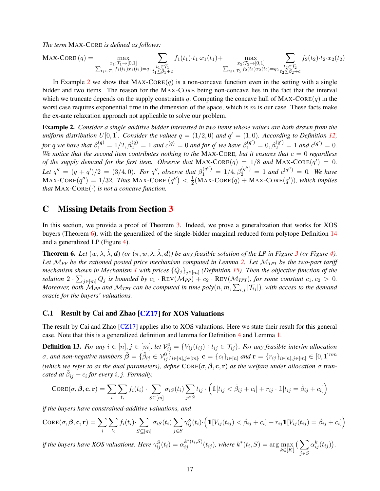*The term* MAX-CORE *is defined as follows:*

$$
\text{MAX-CORE}\left(q\right) = \max_{\substack{x_1:\mathcal{T}_1 \to [0,1] \\ \sum_{t_1 \in \mathcal{T}_1} f_1(t_1)x_1(t_1) = q_1}} \sum_{\substack{t_1 \in \mathcal{T}_1 \\ t_1 \leq \beta_1 + c}} f_1(t_1) \cdot t_1 \cdot x_1(t_1) + \max_{\substack{x_2:\mathcal{T}_2 \to [0,1] \\ \sum_{t_2 \in \mathcal{T}_2}} f_2(t_2) \cdot t_2 \cdot x_2(t_2)} \sum_{\substack{t_2 \in \mathcal{T}_2 \\ t_2 \leq \beta_2 + c}} f_2(t_2) \cdot t_2 \cdot x_2(t_2)
$$

In Example [2](#page-17-3) we show that  $MAX-CORE(q)$  is a non-concave function even in the setting with a single bidder and two items. The reason for the MAX-CORE being non-concave lies in the fact that the interval which we truncate depends on the supply constraints q. Computing the concave hull of MAX-CORE(q) in the worst case requires exponential time in the dimension of the space, which is  $m$  is our case. These facts make the ex-ante relaxation approach not applicable to solve our problem.

<span id="page-17-3"></span>Example 2. *Consider a single additive bidder interested in two items whose values are both drawn from the uniform distribution*  $U[0, 1]$ *. Consider the values*  $q = (1/2, 0)$  *and*  $q' = (1, 0)$ *. According to Definition [12,](#page-16-1) for* q we have that  $\beta_1^{(q)} = 1/2, \beta_2^{(q)} = 1$  and  $c^{(q)} = 0$  and for q' we have  $\beta_1^{(q')} = 0, \beta_2^{(q')} = 1$  and  $c^{(q')} = 0$ . *We notice that the second item contributes nothing to the* MAX-CORE, but it ensures that  $c = 0$  regardless *of the supply demand for the first item. Observe that*  $MAX\text{-}CORE(q) = 1/8$  *and*  $MAX\text{-}CORE(q') = 0$ . Let  $q'' = (q + q')/2 = (3/4, 0)$ . For q'', observe that  $\beta_1^{(q'')} = 1/4, \beta_2^{(q'')} = 1$  and  $c^{(q'')} = 0$ . We have  $\text{MAX-CORE}(q'') = 1/32$ . Thus MAX-CORE  $(q'') < \frac{1}{2}$  $\frac{1}{2}$ (MAX-CORE $(q)$  + MAX-CORE $(q')$ ), which implies *that* MAX-CORE(·) *is not a concave function.*

## <span id="page-17-2"></span>C Missing Details from Section [3](#page-5-3)

In this section, we provide a proof of Theorem [3.](#page-11-0) Indeed, we prove a generalization that works for XOS buyers (Theorem [6\)](#page-17-1), with the generalized of the single-bidder marginal reduced form polytope Definition [14](#page-18-0) and a generalized LP (Figure [4\)](#page-19-0).

<span id="page-17-1"></span>**Theorem 6.** Let  $(w, \lambda, \hat{\lambda}, d)$  (or  $(\pi, w, \lambda, \hat{\lambda}, d)$ ) be any feasible solution of the LP in Figure [3](#page-12-0) (or Figure [4\)](#page-19-0). *Let* M*PP be the rationed posted price mechanism computed in Lemma [2.](#page-10-2) Let* M*TPT be the two-part tariff mechanism shown in Mechanism [1](#page-11-2) with prices* {Qj}j∈[m] *(Definition [15\)](#page-22-0). Then the objective function of the solution*  $2 \cdot \sum_{j \in [m]} Q_j$  *is bounded by*  $c_1 \cdot REV(M_{PP}) + c_2 \cdot REV(M_{TPT})$ *, for some constant*  $c_1, c_2 > 0$ *. Moreover, both*  $\overline{\mathcal{M}}_{PP}$  and  $\mathcal{M}_{TPT}$  can be computed in time  $poly(n, m, \sum_{i,j} |\mathcal{T}_{ij}|)$ , with access to the demand *oracle for the buyers' valuations.*

### <span id="page-17-0"></span>C.1 Result by Cai and Zhao [\[CZ17\]](#page-63-3) for XOS Valuations

The result by Cai and Zhao [\[CZ17\]](#page-63-3) applies also to XOS valuations. Here we state their result for this general case. Note that this is a generalized definition and lemma for Definition [4](#page-6-6) and Lemma [1.](#page-6-1)

**Definition 13.** For any  $i \in [n], j \in [m]$ , let  $\mathcal{V}_{ij}^0 = \{V_{ij}(t_{ij}) : t_{ij} \in \mathcal{T}_{ij}\}$ . For any feasible interim allocation  $\sigma$ , and non-negative numbers  $\tilde{\boldsymbol{\beta}} = \{\tilde{\beta}_{ij} \in \mathcal{V}_{ij}^0\}_{i \in [n], j \in [m]}, \mathbf{c} = \{c_i\}_{i \in [n]}$  and  $\mathbf{r} = \{r_{ij}\}_{i \in [n], j \in [m]} \in [0, 1]^{nm}$ *(which we refer to as the dual parameters), define*  $CORE( \sigma, \tilde{\beta}, c, r)$  *as the welfare under allocation*  $\sigma$  *truncated at*  $\tilde{\beta}_{ij} + c_i$  for every *i*, *j.* Formally,

$$
\text{CORE}(\sigma, \tilde{\beta}, \mathbf{c}, \mathbf{r}) = \sum_{i} \sum_{t_i} f_i(t_i) \cdot \sum_{S \subseteq [m]} \sigma_{iS}(t_i) \sum_{j \in S} t_{ij} \cdot \left( \mathbb{1}[t_{ij} < \tilde{\beta}_{ij} + c_i] + r_{ij} \cdot \mathbb{1}[t_{ij} = \tilde{\beta}_{ij} + c_i] \right)
$$

*if the buyers have constrained-additive valuations, and*

$$
CORE(\sigma, \tilde{\beta}, \mathbf{c}, \mathbf{r}) = \sum_{i} \sum_{t_i} f_i(t_i) \cdot \sum_{S \subseteq [m]} \sigma_{iS}(t_i) \sum_{j \in S} \gamma_{ij}^{S}(t_i) \cdot \left( \mathbb{1}[V_{ij}(t_{ij}) < \tilde{\beta}_{ij} + c_i] + r_{ij} \mathbb{1}[V_{ij}(t_{ij}) = \tilde{\beta}_{ij} + c_i] \right)
$$

<span id="page-17-4"></span>*if the buyers have XOS valuations. Here*  $\gamma_{ij}^S(t_i) = \alpha_{ij}^{k^*(t_i,S)}(t_{ij})$ , where  $k^*(t_i,S) = \arg\max_{k \in [K]}$  $(\nabla)$ j∈S  $\alpha_{ij}^k(t_{ij})$ ).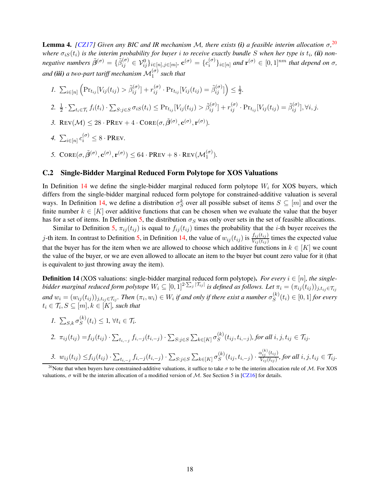Lemma 4. *[\[CZ17\]](#page-63-3) Given any BIC and IR mechanism* M*, there exists (i) a feasible interim allocation* σ*,* [20](#page-18-1) *where*  $\sigma_{iS}(t_i)$  is the interim probability for buyer i to receive exactly bundle S when her type is  $t_i$ , (ii) non*negative numbers*  $\tilde{\beta}^{(\sigma)} = \{\tilde{\beta}_{ij}^{(\sigma)} \in \mathcal{V}_{ij}^0\}_{i \in [n], j \in [m]}, \mathbf{c}^{(\sigma)} = \{c_i^{(\sigma)}\}$  $\{e^{(\sigma)}\}_{i\in[n]}$  and  $\mathbf{r}^{(\sigma)} \in [0,1]^{nm}$  that depend on  $\sigma$ , and ( $\ddot{\bm u}$ ) a two-part tariff mechanism  $\mathcal{M}^{(\sigma)}_1$  such that

- *1.*  $\sum_{i \in [n]}$  $\left(\Pr_{t_{ij}}[V_{ij}(t_{ij}) > \tilde{\beta}_{ij}^{(\sigma)}] + r_{ij}^{(\sigma)} \cdot \Pr_{t_{ij}}[V_{ij}(t_{ij}) = \tilde{\beta}_{ij}^{(\sigma)}]\right) \leq \frac{1}{2}$  $\frac{1}{2}$ . 2.  $\frac{1}{2} \cdot \sum_{t_i \in \mathcal{T}_i} f_i(t_i) \cdot \sum_{S: j \in S} \sigma_{iS}(t_i) \leq \Pr_{t_{ij}}[V_{ij}(t_{ij}) > \tilde{\beta}_{ij}^{(\sigma)}] + r_{ij}^{(\sigma)} \cdot \Pr_{t_{ij}}[V_{ij}(t_{ij}) = \tilde{\beta}_{ij}^{(\sigma)}], \forall i, j.$ 3. REV $(\mathcal{M}) \leq 28 \cdot \text{PREV} + 4 \cdot \text{CORE}(\sigma, \tilde{\beta}^{(\sigma)}, \mathbf{c}^{(\sigma)}, \mathbf{r}^{(\sigma)}).$
- *4.*  $\sum_{i \in [n]} c_i^{(\sigma)} \leq 8 \cdot \text{PREV}$ .
- 5.  $CORE(\sigma, \tilde{\beta}^{(\sigma)}, \mathbf{c}^{(\sigma)}, \mathbf{r}^{(\sigma)}) \leq 64 \cdot PREV + 8 \cdot REV(\mathcal{M}_1^{(\sigma)}).$

### C.2 Single-Bidder Marginal Reduced Form Polytope for XOS Valuations

In Definition [14](#page-18-0) we define the single-bidder marginal reduced form polytope  $W_i$  for XOS buyers, which differs from the single-bidder marginal reduced form polytope for constrained-additive valuation is several ways. In Definition [14,](#page-18-0) we define a distribution  $\sigma_S^k$  over all possible subset of items  $S \subseteq [m]$  and over the finite number  $k \in [K]$  over additive functions that can be chosen when we evaluate the value that the buyer has for a set of items. In Definition [5,](#page-8-2) the distribution  $\sigma_S$  was only over sets in the set of feasible allocations.

Similar to Definition [5,](#page-8-2)  $\pi_{ij}(t_{ij})$  is equal to  $f_{ij}(t_{ij})$  times the probability that the *i*-th buyer receives the j-th item. In contrast to Definition [5,](#page-8-2) in Definition [14,](#page-18-0) the value of  $w_{ij}(t_{ij})$  is  $\frac{f_{ij}(t_{ij})}{V_{ij}(t_{ij})}$  times the expected value that the buyer has for the item when we are allowed to choose which additive functions in  $k \in [K]$  we count the value of the buyer, or we are even allowed to allocate an item to the buyer but count zero value for it (that is equivalent to just throwing away the item).

<span id="page-18-0"></span>**Definition 14** (XOS valuations: single-bidder marginal reduced form polytope). *For every*  $i \in [n]$ *, the singlebidder marginal reduced form polytope*  $W_i \subseteq [0,1]^{2 \cdot \sum_j |\mathcal{T}_{ij}|}$  *is defined as follows. Let*  $\pi_i = (\pi_{ij}(t_{ij}))_{j,t_{ij} \in \mathcal{T}_{ij}}$ and  $w_i = (w_{ij}(t_{ij}))_{j,t_{ij} \in \mathcal{T}_{ij}}$ . Then  $(\pi_i, w_i) \in W_i$  if and only if there exist a number  $\sigma_S^{(k)}$  $S^{(k)}(t_i) \in [0,1]$  for every  $t_i \in \mathcal{T}_i, S \subseteq [m], k \in [K]$ , such that

\n- 1. 
$$
\sum_{S,k} \sigma_S^{(k)}(t_i) \leq 1, \forall t_i \in \mathcal{T}_i
$$
.
\n- 2.  $\pi_{ij}(t_{ij}) = f_{ij}(t_{ij}) \cdot \sum_{t_{i,-j}} f_{i,-j}(t_{i,-j}) \cdot \sum_{S:j \in S} \sum_{k \in [K]} \sigma_S^{(k)}(t_{ij}, t_{i,-j}),$  for all  $i, j, t_{ij} \in \mathcal{T}_{ij}$ .
\n- 3.  $w_{ij}(t_{ij}) \leq f_{ij}(t_{ij}) \cdot \sum_{t_{i,-j}} f_{i,-j}(t_{i,-j}) \cdot \sum_{S:j \in S} \sum_{k \in [K]} \sigma_S^{(k)}(t_{ij}, t_{i,-j}) \cdot \frac{\alpha_{ij}^{(k)}(t_{ij})}{V_{ij}(t_{ij})},$  for all  $i, j, t_{ij} \in \mathcal{T}_{ij}$ .
\n

<span id="page-18-1"></span><sup>20</sup>Note that when buyers have constrained-additive valuations, it suffice to take  $\sigma$  to be the interim allocation rule of M. For XOS valuations,  $\sigma$  will be the interim allocation of a modified version of M. See Section 5 in [\[CZ16\]](#page-63-13) for details.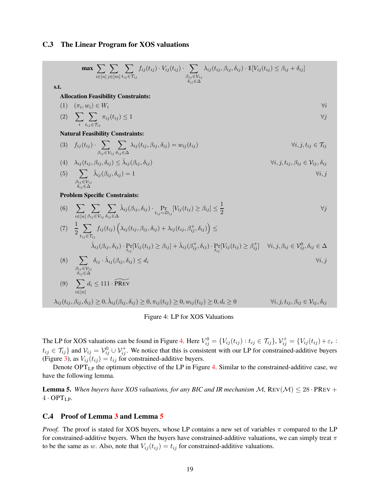### <span id="page-19-1"></span>C.3 The Linear Program for XOS valuations

$$
\max \sum_{i \in [n]} \sum_{j \in [m]} \sum_{l_{ij} \in T_{ij}} f_{ij}(t_{ij}) \cdot V_{ij}(t_{ij}) \cdot \sum_{\beta_{ij} \in V_{ij}} \lambda_{ij}(t_{ij}, \beta_{ij}, \delta_{ij}) \cdot \mathbb{1}[V_{ij}(t_{ij}) \leq \beta_{ij} + \delta_{ij}]
$$
\ns.t.

\nAllocation Feasibility Constraints:

\n(1) 
$$
(\pi_i, w_i) \in W_i
$$
 
$$
\forall i
$$

\n(2) 
$$
\sum_{i} \sum_{t_{ij} \in T_{ij}} \pi_{ij}(t_{ij}) \leq 1
$$
 
$$
\forall j
$$

\nNatural Feasibility Constraints:

\n(3) 
$$
f_{ij}(t_{ij}) \cdot \sum_{\beta_{ij} \in V_{ij}} \sum_{\delta_{ij} \in \Delta} \lambda_{ij}(t_{ij}, \beta_{ij}, \delta_{ij}) = w_{ij}(t_{ij})
$$
 
$$
\forall i, j, t_{ij} \in T_{ij}
$$

\n(4) 
$$
\lambda_{ij}(t_{ij}, \beta_{ij}, \delta_{ij}) \leq \hat{\lambda}_{ij}(\beta_{ij}, \delta_{ij}) = 1
$$
 
$$
\forall i, j, t_{ij}, \beta_{ij} \in V_i, \delta_{ij}
$$

\n(5) 
$$
\sum_{\beta_{ij} \in V_{ij}} \hat{\lambda}_{ij}(\beta_{ij}, \delta_{ij}) = 1
$$
 
$$
\forall i, j
$$

\nProblem Specific Constraints:

\n(6) 
$$
\sum_{i \in [n]} \sum_{\beta_{ij} \in V_i} \sum_{\delta_{ij} \in \Delta} \hat{\lambda}_{ij}(\beta_{ij}, \delta_{ij}) \cdot \Pr_{t_{ij} \sim D_{ij}}[V_{ij}(t_{ij}) \geq \beta_{ij}] \leq \frac{1}{2}
$$
 
$$
\forall j
$$

\n(7) 
$$
\frac{1}{2} \sum_{t_{ij} \in T_{ij}} f_{ij}(t_{ij}) (\lambda_{ij}(t_{ij}, \beta_{ij}, \delta_{ij}) + \lambda_{ij}(t_{ij}, \beta_{ij}^+, \delta_{ij}) \cdot \Pr_{t_{ij}}[V_{ij}(t_{ij}) \geq \beta_{ij}^+] \quad \forall i, j, \beta_{ij} \in V_{ij}^0, \
$$

### <span id="page-19-0"></span>Figure 4: LP for XOS Valuations

The LP for XOS valuations can be found in Figure [4.](#page-19-0) Here  $V_{ij}^0 = \{V_{ij}(t_{ij}) : t_{ij} \in \mathcal{T}_{ij}\}$ ,  $\mathcal{V}_{ij}^+ = \{V_{ij}(t_{ij}) + \varepsilon_r : t_{ij} \in \mathcal{T}_{ij}\}$  $t_{ij} \in \mathcal{T}_{ij}$  and  $\mathcal{V}_{ij} = \mathcal{V}_{ij}^0 \cup \mathcal{V}_{ij}^+$ . We notice that this is consistent with our LP for constrained-additive buyers (Figure [3\)](#page-12-0), as  $V_{ij}(t_{ij}) = t_{ij}$  for constrained-additive buyers.

<span id="page-19-3"></span>Denote OPTLP the optimum objective of the LP in Figure [4.](#page-19-0) Similar to the constrained-additive case, we have the following lemma.

**Lemma 5.** When buyers have XOS valuations, for any BIC and IR mechanism  $M$ , REV( $M$ )  $\leq 28$  · PREV + 4 · OPTLP*.*

### <span id="page-19-2"></span>C.4 Proof of Lemma [3](#page-11-3) and Lemma [5](#page-19-3)

*Proof.* The proof is stated for XOS buyers, whose LP contains a new set of variables  $\pi$  compared to the LP for constrained-additive buyers. When the buyers have constrained-additive valuations, we can simply treat  $\pi$ to be the same as w. Also, note that  $V_{ij}(t_{ij}) = t_{ij}$  for constrained-additive valuations.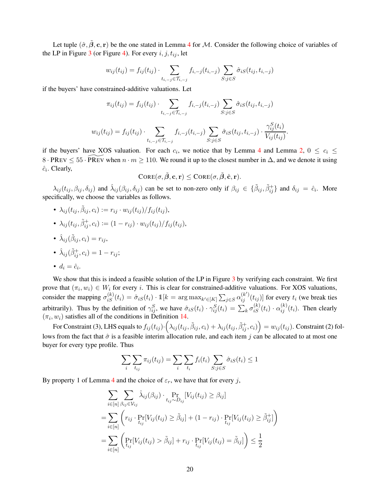Let tuple  $(\hat{\sigma}, \hat{\beta}, \mathbf{c}, \mathbf{r})$  be the one stated in Lemma [4](#page-17-4) for M. Consider the following choice of variables of the LP in Figure [3](#page-12-0) (or Figure [4\)](#page-19-0). For every  $i, j, t_{ij}$ , let

$$
w_{ij}(t_{ij}) = f_{ij}(t_{ij}) \cdot \sum_{t_{i,-j} \in \mathcal{T}_{i,-j}} f_{i,-j}(t_{i,-j}) \sum_{S:j \in S} \hat{\sigma}_{iS}(t_{ij}, t_{i,-j})
$$

if the buyers' have constrained-additive valuations. Let

$$
\pi_{ij}(t_{ij}) = f_{ij}(t_{ij}) \cdot \sum_{t_{i,-j} \in \mathcal{T}_{i,-j}} f_{i,-j}(t_{i,-j}) \sum_{S:j \in S} \hat{\sigma}_{iS}(t_{ij}, t_{i,-j})
$$

$$
w_{ij}(t_{ij}) = f_{ij}(t_{ij}) \cdot \sum_{t_{i,-j} \in \mathcal{T}_{i,-j}} f_{i,-j}(t_{i,-j}) \sum_{S:j \in S} \hat{\sigma}_{iS}(t_{ij}, t_{i,-j}) \cdot \frac{\gamma_{ij}^{S}(t_{i})}{V_{ij}(t_{ij})}.
$$

if the buyers' have XOS valuation. For each  $c_i$ , we notice that by Lemma [4](#page-17-4) and Lemma [2,](#page-10-2)  $0 \le c_i \le$ 8 · PREV  $\leq 55$  · PREV when  $n \cdot m \geq 110$ . We round it up to the closest number in  $\Delta$ , and we denote it using  $\hat{c}_i$ . Clearly,

$$
\text{CORE}(\sigma, \tilde{\boldsymbol{\beta}}, \mathbf{c}, \mathbf{r}) \leq \text{CORE}(\sigma, \tilde{\boldsymbol{\beta}}, \hat{\mathbf{c}}, \mathbf{r}).
$$

 $\lambda_{ij}(t_{ij},\beta_{ij},\delta_{ij})$  and  $\hat{\lambda}_{ij}(\beta_{ij},\delta_{ij})$  can be set to non-zero only if  $\beta_{ij} \in \{\tilde{\beta}_{ij},\tilde{\beta}_{ij}^+\}\$  and  $\delta_{ij} = \hat{c}_i$ . More specifically, we choose the variables as follows.

- $\bullet \ \lambda_{ij}(t_{ij},\tilde\beta_{ij},c_i):=r_{ij}\cdot w_{ij}(t_{ij})/f_{ij}(t_{ij}),$
- $\lambda_{ij}(t_{ij}, \tilde{\beta}_{ij}^+, c_i) := (1 r_{ij}) \cdot w_{ij}(t_{ij}) / f_{ij}(t_{ij}),$
- $\hat{\lambda}_{ij}(\tilde{\beta}_{ij}, c_i) = r_{ij},$

• 
$$
\hat{\lambda}_{ij}(\tilde{\beta}_{ij}^+, c_i) = 1 - r_{ij};
$$

• 
$$
d_i = \hat{c}_i
$$
.

We show that this is indeed a feasible solution of the LP in Figure [3](#page-12-0) by verifying each constraint. We first prove that  $(\pi_i, w_i) \in W_i$  for every i. This is clear for constrained-additive valuations. For XOS valuations, consider the mapping  $\sigma_{iS}^{(k)}(t_i) = \hat{\sigma}_{iS}(t_i) \cdot 1\!\text{[}k = \arg \max_{k' \in [K]} \sum_{j \in S} \alpha_{ij}^{(k')}(t_{ij})\!\text{]}$  for every  $t_i$  (we break ties arbitrarily). Thus by the definition of  $\gamma_{ij}^S$ , we have  $\hat{\sigma}_{iS}(t_i) \cdot \gamma_{ij}^S(t_i) = \sum_k \sigma_{iS}^{(k)}(t_i) \cdot \alpha_{ij}^{(k)}(t_i)$ . Then clearly  $(\pi_i, w_i)$  satisfies all of the conditions in Definition [14.](#page-18-0)

For Constraint (3), LHS equals to  $f_{ij}(t_{ij})\cdot\left(\lambda_{ij}(t_{ij},\tilde\beta_{ij},c_i)+\lambda_{ij}(t_{ij},\tilde\beta_{ij}^+,c_i)\right)=w_{ij}(t_{ij}).$  Constraint (2) follows from the fact that  $\hat{\sigma}$  is a feasible interim allocation rule, and each item j can be allocated to at most one buyer for every type profile. Thus

$$
\sum_{i} \sum_{t_{ij}} \pi_{ij}(t_{ij}) = \sum_{i} \sum_{t_i} f_i(t_i) \sum_{S:j \in S} \hat{\sigma}_{iS}(t_i) \le 1
$$

By property 1 of Lemma [4](#page-17-4) and the choice of  $\varepsilon_r$ , we have that for every j,

$$
\sum_{i \in [n]} \sum_{\beta_{ij} \in \mathcal{V}_{ij}} \hat{\lambda}_{ij}(\beta_{ij}) \cdot \Pr_{t_{ij} \sim D_{ij}}[V_{ij}(t_{ij}) \geq \beta_{ij}]
$$
\n
$$
= \sum_{i \in [n]} \left( r_{ij} \cdot \Pr_{t_{ij}}[V_{ij}(t_{ij}) \geq \tilde{\beta}_{ij}] + (1 - r_{ij}) \cdot \Pr_{t_{ij}}[V_{ij}(t_{ij}) \geq \tilde{\beta}_{ij}^+] \right)
$$
\n
$$
= \sum_{i \in [n]} \left( \Pr_{t_{ij}}[V_{ij}(t_{ij}) > \tilde{\beta}_{ij}] + r_{ij} \cdot \Pr_{t_{ij}}[V_{ij}(t_{ij}) = \tilde{\beta}_{ij}] \right) \leq \frac{1}{2}
$$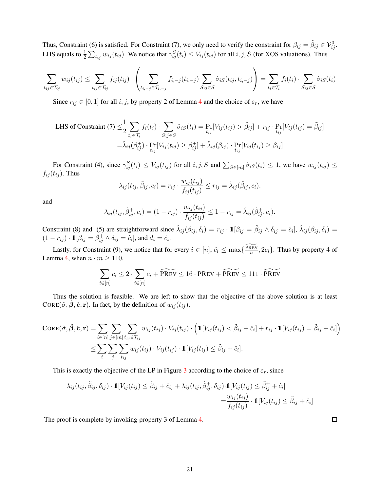Thus, Constraint (6) is satisfied. For Constraint (7), we only need to verify the constraint for  $\beta_{ij} = \tilde{\beta}_{ij} \in \mathcal{V}_{ij}^0$ . LHS equals to  $\frac{1}{2}\sum_{t_{ij}} w_{ij}(t_{ij})$ . We notice that  $\gamma_{ij}^S(t_i) \le V_{ij}(t_{ij})$  for all  $i, j, S$  (for XOS valuations). Thus

$$
\sum_{t_{ij}\in\mathcal{T}_{ij}} w_{ij}(t_{ij}) \leq \sum_{t_{ij}\in\mathcal{T}_{ij}} f_{ij}(t_{ij}) \cdot \left(\sum_{t_{i,-j}\in\mathcal{T}_{i,-j}} f_{i,-j}(t_{i,-j}) \sum_{S:j\in S} \hat{\sigma}_{iS}(t_{ij},t_{i,-j})\right) = \sum_{t_{i}\in\mathcal{T}_{i}} f_{i}(t_{i}) \cdot \sum_{S:j\in S} \hat{\sigma}_{iS}(t_{i})
$$

Since  $r_{ij} \in [0, 1]$  for all i, j, by property 2 of Lemma [4](#page-17-4) and the choice of  $\varepsilon_r$ , we have

LHS of Constant (7) 
$$
\leq \frac{1}{2} \sum_{t_i \in \mathcal{T}_i} f_i(t_i) \cdot \sum_{S:j \in S} \hat{\sigma}_{iS}(t_i) = \Pr_{t_{ij}}[V_{ij}(t_{ij}) > \tilde{\beta}_{ij}] + r_{ij} \cdot \Pr_{t_{ij}}[V_{ij}(t_{ij}) = \tilde{\beta}_{ij}]
$$
  
 $= \hat{\lambda}_{ij}(\beta_{ij}^+) \cdot \Pr_{t_{ij}}[V_{ij}(t_{ij}) \geq \beta_{ij}^+] + \hat{\lambda}_{ij}(\beta_{ij}) \cdot \Pr_{t_{ij}}[V_{ij}(t_{ij}) \geq \beta_{ij}]$ 

For Constraint (4), since  $\gamma_{ij}^S(t_i) \leq V_{ij}(t_{ij})$  for all  $i, j, S$  and  $\sum_{S \in [m]} \hat{\sigma}_{iS}(t_i) \leq 1$ , we have  $w_{ij}(t_{ij}) \leq$  $f_{ij}(t_{ij})$ . Thus

$$
\lambda_{ij}(t_{ij}, \tilde{\beta}_{ij}, c_i) = r_{ij} \cdot \frac{w_{ij}(t_{ij})}{f_{ij}(t_{ij})} \leq r_{ij} = \hat{\lambda}_{ij}(\tilde{\beta}_{ij}, c_i).
$$

and

$$
\lambda_{ij}(t_{ij}, \tilde{\beta}_{ij}^+, c_i) = (1 - r_{ij}) \cdot \frac{w_{ij}(t_{ij})}{f_{ij}(t_{ij})} \le 1 - r_{ij} = \hat{\lambda}_{ij}(\tilde{\beta}_{ij}^+, c_i).
$$

Constraint (8) and (5) are straightforward since  $\hat{\lambda}_{ij}(\beta_{ij}, \delta_i) = r_{ij} \cdot \mathbb{1}[\beta_{ij} = \tilde{\beta}_{ij} \wedge \delta_{ij} = \hat{c}_i], \hat{\lambda}_{ij}(\beta_{ij}, \delta_i) =$  $(1 - r_{ij}) \cdot \mathbb{1}[\beta_{ij} = \tilde{\beta}_{ij}^+ \wedge \delta_{ij} = \hat{c}_i]$ , and  $d_i = \hat{c}_i$ .

Lastly, for Constraint (9), we notice that for every  $i \in [n]$ ,  $\hat{c}_i \le \max\{\frac{\widetilde{PREV}}{n}$  $\frac{\text{XEV}}{n}$ , 2 $c_i$ . Thus by property 4 of Lemma [4,](#page-17-4) when  $n \cdot m \ge 110$ ,

$$
\sum_{i \in [n]} c_i \le 2 \cdot \sum_{i \in [n]} c_i + \widetilde{\text{PREV}} \le 16 \cdot \text{PREV} + \widetilde{\text{PREV}} \le 111 \cdot \widetilde{\text{PREV}}
$$

Thus the solution is feasible. We are left to show that the objective of the above solution is at least CORE( $\hat{\sigma}$ , $\hat{\beta}$ , $\hat{\mathbf{c}}$ , r). In fact, by the definition of  $w_{ij}(t_{ij})$ ,

$$
\text{CORE}(\hat{\sigma}, \tilde{\beta}, \hat{\mathbf{c}}, \mathbf{r}) = \sum_{i \in [n]} \sum_{j \in [m]} \sum_{t_{ij} \in \mathcal{T}_{ij}} w_{ij}(t_{ij}) \cdot V_{ij}(t_{ij}) \cdot \left( \mathbb{1}[V_{ij}(t_{ij}) < \tilde{\beta}_{ij} + \hat{c}_i] + r_{ij} \cdot \mathbb{1}[V_{ij}(t_{ij}) = \tilde{\beta}_{ij} + \hat{c}_i] \right) \\
\leq \sum_{i} \sum_{j} \sum_{t_{ij}} w_{ij}(t_{ij}) \cdot V_{ij}(t_{ij}) \cdot \mathbb{1}[V_{ij}(t_{ij}) \leq \tilde{\beta}_{ij} + \hat{c}_i].
$$

This is exactly the objective of the LP in Figure [3](#page-12-0) according to the choice of  $\varepsilon_r$ , since

$$
\lambda_{ij}(t_{ij}, \tilde{\beta}_{ij}, \delta_{ij}) \cdot \mathbb{1}[V_{ij}(t_{ij}) \leq \tilde{\beta}_{ij} + \hat{c}_i] + \lambda_{ij}(t_{ij}, \tilde{\beta}_{ij}^+, \delta_{ij}) \cdot \mathbb{1}[V_{ij}(t_{ij}) \leq \tilde{\beta}_{ij}^+ + \hat{c}_i]
$$
  

$$
= \frac{w_{ij}(t_{ij})}{f_{ij}(t_{ij})} \cdot \mathbb{1}[V_{ij}(t_{ij}) \leq \tilde{\beta}_{ij} + \hat{c}_i]
$$

 $\Box$ 

The proof is complete by invoking property 3 of Lemma [4.](#page-17-4)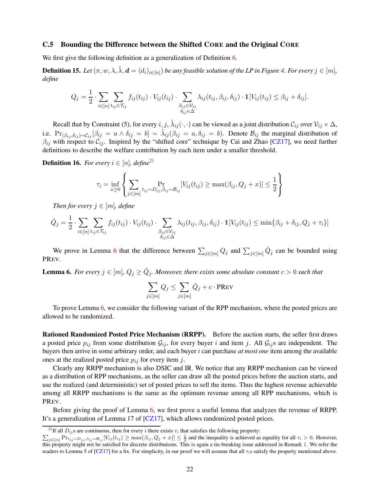## C.5 Bounding the Difference between the Shifted CORE and the Original CORE

<span id="page-22-0"></span>We first give the following definition as a generalization of Definition [6.](#page-10-5)

**Definition 15.** Let  $(\pi, w, \lambda, \hat{\lambda}, d = (d_i)_{i \in [n]})$  be any feasible solution of the LP in Figure [4.](#page-19-0) For every  $j \in [m]$ , *define*

$$
Q_j = \frac{1}{2} \cdot \sum_{i \in [n]} \sum_{t_{ij} \in \mathcal{T}_{ij}} f_{ij}(t_{ij}) \cdot V_{ij}(t_{ij}) \cdot \sum_{\substack{\beta_{ij} \in \mathcal{V}_{ij} \\ \delta_{ij} \in \Delta}} \lambda_{ij}(t_{ij}, \beta_{ij}, \delta_{ij}) \cdot \mathbb{1}[V_{ij}(t_{ij}) \leq \beta_{ij} + \delta_{ij}].
$$

Recall that by Constraint (5), for every  $i, j, \hat{\lambda}_{ij}(\cdot, \cdot)$  can be viewed as a joint distribution  $\mathcal{C}_{ij}$  over  $\mathcal{V}_{ij} \times \Delta$ , i.e.  $Pr_{(\beta_{ij},\delta_{ij})\sim\mathcal{C}_{ij}}[\beta_{ij} = a \wedge \delta_{ij} = b] = \hat{\lambda}_{ij}(\beta_{ij} = a, \delta_{ij} = b)$ . Denote  $\mathcal{B}_{ij}$  the marginal distribution of  $\beta_{ij}$  with respect to  $\mathcal{C}_{ij}$ . Inspired by the "shifted core" technique by Cai and Zhao [\[CZ17\]](#page-63-3), we need further definitions to describe the welfare contribution by each item under a smaller threshold.

<span id="page-22-4"></span>**Definition 16.** *For every*  $i \in [n]$ *, define*<sup>[21](#page-22-1)</sup>

$$
\tau_i = \inf_{x \ge 0} \left\{ \sum_{j \in [m]} \Pr_{t_{ij} \sim D_{ij}, \beta_{ij} \sim \mathcal{B}_{ij}} [V_{ij}(t_{ij}) \ge \max(\beta_{ij}, Q_j + x)] \le \frac{1}{2} \right\}
$$

*Then for every*  $j \in [m]$ *, define* 

$$
\hat{Q}_j = \frac{1}{2} \cdot \sum_{i \in [n]} \sum_{t_{ij} \in \mathcal{T}_{ij}} f_{ij}(t_{ij}) \cdot V_{ij}(t_{ij}) \cdot \sum_{\substack{\beta_{ij} \in \mathcal{V}_{ij} \\ \delta_{ij} \in \Delta}} \lambda_{ij}(t_{ij}, \beta_{ij}, \delta_{ij}) \cdot \mathbb{1}[V_{ij}(t_{ij}) \le \min\{\beta_{ij} + \delta_{ij}, Q_j + \tau_i\}]
$$

<span id="page-22-2"></span>We prove in Lemma [6](#page-22-2) that the difference between  $\sum_{j \in [m]} Q_j$  and  $\sum_{j \in [m]} \hat{Q}_j$  can be bounded using PREV.

**Lemma 6.** For every  $j \in [m]$ ,  $Q_j \ge \hat{Q}_j$ . Moreover, there exists some absolute constant  $c > 0$  such that

$$
\sum_{j \in [m]} Q_j \leq \sum_{j \in [m]} \hat{Q}_j + c \cdot \text{PREV}
$$

To prove Lemma [6,](#page-22-2) we consider the following variant of the RPP mechanism, where the posted prices are allowed to be randomized.

Rationed Randomized Posted Price Mechanism (RRPP). Before the auction starts, the seller first draws a posted price  $p_{ij}$  from some distribution  $\mathcal{G}_{ij}$ , for every buyer i and item j. All  $\mathcal{G}_{ij}$ s are independent. The buyers then arrive in some arbitrary order, and each buyer i can purchase *at most one* item among the available ones at the realized posted price  $p_{ij}$  for every item j.

Clearly any RRPP mechanism is also DSIC and IR. We notice that any RRPP mechanism can be viewed as a distribution of RPP mechanisms, as the seller can draw all the posted prices before the auction starts, and use the realized (and deterministic) set of posted prices to sell the items. Thus the highest revenue achievable among all RRPP mechanisms is the same as the optimum revenue among all RPP mechanisms, which is PREV.

<span id="page-22-3"></span>Before giving the proof of Lemma [6,](#page-22-2) we first prove a useful lemma that analyzes the revenue of RRPP. It's a generalization of Lemma 17 of [\[CZ17\]](#page-63-3), which allows randomized posted prices.

<sup>&</sup>lt;sup>21</sup>If all  $D_{ij}$ s are continuous, then for every i there exists  $\tau_i$  that satisfies the following property:

<span id="page-22-1"></span> $\sum_{j \in [m]} \Pr_{i_j \sim D_{ij}, \beta_{ij} \sim \mathcal{B}_{ij}} [V_{ij}(t_{ij}) \ge \max(\beta_{ij}, Q_j + x)] \le \frac{1}{2}$  and the inequality is achieved as equality for all  $\tau_i > 0$ . However, this property might not be satisfied for discrete distributions. This is again a tie-breaking issue addressed in Remark [1.](#page-6-5) We refer the readers to Lemma 5 of  $\left[\frac{CZ}{7}\right]$  for a fix. For simplicity, in our proof we will assume that all  $\tau_i$ s satisfy the property mentioned above.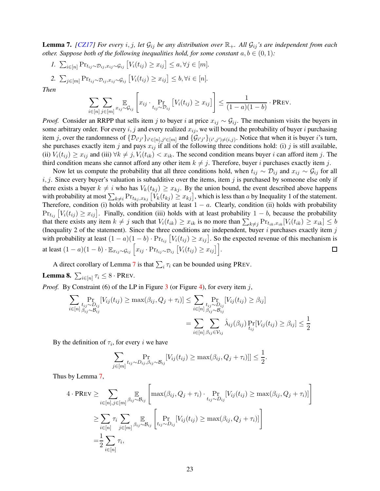**Lemma 7.** *[\[CZ17\]](#page-63-3) For every i*, *j*, let  $\mathcal{G}_{ij}$  *be any distribution over*  $\mathbb{R}_+$ *. All*  $\mathcal{G}_{ij}$ *'s are independent from each other. Suppose both of the following inequalities hold, for some constant*  $a, b \in (0, 1)$ *:* 

*1.*  $\sum_{i \in [n]} \Pr_{t_{ij} \sim \mathcal{D}_{ij}, x_{ij} \sim \mathcal{G}_{ij}} [V_i(t_{ij}) \geq x_{ij}] \leq a, \forall j \in [m].$ 2.  $\sum_{j \in [m]} \Pr_{t_{ij} \sim \mathcal{D}_{ij}, x_{ij} \sim \mathcal{G}_{ij}} [V_i(t_{ij}) \geq x_{ij}] \leq b, \forall i \in [n].$ 

*Then*

$$
\sum_{i\in[n]}\sum_{j\in[m]} \mathbb{E}_{x_{ij}\sim\mathcal{G}_{ij}}\left[x_{ij}\cdot\Pr_{t_{ij}\sim\mathcal{D}_{ij}}\left[V_i(t_{ij})\geq x_{ij}\right]\right]\leq \frac{1}{(1-a)(1-b)}\cdot \text{PREV}.
$$

*Proof.* Consider an RRPP that sells item j to buyer i at price  $x_{ij} \sim G_{ij}$ . The mechanism visits the buyers in some arbitrary order. For every  $i, j$  and every realized  $x_{ij}$ , we will bound the probability of buyer i purchasing item j, over the randomness of  $\{\mathcal{D}_{i'j'}\}_{i' \in [n], j' \in [m]}$  and  $\{\mathcal{G}_{i'j'}\}_{(i',j') \neq (i,j)}$ . Notice that when it is buyer i's turn, she purchases exactly item j and pays  $x_{ij}$  if all of the following three conditions hold: (i) j is still available, (ii)  $V_i(t_{ij}) \geq x_{ij}$  and (iii)  $\forall k \neq j$ ,  $V_i(t_{ik}) < x_{ik}$ . The second condition means buyer i can afford item j. The third condition means she cannot afford any other item  $k \neq j$ . Therefore, buyer i purchases exactly item j.

Now let us compute the probability that all three conditions hold, when  $t_{ij} \sim D_{ij}$  and  $x_{ij} \sim G_{ij}$  for all  $i, j$ . Since every buyer's valuation is subadditive over the items, item j is purchased by someone else only if there exists a buyer  $k \neq i$  who has  $V_k(t_{kj}) \geq x_{kj}$ . By the union bound, the event described above happens with probability at most  $\sum_{k\neq i} \Pr_{t_{kj},x_{kj}} \left[ V_k(t_{kj}) \geq x_{kj} \right]$ , which is less than a by Inequality 1 of the statement. Therefore, condition (i) holds with probability at least  $1 - a$ . Clearly, condition (ii) holds with probability  $Pr_{t_{ij}}[V_i(t_{ij}) \geq x_{ij}]$ . Finally, condition (iii) holds with at least probability  $1-b$ , because the probability that there exists any item  $k \neq j$  such that  $V_i(t_{ik}) \geq x_{ik}$  is no more than  $\sum_{k \neq j} \Pr_{t_{ik},x_{ik}}[V_i(t_{ik}) \geq x_{ik}] \leq b$ (Inequality 2 of the statement). Since the three conditions are independent, buyer  $i$  purchases exactly item  $j$ with probability at least  $(1 - a)(1 - b) \cdot Pr_{t_{ij}} [V_i(t_{ij}) \ge x_{ij}]$ . So the expected revenue of this mechanism is at least  $(1 - a)(1 - b) \cdot \mathbb{E}_{x_{ij} \sim \mathcal{G}_{ij}} \left[ x_{ij} \cdot \text{Pr}_{t_{ij} \sim \mathcal{D}_{ij}} \left[ V_i(t_{ij}) \geq x_{ij} \right] \right]$ .  $\Box$ 

<span id="page-23-0"></span>A direct corollary of Lemma [7](#page-22-3) is that  $\sum_i \tau_i$  can be bounded using PREV.

**Lemma 8.**  $\sum_{i \in [n]} \tau_i \leq 8 \cdot \text{PREV}$ .

*Proof.* By Constraint (6) of the LP in Figure [3](#page-12-0) (or Figure [4\)](#page-19-0), for every item j,

$$
\sum_{i \in [n]} \Pr_{\substack{t_{ij} \sim D_{ij} \\ \beta_{ij} \sim \beta_{ij}}} [V_{ij}(t_{ij}) \ge \max(\beta_{ij}, Q_j + \tau_i)] \le \sum_{i \in [n]} \Pr_{\substack{t_{ij} \sim D_{ij} \\ \beta_{ij} \sim \beta_{ij}}} [V_{ij}(t_{ij}) \ge \beta_{ij}]
$$

$$
= \sum_{i \in [n]} \sum_{\beta_{ij} \in \mathcal{V}_{ij}} \hat{\lambda}_{ij}(\beta_{ij}) \Pr_{t_{ij}} [V_{ij}(t_{ij}) \ge \beta_{ij}] \le \frac{1}{2}
$$

By the definition of  $\tau_i$ , for every i we have

$$
\sum_{j \in [m]} \Pr_{t_{ij} \sim D_{ij}, \beta_{ij} \sim \mathcal{B}_{ij}}[V_{ij}(t_{ij}) \ge \max(\beta_{ij}, Q_j + \tau_i)] \le \frac{1}{2}.
$$

Thus by Lemma [7,](#page-22-3)

$$
4 \cdot \text{PREV} \ge \sum_{i \in [n], j \in [m]} \mathbb{E}_{\beta_{ij} \sim \mathcal{B}_{ij}} \left[ \max(\beta_{ij}, Q_j + \tau_i) \cdot \Pr_{t_{ij} \sim D_{ij}} [V_{ij}(t_{ij}) \ge \max(\beta_{ij}, Q_j + \tau_i)] \right]
$$
  

$$
\ge \sum_{i \in [n]} \tau_i \sum_{j \in [m]} \mathbb{E}_{\beta_{ij} \sim \mathcal{B}_{ij}} \left[ \Pr_{t_{ij} \sim D_{ij}} [V_{ij}(t_{ij}) \ge \max(\beta_{ij}, Q_j + \tau_i)] \right]
$$
  

$$
= \frac{1}{2} \sum_{i \in [n]} \tau_i,
$$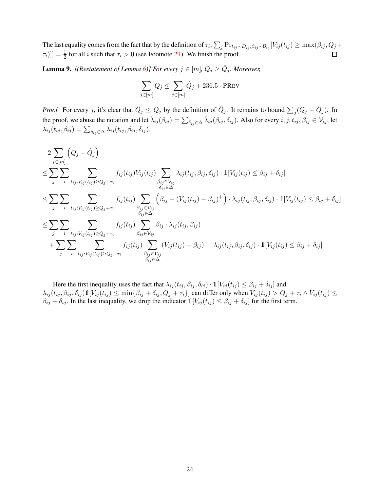The last equality comes from the fact that by the definition of  $\tau_i$ ,  $\sum_j \Pr_{t_{ij} \sim D_{ij}, \beta_{ij} \sim B_{ij}} [V_{ij}(t_{ij}) \ge \max(\beta_{ij}, Q_j + \min(\beta_{ij}), Q_j + \min(\beta_{ij}, Q_j + \min(\beta_{ij}), Q_j + \min(\beta_{ij}), Q_j + \min(\beta_{ij}, Q_j + \min(\beta_{ij}), Q_j + \min(\beta_{ij}, Q_j + \min(\beta_{ij}), Q_j + \min(\beta_{ij}, Q_j + \min(\beta_{ij}), Q_j + \$  $[\tau_i]]$  =  $\frac{1}{2}$  for all *i* such that  $\tau_i > 0$  (see Footnote [21\)](#page-22-1). We finish the proof.  $\Box$ 

<span id="page-24-0"></span>**Lemma 9.** [(Restatement of Lemma [6\)](#page-22-2)] For every  $j \in [m]$ ,  $Q_j \ge \hat{Q}_j$ . Moreover,

$$
\sum_{j \in [m]} Q_j \leq \sum_{j \in [m]} \hat{Q}_j + 236.5 \cdot \text{PREV}
$$

*Proof.* For every j, it's clear that  $\hat{Q}_j \leq Q_j$  by the definition of  $\hat{Q}_j$ . It remains to bound  $\sum_j (Q_j - \hat{Q}_j)$ . In the proof, we abuse the notation and let  $\hat{\lambda}_{ij}(\beta_{ij}) = \sum_{\delta_{ij} \in \Delta} \hat{\lambda}_{ij}(\beta_{ij}, \delta_{ij})$ . Also for every  $i, j, t_{ij}, \beta_{ij} \in V_{ij}$ , let  $\lambda_{ij}(t_{ij}, \beta_{ij}) = \sum_{\delta_{ij} \in \Delta} \lambda_{ij}(t_{ij}, \beta_{ij}, \delta_{ij}).$ 

$$
2\sum_{j\in[m]} \left(Q_j - \hat{Q}_j\right)
$$
\n
$$
\leq \sum_{j} \sum_{i} \sum_{t_{ij}: V_{ij}(t_{ij}) \geq Q_j + \tau_i} f_{ij}(t_{ij}) V_{ij}(t_{ij}) \sum_{\substack{\beta_{ij} \in V_{ij} \\ \delta_{ij} \in \Delta}} \lambda_{ij}(t_{ij}, \beta_{ij}, \delta_{ij}) \cdot 1[V_{ij}(t_{ij}) \leq \beta_{ij} + \delta_{ij}]
$$
\n
$$
\leq \sum_{j} \sum_{i} \sum_{t_{ij}: V_{ij}(t_{ij}) \geq Q_j + \tau_i} f_{ij}(t_{ij}) \sum_{\substack{\beta_{ij} \in V_{ij} \\ \delta_{ij} \in \Delta}} \left(\beta_{ij} + (V_{ij}(t_{ij}) - \beta_{ij})^{+}\right) \cdot \lambda_{ij}(t_{ij}, \beta_{ij}, \delta_{ij}) \cdot 1[V_{ij}(t_{ij}) \leq \beta_{ij} + \delta_{ij}]
$$
\n
$$
\leq \sum_{j} \sum_{i} \sum_{t_{ij}: V_{ij}(t_{ij}) \geq Q_j + \tau_i} f_{ij}(t_{ij}) \sum_{\beta_{ij} \in V_{ij}} \beta_{ij} \cdot \lambda_{ij}(t_{ij}, \beta_{ij})
$$
\n
$$
+ \sum_{j} \sum_{i} \sum_{t_{ij}: V_{ij}(t_{ij}) \geq Q_j + \tau_i} f_{ij}(t_{ij}) \sum_{\substack{\beta_{ij} \in V_{ij} \\ \delta_{ij} \in \Delta}} (V_{ij}(t_{ij}) - \beta_{ij})^{+} \cdot \lambda_{ij}(t_{ij}, \beta_{ij}, \delta_{ij}) \cdot 1[V_{ij}(t_{ij}) \leq \beta_{ij} + \delta_{ij}]
$$

Here the first inequality uses the fact that  $\lambda_{ij}(t_{ij}, \beta_{ij}, \delta_{ij}) \cdot \mathbb{1}[V_{ij}(t_{ij}) \leq \beta_{ij} + \delta_{ij}]$  and  $\lambda_{ij}(t_{ij}, \beta_{ij}, \delta_{ij})1[V_{ij}(t_{ij}) \leq \min\{\beta_{ij} + \delta_{ij}, Q_j + \tau_i\}]$  can differ only when  $V_{ij}(t_{ij}) > Q_j + \tau_i \wedge V_{ij}(t_{ij}) \leq$  $\beta_{ij} + \delta_{ij}$ . In the last inequality, we drop the indicator  $\mathbb{1}[V_{ij}(t_{ij}) \leq \beta_{ij} + \delta_{ij}]$  for the first term.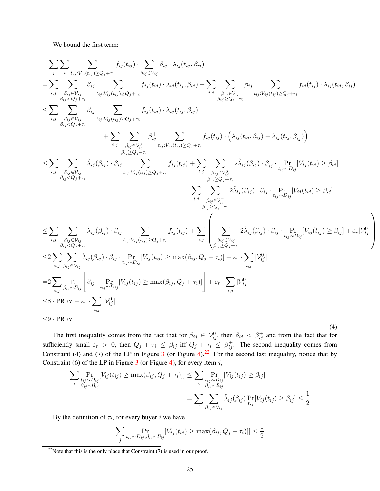<span id="page-25-1"></span>We bound the first term:

$$
\sum_{j} \sum_{i} \sum_{t_{ij}: V_{ij}(t_{ij}) \geq Q_{j} + \tau_{i}} f_{ij}(t_{ij}) \cdot \sum_{\beta_{ij} \in V_{ij}} \beta_{ij} \cdot \lambda_{ij}(t_{ij}, \beta_{ij})
$$
\n
$$
= \sum_{i,j} \sum_{\beta_{ij} \in V_{ij}} \beta_{ij} \sum_{t_{ij}: V_{ij}(t_{ij}) \geq Q_{j} + \tau_{i}} f_{ij}(t_{ij}) \cdot \lambda_{ij}(t_{ij}, \beta_{ij}) + \sum_{i,j} \sum_{\beta_{ij} \geq Q_{j} + \tau_{i}} \beta_{ij} \sum_{t_{ij}: V_{ij}(t_{ij}) \geq Q_{j} + \tau_{i}} f_{ij}(t_{ij}) \cdot \lambda_{ij}(t_{ij}, \beta_{ij})
$$
\n
$$
\leq \sum_{i,j} \sum_{\beta_{ij} \in V_{ij} \atop \beta_{ij} \leq Q_{j} + \tau_{i}} \beta_{ij} \sum_{t_{ij}: V_{ij}(t_{ij}) \geq Q_{j} + \tau_{i}} f_{ij}(t_{ij}) \cdot \lambda_{ij}(t_{ij}, \beta_{ij}) + \sum_{i,j} \sum_{\beta_{ij} \geq Q_{j} + \tau_{i}} f_{ij}(t_{ij}) \cdot \left(\lambda_{ij}(t_{ij}, \beta_{ij}) + \lambda_{ij}(t_{ij}, \beta_{ij}^{+})\right)
$$
\n
$$
\leq \sum_{i,j} \sum_{\beta_{ij} \in V_{ij} \atop \beta_{ij} \leq Q_{j} + \tau_{i}} \hat{\lambda}_{ij}(\beta_{ij}) \cdot \beta_{ij} \sum_{t_{ij}: V_{ij}(t_{ij}) \geq Q_{j} + \tau_{i}} f_{ij}(t_{ij}) + \sum_{i,j} \sum_{\beta_{ij} \geq Q_{j} + \tau_{i}} 2 \hat{\lambda}_{ij}(\beta_{ij}) \cdot \beta_{ij}^{+} \cdot \sum_{t_{ij}: V_{ij} \geq Q_{j} + \tau_{i}} f_{ij}(t_{ij}) \geq \beta_{ij}
$$
\n
$$
\leq \sum_{i,j} \sum_{\beta_{ij} \in V_{ij} \atop \beta_{ij} \leq Q_{j} + \tau_{i}} \hat{\lambda}_{ij}(\beta_{ij}) \cdot \beta_{ij} \sum_{t_{ij}: V_{ij}(t_{ij}) \geq Q_{j} + \tau_{i}} f_{ij}(t_{ij}) + \sum_{i,j} \sum_{\
$$

 $\setminus$ 

 $\begin{array}{c} \hline \end{array}$ 

The first inequality comes from the fact that for  $\beta_{ij} \in V_{ij}^0$ , then  $\beta_{ij} < \beta_{ij}^+$  and from the fact that for sufficiently small  $\varepsilon_r > 0$ , then  $Q_j + \tau_i \leq \beta_{ij}$  iff  $Q_j + \tau_i \leq \beta_{ij}^+$ . The second inequality comes from Constraint (4) and (7) of the LP in Figure [3](#page-12-0) (or Figure [4\)](#page-19-0).<sup>[22](#page-25-0)</sup> For the second last inequality, notice that by Constraint (6) of the LP in Figure [3](#page-12-0) (or Figure [4\)](#page-19-0), for every item  $j$ ,

$$
\sum_{i} \Pr_{\substack{t_{ij} \sim D_{ij} \\ \beta_{ij} \sim \beta_{ij}}} [V_{ij}(t_{ij}) \ge \max(\beta_{ij}, Q_j + \tau_i)]] \le \sum_{i} \Pr_{\substack{t_{ij} \sim D_{ij} \\ \beta_{ij} \sim \beta_{ij}}} [V_{ij}(t_{ij}) \ge \beta_{ij}]
$$

$$
= \sum_{i} \sum_{\beta_{ij} \in V_{ij}} \hat{\lambda}_{ij}(\beta_{ij}) \Pr_{t_{ij}} [V_{ij}(t_{ij}) \ge \beta_{ij}] \le \frac{1}{2}
$$

By the definition of  $\tau_i$ , for every buyer i we have

$$
\sum_{j} \Pr_{t_{ij} \sim D_{ij}, \beta_{ij} \sim \mathcal{B}_{ij}} [V_{ij}(t_{ij}) \ge \max(\beta_{ij}, Q_j + \tau_i)]] \le \frac{1}{2}
$$

<span id="page-25-0"></span><sup>&</sup>lt;sup>22</sup>Note that this is the only place that Constraint  $(7)$  is used in our proof.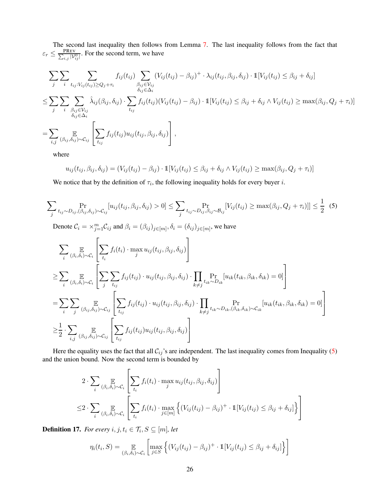The second last inequality then follows from Lemma [7.](#page-22-3) The last inequality follows from the fact that  $\varepsilon_r \leq \frac{\text{PREV}}{\sum_{i,j} |V_{ij}^0|}$ . For the second term, we have

$$
\sum_{j} \sum_{i} \sum_{t_{ij}: V_{ij}(t_{ij}) \ge Q_j + \tau_i} f_{ij}(t_{ij}) \sum_{\substack{\beta_{ij} \in V_{ij} \\ \delta_{ij} \in \Delta_i}} (V_{ij}(t_{ij}) - \beta_{ij})^+ \cdot \lambda_{ij}(t_{ij}, \beta_{ij}, \delta_{ij}) \cdot \mathbb{1}[V_{ij}(t_{ij}) \le \beta_{ij} + \delta_{ij}]
$$
\n
$$
\le \sum_{j} \sum_{i} \sum_{\substack{\beta_{ij} \in V_{ij} \\ \delta_{ij} \in \Delta_i}} \hat{\lambda}_{ij}(\beta_{ij}, \delta_{ij}) \cdot \sum_{t_{ij}} f_{ij}(t_{ij}) (V_{ij}(t_{ij}) - \beta_{ij}) \cdot \mathbb{1}[V_{ij}(t_{ij}) \le \beta_{ij} + \delta_{ij} \wedge V_{ij}(t_{ij}) \ge \max(\beta_{ij}, Q_j + \tau_i)]
$$
\n
$$
= \sum_{i,j} \sum_{(\beta_{ij}, \delta_{ij}) \sim C_{ij}} \left[ \sum_{t_{ij}} f_{ij}(t_{ij}) u_{ij}(t_{ij}, \beta_{ij}, \delta_{ij}) \right],
$$

where

$$
u_{ij}(t_{ij},\beta_{ij},\delta_{ij})=(V_{ij}(t_{ij})-\beta_{ij})\cdot\mathbb{1}[V_{ij}(t_{ij})\leq\beta_{ij}+\delta_{ij}\wedge V_{ij}(t_{ij})\geq\max(\beta_{ij},Q_j+\tau_i)]
$$

<span id="page-26-0"></span>We notice that by the definition of  $\tau_i$ , the following inequality holds for every buyer i.

$$
\sum_{j} \Pr_{t_{ij} \sim D_{ij}, (\beta_{ij}, \delta_{ij}) \sim C_{ij}} [u_{ij}(t_{ij}, \beta_{ij}, \delta_{ij}) > 0] \leq \sum_{j} \Pr_{t_{ij} \sim D_{ij}, \beta_{ij} \sim B_{ij}} [V_{ij}(t_{ij}) \geq \max(\beta_{ij}, Q_j + \tau_i)]] \leq \frac{1}{2} (5)
$$
\nDenote  $C_i = \sum_{j=1}^m C_{ij}$  and  $\beta_i = (\beta_{ij})_{j \in [m]}, \delta_i = (\delta_{ij})_{j \in [m]}$ , we have\n
$$
\sum_{i} \mathbb{E}_{(\beta_i, \delta_i) \sim C_i} \left[ \sum_{t_i} f_i(t_i) \cdot \max_{j} u_{ij}(t_{ij}, \beta_{ij}, \delta_{ij}) \right]
$$
\n
$$
\geq \sum_{i} \mathbb{E}_{(\beta_i, \delta_i) \sim C_i} \left[ \sum_{j} \sum_{t_{ij}} f_{ij}(t_{ij}) \cdot u_{ij}(t_{ij}, \beta_{ij}, \delta_{ij}) \cdot \prod_{k \neq j} \Pr_{t_{ik} \sim D_{ik}} [u_{ik}(t_{ik}, \beta_{ik}, \delta_{ik}) = 0] \right]
$$
\n
$$
= \sum_{i} \sum_{j} \mathbb{E}_{(\beta_{i}, \delta_{ij}) \sim C_{ij}} \left[ \sum_{t_{ij}} f_{ij}(t_{ij}) \cdot u_{ij}(t_{ij}, \beta_{ij}, \delta_{ij}) \cdot \prod_{k \neq j} t_{ik} \sim D_{ik}, (\beta_{ik}, \delta_{ik}) \sim C_{ik} [u_{ik}(t_{ik}, \beta_{ik}, \delta_{ik}) = 0] \right]
$$
\n
$$
\geq \frac{1}{2} \cdot \sum_{i, j} \mathbb{E}_{(\beta_{ij}, \delta_{ij}) \sim C_{ij}} \left[ \sum_{t_{ij}} f_{ij}(t_{ij}) u_{ij}(t_{ij}, \beta_{ij}, \delta_{ij}) \right]
$$

Here the equality uses the fact that all  $C_{ij}$ 's are independent. The last inequality comes from Inequality [\(5\)](#page-26-0) and the union bound. Now the second term is bounded by

$$
2 \cdot \sum_{i} \mathop{\mathbb{E}}_{(\beta_i, \delta_i) \sim C_i} \left[ \sum_{t_i} f_i(t_i) \cdot \max_j u_{ij}(t_{ij}, \beta_{ij}, \delta_{ij}) \right]
$$
  

$$
\leq 2 \cdot \sum_{i} \mathop{\mathbb{E}}_{(\beta_i, \delta_i) \sim C_i} \left[ \sum_{t_i} f_i(t_i) \cdot \max_{j \in [m]} \left\{ (V_{ij}(t_{ij}) - \beta_{ij})^+ \cdot \mathbb{1}[V_{ij}(t_{ij}) \leq \beta_{ij} + \delta_{ij}] \right\} \right]
$$

**Definition 17.** For every  $i, j, t_i \in \mathcal{T}_i, S \subseteq [m]$ , let

$$
\eta_i(t_i, S) = \mathop{\mathbb{E}}_{(\beta_i, \delta_i) \sim C_i} \left[ \max_{j \in S} \left\{ (V_{ij}(t_{ij}) - \beta_{ij})^+ \cdot \mathbb{1}[V_{ij}(t_{ij}) \leq \beta_{ij} + \delta_{ij}] \right\} \right]
$$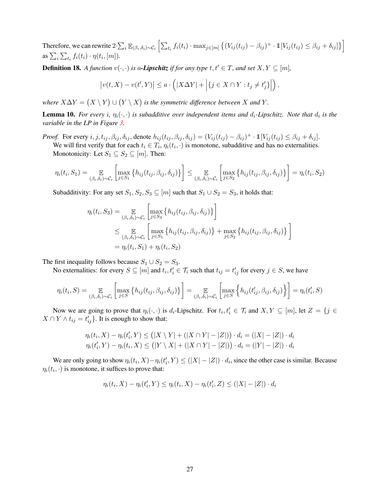Therefore, we can rewrite  $2 \cdot \sum_i \mathbb{E}_{(\beta_i, \delta_i) \sim \mathcal{C}_i} \left[ \sum_{t_i} f_i(t_i) \cdot \max_{j \in [m]} \left\{ (V_{ij}(t_{ij}) - \beta_{ij})^+ \cdot \mathbb{1}[V_{ij}(t_{ij}) \leq \beta_{ij} + \delta_{ij}] \right\} \right]$ as  $\sum_i \sum_{t_i} f_i(t_i) \cdot \eta(t_i, [m])$ .

**Definition 18.** *A function*  $v(\cdot, \cdot)$  *is a-Lipschitz if for any type*  $t, t' \in T$ *, and set*  $X, Y \subseteq [m]$ *,* 

$$
\left| v(t, X) - v(t', Y) \right| \le a \cdot \left( |X \Delta Y| + \left| \{ j \in X \cap Y : t_j \neq t'_j \} \right| \right),
$$

where  $X \Delta Y = (X \setminus Y) \cup (Y \setminus X)$  is the symmetric difference between X and Y.

**Lemma 10.** For every i,  $\eta_i(\cdot, \cdot)$  is subadditive over independent items and  $d_i$ -Lipschitz. Note that  $d_i$  is the *variable in the LP in Figure [3.](#page-12-0)*

*Proof.* For every  $i, j, t_{ij}, \beta_{ij}, \delta_{ij}$ , denote  $h_{ij}(t_{ij}, \beta_{ij}, \delta_{ij}) = (V_{ij}(t_{ij}) - \beta_{ij})^+ \cdot \mathbb{1}[V_{ij}(t_{ij}) \leq \beta_{ij} + \delta_{ij}]$ .

We will first verify that for each  $t_i \in T_i$ ,  $\eta_i(t_i, \cdot)$  is monotone, subadditive and has no externalities. Monotonicity: Let  $S_1 \subseteq S_2 \subseteq [m]$ . Then:

$$
\eta_i(t_i, S_1) = \mathop{\mathbb{E}}_{(\beta_i, \delta_i) \sim \mathcal{C}_i} \left[ \max_{j \in S_1} \left\{ h_{ij}(t_{ij}, \beta_{ij}, \delta_{ij}) \right\} \right] \leq \mathop{\mathbb{E}}_{(\beta_i, \delta_i) \sim \mathcal{C}_i} \left[ \max_{j \in S_2} \left\{ h_{ij}(t_{ij}, \beta_{ij}, \delta_{ij}) \right\} \right] = \eta_i(t_i, S_2)
$$

Subadditivity: For any set  $S_1, S_2, S_3 \subseteq [m]$  such that  $S_1 \cup S_2 = S_3$ , it holds that:

$$
\eta_i(t_i, S_3) = \mathop{\mathbb{E}}_{(\beta_i, \delta_i) \sim C_i} \left[ \max_{j \in S_3} \{ h_{ij}(t_{ij}, \beta_{ij}, \delta_{ij}) \} \right]
$$
  
\n
$$
\leq \mathop{\mathbb{E}}_{(\beta_i, \delta_i) \sim C_i} \left[ \max_{j \in S_1} \{ h_{ij}(t_{ij}, \beta_{ij}, \delta_{ij}) \} + \max_{j \in S_2} \{ h_{ij}(t_{ij}, \beta_{ij}, \delta_{ij}) \} \right]
$$
  
\n
$$
= \eta_i(t_i, S_1) + \eta_i(t_i, S_2)
$$

The first inequality follows because  $S_1 \cup S_2 = S_3$ .

No externalities: for every  $S \subseteq [m]$  and  $t_i, t'_i \in \mathcal{T}_i$  such that  $t_{ij} = t'_{ij}$  for every  $j \in S$ , we have

$$
\eta_i(t_i, S) = \mathop{\mathbb{E}}_{(\beta_i, \delta_i) \sim \mathcal{C}_i} \left[ \max_{j \in S} \left\{ h_{ij}(t_{ij}, \beta_{ij}, \delta_{ij}) \right\} \right] = \mathop{\mathbb{E}}_{(\beta_i, \delta_i) \sim \mathcal{C}_i} \left[ \max_{j \in S} \left\{ h_{ij}(t'_{ij}, \beta_{ij}, \delta_{ij}) \right\} \right] = \eta_i(t'_i, S)
$$

Now we are going to prove that  $\eta_i(\cdot, \cdot)$  is  $d_i$ -Lipschitz. For  $t_i, t'_i \in \mathcal{T}_i$  and  $X, Y \subseteq [m]$ , let  $Z = \{j \in$  $X \cap Y \wedge t_{ij} = t'_{ij}$ . It is enough to show that:

$$
\eta_i(t_i, X) - \eta_i(t'_i, Y) \le (|X \setminus Y| + (|X \cap Y| - |Z|)) \cdot d_i = (|X| - |Z|) \cdot d_i
$$
  

$$
\eta_i(t'_i, Y) - \eta_i(t_i, X) \le (|Y \setminus X| + (|X \cap Y| - |Z|)) \cdot d_i = (|Y| - |Z|) \cdot d_i
$$

We are only going to show  $\eta_i(t_i, X) - \eta_i(t'_i, Y) \leq (|X| - |Z|) \cdot d_i$ , since the other case is similar. Because  $\eta_i(t_i, \cdot)$  is monotone, it suffices to prove that:

$$
\eta_i(t_i, X) - \eta_i(t'_i, Y) \le \eta_i(t_i, X) - \eta_i(t'_i, Z) \le (|X| - |Z|) \cdot d_i
$$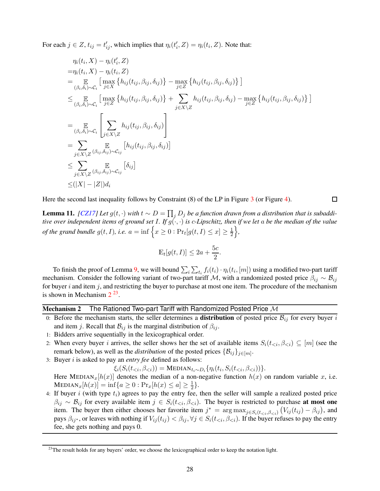For each  $j \in Z$ ,  $t_{ij} = t'_{ij}$ , which implies that  $\eta_i(t'_i, Z) = \eta_i(t_i, Z)$ . Note that:

$$
\eta_i(t_i, X) - \eta_i(t'_i, Z) \n= \eta_i(t_i, X) - \eta_i(t_i, Z) \n= \eta_i(t_i, X) - \eta_i(t_i, Z) \n= \mathop{\mathbb{E}}_{(\beta_i, \delta_i) \sim C_i} \left[ \max_{j \in X} \{ h_{ij}(t_{ij}, \beta_{ij}, \delta_{ij}) \} - \max_{j \in Z} \{ h_{ij}(t_{ij}, \beta_{ij}, \delta_{ij}) \} \right] \n\leq \mathop{\mathbb{E}}_{(\beta_i, \delta_i) \sim C_i} \left[ \max_{j \in Z} \{ h_{ij}(t_{ij}, \beta_{ij}, \delta_{ij}) \} + \sum_{j \in X \setminus Z} h_{ij}(t_{ij}, \beta_{ij}, \delta_{ij}) - \max_{j \in Z} \{ h_{ij}(t_{ij}, \beta_{ij}, \delta_{ij}) \} \right] \n= \mathop{\mathbb{E}}_{(\beta_i, \delta_i) \sim C_i} \left[ \sum_{j \in X \setminus Z} h_{ij}(t_{ij}, \beta_{ij}, \delta_{ij}) \right] \n= \sum_{j \in X \setminus Z} \mathop{\mathbb{E}}_{(\beta_{ij}, \delta_{ij}) \sim C_{ij}} \left[ h_{ij}(t_{ij}, \beta_{ij}, \delta_{ij}) \right] \n\leq \sum_{j \in X \setminus Z} \mathop{\mathbb{E}}_{(\beta_{ij}, \delta_{ij}) \sim C_{ij}} \left[ \delta_{ij} \right] \n\leq (|X| - |Z|) d_i
$$

<span id="page-28-2"></span>Here the second last inequality follows by Constraint (8) of the LP in Figure [3](#page-12-0) (or Figure [4\)](#page-19-0).

**Lemma 11.** *[\[CZ17\]](#page-63-3) Let*  $g(t, \cdot)$  *with*  $t \sim D = \prod_j D_j$  *be a function drawn from a distribution that is subadditive over independent items of ground set I. If*  $g(\cdot,\cdot)$  *is c-Lipschitz, then if we let* a *be the median of the value of the grand bundle*  $g(t, I)$ *, i.e.*  $a = \inf \left\{ x \geq 0 : \Pr_t[g(t, I) \leq x] \geq \frac{1}{2} \right\}$ 2 o *,*

 $\Box$ 

$$
\mathbb{E}_t[g(t,I)] \le 2a + \frac{5c}{2}.
$$

To finish the proof of Lemma [9,](#page-24-0) we will bound  $\sum_i \sum_{t_i} f_i(t_i) \cdot \eta_i(t_i, [m])$  using a modified two-part tariff mechanism. Consider the following variant of two-part tariff M, with a randomized posted price  $\beta_{ij} \sim \mathcal{B}_{ij}$ for buyer  $i$  and item  $j$ , and restricting the buyer to purchase at most one item. The procedure of the mechanism is shown in Mechanism  $2^{23}$  $2^{23}$  $2^{23}$  $2^{23}$ .

## Mechanism 2 The Rationed Two-part Tariff with Randomized Posted Price  $\overline{\mathcal{M}}$

- 0: Before the mechanism starts, the seller determines a **distribution** of posted price  $\mathcal{B}_{ij}$  for every buyer i and item j. Recall that  $\mathcal{B}_{ij}$  is the marginal distribution of  $\beta_{ij}$ .
- 1: Bidders arrive sequentially in the lexicographical order.
- 2: When every buyer i arrives, the seller shows her the set of available items  $S_i(t_{\leq i}, \beta_{\leq i}) \subseteq [m]$  (see the remark below), as well as the *distribution* of the posted prices  $\{\mathcal{B}_{ij}\}_{j\in[m]}$ .
- 3: Buyer i is asked to pay an *entry fee* defined as follows:

 $\xi_i(S_i(t_{$ 

Here MEDIAN<sub>x</sub>[h(x)] denotes the median of a non-negative function  $h(x)$  on random variable x, i.e.  $\text{MEDIAN}_x[h(x)] = \inf\{a \geq 0 : \text{Pr}_x[h(x) \leq a] \geq \frac{1}{2}\}$  $\frac{1}{2}$ .

4: If buyer  $i$  (with type  $t_i$ ) agrees to pay the entry fee, then the seller will sample a realized posted price  $\beta_{ij} \sim \mathcal{B}_{ij}$  for every available item  $j \in S_i(t_{\leq i}, \beta_{\leq i})$ . The buyer is restricted to purchase at most one item. The buyer then either chooses her favorite item  $j^* = \arg \max_{j \in S_i(t_{\le i}, \beta_{\le i})} (V_{ij}(t_{ij}) - \beta_{ij})$ , and pays  $\beta_{ij}$ <sup>\*</sup>, or leaves with nothing if  $V_{ij}(t_{ij}) < \beta_{ij}$ ,  $\forall j \in S_i(t_{< i}, \beta_{< i})$ . If the buyer refuses to pay the entry fee, she gets nothing and pays 0.

<span id="page-28-1"></span><span id="page-28-0"></span><sup>&</sup>lt;sup>23</sup>The result holds for any buyers' order, we choose the lexicographical order to keep the notation light.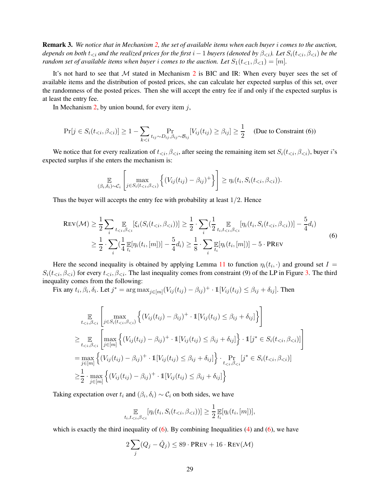Remark 3. *We notice that in Mechanism [2,](#page-28-0) the set of available items when each buyer* i *comes to the auction, depends on both*  $t_{\leq i}$  *and the realized prices for the first*  $i - 1$  *buyers (denoted by*  $\beta_{\leq i}$ )*. Let*  $S_i(t_{\leq i}, \beta_{\leq i})$  *be the random set of available items when buyer i comes to the auction. Let*  $S_1(t_{\leq 1}, \beta_{\leq 1}) = [m]$ .

It's not hard to see that  $M$  stated in Mechanism [2](#page-28-0) is BIC and IR: When every buyer sees the set of available items and the distribution of posted prices, she can calculate her expected surplus of this set, over the randomness of the posted prices. Then she will accept the entry fee if and only if the expected surplus is at least the entry fee.

In Mechanism [2,](#page-28-0) by union bound, for every item  $j$ ,

$$
\Pr[j \in S_i(t_{\leq i}, \beta_{\leq i})] \geq 1 - \sum_{k \leq i} \Pr_{t_{ij} \sim D_{ij}, \beta_{ij} \sim \mathcal{B}_{ij}} [V_{ij}(t_{ij}) \geq \beta_{ij}] \geq \frac{1}{2} \quad \text{(Due to Constraint (6))}
$$

We notice that for every realization of  $t_{\leq i}$ ,  $\beta_{\leq i}$ , after seeing the remaining item set  $S_i(t_{\leq i}, \beta_{\leq i})$ , buyer i's expected surplus if she enters the mechanism is:

$$
\mathop{\mathbb{E}}_{(\beta_i,\delta_i)\sim\mathcal{C}_i}\left[\max_{j\in S_i(t_{
$$

<span id="page-29-0"></span>Thus the buyer will accepts the entry fee with probability at least  $1/2$ . Hence

$$
\text{Rev}(\mathcal{M}) \ge \frac{1}{2} \sum_{i} \mathop{\mathbb{E}}_{t < i, \beta < i} [\xi_i(S_i(t_{\le i}, \beta_{\le i}))] \ge \frac{1}{2} \cdot \sum_{i} (\frac{1}{2} \mathop{\mathbb{E}}_{t_i, t_{\le i}, \beta < i} [\eta_i(t_i, S_i(t_{\le i}, \beta_{\le i}))] - \frac{5}{4} d_i)
$$
\n
$$
\ge \frac{1}{2} \cdot \sum_{i} (\frac{1}{4} \mathop{\mathbb{E}}_{t_i} [\eta_i(t_i, [m])] - \frac{5}{4} d_i) \ge \frac{1}{8} \cdot \sum_{i} \mathop{\mathbb{E}}_{t_i} [\eta_i(t_i, [m])] - 5 \cdot \text{PREV}) \tag{6}
$$

Here the second inequality is obtained by applying Lemma [11](#page-28-2) to function  $\eta_i(t_i, \cdot)$  and ground set  $I =$  $S_i(t_{\leq i}, \beta_{\leq i})$  for every  $t_{\leq i}, \beta_{\leq i}$ . The last inequality comes from constraint (9) of the LP in Figure [3.](#page-12-0) The third inequality comes from the following:

Fix any  $t_i, \beta_i, \delta_i$ . Let  $j^* = \arg \max_{j \in [m]} (V_{ij}(t_{ij}) - \beta_{ij})^+ \cdot \mathbb{1}[V_{ij}(t_{ij}) \leq \beta_{ij} + \delta_{ij}]$ . Then

$$
\mathbb{E}_{t < i, \beta < i} \left[ \max_{j \in S_i(t < i, \beta < i)} \left\{ (V_{ij}(t_{ij}) - \beta_{ij})^+ \cdot \mathbb{1}[V_{ij}(t_{ij}) \leq \beta_{ij} + \delta_{ij}] \right\} \right]
$$
\n
$$
\geq \mathbb{E}_{t < i, \beta < i} \left[ \max_{j \in [m]} \left\{ (V_{ij}(t_{ij}) - \beta_{ij})^+ \cdot \mathbb{1}[V_{ij}(t_{ij}) \leq \beta_{ij} + \delta_{ij}] \right\} \cdot \mathbb{1}[j^* \in S_i(t < i, \beta < i)] \right]
$$
\n
$$
= \max_{j \in [m]} \left\{ (V_{ij}(t_{ij}) - \beta_{ij})^+ \cdot \mathbb{1}[V_{ij}(t_{ij}) \leq \beta_{ij} + \delta_{ij}] \right\} \cdot \Pr_{t < i, \beta < i} [j^* \in S_i(t < i, \beta < i)]
$$
\n
$$
\geq \frac{1}{2} \cdot \max_{j \in [m]} \left\{ (V_{ij}(t_{ij}) - \beta_{ij})^+ \cdot \mathbb{1}[V_{ij}(t_{ij}) \leq \beta_{ij} + \delta_{ij}] \right\}
$$

Taking expectation over  $t_i$  and  $(\beta_i, \delta_i) \sim C_i$  on both sides, we have

$$
\mathop{\mathbb{E}}_{t_i,t_{
$$

which is exactly the third inequality of  $(6)$ . By combining Inequalities  $(4)$  and  $(6)$ , we have

$$
2\sum_{j}(Q_j - \hat{Q}_j) \le 89 \cdot \text{PREV} + 16 \cdot \text{REV}(\mathcal{M})
$$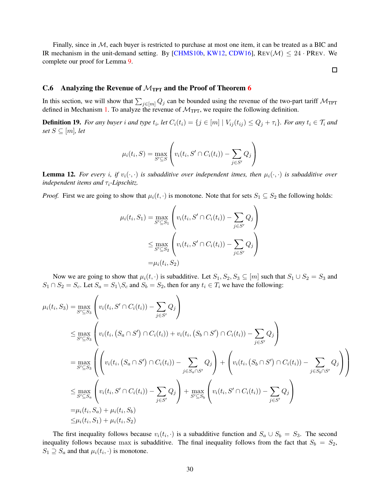Finally, since in  $M$ , each buyer is restricted to purchase at most one item, it can be treated as a BIC and IR mechanism in the unit-demand setting. By [\[CHMS10b,](#page-63-0) [KW12,](#page-64-3) [CDW16\]](#page-63-9), REV( $M$ )  $\leq 24$  · PREV. We complete our proof for Lemma [9.](#page-24-0)

 $\Box$ 

## <span id="page-30-0"></span>C.[6](#page-17-1) Analyzing the Revenue of  $\mathcal{M}_{TPT}$  and the Proof of Theorem 6

<span id="page-30-1"></span>In this section, we will show that  $\sum_{j \in [m]} Q_j$  can be bounded using the revenue of the two-part tariff  $M_{TPT}$ defined in Mechanism [1.](#page-11-2) To analyze the revenue of  $\mathcal{M}_{TPT}$ , we require the following definition.

**Definition 19.** For any buyer i and type  $t_i$ , let  $C_i(t_i) = \{j \in [m] \mid V_{ij}(t_{ij}) \leq Q_j + \tau_i\}$ . For any  $t_i \in \mathcal{T}_i$  and *set*  $S \subseteq [m]$ *, let* 

$$
\mu_i(t_i, S) = \max_{S' \subseteq S} \left( v_i(t_i, S' \cap C_i(t_i)) - \sum_{j \in S'} Q_j \right)
$$

**Lemma 12.** For every *i*, if  $v_i(\cdot, \cdot)$  is subadditive over independent itmes, then  $\mu_i(\cdot, \cdot)$  is subadditive over *independent items and*  $\tau_i$ -Lipschitz.

*Proof.* First we are going to show that  $\mu_i(t, \cdot)$  is monotone. Note that for sets  $S_1 \subseteq S_2$  the following holds:

$$
\mu_i(t_i, S_1) = \max_{S' \subseteq S_1} \left( v_i(t_i, S' \cap C_i(t_i)) - \sum_{j \in S'} Q_j \right)
$$
  

$$
\leq \max_{S' \subseteq S_2} \left( v_i(t_i, S' \cap C_i(t_i)) - \sum_{j \in S'} Q_j \right)
$$
  

$$
= \mu_i(t_i, S_2)
$$

Now we are going to show that  $\mu_i(t, \cdot)$  is subadditive. Let  $S_1, S_2, S_3 \subseteq [m]$  such that  $S_1 \cup S_2 = S_3$  and  $S_1 \cap S_2 = S_c$ . Let  $S_a = S_1 \backslash S_c$  and  $S_b = S_2$ , then for any  $t_i \in T_i$  we have the following:

$$
\mu_{i}(t_{i}, S_{3}) = \max_{S' \subseteq S_{3}} \left( v_{i}(t_{i}, S' \cap C_{i}(t_{i})) - \sum_{j \in S'} Q_{j} \right)
$$
\n
$$
\leq \max_{S' \subseteq S_{3}} \left( v_{i}(t_{i}, (S_{a} \cap S') \cap C_{i}(t_{i})) + v_{i}(t_{i}, (S_{b} \cap S') \cap C_{i}(t_{i})) - \sum_{j \in S'} Q_{j} \right)
$$
\n
$$
= \max_{S' \subseteq S_{3}} \left( \left( v_{i}(t_{i}, (S_{a} \cap S') \cap C_{i}(t_{i})) - \sum_{j \in S_{a} \cap S'} Q_{j} \right) + \left( v_{i}(t_{i}, (S_{b} \cap S') \cap C_{i}(t_{i})) - \sum_{j \in S_{b} \cap S'} Q_{j} \right) \right)
$$
\n
$$
\leq \max_{S' \subseteq S_{a}} \left( v_{i}(t_{i}, S' \cap C_{i}(t_{i})) - \sum_{j \in S'} Q_{j} \right) + \max_{S' \subseteq S_{b}} \left( v_{i}(t_{i}, S' \cap C_{i}(t_{i})) - \sum_{j \in S'} Q_{j} \right)
$$
\n
$$
= \mu_{i}(t_{i}, S_{a}) + \mu_{i}(t_{i}, S_{b})
$$
\n
$$
\leq \mu_{i}(t_{i}, S_{1}) + \mu_{i}(t_{i}, S_{2})
$$

The first inequality follows because  $v_i(t_i, \cdot)$  is a subadditive function and  $S_a \cup S_b = S_3$ . The second inequality follows because max is subadditive. The final inequality follows from the fact that  $S_b = S_2$ ,  $S_1 \supseteq S_a$  and that  $\mu_i(t_i, \cdot)$  is monotone.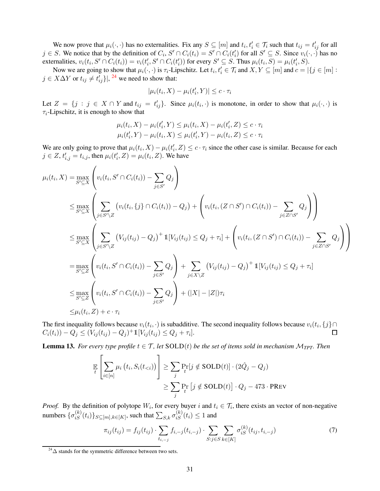We now prove that  $\mu_i(\cdot, \cdot)$  has no externalities. Fix any  $S \subseteq [m]$  and  $t_i, t'_i \in \mathcal{T}_i$  such that  $t_{ij} = t'_{ij}$  for all  $j \in S$ . We notice that by the definition of  $C_i$ ,  $S' \cap C_i(t_i) = S' \cap C_i(t_i')$  for all  $S' \subseteq S$ . Since  $v_i(\cdot, \cdot)$  has no externalities,  $v_i(t_i, S' \cap C_i(t_i)) = v_i(t'_i, S' \cap C_i(t'_i))$  for every  $S' \subseteq S$ . Thus  $\mu_i(t_i, S) = \mu_i(t'_i, S)$ .

Now we are going to show that  $\mu_i(\cdot, \cdot)$  is  $\tau_i$ -Lipschitz. Let  $t_i, t'_i \in \mathcal{T}_i$  and  $X, Y \subseteq [m]$  and  $c = |\{j \in [m] :$  $j \in X\Delta Y$  or  $t_{ij} \neq t'_{ij}$ }, <sup>[24](#page-31-0)</sup> we need to show that:

$$
|\mu_i(t_i, X) - \mu_i(t'_i, Y)| \leq c \cdot \tau_i
$$

Let  $Z = \{j : j \in X \cap Y \text{ and } t_{ij} = t'_{ij}\}\$ . Since  $\mu_i(t_i, \cdot)$  is monotone, in order to show that  $\mu_i(\cdot, \cdot)$  is  $\tau_i$ -Lipschitz, it is enough to show that

$$
\mu_i(t_i, X) - \mu_i(t'_i, Y) \le \mu_i(t_i, X) - \mu_i(t'_i, Z) \le c \cdot \tau_i
$$
  

$$
\mu_i(t'_i, Y) - \mu_i(t_i, X) \le \mu_i(t'_i, Y) - \mu_i(t_i, Z) \le c \cdot \tau_i
$$

We are only going to prove that  $\mu_i(t_i, X) - \mu_i(t'_i, Z) \leq c \cdot \tau_i$  since the other case is similar. Because for each  $j \in Z$ ,  $t'_{i,j} = t_{i,j}$ , then  $\mu_i(t'_i, Z) = \mu_i(t_i, Z)$ . We have

$$
\mu_{i}(t_{i}, X) = \max_{S' \subseteq X} \left( v_{i}(t_{i}, S' \cap C_{i}(t_{i})) - \sum_{j \in S'} Q_{j} \right)
$$
\n
$$
\leq \max_{S' \subseteq X} \left( \sum_{j \in S' \setminus Z} \left( v_{i}(t_{i}, \{j\} \cap C_{i}(t_{i})) - Q_{j} \right) + \left( v_{i}(t_{i}, (Z \cap S') \cap C_{i}(t_{i})) - \sum_{j \in Z \cap S'} Q_{j} \right) \right)
$$
\n
$$
\leq \max_{S' \subseteq X} \left( \sum_{j \in S' \setminus Z} \left( V_{ij}(t_{ij}) - Q_{j} \right)^{+} \mathbb{1}[V_{ij}(t_{ij}) \leq Q_{j} + \tau_{i}] + \left( v_{i}(t_{i}, (Z \cap S') \cap C_{i}(t_{i})) - \sum_{j \in Z \cap S'} Q_{j} \right) \right)
$$
\n
$$
= \max_{S' \subseteq Z} \left( v_{i}(t_{i}, S' \cap C_{i}(t_{i})) - \sum_{j \in S'} Q_{j} \right) + \sum_{j \in X \setminus Z} \left( V_{ij}(t_{ij}) - Q_{j} \right)^{+} \mathbb{1}[V_{ij}(t_{ij}) \leq Q_{j} + \tau_{i}]
$$
\n
$$
\leq \max_{S' \subseteq Z} \left( v_{i}(t_{i}, S' \cap C_{i}(t_{i})) - \sum_{j \in S'} Q_{j} \right) + (|X| - |Z|)\tau_{i}
$$
\n
$$
\leq \mu_{i}(t_{i}, Z) + c \cdot \tau_{i}
$$

The first inequality follows because  $v_i(t_i, \cdot)$  is subadditive. The second inequality follows because  $v_i(t_i, \{j\} \cap$  $C_i(t_i) - Q_j \le (V_{ij}(t_{ij}) - Q_j)^+ 1 [V_{ij}(t_{ij}) \le Q_j + \tau_i].$  $\Box$ 

<span id="page-31-1"></span>**Lemma 13.** *For every type profile*  $t \in \mathcal{T}$ *, let*  $SOLD(t)$  *be the set of items sold in mechanism*  $M_{TPT}$ *. Then* 

$$
\mathbb{E}\left[\sum_{i\in[n]} \mu_i\left(t_i, S_i(t_{< i})\right)\right] \ge \sum_j \Pr_t[j \notin \text{SOLD}(t)] \cdot (2\hat{Q}_j - Q_j)
$$
\n
$$
\ge \sum_j \Pr_t\left[j \notin \text{SOLD}(t)\right] \cdot Q_j - 473 \cdot \text{PREV}
$$

*Proof.* By the definition of polytope  $W_i$ , for every buyer i and  $t_i \in \mathcal{T}_i$ , there exists an vector of non-negative numbers  $\{\sigma_{iS}^{(k)}(t_i)\}_{S\subseteq[m],k\in[K]}$ , such that  $\sum_{S,k}\sigma_{iS}^{(k)}(t_i)\leq 1$  and

$$
\pi_{ij}(t_{ij}) = f_{ij}(t_{ij}) \cdot \sum_{t_{i,-j}} f_{i,-j}(t_{i,-j}) \cdot \sum_{S:j \in S} \sum_{k \in [K]} \sigma_{iS}^{(k)}(t_{ij}, t_{i,-j}) \tag{7}
$$

<span id="page-31-0"></span> $^{24}\Delta$  stands for the symmetric difference between two sets.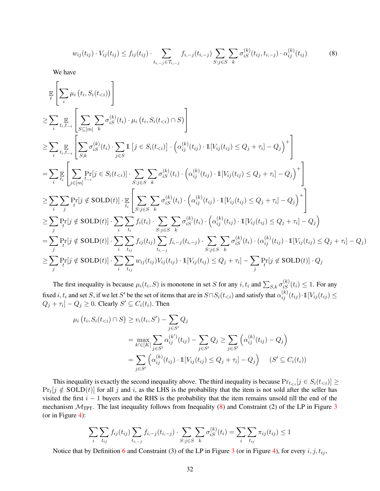<span id="page-32-0"></span>
$$
w_{ij}(t_{ij}) \cdot V_{ij}(t_{ij}) \le f_{ij}(t_{ij}) \cdot \sum_{t_{i,-j} \in \mathcal{T}_{i,-j}} f_{i,-j}(t_{i,-j}) \sum_{S: j \in S} \sum_{k} \sigma_{iS}^{(k)}(t_{ij}, t_{i,-j}) \cdot \alpha_{ij}^{(k)}(t_{ij}) \tag{8}
$$

We have

$$
\mathbb{E}\left[\sum_{i}\mu_{i}\left(t_{i},S_{i}(t_{\n
$$
\geq \sum_{i}\mathbb{E}\left[\sum_{S\subseteq[m]}\sum_{k}\sigma_{iS}^{(k)}(t_{i})\cdot\mu_{i}\left(t_{i},S_{i}(t_{\n
$$
\geq \sum_{i}\mathbb{E}\left[\sum_{S,k}\sigma_{iS}^{(k)}(t_{i})\cdot\sum_{j\in S}\mathbb{1}\left[j\in S_{i}(t_{\n
$$
=\sum_{i}\mathbb{E}\left[\sum_{j\in[m]}\Pr_{i}^{[j}\in S_{i}(t_{\n
$$
\geq \sum_{i}\sum_{j}\Pr_{i}[j\notin \text{SOLD}(t)]\cdot\mathbb{E}\left[\sum_{S:j\in S}\sum_{k}\sigma_{iS}^{(k)}(t_{i})\cdot\left(\alpha_{ij}^{(k)}(t_{ij})\cdot\mathbb{1}[V_{ij}(t_{ij})\leq Q_{j}+\tau_{i}]-Q_{j}\right)^{+}\right]
$$
\n
$$
\geq \sum_{j}\Pr_{i}[j\notin \text{SOLD}(t)]\cdot\sum_{i}\sum_{t_{i}}f_{i}(t_{i})\cdot\sum_{S:j\in S}\sum_{k}\sigma_{iS}^{(k)}(t_{i})\cdot\left(\alpha_{ij}^{(k)}(t_{ij})\cdot\mathbb{1}[V_{ij}(t_{ij})\leq Q_{j}+\tau_{i}]-Q_{j}\right)^{+}\right]
$$
\n
$$
=\sum_{j}\Pr_{i}[j\notin \text{SOLD}(t)]\cdot\sum_{i}\sum_{t_{ij}}f_{i}(t_{i})\cdot\sum_{S:j\in S}\sum_{k}\sigma_{iS}^{(k)}(t_{i})\cdot\left(\alpha_{ij}^{(k)}(t_{ij})\cdot\mathbb{1}[V_{ij}(t
$$
$$
$$
$$
$$

The first inequality is because  $\mu_i(t_i, S)$  is monotone in set S for any  $i, t_i$  and  $\sum_{S,k} \sigma_{iS}^{(k)}(t_i) \leq 1$ . For any fixed  $i, t_i$  and set  $S$ , if we let  $S'$  be the set of items that are in  $S \cap S_i(t_{< i})$  and satisfy that  $\alpha_{ij}^{(k)}(t_{ij}) \cdot \mathbb{1}[V_{ij}(t_{ij}) \leq$  $Q_j + \tau_i] - Q_j \geq 0$ . Clearly  $S' \subseteq C_i(t_i)$ . Then

$$
\mu_i(t_i, S_i(t_{< i}) \cap S) \ge v_i(t_i, S') - \sum_{j \in S'} Q_j
$$
\n
$$
= \max_{k' \in [K]} \sum_{j \in S'} \alpha_{ij}^{(k')} (t_{ij}) - \sum_{j \in S'} Q_j \ge \sum_{j \in S'} \left( \alpha_{ij}^{(k)} (t_{ij}) - Q_j \right)
$$
\n
$$
= \sum_{j \in S'} \left( \alpha_{ij}^{(k)} (t_{ij}) \cdot \mathbb{1}[V_{ij}(t_{ij}) \le Q_j + \tau_i] - Q_j \right) \quad (S' \subseteq C_i(t_i))
$$

This inequality is exactly the second inequality above. The third inequality is because  $Pr_{t \le i} [j \in S_i(t \le i)] \ge$  $Pr_t[j \notin SOLD(t)]$  for all j and i, as the LHS is the probability that the item is not sold after the seller has visited the first  $i - 1$  buyers and the RHS is the probability that the item remains unsold till the end of the mechanism  $M_{TPT}$ . The last inequality follows from Inequality [\(8\)](#page-32-0) and Constraint (2) of the LP in Figure [3](#page-12-0) (or in Figure [4\)](#page-19-0):

$$
\sum_{i} \sum_{t_{ij}} f_{ij}(t_{ij}) \sum_{t_{i,-j}} f_{i,-j}(t_{i,-j}) \cdot \sum_{S:j \in S} \sum_{k} \sigma_{iS}^{(k)}(t_i) = \sum_{i} \sum_{t_{ij}} \pi_{ij}(t_{ij}) \le 1
$$

Notice that by Definition [6](#page-10-5) and Constraint ([3](#page-12-0)) of the LP in Figure 3 (or in Figure [4\)](#page-19-0), for every  $i, j, t_{ij}$ ,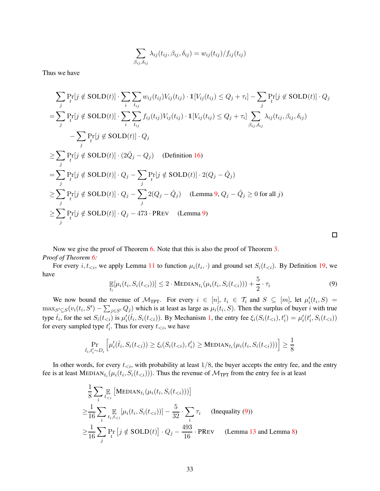$$
\sum_{\beta_{ij},\delta_{ij}} \lambda_{ij}(t_{ij},\beta_{ij},\delta_{ij}) = w_{ij}(t_{ij})/f_{ij}(t_{ij})
$$

Thus we have

$$
\sum_{j} \Pr_{t}[j \notin SOLD(t)] \cdot \sum_{i} \sum_{t_{ij}} w_{ij}(t_{ij}) V_{ij}(t_{ij}) \cdot \mathbb{1}[V_{ij}(t_{ij}) \leq Q_{j} + \tau_{i}] - \sum_{j} \Pr_{t}[j \notin SOLD(t)] \cdot Q_{j}
$$
\n
$$
= \sum_{j} \Pr_{t}[j \notin SOLD(t)] \cdot \sum_{i} \sum_{t_{ij}} f_{ij}(t_{ij}) V_{ij}(t_{ij}) \cdot \mathbb{1}[V_{ij}(t_{ij}) \leq Q_{j} + \tau_{i}] \sum_{\beta_{ij}, \delta_{ij}} \lambda_{ij}(t_{ij}, \beta_{ij}, \delta_{ij}) - \sum_{j} \Pr_{t}[j \notin SOLD(t)] \cdot Q_{j}
$$
\n
$$
\geq \sum_{j} \Pr_{t}[j \notin SOLD(t)] \cdot (2\hat{Q}_{j} - Q_{j}) \quad \text{(Definition 16)}
$$
\n
$$
= \sum_{j} \Pr_{t}[j \notin SOLD(t)] \cdot Q_{j} - \sum_{j} \Pr_{t}[j \notin SOLD(t)] \cdot 2(Q_{j} - \hat{Q}_{j})
$$
\n
$$
\geq \sum_{j} \Pr_{t}[j \notin SOLD(t)] \cdot Q_{j} - \sum_{j} 2(Q_{j} - \hat{Q}_{j}) \quad \text{(Lemma 9, } Q_{j} - \hat{Q}_{j} \geq 0 \text{ for all } j)
$$
\n
$$
\geq \sum_{j} \Pr_{t}[j \notin SOLD(t)] \cdot Q_{j} - 473 \cdot \text{PREV} \quad \text{(Lemma 9)}
$$

Now we give the proof of Theorem [6.](#page-17-1) Note that this is also the proof of Theorem [3.](#page-11-0) *Proof of Theorem [6:](#page-17-1)*

<span id="page-33-0"></span>For every  $i, t_{\leq i}$ , we apply Lemma [11](#page-28-2) to function  $\mu_i(t_i, \cdot)$  and ground set  $S_i(t_{\leq i})$ . By Definition [19,](#page-30-1) we have

$$
\mathop{\mathbb{E}}_{t_i}[\mu_i(t_i, S_i(t_{\n(9)
$$

We now bound the revenue of  $\mathcal{M}_{TPT}$ . For every  $i \in [n]$ ,  $t_i \in \mathcal{T}_i$  and  $S \subseteq [m]$ , let  $\mu'_i(t_i, S) =$  $\max_{S' \subseteq S}(v_i(t_i, S') - \sum_{j \in S'} Q_j)$  which is at least as large as  $\mu_i(t_i, S)$ . Then the surplus of buyer i with true type  $\hat{t}_i$ , for the set  $S_i(t_{\le i})$  is  $\mu'_i(\hat{t}_i, S_i(t_{\le i}))$ . By Mechanism [1,](#page-11-2) the entry fee  $\xi_i(S_i(t_{\le i}), t'_i) = \mu'_i(t'_i, S_i(t_{\le i}))$ for every sampled type  $t'_{i}$ . Thus for every  $t_{< i}$ , we have

$$
\Pr_{\hat{t}_i, t'_i \sim D_i} \left[ \mu'_i(\hat{t}_i, S_i(t_{< i})) \ge \xi_i(S_i(t_{< i}), t'_i) \ge \text{MEDIAN}_{t_i}(\mu_i(t_i, S_i(t_{< i}))) \right] \ge \frac{1}{8}
$$

In other words, for every  $t_{\leq i}$ , with probability at least  $1/8$ , the buyer accepts the entry fee, and the entry fee is at least  $\text{MEDIAN}_{t_i}(\mu_i(t_i, S_i(t_{< i})))$ . Thus the revenue of  $\mathcal{M}_{\text{TPT}}$  from the entry fee is at least

$$
\frac{1}{8} \sum_{i} \mathbb{E}_{t < i} \left[ \text{MEDIAN}_{t_i}(\mu_i(t_i, S_i(t_{< i}))) \right]
$$
\n
$$
\geq \frac{1}{16} \sum_{i} \mathbb{E}_{t_i, t_{< i}} [\mu_i(t_i, S_i(t_{< i}))] - \frac{5}{32} \cdot \sum_{i} \tau_i \quad \text{(Inequality (9))}
$$
\n
$$
\geq \frac{1}{16} \sum_{j} \Pr_i \left[ j \notin \text{SOLD}(t) \right] \cdot Q_j - \frac{493}{16} \cdot \text{PREV} \quad \text{(Lemma 13 and Lemma 8)}
$$

 $\Box$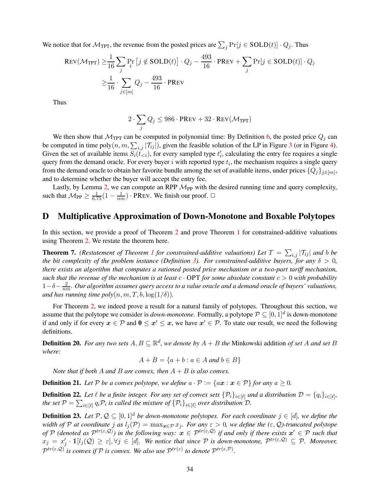We notice that for  $\mathcal{M}_{TPT}$ , the revenue from the posted prices are  $\sum_j \Pr[j \in SOLD(t)] \cdot Q_j$ . Thus

$$
\begin{aligned} \text{Rev}(\mathcal{M}_{\text{TPT}}) &\geq \frac{1}{16} \sum_{j} \Pr_{t} \left[ j \notin \text{SOLD}(t) \right] \cdot Q_{j} - \frac{493}{16} \cdot \text{PREV} + \sum_{j} \Pr[j \in \text{SOLD}(t)] \cdot Q_{j} \\ &\geq \frac{1}{16} \cdot \sum_{j \in [m]} Q_{j} - \frac{493}{16} \cdot \text{PREV} \end{aligned}
$$

Thus

$$
2\cdot \sum_j Q_j \leq 986\cdot \text{PREV} + 32\cdot \text{REV}(\mathcal{M}_\text{TPT})
$$

We then show that  $\mathcal{M}_{TPT}$  can be computed in polynomial time: By Definition [6,](#page-10-5) the posted price  $Q_j$  can be computed in time poly $(n, m, \sum_{i,j} |\mathcal{T}_{ij}|)$ , given the feasible solution of the LP in Figure [3](#page-12-0) (or in Figure [4\)](#page-19-0). Given the set of available items  $S_i(\tilde{t}_{\leq i})$ , for every sampled type  $t'_i$ , calculating the entry fee requires a single query from the demand oracle. For every buyer  $i$  with reported type  $t_i$ , the mechanism requires a single query from the demand oracle to obtain her favorite bundle among the set of available items, under prices  $\{Q_j\}_{j\in[m]},$ and to determine whether the buyer will accept the entry fee.

Lastly, by Lemma [2,](#page-10-2) we can compute an RPP  $\mathcal{M}_{PP}$  with the desired running time and query complexity, such that  $M_{PP} \ge \frac{1}{6.75} (1 - \frac{1}{nm}) \cdot \text{PREV}$ . We finish our proof.  $\Box$ 

## <span id="page-34-2"></span>D Multiplicative Approximation of Down-Monotone and Boxable Polytopes

<span id="page-34-1"></span>In this section, we provide a proof of Theorem [2](#page-10-0) and prove Theorem [1](#page-5-0) for constrained-additive valuations using Theorem [2.](#page-10-0) We restate the theorem here.

**Theorem 7.** (Restatement of Theorem [1](#page-5-0) for constrained-additive valuations) Let  $T = \sum_{i,j} |T_{ij}|$  and b be *the bit complexity of the problem instance (Definition [3\)](#page-5-2). For constrained-additive buyers, for any*  $\delta > 0$ , *there exists an algorithm that computes a rationed posted price mechanism or a two-part tariff mechanism, such that the revenue of the mechanism is at least*  $c \cdot OPT$  *for some absolute constant*  $c > 0$  *with probability* 1−δ− 2 nm*. Our algorithm assumes query access to a value oracle and a demand oracle of buyers' valuations, and has running time poly* $(n, m, T, b, \log(1/\delta))$ .

For Theorem [2,](#page-10-0) we indeed prove a result for a natural family of polytopes. Throughout this section, we assume that the polytope we consider is *down-monotone*. Formally, a polytope  $P \subseteq [0,1]^d$  is down-monotone if and only if for every  $x \in \mathcal{P}$  and  $0 \leq x' \leq x$ , we have  $x' \in \mathcal{P}$ . To state our result, we need the following definitions.

**Definition 20.** For any two sets  $A, B \subseteq \mathbb{R}^d$ , we denote by  $A + B$  the Minkowski addition of set A and set B *where:*

$$
A + B = \{a + b : a \in A \text{ and } b \in B\}
$$

*Note that if both* A *and* B *are convex, then* A + B *is also convex.*

<span id="page-34-3"></span>**Definition 21.** Let  $P$  be a convex polytope, we define  $a \cdot P := \{ax : x \in P\}$  for any  $a \ge 0$ .

**Definition 22.** Let  $\ell$  be a finite integer. For any set of convex sets  $\{\mathcal{P}_i\}_{i\in[\ell]}$  and a distribution  $\mathcal{D}=\{q_i\}_{i\in[\ell]}$ , *the set*  $P = \sum_{i \in [\ell]} q_i \mathcal{P}_i$  *is called the mixture of*  $\{P_i\}_{i \in [\ell]}$  *over distribution*  $\mathcal{D}$ *.* 

<span id="page-34-0"></span>**Definition 23.** *Let*  $\mathcal{P}, \mathcal{Q} \subseteq [0, 1]^d$  *be down-monotone polytopes. For each coordinate j* ∈ [*d*]*, we define the width of* P at coordinate j as  $l_j(\mathcal{P}) = \max_{\mathbf{x} \in \mathcal{P}} x_j$ . For any  $\varepsilon > 0$ , we define the  $(\varepsilon, \mathcal{Q})$ -truncated polytope *of*  $P$  (denoted as  $P^{tr(\varepsilon, Q)}$ ) in the following way:  $x \in P^{tr(\varepsilon, Q)}$  if and only if there exists  $x' \in P$  such that  $x_j = x'_j \cdot \mathbb{1}[l_j(\mathcal{Q}) \geq \varepsilon], \forall j \in [d]$ . We notice that since P is down-monotone,  $\mathcal{P}^{tr(\varepsilon,\mathcal{Q})} \subseteq \mathcal{P}$ . Moreover,  $\mathcal{P}^{tr(\varepsilon, \mathcal{Q})}$  *is convex if*  $\mathcal{P}$  *is convex. We also use*  $\mathcal{P}^{tr(\varepsilon)}$  *to denote*  $\mathcal{P}^{tr(\varepsilon, \mathcal{P})}$ *.*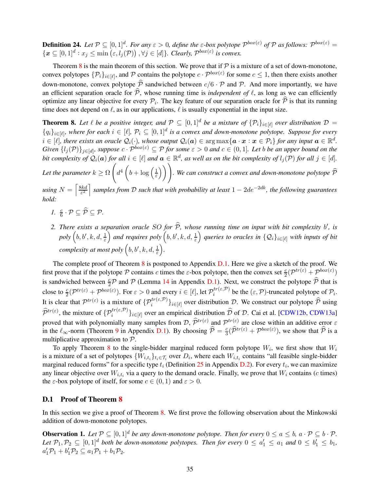**Definition 24.** Let  $P \subseteq [0,1]^d$ . For any  $\varepsilon > 0$ , define the  $\varepsilon$ -box polytope  $P^{box(\varepsilon)}$  of  $P$  as follows:  $P^{box(\varepsilon)} =$  $\{x\subseteq [0,1]^d : x_j \leq \min\left(\varepsilon, l_j(\mathcal{P})\right), \forall j \in [d]\}.$  Clearly,  $\mathcal{P}^{box(\varepsilon)}$  is convex.

Theorem [8](#page-35-0) is the main theorem of this section. We prove that if  $P$  is a mixture of a set of down-monotone, convex polytopes  $\{\mathcal{P}_i\}_{i\in[\ell]}$ , and  $\mathcal P$  contains the polytope  $c \cdot \mathcal P^{box(\varepsilon)}$  for some  $c \le 1$ , then there exists another down-monotone, convex polytope  $\hat{P}$  sandwiched between  $c/6 \cdot P$  and P. And more importantly, we have an efficient separation oracle for  $\hat{\mathcal{P}}$ , whose running time is *independent of*  $\ell$ , as long as we can efficiently optimize any linear objective for every  $P_i$ . The key feature of our separation oracle for  $P$  is that its running time does not depend on  $\ell$ , as in our applications,  $\ell$  is usually exponential in the input size.

<span id="page-35-0"></span>**Theorem 8.** Let  $\ell$  be a positive integer, and  $\mathcal{P} \subseteq [0,1]^d$  be a mixture of  $\{\mathcal{P}_i\}_{i \in [\ell]}$  over distribution  $\mathcal{D} =$  ${q_i}_{i\in[\ell]}$ , where for each  $i\in[\ell], p_i\subseteq[0,1]^d$  is a convex and down-monotone polytope. Suppose for every  $i \in [\ell],$  there exists an oracle  $\mathcal{Q}_i(\cdot)$ , whose output  $\mathcal{Q}_i(a) \in \argmax\{a \cdot x : x \in \mathcal{P}_i\}$  for any input  $a \in \mathbb{R}^d$ . *Given*  $\{l_j(\mathcal{P})\}_{j\in[d]}$ , suppose  $c \cdot \mathcal{P}^{box(\varepsilon)} \subseteq \mathcal{P}$  for some  $\varepsilon > 0$  and  $c \in (0,1]$ . Let b be an upper bound on the *bit complexity of*  $\mathcal{Q}_i(\boldsymbol{a})$  *for all*  $i \in [\ell]$  *and*  $\boldsymbol{a} \in \mathbb{R}^d$ , *as well as on the bit complexity of*  $l_j(\mathcal{P})$  *for all*  $j \in [d]$ . Let the parameter  $k \geq \Omega$  $\sqrt{ }$  $d^4\left(b+\log\left(\frac{1}{\varepsilon}\right)\right)$ ε  $\bigwedge$ *. We can construct a convex and down-monotone polytope* Pb

*using*  $N = \left[\frac{8kd}{\epsilon^2}\right]$ ε 2 m *samples from* D *such that with probability at least* 1 − 2de−2dk*, the following guarantees hold:*

- *1.*  $\frac{c}{6} \cdot \mathcal{P} \subseteq \widehat{\mathcal{P}} \subseteq \mathcal{P}$ .
- 2. There exists a separation oracle SO for  $\widehat{P}$ , whose running time on input with bit complexity b', is  $poly\left(b, b', k, d, \frac{1}{\varepsilon}\right)$ *and requires poly*  $(b, b', k, d, \frac{1}{\varepsilon})$ *queries to oracles in*  $\{Q_i\}_{i\in[\ell]}$  *with inputs of bit complexity at most poly*  $(b, b', k, d, \frac{1}{\varepsilon})$ *.*

The complete proof of Theorem  $8$  is postponed to Appendix [D.1.](#page-35-1) Here we give a sketch of the proof. We first prove that if the polytope P contains c times the  $\varepsilon$ -box polytope, then the convex set  $\frac{c}{2}(\mathcal{P}^{tr(\varepsilon)} + \mathcal{P}^{box(\varepsilon)})$ is sandwiched between  $\frac{c}{2}\mathcal{P}$  and  $\mathcal{P}$  (Lemma [14](#page-36-0) in Appendix [D.1\)](#page-35-1). Next, we construct the polytope  $\hat{\mathcal{P}}$  that is close to  $\frac{c}{2}(\mathcal{P}^{tr(\varepsilon)} + \mathcal{P}^{box(\varepsilon)})$ . For  $\varepsilon > 0$  and every  $i \in [\ell]$ , let  $\mathcal{P}^{tr(\varepsilon, \mathcal{P})}_{i}$  $\hat{e}^{tr(\varepsilon,\nu)}$  be the  $(\varepsilon,\mathcal{P})$ -truncated polytope of  $\mathcal{P}_i$ . It is clear that  $\mathcal{P}^{tr(\varepsilon)}$  is a mixture of  $\{\mathcal{P}_i^{tr(\varepsilon,\mathcal{P})}\}_{i\in[\ell]}$  over distribution D. We construct our polytope  $\widehat{\mathcal{P}}$  using  $\hat{\mathcal{P}}^{tr(\varepsilon)}$ , the mixture of  $\{\mathcal{P}_i^{tr(\varepsilon,\mathcal{P})}\}_{i\in[\ell]}$  over an empirical distribution  $\hat{\mathcal{D}}$  of  $\mathcal{D}$ . Cai et al. [\[CDW12b,](#page-62-3) [CDW13a\]](#page-62-4) proved that with polynomially many samples from  $\mathcal{D}, \hat{\mathcal{P}}^{tr(\varepsilon)}$  and  $\mathcal{P}^{tr(\varepsilon)}$  are close within an additive error  $\varepsilon$ in the  $\ell_{\infty}$ -norm (Theorem [9](#page-36-1) in Appendix [D.1\)](#page-35-1). By choosing  $\hat{\mathcal{P}} = \frac{c}{3}$  $\frac{c}{3}(\widehat{\mathcal{P}}^{tr(\varepsilon)} + \mathcal{P}^{box(\varepsilon)})$ , we show that  $\widehat{\mathcal{P}}$  is a multiplicative approximation to P.

To apply Theorem [8](#page-35-0) to the single-bidder marginal reduced form polytope  $W_i$ , we first show that  $W_i$ is a mixture of a set of polytopes  $\{W_{i,t_i}\}_{t_i \in \mathcal{T}_i}$  over  $D_i$ , where each  $W_{i,t_i}$  contains "all feasible single-bidder marginal reduced forms" for a specific type  $t_i$  (Definition [25](#page-39-1) in Appendix [D.2\)](#page-39-0). For every  $t_i$ , we can maximize any linear objective over  $W_{i,t_i}$  via a query to the demand oracle. Finally, we prove that  $W_i$  contains (*c* times) the  $\varepsilon$ -box polytope of itself, for some  $c \in (0, 1)$  and  $\varepsilon > 0$ .

### <span id="page-35-1"></span>D.1 Proof of Theorem [8](#page-35-0)

In this section we give a proof of Theorem [8.](#page-35-0) We first prove the following observation about the Minkowski addition of down-monotone polytopes.

**Observation 1.** Let  $\mathcal{P} \subseteq [0,1]^d$  be any down-monotone polytope. Then for every  $0 \le a \le b$ ,  $a \cdot \mathcal{P} \subseteq b \cdot \mathcal{P}$ . Let  $\mathcal{P}_1, \mathcal{P}_2 \subseteq [0,1]^d$  both be down-monotone polytopes. Then for every  $0 \le a_1' \le a_1$  and  $0 \le b_1' \le b_1$ ,  $a'_1\mathcal{P}_1 + b'_1\mathcal{P}_2 \subseteq a_1\mathcal{P}_1 + b_1\mathcal{P}_2.$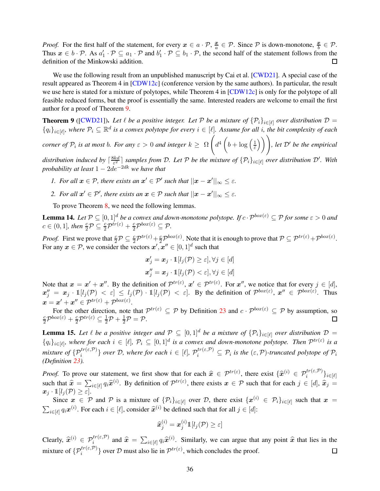*Proof.* For the first half of the statement, for every  $x \in a \cdot \mathcal{P}$ ,  $\frac{x}{a}$  $\frac{x}{a} \in \mathcal{P}$ . Since  $\mathcal P$  is down-monotone,  $\frac{x}{b} \in \mathcal{P}$ . Thus  $x \in b \cdot \mathcal{P}$ . As  $a'_1 \cdot \mathcal{P} \subseteq a_1 \cdot \mathcal{P}$  and  $b'_1 \cdot \mathcal{P} \subseteq b_1 \cdot \mathcal{P}$ , the second half of the statement follows from the definition of the Minkowski addition.  $\Box$ 

We use the following result from an unpublished manuscript by Cai et al. [\[CWD21\]](#page-63-14). A special case of the result appeared as Theorem 4 in [\[CDW12c\]](#page-62-12) (conference version by the same authors). In particular, the result we use here is stated for a mixture of polytopes, while Theorem 4 in [\[CDW12c\]](#page-62-12) is only for the polytope of all feasible reduced forms, but the proof is essentially the same. Interested readers are welcome to email the first author for a proof of Theorem [9.](#page-36-1)

<span id="page-36-1"></span>**Theorem 9** ([\[CWD21\]](#page-63-14)). Let  $\ell$  be a positive integer. Let P be a mixture of  $\{\mathcal{P}_i\}_{i\in[\ell]}$  over distribution  $\mathcal{D}$  =  ${q_i}_{i\in[\ell]}$ , where  $P_i\subseteq\mathbb{R}^d$  is a convex polytope for every  $i\in[\ell]$ . Assume for all i, the bit complexity of each  $\sqrt{ }$ 

*corner of*  $\mathcal{P}_i$  *is at most b. For any*  $\varepsilon > 0$  *and integer*  $k \geq \Omega$  $d^4\left(b+\log\left(\frac{1}{\varepsilon}\right)\right)$ ε  $\binom{1}{k}$ , let  $\mathcal{D}'$  be the empirical

*distribution induced by*  $\lceil \frac{8kd}{s^2} \rceil$  $\frac{dkd}{\epsilon^2}$  *samples from D. Let* P *be the mixture of*  $\{\mathcal{P}_i\}_{i\in[\ell]}$  *over distribution D'. With probability at least* 1 − 2de−2dk *we have that*

- *1. For all*  $x \in \mathcal{P}$ *, there exists an*  $x' \in \mathcal{P}'$  such that  $||x x'||_{\infty} \leq \varepsilon$ *.*
- 2. For all  $x' \in \mathcal{P}'$ , there exists an  $x \in \mathcal{P}$  such that  $||x x'||_{\infty} \leq \varepsilon$ .

<span id="page-36-0"></span>To prove Theorem [8,](#page-35-0) we need the following lemmas.

**Lemma 14.** Let  $P \subseteq [0,1]^d$  be a convex and down-monotone polytope. If  $c \cdot P^{box(\varepsilon)} \subseteq P$  for some  $\varepsilon > 0$  and  $c \in (0,1]$ , then  $\frac{c}{2} \mathcal{P} \subseteq \frac{c}{2} \mathcal{P}^{tr(\varepsilon)} + \frac{c}{2} \mathcal{P}^{box(\varepsilon)} \subseteq \mathcal{P}$ .

*Proof.* First we prove that  $\frac{c}{2} \mathcal{P} \subseteq \frac{c}{2} \mathcal{P}^{tr(\varepsilon)} + \frac{c}{2} \mathcal{P}^{box(\varepsilon)}$ . Note that it is enough to prove that  $\mathcal{P} \subseteq \mathcal{P}^{tr(\varepsilon)} + \mathcal{P}^{box(\varepsilon)}$ . For any  $x \in \mathcal{P}$ , we consider the vectors  $x', x'' \in [0, 1]^d$  such that

$$
\mathbf{x}'_j = \mathbf{x}_j \cdot \mathbb{1}[l_j(\mathcal{P}) \ge \varepsilon], \forall j \in [d]
$$
  

$$
\mathbf{x}''_j = \mathbf{x}_j \cdot \mathbb{1}[l_j(\mathcal{P}) < \varepsilon], \forall j \in [d]
$$

Note that  $x = x' + x''$ . By the definition of  $\mathcal{P}^{tr(\varepsilon)}$ ,  $x' \in \mathcal{P}^{tr(\varepsilon)}$ . For  $x''$ , we notice that for every  $j \in [d]$ ,  $x''_j = x_j \cdot 1\!\!1[i(\mathcal{P}) \lt \varepsilon] \leq l_j(\mathcal{P}) \cdot 1\!\!1[i(\mathcal{P}) \lt \varepsilon]$ . By the definition of  $\mathcal{P}^{box(\varepsilon)}, x'' \in \mathcal{P}^{box(\varepsilon)}$ . Thus  $\boldsymbol{x} = \boldsymbol{x}^{\prime} + \boldsymbol{x}^{\prime \prime} \in \mathcal{P}^{tr(\varepsilon)} + \mathcal{P}^{box(\varepsilon)}.$ 

For the other direction, note that  $\mathcal{P}^{tr(\varepsilon)} \subseteq \mathcal{P}$  by Definition [23](#page-34-0) and  $c \cdot \mathcal{P}^{box(\varepsilon)} \subseteq \mathcal{P}$  by assumption, so  $\frac{c}{2}\mathcal{P}^{box(\varepsilon)}+\frac{c}{2}\mathcal{P}^{tr(\varepsilon)}\subseteq \frac{1}{2}\mathcal{P}+\frac{1}{2}\mathcal{P}=\mathcal{P}.$  $\Box$ 

<span id="page-36-2"></span>**Lemma 15.** Let  $\ell$  be a positive integer and  $\mathcal{P} \subseteq [0,1]^d$  be a mixture of  $\{\mathcal{P}_i\}_{i \in [\ell]}$  over distribution  $\mathcal{D} =$  ${q_i}_{i\in[\ell]}$ , where for each  $i \in [\ell], p_i \subseteq [0,1]^d$  is a convex and down-monotone polytope. Then  $\mathcal{P}^{tr(\varepsilon)}$  is a  $mixture of {p_i^{tr(\varepsilon,\mathcal{P})}}$  *over*  $\mathcal{D}$ *, where for each*  $i \in [\ell], \ \mathcal{P}_i^{tr(\varepsilon,\mathcal{P})} \subseteq \mathcal{P}_i$  *is the*  $(\varepsilon,\mathcal{P})$ *-truncated polytope of*  $\mathcal{P}_i$ *(Definition [23\)](#page-34-0).*

*Proof.* To prove our statement, we first show that for each  $\hat{x} \in \mathcal{P}^{tr(\varepsilon)}$ , there exist  $\{\hat{x}^{(i)} \in \mathcal{P}^{tr(\varepsilon, \mathcal{P})}_i\}_{i \in [\ell]}$ such that  $\hat{x} = \sum_{i \in [\ell]} q_i \hat{x}^{(i)}$ . By definition of  $\mathcal{P}^{tr(\varepsilon)}$ , there exists  $x \in \mathcal{P}$  such that for each  $j \in [d], \hat{x}_j =$  $\boldsymbol{x}_j \cdot \mathbb{1}[l_j(\mathcal{P}) \geq \varepsilon].$ 

Since  $x \in \mathcal{P}$  and  $\mathcal{P}$  is a mixture of  $\{\mathcal{P}_i\}_{i \in [\ell]}$  over  $\mathcal{D}$ , there exist  $\{x^{(i)} \in \mathcal{P}_i\}_{i \in [\ell]}$  such that  $x =$  $\sum_{i \in [\ell]} q_i \boldsymbol{x}^{(i)}$ . For each  $i \in [\ell]$ , consider  $\widehat{\boldsymbol{x}}^{(i)}$  be defined such that for all  $j \in [d]$ :

$$
\widehat{\bm{x}}_j^{(i)} = \bm{x}_j^{(i)}\mathbb{1}[l_j(\mathcal{P}) \geq \varepsilon]
$$

<span id="page-36-3"></span>Clearly,  $\hat{x}^{(i)} \in \mathcal{P}_i^{tr(\varepsilon,\mathcal{P})}$  and  $\hat{x} = \sum_{i \in [\ell]} q_i \hat{x}^{(i)}$ . Similarly, we can argue that any point  $\hat{x}$  that lies in the mixture of  $\{\mathcal{P}_i^{tr(\varepsilon,\mathcal{P})}\}$  over  $\mathcal D$  must also lie in  $\mathcal{P}^{tr(\varepsilon)}$ , which concludes the proof.  $\Box$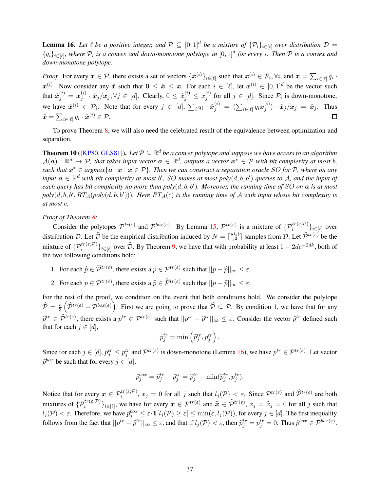**Lemma 16.** Let  $\ell$  be a positive integer, and  $\mathcal{P} \subseteq [0,1]^d$  be a mixture of  $\{\mathcal{P}_i\}_{i \in [\ell]}$  over distribution  $\mathcal{D} =$  ${q_i}_{i\in[\ell]}$ , where  $P_i$  is a convex and down-monotone polytope in  $[0,1]^d$  for every *i*. Then  $P$  is a convex and *down-monotone polytope.*

*Proof.* For every  $x \in \mathcal{P}$ , there exists a set of vectors  $\{x^{(i)}\}_{i \in [\ell]}$  such that  $x^{(i)} \in \mathcal{P}_i$ ,  $\forall i$ , and  $x = \sum_{i \in [\ell]} q_i$ .  $x^{(i)}$ . Now consider any  $\hat{x}$  such that  $0 \leq \hat{x} \leq x$ . For each  $i \in [\ell]$ , let  $\hat{x}^{(i)} \in [0,1]^d$  be the vector such that  $\hat{\boldsymbol{x}}_j^{(i)}=\boldsymbol{x}_j^{(i)}$  $j_j^{(i)} \cdot \hat{\boldsymbol{x}}_j/\boldsymbol{x}_j, \forall j \in [d].$  Clearly,  $0 \leq \hat{x}_j^{(i)} \leq x_j^{(i)}$  $j^{(i)}$  for all  $j \in [d]$ . Since  $\mathcal{P}_i$  is down-monotone, we have  $\hat{x}^{(i)} \in \mathcal{P}_i$ . Note that for every  $j \in [d]$ ,  $\sum_i q_i \cdot \hat{x}_j^{(i)} = (\sum_{i \in [\ell]} q_i x_j^{(i)})$  $\hat{x}_j^{(i)}) \cdot \hat{x}_j/x_j \; = \; \hat{x}_j.$  Thus  $\hat{\boldsymbol{x}} = \sum_{i \in [\ell]} q_i \cdot \hat{\boldsymbol{x}}^{(i)} \in \mathcal{P}.$  $\Box$ 

<span id="page-37-0"></span>To prove Theorem [8,](#page-35-0) we will also need the celebrated result of the equivalence between optimization and separation.

**Theorem 10** ([\[KP80,](#page-64-10) [GLS81\]](#page-64-11)). Let  $P \subseteq \mathbb{R}^d$  be a convex polytope and suppose we have access to an algorithm  $\mathcal{A}(\bm{a})$  :  $\mathbb{R}^d \to \mathcal{P}$ , that takes input vector  $\bm{a} \in \mathbb{R}^d$ , outputs a vector  $\bm{x}^* \in \mathcal{P}$  with bit complexity at most b, *such that*  $x^*$  ∈ *argmax*{ $a \cdot x : x \in \mathcal{P}$ }. Then we can construct a separation oracle SO for  $\mathcal{P}$ , where on any  $\mathbf{f}$  input  $\mathbf{a} \in \mathbb{R}^d$  with bit complexity at most b', SO makes at most  $poly(d, b, b')$  queries to A, and the input of *each query has bit complexity no more than poly*(d, b, b′ )*. Moreover, the running time of* SO *on* a *is at most*  $poly(d, b, b', RT_{\mathcal{A}}(poly(d, b, b')))$ *. Here*  $RT_{\mathcal{A}}(c)$  *is the running time of*  $\mathcal A$  *with input whose bit complexity is at most* c*.*

#### *Proof of Theorem [8:](#page-35-0)*

Consider the polytopes  $\mathcal{P}^{tr(\varepsilon)}$  and  $\mathcal{P}^{box(\varepsilon)}$ . By Lemma [15,](#page-36-2)  $\mathcal{P}^{tr(\varepsilon)}$  is a mixture of  $\{\mathcal{P}_i^{tr(\varepsilon, \mathcal{P})}\}_{i \in [\ell]}$  over distribution D. Let  $\widehat{\mathcal{D}}$  be the empirical distribution induced by  $N = \lceil \frac{8kd}{\varepsilon^2} \rceil$  $\frac{skd}{\varepsilon^2}$  samples from D. Let  $\widehat{\mathcal{P}}^{tr(\varepsilon)}$  be the mixture of  $\{\mathcal{P}_i^{tr(\varepsilon,\mathcal{P})}\}_{i\in[\ell]}$  over  $\widehat{\mathcal{D}}$ . By Theorem [9,](#page-36-1) we have that with probability at least  $1-2de^{-2dk}$ , both of the two following conditions hold:

- 1. For each  $\hat{p} \in \hat{\mathcal{P}}^{tr(\varepsilon)}$ , there exists a  $p \in \mathcal{P}^{tr(\varepsilon)}$  such that  $||p \hat{p}||_{\infty} \leq \varepsilon$ .
- 2. For each  $p \in \mathcal{P}^{tr(\varepsilon)}$ , there exists a  $\widehat{p} \in \widehat{\mathcal{P}}^{tr(\varepsilon)}$  such that  $||p \widehat{p}||_{\infty} \le \varepsilon$ .

For the rest of the proof, we condition on the event that both conditions hold. We consider the polytope  $\widehat{\mathcal{P}} = \frac{c}{3}$ 3  $(\hat{\mathcal{P}}^{tr(\varepsilon)} + \mathcal{P}^{box(\varepsilon)})$ . First we are going to prove that  $\hat{\mathcal{P}} \subseteq \mathcal{P}$ . By condition 1, we have that for any  $\hat{p}^{tr} \in \hat{\mathcal{P}}^{tr(\varepsilon)}$ , there exists a  $p^{tr} \in \mathcal{P}^{tr(\varepsilon)}$  such that  $||p^{tr} - \hat{p}^{tr}||_{\infty} \le \varepsilon$ . Consider the vector  $\hat{p}^{tr}$  defined such that for each  $j \in [d]$ ,

$$
\tilde{p}_j^{tr} = \min \left( \hat{p}_j^{tr}, p_j^{tr} \right).
$$

Since for each  $j \in [d]$ ,  $\tilde{p}_j^{tr} \leq p_j^{tr}$  and  $\mathcal{P}^{tr(\varepsilon)}$  is down-monotone (Lemma [16\)](#page-36-3), we have  $\tilde{p}^{tr} \in \mathcal{P}^{tr(\varepsilon)}$ . Let vector  $\tilde{p}^{box}$  be such that for every  $j \in [d]$ ,

$$
\tilde{p}_j^{box} = \hat{p}_j^{tr} - \tilde{p}_j^{tr} = \hat{p}_j^{tr} - \min(\hat{p}_j^{tr}, p_j^{tr}).
$$

Notice that for every  $x \in \mathcal{P}_i^{tr(\varepsilon,\mathcal{P})}$ ,  $x_j = 0$  for all j such that  $l_j(\mathcal{P}) < \varepsilon$ . Since  $\mathcal{P}^{tr(\varepsilon)}$  and  $\widehat{\mathcal{P}}^{tr(\varepsilon)}$  are both mixtures of  $\{\mathcal{P}_i^{tr(\varepsilon, \mathcal{P})}\}_{i \in [\ell]}$ , we have for every  $x \in \mathcal{P}^{tr(\varepsilon)}$  and  $\hat{x} \in \widehat{\mathcal{P}}^{tr(\varepsilon)}$ ,  $x_j = \widehat{x}_j = 0$  for all j such that  $l_j(\mathcal{P}) < \varepsilon$ . Therefore, we have  $\tilde{p}_j^{box} \leq \varepsilon \cdot \mathbb{1}[l_j(\mathcal{P}) \geq \varepsilon] \leq \min(\varepsilon, l_j(\mathcal{P}))$ , for every  $j \in [d]$ . The first inequality follows from the fact that  $||p^{tr} - \hat{p}^{tr}||_{\infty} \leq \varepsilon$ , and that if  $l_j(\mathcal{P}) < \varepsilon$ , then  $\hat{p}_j^{tr} = p_j^{tr} = 0$ . Thus  $\tilde{p}^{box} \in \mathcal{P}^{box(\varepsilon)}$ .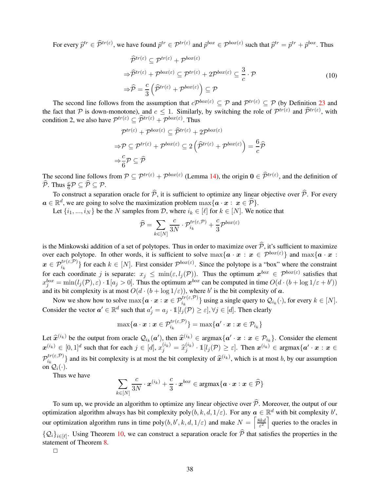For every  $\hat{p}^{tr} \in \hat{\mathcal{P}}^{tr(\varepsilon)}$ , we have found  $\tilde{p}^{tr} \in \mathcal{P}^{tr(\varepsilon)}$  and  $\tilde{p}^{box} \in \mathcal{P}^{box(\varepsilon)}$  such that  $\tilde{p}^{tr} = \tilde{p}^{tr} + \tilde{p}^{box}$ . Thus

$$
\widehat{\mathcal{P}}^{tr(\varepsilon)} \subseteq \mathcal{P}^{tr(\varepsilon)} + \mathcal{P}^{box(\varepsilon)}
$$
\n
$$
\Rightarrow \widehat{\mathcal{P}}^{tr(\varepsilon)} + \mathcal{P}^{box(\varepsilon)} \subseteq \mathcal{P}^{tr(\varepsilon)} + 2\mathcal{P}^{box(\varepsilon)} \subseteq \frac{3}{c} \cdot \mathcal{P}
$$
\n
$$
\Rightarrow \widehat{\mathcal{P}} = \frac{c}{3} \left( \widehat{\mathcal{P}}^{tr(\varepsilon)} + \mathcal{P}^{box(\varepsilon)} \right) \subseteq \mathcal{P}
$$
\n(10)

The second line follows from the assumption that  $c\mathcal{P}^{box(\varepsilon)} \subseteq \mathcal{P}$  and  $\mathcal{P}^{tr(\varepsilon)} \subseteq \mathcal{P}$  (by Definition [23](#page-34-0) and the fact that P is down-monotone), and  $c \le 1$ . Similarly, by switching the role of  $\mathcal{P}^{tr(\varepsilon)}$  and  $\widehat{\mathcal{P}}^{tr(\varepsilon)}$ , with condition 2, we also have  $\mathcal{P}^{tr(\varepsilon)} \subseteq \widehat{\mathcal{P}}^{tr(\varepsilon)} + \mathcal{P}^{box(\varepsilon)}$ . Thus

$$
\mathcal{P}^{tr(\varepsilon)} + \mathcal{P}^{box(\varepsilon)} \subseteq \widehat{\mathcal{P}}^{tr(\varepsilon)} + 2\mathcal{P}^{box(\varepsilon)}
$$

$$
\Rightarrow \mathcal{P} \subseteq \mathcal{P}^{tr(\varepsilon)} + \mathcal{P}^{box(\varepsilon)} \subseteq 2(\widehat{\mathcal{P}}^{tr(\varepsilon)} + \mathcal{P}^{box(\varepsilon)}) = \frac{6}{c}\widehat{\mathcal{P}}
$$

$$
\Rightarrow \frac{c}{6}\mathcal{P} \subseteq \widehat{\mathcal{P}}
$$

The second line follows from  $P \subseteq P^{tr(\varepsilon)} + P^{box(\varepsilon)}$  (Lemma [14\)](#page-36-0), the origin  $\mathbf{0} \in \hat{P}^{tr(\varepsilon)}$ , and the definition of  $\widehat{\mathcal{P}}$ . Thus  $\frac{c}{6}\mathcal{P} \subseteq \widehat{\mathcal{P}} \subseteq \mathcal{P}$ .

To construct a separation oracle for  $\hat{P}$ , it is sufficient to optimize any linear objective over  $\hat{P}$ . For every  $a \in \mathbb{R}^d$ , we are going to solve the maximization problem  $\max\{a \cdot x : x \in \widehat{P}\}.$ 

Let  $\{i_1, ..., i_N\}$  be the N samples from D, where  $i_k \in [\ell]$  for  $k \in [N]$ . We notice that

$$
\widehat{\mathcal{P}} = \sum_{k \in [N]} \frac{c}{3N} \cdot \mathcal{P}^{tr(\varepsilon, \mathcal{P})}_{i_k} + \frac{c}{3} \mathcal{P}^{box(\varepsilon)}
$$

is the Minkowski addition of a set of polytopes. Thus in order to maximize over  $\hat{P}$ , it's sufficient to maximize over each polytope. In other words, it is sufficient to solve  $\max\{a \cdot x : x \in \mathcal{P}^{box(\varepsilon)}\}\$ and  $\max\{a \cdot x : x \in \mathcal{P}^{box(\varepsilon)}\}$  $\mathbf{x} \in \mathcal{P}_{i_k}^{tr(\varepsilon, \mathcal{P})}$  for each  $k \in [N]$ . First consider  $\mathcal{P}^{box(\varepsilon)}$ . Since the polytope is a "box" where the constraint for each coordinate j is separate:  $x_j \leq \min(\varepsilon, l_j(\mathcal{P}))$ . Thus the optimum  $x^{box} \in \mathcal{P}^{box(\varepsilon)}$  satisfies that  $x_j^{box} = \min(l_j(\mathcal{P}), \varepsilon) \cdot \mathbb{1}[a_j > 0]$ . Thus the optimum  $x^{box}$  can be computed in time  $O(d \cdot (b + \log 1/\varepsilon + b'))$ and its bit complexity is at most  $O(d \cdot (b + \log 1/\varepsilon))$ , where b' is the bit complexity of a.

Now we show how to solve  $\max\{a \cdot x : x \in \mathcal{P}_{i_k}^{tr(\varepsilon, \mathcal{P})}\}$  using a single query to  $\mathcal{Q}_{i_k}(\cdot)$ , for every  $k \in [N]$ . Consider the vector  $a' \in \mathbb{R}^d$  such that  $a'_j = a_j \cdot \mathbb{1}[l_j(\mathcal{P}) \ge \varepsilon], \forall j \in [d]$ . Then clearly

$$
\max\{\boldsymbol{a}\cdot\boldsymbol{x}:\boldsymbol{x}\in \mathcal{P}^{tr(\varepsilon,\mathcal{P})}_{i_k}\}=\max\{\boldsymbol{a}'\cdot\boldsymbol{x}:\boldsymbol{x}\in \mathcal{P}_{i_k}\}
$$

Let  $\hat{x}^{(i_k)}$  be the output from oracle  $\mathcal{Q}_{i_k}(a')$ , then  $\hat{x}^{(i_k)} \in \operatorname{argmax} \{a' \cdot x : x \in \mathcal{P}_{i_k}\}$ . Consider the element  $\mathbf{x}^{(i_k)} \in [0,1]^d$  such that for each  $j \in [d]$ ,  $x_j^{(i_k)} = \hat{x}_j^{(i_k)}$  $g_j^{(i_k)} \cdot \mathbb{1}[l_j(\mathcal{P}) \geq \varepsilon]$ . Then  $\mathbf{x}^{(i_k)} \in \text{argmax}\{\mathbf{a}' \cdot \mathbf{x} : \mathbf{x} \in \mathcal{P}\}$  $\mathcal{P}^{tr(\varepsilon, \mathcal{P})}_{i_k}$  $\{e^{it(\varepsilon,\nu)}\}$  and its bit complexity is at most the bit complexity of  $\hat{x}^{(i_k)}$ , which is at most b, by our assumption on  $\mathcal{Q}_i(\cdot)$ .

Thus we have

$$
\sum_{k\in[N]}\frac{c}{3N}\cdot\boldsymbol{x}^{(i_k)}+\frac{c}{3}\cdot\boldsymbol{x}^{box}\in\mathop{\rm argmax}\{\boldsymbol{a}\cdot\boldsymbol{x}:\boldsymbol{x}\in\widehat{\mathcal{P}}\}
$$

To sum up, we provide an algorithm to optimize any linear objective over  $\hat{\mathcal{P}}$ . Moreover, the output of our optimization algorithm always has bit complexity poly $(b, k, d, 1/\varepsilon)$ . For any  $a \in \mathbb{R}^d$  with bit complexity  $b'$ , our optimization algorithm runs in time poly $(b, b', k, d, 1/\varepsilon)$  and make  $N = \left[\frac{8kd}{\varepsilon^2}\right]$  $\frac{8kd}{\epsilon^2}$  queries to the oracles in  $\{Q_i\}_{i\in[\ell]}$ . Using Theorem [10,](#page-37-0) we can construct a separation oracle for  $P$  that satisfies the properties in the statement of Theorem [8.](#page-35-0)

 $\Box$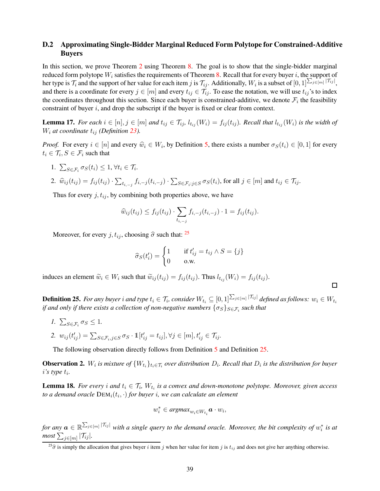## <span id="page-39-0"></span>D.2 Approximating Single-Bidder Marginal Reduced Form Polytope for Constrained-Additive Buyers

In this section, we prove Theorem [2](#page-10-0) using Theorem [8.](#page-35-0) The goal is to show that the single-bidder marginal reduced form polytope  $W_i$  satisfies the requirements of Theorem [8.](#page-35-0) Recall that for every buyer i, the support of her type is  $\mathcal{T}_i$  and the support of her value for each item j is  $\mathcal{T}_{ij}$ . Additionally,  $W_i$  is a subset of  $[0,1]^{\sum_{j\in[m]}|\mathcal{T}_{ij}|}$ , and there is a coordinate for every  $j \in [m]$  and every  $t_{ij} \in \mathcal{T}_{ij}$ . To ease the notation, we will use  $t_{ij}$ 's to index the coordinates throughout this section. Since each buyer is constrained-additive, we denote  $\mathcal{F}_i$  the feasibility constraint of buyer  $i$ , and drop the subscript if the buyer is fixed or clear from context.

<span id="page-39-3"></span>**Lemma 17.** *For each*  $i \in [n], j \in [m]$  *and*  $t_{ij} \in \mathcal{T}_{ij}$ ,  $t_{t_{ij}}(W_i) = f_{ij}(t_{ij})$ *. Recall that*  $t_{t_{ij}}(W_i)$  *is the width of*  $W_i$  *at coordinate*  $t_{ij}$  *(Definition [23\)](#page-34-0).* 

*Proof.* For every  $i \in [n]$  and every  $\hat{w}_i \in W_i$ , by Definition [5,](#page-8-2) there exists a number  $\sigma_S(t_i) \in [0,1]$  for every  $t_i \in \mathcal{T}_i, S \in \mathcal{F}_i$  such that

1.  $\sum_{S \in \mathcal{F}_i} \sigma_S(t_i) \leq 1, \forall t_i \in \mathcal{T}_i$ .

2. 
$$
\widehat{w}_{ij}(t_{ij}) = f_{ij}(t_{ij}) \cdot \sum_{t_{i,-j}} f_{i,-j}(t_{i,-j}) \cdot \sum_{S \in \mathcal{F}_i : j \in S} \sigma_S(t_i)
$$
, for all  $j \in [m]$  and  $t_{ij} \in \mathcal{T}_{ij}$ .

Thus for every  $j, t_{ij}$ , by combining both properties above, we have

$$
\widehat{w}_{ij}(t_{ij}) \leq f_{ij}(t_{ij}) \cdot \sum_{t_{i,-j}} f_{i,-j}(t_{i,-j}) \cdot 1 = f_{ij}(t_{ij}).
$$

Moreover, for every  $j, t_{ij}$ , choosing  $\hat{\sigma}$  such that: <sup>[25](#page-39-2)</sup>

$$
\widehat{\sigma}_S(t'_i) = \begin{cases} 1 & \text{if } t'_{ij} = t_{ij} \wedge S = \{j\} \\ 0 & \text{o.w.} \end{cases}
$$

induces an element  $\widetilde{w}_i \in W_i$  such that  $\widetilde{w}_{ij}(t_{ij}) = f_{ij}(t_{ij})$ . Thus  $l_{t_{ij}}(W_i) = f_{ij}(t_{ij})$ .

<span id="page-39-1"></span>**Definition 25.** For any buyer  $i$  and type  $t_i \in \mathcal{T}_i$ , consider  $W_{t_i} \subseteq [0,1]^{\sum_{j\in [m]} |\mathcal{T}_{ij}|}$  defined as follows:  $w_i \in W_{t_i}$ if and only if there exists a collection of non-negative numbers  $\{\sigma_S\}_{S\in\mathcal{F}_i}$  such that

 $\Box$ 

*1.*  $\sum_{S \in \mathcal{F}_i} \sigma_S \leq 1$ . 2.  $w_{ij}(t'_{ij}) = \sum_{S \in \mathcal{F}_i, j \in S} \sigma_S \cdot \mathbb{1}[t'_{ij} = t_{ij}], \forall j \in [m], t'_{ij} \in \mathcal{T}_{ij}$ .

<span id="page-39-4"></span>The following observation directly follows from Definition [5](#page-8-2) and Definition [25.](#page-39-1)

**Observation 2.** W<sub>i</sub> is mixture of  $\{W_{t_i}\}_{t_i \in \mathcal{T}_i}$  over distribution  $D_i$ . Recall that  $D_i$  is the distribution for buyer i*'s type* t<sup>i</sup> *.*

<span id="page-39-5"></span>**Lemma 18.** *For every* i and  $t_i \in \mathcal{T}_i$ ,  $W_{t_i}$  is a convex and down-monotone polytope. Moreover, given access *to a demand oracle* DEMi(t<sup>i</sup> , ·) *for buyer* i*, we can calculate an element*

$$
w_i^* \in \text{argmax}_{w_i \in W_{t_i}} \mathbf{a} \cdot w_i,
$$

*for any*  $a \in \mathbb{R}^{\sum_{j\in[m]}|\mathcal{T}_{ij}|}$  *with a single query to the demand oracle. Moreover, the bit complexity of*  $w_i^*$  *is at*  $\textit{most } \sum_{j \in [m]} |\mathcal{T}_{ij}|.$ 

<span id="page-39-2"></span> $^{25}\hat{\sigma}$  is simply the allocation that gives buyer i item j when her value for item j is  $t_{ij}$  and does not give her anything otherwise.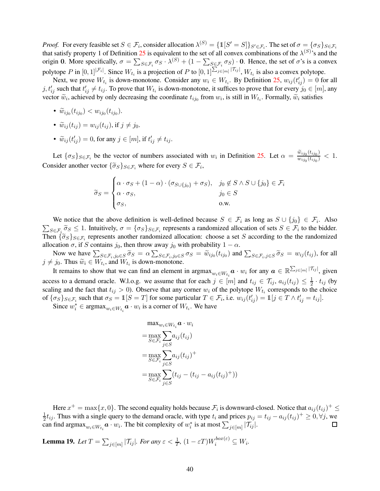*Proof.* For every feasible set  $S \in \mathcal{F}_i$ , consider allocation  $\lambda^{(S)} = \{\mathbb{1}[S'=S]\}_{S' \in \mathcal{F}_i}$ . The set of  $\sigma = \{\sigma_S\}_{S \in \mathcal{F}_i}$ that satisfy property 1 of Definition [25](#page-39-1) is equivalent to the set of all convex combinations of the  $\lambda^{(S)}$ 's and the origin 0. More specifically,  $\sigma = \sum_{S \in \mathcal{F}_i} \sigma_S \cdot \lambda^{(S)} + (1 - \sum_{S \in \mathcal{F}_i} \sigma_S) \cdot 0$ . Hence, the set of  $\sigma$ 's is a convex polytope P in  $[0,1]^{|\mathcal{F}_i|}$ . Since  $W_{t_i}$  is a projection of P to  $[0,1]^{\sum_{j\in[m]}|\mathcal{T}_{ij}|}$ ,  $W_{t_i}$  is also a convex polytope.

Next, we prove  $W_{t_i}$  is down-monotone. Consider any  $w_i \in W_{t_i}$ . By Definition [25,](#page-39-1)  $w_{ij}(t_{ij}') = 0$  for all  $j, t'_{ij}$  such that  $t'_{ij} \neq t_{ij}$ . To prove that  $W_{t_i}$  is down-monotone, it suffices to prove that for every  $j_0 \in [m]$ , any vector  $\tilde{w}_i$ , achieved by only decreasing the coordinate  $t_{ij_0}$  from  $w_i$ , is still in  $W_{t_i}$ . Formally,  $\tilde{w}_i$  satisfies

- $\widetilde{w}_{ij_0}(t_{ij_0}) < w_{ij_0}(t_{ij_0}).$
- $\widetilde{w}_{ij}(t_{ij}) = w_{ij}(t_{ij}),$  if  $j \neq j_0$ .
- $\widetilde{w}_{ij}(t_{ij}') = 0$ , for any  $j \in [m]$ , if  $t_{ij}' \neq t_{ij}$ .

Let  $\{\sigma_S\}_{S \in \mathcal{F}_i}$  be the vector of numbers associated with  $w_i$  in Definition [25.](#page-39-1) Let  $\alpha = \frac{\tilde{w}_{ij_0}(t_{ij_0})}{w_{ij_0}(t_{ij_0})}$  $\frac{w_{ij_0}(u_{ij_0})}{w_{ij_0}(t_{ij_0})} < 1.$ Consider another vector  $\{\widetilde{\sigma}_S\}_{S \in \mathcal{F}_i}$  where for every  $S \in \mathcal{F}_i$ ,

$$
\widetilde{\sigma}_S = \begin{cases}\n\alpha \cdot \sigma_S + (1 - \alpha) \cdot (\sigma_{S \cup \{j_0\}} + \sigma_S), & j_0 \notin S \land S \cup \{j_0\} \in \mathcal{F}_i \\
\alpha \cdot \sigma_S, & j_0 \in S \\
\sigma_S, & \text{o.w.}\n\end{cases}
$$

We notice that the above definition is well-defined because  $S \in \mathcal{F}_i$  as long as  $S \cup \{j_0\} \in \mathcal{F}_i$ . Also  $\sum_{S \in \mathcal{F}_i} \tilde{\sigma}_S \leq 1$ . Intuitively,  $\sigma = {\{\sigma_S\}}_{S \in \mathcal{F}_i}$  represents a randomized allocation of sets  $S \in \mathcal{F}_i$  to the bidder. Then  $\{\widetilde{\sigma}_S\}_{S \in \mathcal{F}_i}$  represents another randomized allocation: choose a set S according to the the randomized allocation  $\sigma$ , if S contains  $j_0$ , then throw away  $j_0$  with probability  $1 - \alpha$ .

Now we have  $\sum_{S \in \mathcal{F}_i, j_0 \in S} \tilde{\sigma}_S = \alpha \sum_{S \in \mathcal{F}_i, j_0 \in S} \sigma_S = \tilde{w}_{ij_0}(t_{ij_0})$  and  $\sum_{S \in \mathcal{F}_i, j \in S} \tilde{\sigma}_S = w_{ij}(t_{ij})$ , for all  $j \neq j_0$ . Thus  $\widetilde{w}_i \in W_{t_i}$ , and  $W_{t_i}$  is down-monotone.

It remains to show that we can find an element in  $\argmax_{w_i \in W_{t_i}} a \cdot w_i$  for any  $a \in \mathbb{R}^{\sum_{j \in [m]} |\mathcal{T}_{ij}|}$ , given access to a demand oracle. W.l.o.g. we assume that for each  $j \in [m]$  and  $t_{ij} \in \mathcal{T}_{ij}$ ,  $a_{ij}(t_{ij}) \leq \frac{1}{2}$  $\frac{1}{2} \cdot t_{ij}$  (by scaling and the fact that  $t_{ij} > 0$ ). Observe that any corner  $w_i$  of the polytope  $W_{t_i}$  corresponds to the choice of  $\{\sigma_S\}_{S \in \mathcal{F}_i}$  such that  $\sigma_S = \mathbb{1}[S = T]$  for some particular  $T \in \mathcal{F}_i$ , i.e.  $w_{ij}(t'_{ij}) = \mathbb{1}[j \in T \wedge t'_{ij} = t_{ij}]$ .

Since  $w_i^* \in \text{argmax}_{w_i \in W_{t_i}} \mathbf{a} \cdot w_i$  is a corner of  $W_{t_i}$ . We have

$$
\max_{w_i \in W_{t_i}} a \cdot w_i
$$
\n
$$
= \max_{S \in \mathcal{F}_i} \sum_{j \in S} a_{ij}(t_{ij})
$$
\n
$$
= \max_{S \in \mathcal{F}_i} \sum_{j \in S} a_{ij}(t_{ij})^+
$$
\n
$$
= \max_{S \in \mathcal{F}_i} \sum_{j \in S} (t_{ij} - (t_{ij} - a_{ij}(t_{ij})^+))
$$

Here  $x^+=\max\{x,0\}.$  The second equality holds because  $\mathcal{F}_i$  is downward-closed. Notice that  $a_{ij}(t_{ij})^+\leq$ 1  $\frac{1}{2}t_{ij}$ . Thus with a single query to the demand oracle, with type  $t_i$  and prices  $p_{ij} = t_{ij} - a_{ij}(t_{ij})^+ \ge 0$ ,  $\forall j$ , we can find  $\argmax_{w_i \in W_{t_i}} a \cdot w_i$ . The bit complexity of  $w_i^*$  is at most  $\sum_{j \in [m]} |\mathcal{T}_{ij}|$ .  $\Box$ 

<span id="page-40-0"></span>**Lemma 19.** Let  $T = \sum_{j \in [m]} |\mathcal{T}_{ij}|$ . For any  $\varepsilon < \frac{1}{T}$ ,  $(1 - \varepsilon T) W_i^{box(\varepsilon)} \subseteq W_i$ .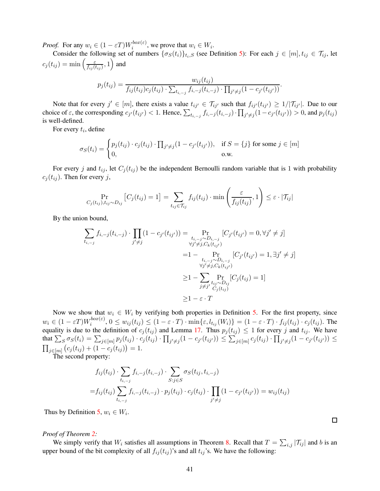*Proof.* For any  $w_i \in (1 - \varepsilon T)W_i^{box(\varepsilon)}$  $\sum_{i=1}^{\text{box}(\varepsilon)}$ , we prove that  $w_i \in W_i$ .

Consider the following set of numbers  $\{\sigma_S(t_i)\}_{t_i, S}$  (see Definition [5\)](#page-8-2): For each  $j \in [m], t_{ij} \in \mathcal{T}_{ij}$ , let  $c_j(t_{ij}) = \min\left(\frac{\varepsilon}{t_{ij}}\right)$  $\frac{\varepsilon}{f_{ij}(t_{ij})}, 1 \bigg)$  and

$$
p_j(t_{ij}) = \frac{w_{ij}(t_{ij})}{f_{ij}(t_{ij})c_j(t_{ij}) \cdot \sum_{t_{i,-j}} f_{i,-j}(t_{i,-j}) \cdot \prod_{j' \neq j} (1 - c_{j'}(t_{ij'}))}.
$$

Note that for every  $j' \in [m]$ , there exists a value  $t_{ij'} \in \mathcal{T}_{ij'}$  such that  $f_{ij'}(t_{ij'}) \geq 1/|\mathcal{T}_{ij'}|$ . Due to our choice of  $\varepsilon$ , the corresponding  $c_{j'}(t_{ij'}) < 1$ . Hence,  $\sum_{t_{i,-j}} f_{i,-j}(t_{i,-j}) \cdot \prod_{j'\neq j} (1 - c_{j'}(t_{ij'})) > 0$ , and  $p_j(t_{ij})$ is well-defined.

For every  $t_i$ , define

$$
\sigma_S(t_i) = \begin{cases} p_j(t_{ij}) \cdot c_j(t_{ij}) \cdot \prod_{j' \neq j} (1 - c_{j'}(t_{ij'})), & \text{if } S = \{j\} \text{ for some } j \in [m] \\ 0, & \text{o.w.} \end{cases}
$$

For every j and  $t_{ij}$ , let  $C_j(t_{ij})$  be the independent Bernoulli random variable that is 1 with probability  $c_i(t_{ij})$ . Then for every j,

$$
\Pr_{C_j(t_{ij}), t_{ij} \sim D_{ij}} \left[ C_j(t_{ij}) = 1 \right] = \sum_{t_{ij} \in \mathcal{T}_{ij}} f_{ij}(t_{ij}) \cdot \min \left( \frac{\varepsilon}{f_{ij}(t_{ij})}, 1 \right) \le \varepsilon \cdot |\mathcal{T}_{ij}|
$$

By the union bound,

$$
\sum_{t_{i,-j}} f_{i,-j}(t_{i,-j}) \cdot \prod_{j' \neq j} (1 - c_{j'}(t_{ij'})) = \Pr_{\substack{t_{i,-j} \sim D_{i,-j} \\ \forall j' \neq j, C_k(t_{ij'})}} [C_{j'}(t_{ij'}) = 0, \forall j' \neq j]
$$
\n
$$
= 1 - \Pr_{\substack{t_{i,-j} \sim D_{i,-j} \\ \forall j' \neq j, C_k(t_{ij'})}} [C_{j'}(t_{ij'}) = 1, \exists j' \neq j]
$$
\n
$$
\geq 1 - \sum_{\substack{t_{i,-j} \sim D_{i,j} \\ \forall j' \neq j, C_k(t_{ij'})}} [C_j(t_{ij}) = 1]
$$
\n
$$
\geq 1 - \varepsilon \cdot T
$$

Now we show that  $w_i \in W_i$  by verifying both properties in Definition [5.](#page-8-2) For the first property, since  $w_i \in (1 - \varepsilon T) W_i^{box(\varepsilon)}$  $\sum_{i}^{i} (w_i, v_i, \epsilon)$ ,  $0 \le w_{ij}(t_{ij}) \le (1 - \varepsilon \cdot T) \cdot \min\{\varepsilon, l_{t_{ij}}(W_i)\} = (1 - \varepsilon \cdot T) \cdot f_{ij}(t_{ij}) \cdot c_j(t_{ij})$ . The equality is due to the definition of  $c_j(t_{ij})$  and Lemma [17.](#page-39-3) Thus  $p_j(t_{ij}) \leq 1$  for every j and  $t_{ij}$ . We have that  $\sum_S \sigma_S(t_i) = \sum_{j \in [m]} p_j(t_{ij}) \cdot c_j(t_{ij}) \cdot \prod_{j' \neq j} (1 - c_{j'}(t_{ij'})) \leq \sum_{j \in [m]} c_j(t_{ij}) \cdot \prod_{j' \neq j} (1 - c_{j'}(t_{ij'})) \leq$  $\prod_{j\in [m]} (c_j(t_{ij}) + (1-c_j(t_{ij})) = 1.$ 

The second property:

$$
f_{ij}(t_{ij}) \cdot \sum_{t_{i,-j}} f_{i,-j}(t_{i,-j}) \cdot \sum_{S:j \in S} \sigma_S(t_{ij}, t_{i,-j})
$$
  
=  $f_{ij}(t_{ij}) \sum_{t_{i,-j}} f_{i,-j}(t_{i,-j}) \cdot p_j(t_{ij}) \cdot c_j(t_{ij}) \cdot \prod_{j' \neq j} (1 - c_{j'}(t_{ij'})) = w_{ij}(t_{ij})$ 

Thus by Definition [5,](#page-8-2)  $w_i \in W_i$ .

### *Proof of Theorem [2:](#page-10-0)*

We simply verify that  $W_i$  satisfies all assumptions in Theorem [8.](#page-35-0) Recall that  $T = \sum_{i,j} |\mathcal{T}_{ij}|$  and b is an upper bound of the bit complexity of all  $f_{ij}(t_{ij})$ 's and all  $t_{ij}$ 's. We have the following:

 $\Box$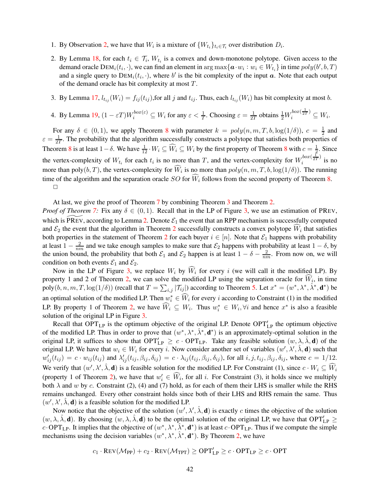- 1. By Observation [2,](#page-39-4) we have that  $W_i$  is a mixture of  $\{W_{t_i}\}_{t_i \in \mathcal{T}_i}$  over distribution  $D_i$ .
- 2. By Lemma [18,](#page-39-5) for each  $t_i \in \mathcal{T}_i$ ,  $W_{t_i}$  is a convex and down-monotone polytope. Given access to the demand oracle  $DEM_i(t_i, \cdot)$ , we can find an element in  $\argmax{\{a \cdot w_i : w_i \in W_{t_i}\}}$  in time  $poly(b', b, T)$ and a single query to  $DEM_i(t_i, \cdot)$ , where b' is the bit complexity of the input a. Note that each output of the demand oracle has bit complexity at most T.
- 3. By Lemma [17,](#page-39-3)  $l_{t_{ij}}(W_i) = f_{ij}(t_{ij})$ , for all j and  $t_{ij}$ . Thus, each  $l_{t_{ij}}(W_i)$  has bit complexity at most b.
- 4. By Lemma [19,](#page-40-0)  $(1 \varepsilon T)W_i^{box(\varepsilon)} \subseteq W_i$  for any  $\varepsilon < \frac{1}{T}$ . Choosing  $\varepsilon = \frac{1}{2T}$  $\frac{1}{2T}$  obtains  $\frac{1}{2}W_i^{box(\frac{1}{2T})} \subseteq W_i$ .

For any  $\delta \in (0,1)$ , we apply Theorem [8](#page-35-0) with parameter  $k = poly(n, m, T, b, \log(1/\delta))$ ,  $c = \frac{1}{2}$  $rac{1}{2}$  and  $\varepsilon = \frac{1}{27}$  $\frac{1}{2T}$ . The probability that the algorithm successfully constructs a polytope that satisfies both properties of Theorem [8](#page-35-0) is at least  $1-\delta$ . We have  $\frac{1}{12} \cdot W_i \subseteq \widehat{W}_i \subseteq W_i$  by the first property of Theorem 8 with  $c = \frac{1}{2}$ . Since the vertex-complexity of  $W_{t_i}$  for each  $t_i$  is no more than T, and the vertex-complexity for  $W_i^{box(\frac{1}{2T})}$  $\int_{i}^{1}$  is no more than poly $(b, T)$ , the vertex-complexity for  $W_i$  is no more than  $poly(n, m, T, b, \log(1/\delta))$ . The running time of the algorithm and the separation oracle SO for  $\widehat{W}_i$  follows from the second property of Theorem [8.](#page-35-0)  $\Box$ 

At last, we give the proof of Theorem [7](#page-34-1) by combining Theorem [3](#page-11-0) and Theorem [2.](#page-10-0)

*Proof of Theorem [7:](#page-34-1)* Fix any  $\delta \in (0, 1)$ . Recall that in the LP of Figure [3,](#page-12-0) we use an estimation of PREV, which is PREV, according to Lemma [2.](#page-10-2) Denote  $\mathcal{E}_1$  the event that an RPP mechanism is successfully computed and  $\mathcal{E}_2$  $\mathcal{E}_2$  the event that the algorithm in Theorem 2 successfully constructs a convex polytope  $W_i$  that satisfies both properties in the statement of Theorem [2](#page-10-0) for each buyer  $i \in [n]$ . Note that  $\mathcal{E}_1$  happens with probability at least  $1 - \frac{2}{nm}$  and we take enough samples to make sure that  $\mathcal{E}_2$  happens with probability at least  $1 - \delta$ , by the union bound, the probability that both  $\mathcal{E}_1$  and  $\mathcal{E}_2$  happen is at least  $1 - \delta - \frac{2}{nm}$ . From now on, we will condition on both events  $\mathcal{E}_1$  and  $\mathcal{E}_2$ .

Now in the LP of Figure [3,](#page-12-0) we replace  $W_i$  by  $\widehat{W}_i$  for every i (we will call it the modified LP). By property 1 and 2 of Theorem [2,](#page-10-0) we can solve the modified LP using the separation oracle for  $W_i$ , in time poly $(b, n, m, T, \log(1/\delta))$  (recall that  $T = \sum_{i,j} |T_{ij}|$ ) according to Theorem [5.](#page-15-4) Let  $x^* = (w^*, \lambda^*, \hat{\lambda}^*, \mathbf{d}^*)$  be an optimal solution of the modified LP. Then  $w_i^* \in W_i$  for every i according to Constraint (1) in the modified LP. By property 1 of Theorem [2,](#page-10-0) we have  $\hat{W}_i \subseteq W_i$ . Thus  $w_i^* \in W_i$ ,  $\forall i$  and hence  $x^*$  is also a feasible solution of the original LP in Figure [3.](#page-12-0)

Recall that  $OPT_{LP}$  is the optimum objective of the original LP. Denote  $OPT'_{LP}$  the optimum objective of the modified LP. Thus in order to prove that  $(w^*, \lambda^*, \hat{\lambda}^*, \mathbf{d}^*)$  is an approximately-optimal solution in the original LP, it suffices to show that  $OPT'_{LP} \ge c \cdot OPT_{LP}$ . Take any feasible solution  $(w, \lambda, \hat{\lambda}, \mathbf{d})$  of the original LP. We have that  $w_i \in W_i$  for every i. Now consider another set of variables  $(w', \lambda', \hat{\lambda}, \mathbf{d})$  such that  $w'_{ij}(t_{ij}) = c \cdot w_{ij}(t_{ij})$  and  $\lambda'_{ij}(t_{ij}, \beta_{ij}, \delta_{ij}) = c \cdot \lambda_{ij}(t_{ij}, \beta_{ij}, \delta_{ij})$ , for all  $i, j, t_{ij}, \beta_{ij}, \delta_{ij}$ , where  $c = 1/12$ . We verify that  $(w', \lambda', \hat{\lambda}, \mathbf{d})$  is a feasible solution for the modified LP. For Constraint (1), since  $c \cdot W_i \subseteq \widehat{W}_i$ (property 1 of Theorem [2\)](#page-10-0), we have that  $w'_i \in \widehat{W}_i$ , for all *i*. For Constraint (3), it holds since we multiply both  $\lambda$  and w by c. Constraint (2), (4) and (7) hold, as for each of them their LHS is smaller while the RHS remains unchanged. Every other constraint holds since both of their LHS and RHS remain the same. Thus  $(w', \lambda', \hat{\lambda}, \mathbf{d})$  is a feasible solution for the modified LP.

Now notice that the objective of the solution  $(w', \lambda', \hat{\lambda}, \mathbf{d})$  is exactly c times the objective of the solution  $(w, \lambda, \hat{\lambda}, \mathbf{d})$ . By choosing  $(w, \lambda, \hat{\lambda}, \mathbf{d})$  to be the optimal solution of the original LP, we have that OPT<sup>'</sup><sub>LP</sub> c OPT<sub>LP</sub>. It implies that the objective of  $(w^*, \lambda^*, \hat{\lambda}^*, \mathbf{d}^*)$  is at least c OPT<sub>LP</sub>. Thus if we compute the simple mechanisms using the decision variables  $(w^*, \lambda^*, \hat{\lambda}^*, \mathbf{d}^*)$ . By Theorem [2,](#page-10-0) we have

$$
c_1 \cdot \text{Rev}(\mathcal{M}_{PP}) + c_2 \cdot \text{Rev}(\mathcal{M}_{TPT}) \ge \text{OPT}'_{\text{LP}} \ge c \cdot \text{OPT}_{\text{LP}} \ge c \cdot \text{OPT}
$$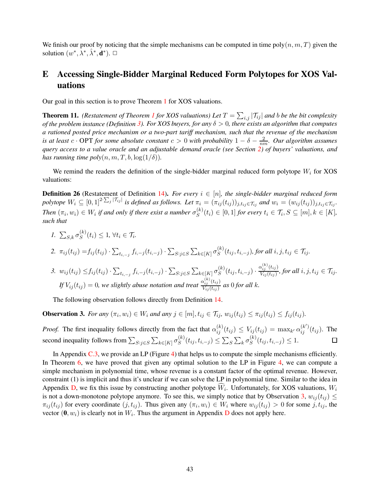We finish our proof by noticing that the simple mechanisms can be computed in time poly $(n, m, T)$  given the solution  $(w^*, \overline{\lambda^*}, \hat{\lambda}^*, \mathbf{d}^*)$ .  $\Box$ 

## <span id="page-43-0"></span>E Accessing Single-Bidder Marginal Reduced Form Polytopes for XOS Valuations

<span id="page-43-2"></span>Our goal in this section is to prove Theorem [1](#page-5-0) for XOS valuations.

**Theorem [1](#page-5-0)1.** *(Restatement of Theorem 1 for XOS valuations) Let*  $T = \sum_{i,j} |\mathcal{T}_{ij}|$  and b be the bit complexity *of the problem instance (Definition [3\)](#page-5-2). For XOS buyers, for any* δ > 0*, there exists an algorithm that computes a rationed posted price mechanism or a two-part tariff mechanism, such that the revenue of the mechanism is at least*  $c \cdot \text{OPT}$  *for some absolute constant*  $c > 0$  *with probability*  $1 - \delta - \frac{2}{nm}$ *. Our algorithm assumes query access to a value oracle and an adjustable demand oracle (see Section [2\)](#page-4-0) of buyers' valuations, and has running time poly* $(n, m, T, b, \log(1/\delta))$ .

We remind the readers the definition of the single-bidder marginal reduced form polytope  $W_i$  for XOS valuations:

**Definition 26** (Restatement of Definition [14\)](#page-18-0). For every  $i \in [n]$ , the single-bidder marginal reduced form *polytope*  $W_i \subseteq [0, 1]^{2 \cdot \sum_j |\mathcal{T}_{ij}|}$  *is defined as follows. Let*  $\pi_i = (\pi_{ij}(t_{ij}))_{j, t_{ij} \in \mathcal{T}_{ij}}$  *and*  $w_i = (w_{ij}(t_{ij}))_{j, t_{ij} \in \mathcal{T}_{ij}}$ . *Then*  $(\pi_i, w_i) \in W_i$  *if and only if there exist a number*  $\sigma_S^{(k)}$  $S^{(k)}(t_i) \in [0,1]$  for every  $t_i \in \mathcal{T}_i, S \subseteq [m], k \in [K]$ , *such that*

*1.*  $\sum_{S,k} \sigma_S^{(k)}$  $S^{(k)}(t_i) \leq 1, \,\forall t_i \in \mathcal{T}_i.$ 2.  $\pi_{ij}(t_{ij}) = f_{ij}(t_{ij}) \cdot \sum_{t_{i,-j}} f_{i,-j}(t_{i,-j}) \cdot \sum_{S:j \in S} \sum_{k \in [K]} \sigma_S^{(k)}$  $\mathcal{L}_{S}^{(k)}(t_{ij}, t_{i,-j})$ , for all  $i, j, t_{ij} \in \mathcal{T}_{ij}$ . 3.  $w_{ij}(t_{ij}) \leq f_{ij}(t_{ij}) \cdot \sum_{t_{i,-j}} f_{i,-j}(t_{i,-j}) \cdot \sum_{S:j \in S} \sum_{k \in [K]} \sigma_S^{(k)}$  $S^{(k)}(t_{ij},t_{i,-j})\cdot \frac{\alpha_{ij}^{(k)}(t_{ij})}{V_{ij}(t_{ij})}$  $\frac{\sum_{ij}^{\sum_{ij}^{\langle \text{eig}_j \rangle}}}{V_{ij}(t_{ij})}$ , for all  $i, j, t_{ij} \in \mathcal{T}_{ij}$ .

*If*  $V_{ij}(t_{ij}) = 0$ , we slightly abuse notation and treat  $\frac{\alpha_{ij}^{(k)}(t_{ij})}{V_{i,i}(t_{i,j})}$  $\frac{X_{ij} (x_{ij})}{V_{ij}(t_{ij})}$  as 0 for all k.

<span id="page-43-1"></span>The following observation follows directly from Definition [14.](#page-18-0)

**Observation 3.** For any  $(\pi_i, w_i) \in W_i$  and any  $j \in [m], t_{ij} \in \mathcal{T}_{ij}$ ,  $w_{ij}(t_{ij}) \leq \pi_{ij}(t_{ij}) \leq f_{ij}(t_{ij})$ .

*Proof.* The first inequality follows directly from the fact that  $\alpha_{ij}^{(k)}(t_{ij}) \le V_{ij}(t_{ij}) = \max_{k'} \alpha_{ij}^{(k')} (t_{ij})$ . The second inequality follows from  $\sum_{S:j\in S}\sum_{k\in[K]}\sigma_S^{(k)}$  $S^{(k)}(t_{ij}, t_{i,-j}) \leq \sum_{S} \sum_{k} \sigma_S^{(k)}$  $S^{(k)}(t_{ij}, t_{i,-j}) \leq 1.$  $\Box$ 

In Appendix  $C_{.3}$ , we provide an LP (Figure [4\)](#page-19-0) that helps us to compute the simple mechanisms efficiently. In Theorem [6,](#page-17-1) we have proved that given any optimal solution to the LP in Figure [4,](#page-19-0) we can compute a simple mechanism in polynomial time, whose revenue is a constant factor of the optimal revenue. However, constraint (1) is implicit and thus it's unclear if we can solve the LP in polynomial time. Similar to the idea in Appendix [D,](#page-34-2) we fix this issue by constructing another polytope  $W_i$ . Unfortunately, for XOS valuations,  $W_i$ is not a down-monotone polytope anymore. To see this, we simply notice that by Observation [3,](#page-43-1)  $w_{ij}(t_{ij}) \leq$  $\pi_{ij}(t_{ij})$  for every coordinate  $(j, t_{ij})$ . Thus given any  $(\pi_i, w_i) \in W_i$  where  $w_{ij}(t_{ij}) > 0$  for some  $j, t_{ij}$ , the vector  $(0, w_i)$  is clearly not in  $W_i$ . Thus the argument in Appendix [D](#page-34-2) does not apply here.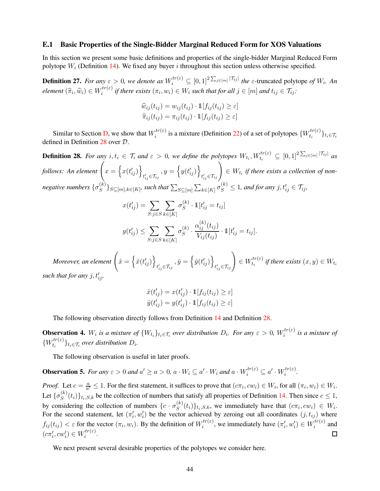#### E.1 Basic Properties of the Single-Bidder Marginal Reduced Form for XOS Valuations

<span id="page-44-3"></span>In this section we present some basic definitions and properties of the single-bidder Marginal Reduced Form polytope  $W_i$  (Definition [14\)](#page-18-0). We fixed any buyer i throughout this section unless otherwise specified.

**Definition 27.** For any  $\varepsilon > 0$ , we denote as  $W_i^{tr(\varepsilon)} \subseteq [0,1]^2^{\sum_{j\in[m]} |\mathcal{T}_{ij}|}$  the  $\varepsilon$ -truncated polytope of  $W_i$ . An  $element\left(\widehat{\pi}_i, \widehat{w}_i\right) \in W_i^{tr(\varepsilon)}$  $i_i^{tr(z)}$  *if there exists*  $(\pi_i, w_i) \in W_i$  *such that for all*  $j \in [m]$  *and*  $t_{ij} \in \mathcal{T}_{ij}$ *:* 

$$
\widehat{w}_{ij}(t_{ij}) = w_{ij}(t_{ij}) \cdot \mathbb{1}[f_{ij}(t_{ij}) \ge \varepsilon]
$$

$$
\widehat{\pi}_{ij}(t_{ij}) = \pi_{ij}(t_{ij}) \cdot \mathbb{1}[f_{ij}(t_{ij}) \ge \varepsilon]
$$

<span id="page-44-0"></span>Similar to Section [D,](#page-34-2) we show that  $W_i^{tr(\varepsilon)}$  $i^{tr(\varepsilon)}$  is a mixture (Definition [22\)](#page-34-3) of a set of polytopes  $\{W_{t_i}^{tr(\varepsilon)}\}$  $\{t_i^{(t)}\}_{t_i \in \mathcal{T}_i}$ defined in Definition [28](#page-44-0) over D.

**Definition 28.** For any  $i, t_i \in \mathcal{T}_i$  and  $\varepsilon > 0$ , we define the polytopes  $W_{t_i}, W_{t_i}^{tr(\varepsilon)} \subseteq [0,1]^2^{\sum_{j \in [m]} |\mathcal{T}_{ij}|}$  as follows: An element  $\left(x = \left\{x(t'_{ij})\right\}\right)$  $t_{ij}' \in \mathcal{T}_{ij}$  $,y = \left\{ y(t'_{ij}) \right\}$  $\left\{ t'_{ij} \in \mathcal{T}_{ij} \right\} \in W_{t_i}$  if there exists a collection of non*negative numbers*  $\{\sigma_S^{(k)}\}$  $\{S^{(k)}\}_{S \subseteq [m], k \in [K]}$ , such that  $\sum_{S \subseteq [m]} \sum_{k \in [K]} \sigma_S^{(k)} \leq 1$ , and for any  $j, t'_{ij} \in \mathcal{T}_{ij}$ ,

$$
x(t'_{ij}) = \sum_{S:j \in S} \sum_{k \in [K]} \sigma_S^{(k)} \cdot \mathbb{1}[t'_{ij} = t_{ij}]
$$
  

$$
y(t'_{ij}) \le \sum_{S:j \in S} \sum_{k \in [K]} \sigma_S^{(k)} \cdot \frac{\alpha_{ij}^{(k)}(t_{ij})}{V_{ij}(t_{ij})} \cdot \mathbb{1}[t'_{ij} = t_{ij}].
$$

Moreover, an element  $\left\{\hat{x} = \left\{\hat{x}(t'_{ij})\right\} \right\}$  $t_{ij}' \in \mathcal{T}_{ij}$  $, \hat{y} = \left\{ \hat{y}(t'_{ij}) \right\}$  $t_{ij}' \in \mathcal{T}_{ij}$  $\in W^{tr(\varepsilon)}_{t_i}$  $t_i^{tr(z)}$  if there exists  $(x, y) \in W_{t_i}$ such that for any  $j, t'_{ij}$ ,

$$
\hat{x}(t'_{ij}) = x(t'_{ij}) \cdot \mathbb{1}[f_{ij}(t_{ij}) \ge \varepsilon]
$$
  

$$
\hat{y}(t'_{ij}) = y(t'_{ij}) \cdot \mathbb{1}[f_{ij}(t_{ij}) \ge \varepsilon]
$$

<span id="page-44-2"></span>The following observation directly follows from Definition [14](#page-18-0) and Definition [28.](#page-44-0)

**Observation 4.**  $W_i$  is a mixture of  $\{W_{t_i}\}_{t_i \in \mathcal{T}_i}$  over distribution  $D_i$ . For any  $\varepsilon > 0$ ,  $W_i^{tr(\varepsilon)}$ i *is a mixture of*  $\{W^{tr(\varepsilon)}_{t_i}\}$  $\{t_i^{(k)}\}_{t_i \in \mathcal{T}_i}$  over distribution  $D_i$ .

<span id="page-44-4"></span>The following observation is useful in later proofs.

**Observation 5.** For any  $\varepsilon > 0$  and  $a' \ge a > 0$ ,  $a \cdot W_i \subseteq a' \cdot W_i$  and  $a \cdot W_i^{tr(\varepsilon)} \subseteq a' \cdot W_i^{tr(\varepsilon)}$ i *.*

*Proof.* Let  $c = \frac{a}{a'}$  $\frac{a}{a'} \leq 1$ . For the first statement, it suffices to prove that  $(c\pi_i, cw_i) \in W_i$ , for all  $(\pi_i, w_i) \in W_i$ . Let  $\{\sigma_S^{(k)}\}$  $S^{(k)}(t_i)$ <sub>ti,S,k</sub> be the collection of numbers that satisfy all properties of Definition [14.](#page-18-0) Then since  $c \le 1$ , by considering the collection of numbers  $\{c \cdot \sigma_S^{(k)}\}$  $(S^{(k)}(t_i))_{t_i,S,k}$ , we immediately have that  $(c\pi_i, cw_i) \in W_i$ . For the second statement, let  $(\pi'_i, w'_i)$  be the vector achieved by zeroing out all coordinates  $(j, t_{ij})$  where  $f_{ij}(t_{ij}) < \varepsilon$  for the vector  $(\pi_i, w_i)$ . By the definition of  $W_i^{tr(\varepsilon)}$  $\mathcal{L}^{tr(\varepsilon)}_{i}$ , we immediately have  $(\pi'_{i}, w'_{i}) \in W^{tr(\varepsilon)}_{i}$  $i^{tr(z)}$  and  $(c\pi'_i, cw'_i) \in W_i^{tr(\varepsilon)}$  $\frac{\partial r(z)}{\partial}$ .  $\Box$ 

<span id="page-44-1"></span>We next present several desirable properties of the polytopes we consider here.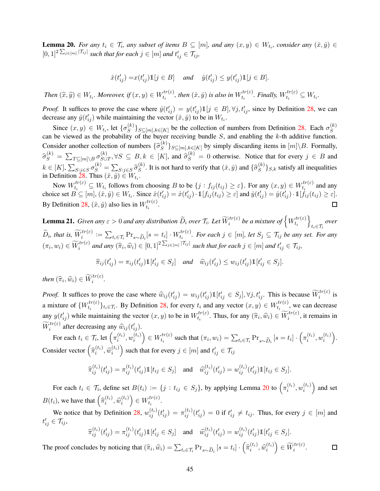**Lemma 20.** *For any*  $t_i \in \mathcal{T}_i$ , any subset of items  $B \subseteq [m]$ , and any  $(x, y) \in W_{t_i}$ , consider any  $(\hat{x}, \hat{y}) \in$  $[0, 1]^2$   $\sum_{j \in [m]} |\mathcal{T}_{ij}|$  such that for each  $j \in [m]$  and  $t'_{ij} \in \overline{\mathcal{T}_{ij}}$ ,

$$
\hat{x}(t'_{ij}) = x(t'_{ij})\mathbb{1}[j \in B] \quad \text{and} \quad \hat{y}(t'_{ij}) \le y(t'_{ij})\mathbb{1}[j \in B].
$$

*Then*  $(\widehat{x}, \widehat{y}) \in W_{t_i}$ *. Moreover, if*  $(x, y) \in W_{t_i}^{tr(\varepsilon)}$  $t_i^{tr(\varepsilon)}$ , then  $(\hat{x}, \hat{y})$  is also in  $W_{t_i}^{tr(\varepsilon)}$  $t_i^{tr(\varepsilon)}$ . Finally,  $W_{t_i}^{tr(\varepsilon)} \subseteq W_{t_i}$ .

*Proof.* It suffices to prove the case where  $\hat{y}(t'_{ij}) = y(t'_{ij})\mathbb{1}[j \in B], \forall j, t'_{ij}$ , since by Definition [28,](#page-44-0) we can decrease any  $\hat{y}(t'_{ij})$  while maintaining the vector  $(\hat{x}, \hat{y})$  to be in  $W_{t_i}$ .

Since  $(x, y) \in W_{t_i}$ , let  $\{\sigma_S^{(k)}\}$  $S(S^{(k)})_{S \subseteq [m], k \in [K]}$  be the collection of numbers from Definition [28.](#page-44-0) Each  $\sigma_S^{(k)}$ Since  $(x, y) \in Wt_i$ , i.e.  $\{v_S \}$   $S \subseteq [m], k \in [K]$  be the concertion of numbers from Definition 26. Each  $v_S$  can be viewed as the probability of the buyer receiving bundle S, and enabling the k-th additive function. Consider another collection of numbers  $\{\hat{\sigma}_S^{(k)}\}$  $\{S^{(k)}\}_{S \subseteq [m], k \in [K]}$  by simply discarding items in  $[m] \setminus B$ . Formally,  $\widehat{\sigma}_{S}^{(k)} \, = \, \sum_{T \subseteq [m] \setminus B} \sigma_{S \cup S}^{(k)}$  $S\subset\subset\subsetneq B, k \in [K]$ , and  $\hat{\sigma}_S^{(k)} = 0$  otherwise. Notice that for every  $j \in B$  and  $k \in [K], \sum_{S:j \in S} \sigma_S^{(k)} = \sum_{S:j \in S} \widehat{\sigma}_S^{(k)}$  $S^{(k)}$ . It is not hard to verify that  $(\hat{x}, \hat{y})$  and  $\{\hat{\sigma}_S^{(k)}\}$  $S^{(k)}$ , satisfy all inequalities in Definition [28.](#page-44-0) Thus  $(\hat{x}, \hat{y}) \in W_{t_i}$ .

Now  $W_{t_i}^{tr(\varepsilon)} \subseteq W_{t_i}$  follows from choosing B to be  $\{j : f_{ij}(t_{ij}) \ge \varepsilon\}$ . For any  $(x, y) \in W_{t_i}^{tr(\varepsilon)}$  $t_i^{tr(z)}$  and any choice set  $B \subseteq [m]$ ,  $(\hat{x}, \hat{y}) \in W_{t_i}$ . Since  $\hat{x}(t'_{ij}) = \hat{x}(t'_{ij}) \cdot \mathbb{1}[f_{ij}(t_{ij}) \ge \varepsilon]$  and  $\hat{y}(t'_{ij}) = \hat{y}(t'_{ij}) \cdot \mathbb{1}[f_{ij}(t_{ij}) \ge \varepsilon]$ . By Definition [28,](#page-44-0)  $(\hat{x}, \hat{y})$  also lies in  $W_{t_i}^{tr(\varepsilon)}$  $\frac{t}{t_i}$ .

**Lemma 21.** *Given any*  $\varepsilon > 0$  *and any distribution*  $\widetilde{D}_i$  *over*  $\mathcal{T}_i$ *. Let*  $\widetilde{W}^{tr(\varepsilon)}_i$  *be a mixture of*  $\left\{W^{tr(\varepsilon)}_{t_i}\right\}$  $t_i$  $\mathcal{L}$ ti∈Ti *over*  $\widetilde{D}_i$ , that is,  $\widetilde{W}_i^{tr(\varepsilon)} := \sum_{t_i \in \mathcal{T}_i} \Pr_{s \sim \widetilde{D}_i}[s = t_i] \cdot W_{t_i}^{tr(\varepsilon)}$  $t_i^{tr(\varepsilon)}$ . For each  $j \in [m]$ , let  $S_j$  ⊆  $\mathcal{T}_{ij}$  be any set. For any  $(\pi_i, w_i) \in \widetilde{W}_i^{tr(\varepsilon)}$  and any  $(\widehat{\pi}_i, \widehat{w}_i) \in [0, 1]^2 \sum_{j \in [m]} |\widetilde{\tau}_{ij}|$  such that for each  $j \in [m]$  and  $t'_{ij} \in \mathcal{T}_{ij}$ ,

$$
\widehat{\pi}_{ij}(t'_{ij}) = \pi_{ij}(t'_{ij}) \mathbb{1}[t'_{ij} \in S_j] \quad \text{and} \quad \widehat{w}_{ij}(t'_{ij}) \le w_{ij}(t'_{ij}) \mathbb{1}[t'_{ij} \in S_j].
$$

*then*  $(\widehat{\pi}_i, \widehat{w}_i) \in \widetilde{W}_i^{tr(\varepsilon)}$ .

*Proof.* It suffices to prove the case where  $\hat{w}_{ij}(t'_{ij}) = w_{ij}(t'_{ij}) \mathbb{1}[t'_{ij} \in S_j], \forall j, t'_{ij}$ . This is because  $\widetilde{W}_i^{tr(\varepsilon)}$  is a mixture of  ${W^{tr(\varepsilon)}_{t_i}}$  $t_i^{tr(\varepsilon)}\}_{t_i \in \mathcal{T}_i}$ . By Definition [28,](#page-44-0) for every  $t_i$  and any vector  $(x, y) \in W_{t_i}^{tr(\varepsilon)}$  $t_i^{tr(\varepsilon)}$ , we can decrease any  $y(t'_{ij})$  while maintaining the vector  $(x, y)$  to be in  $W_{t_i}^{tr(\varepsilon)}$  $t_i^{tr(\varepsilon)}$ . Thus, for any  $(\widehat{\pi}_i, \widehat{w}_i) \in \widetilde{W}_i^{tr(\varepsilon)}$ , it remains in  $\widetilde{W}_i^{tr(\varepsilon)}$  after decreasing any  $\widehat{w}_{ij}(t_{ij}^{\prime}).$ 

For each  $t_i \in \mathcal{T}_i$ , let  $\left(\pi_i^{(t_i)}\right)$  $\hat{u}_i^{(t_i)}, w_i^{(t_i)}$ i  $\Big) \in W^{tr(\varepsilon)}_{t_i}$  $t_i^{tr(\varepsilon)}$  such that  $(\pi_i, w_i) = \sum_{t_i \in \mathcal{T}_i} \Pr_{s \sim \widetilde{D}_i} \left[ s = t_i \right] \cdot \left( \pi_i^{(t_i)} \right)$  $\hat{u}_i^{(t_i)}, w_i^{(t_i)}$ i . Consider vector  $\left(\widehat{\pi}_{i}^{(t_i)}\right)$  $\widehat{w}_i^{(t_i)}, \widehat{w}_i^{(t_i)}$ i ) such that for every  $j \in [m]$  and  $t'_{ij} \in \mathcal{T}_{ij}$ 

$$
\widehat{\pi}_{ij}^{(t_i)}(t_{ij}') = \pi_{ij}^{(t_i)}(t_{ij}') \mathbb{1}[t_{ij} \in S_j] \quad \text{and} \quad \widehat{w}_{ij}^{(t_i)}(t_{ij}') = w_{ij}^{(t_i)}(t_{ij}') \mathbb{1}[t_{ij} \in S_j].
$$

For each  $t_i \in \mathcal{T}_i$ , define set  $B(t_i) := \{j : t_{ij} \in S_j\}$ , by applying Lemma [20](#page-44-1) to  $\left(\pi_i^{(t_i)}\right)$  $\hat{u}_i^{(t_i)}, w_i^{(t_i)}$ i ) and set  $B(t_i)$ , we have that  $\left(\hat{\pi}_i^{(t_i)}\right)$  $\widehat{w}_i^{(t_i)}, \widehat{w}_i^{(t_i)}$ i  $\Big) \in W_{t_i}^{tr(\varepsilon)}$  $\frac{t}{t_i}$ .

We notice that by Definition [28,](#page-44-0)  $w_{ij}^{(t_i)}(t_{ij}') = \pi_{ij}^{(t_i)}(t_{ij}') = 0$  if  $t_{ij}' \neq t_{ij}$ . Thus, for every  $j \in [m]$  and  $t'_{ij} \in \mathcal{T}_{ij},$ 

$$
\widehat{\pi}_{ij}^{(t_i)}(t_{ij}') = \pi_{ij}^{(t_i)}(t_{ij}') \mathbb{1}[t_{ij}' \in S_j] \quad \text{and} \quad \widehat{w}_{ij}^{(t_i)}(t_{ij}') = w_{ij}^{(t_i)}(t_{ij}') \mathbb{1}[t_{ij}' \in S_j].
$$

The proof concludes by noticing that  $(\widehat{\pi}_i, \widehat{w}_i) = \sum_{t_i \in \mathcal{T}_i} \Pr_{s \sim \widetilde{D}_i} [s = t_i] \cdot (\widehat{\pi}_i^{(t_i)})$  $\Big) \in \widetilde{W}_i^{tr(\varepsilon)}.$  $\widehat{w}_i^{(t_i)}, \widehat{w}_i^{(t_i)}$  $\Box$ i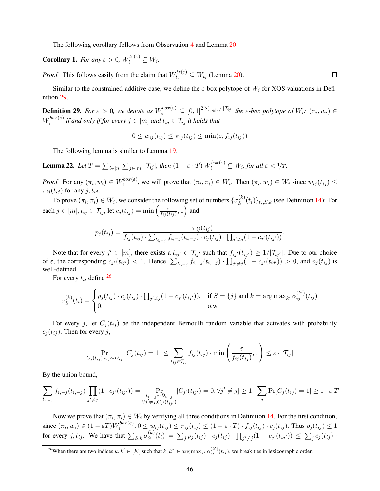<span id="page-46-2"></span>The following corollary follows from Observation [4](#page-44-2) and Lemma [20.](#page-44-1)

**Corollary 1.** *For any*  $\varepsilon > 0$ ,  $W_i^{tr(\varepsilon)} \subseteq W_i$ .

*Proof.* This follows easily from the claim that  $W_{t_i}^{tr(\varepsilon)} \subseteq W_{t_i}$  (Lemma [20\)](#page-44-1).

<span id="page-46-0"></span>Similar to the constrained-additive case, we define the  $\varepsilon$ -box polytope of  $W_i$  for XOS valuations in Definition [29.](#page-46-0)

**Definition 29.** For  $\varepsilon > 0$ , we denote as  $W_i^{box(\varepsilon)} \subseteq [0,1]^2^{\sum_{j \in [m]} |\mathcal{T}_{ij}|}$  the  $\varepsilon$ -box polytope of  $W_i$ :  $(\pi_i, w_i) \in$  $W^{box(\varepsilon)}_i$  $i_j^{00x(\epsilon)}$  if and only if for every  $j \in [m]$  and  $t_{ij} \in \mathcal{T}_{ij}$  it holds that

$$
0 \le w_{ij}(t_{ij}) \le \pi_{ij}(t_{ij}) \le \min(\varepsilon, f_{ij}(t_{ij}))
$$

<span id="page-46-3"></span>The following lemma is similar to Lemma [19.](#page-40-0)

**Lemma 22.** Let  $T = \sum_{i \in [n]} \sum_{j \in [m]} |\mathcal{T}_{ij}|$ , then  $(1 - \varepsilon \cdot T) W_i^{box(\varepsilon)} \subseteq W_i$ , for all  $\varepsilon < 1/T$ .

*Proof.* For any  $(\pi_i, w_i) \in W_i^{box(\varepsilon)}$  $\{a_i^{(i)}(k_i), \, i \in \mathbb{N} \}$  we will prove that  $(\pi_i, \pi_i) \in W_i$ . Then  $(\pi_i, w_i) \in W_i$  since  $w_{ij}(t_{ij}) \leq$  $\pi_{ij}(t_{ij})$  for any  $j, t_{ij}$ .

To prove  $(\pi_i, \pi_i) \in W_i$ , we consider the following set of numbers  $\{\sigma_S^{(k)}\}$  $(S^{(k)}(t_i))_{t_i,S,k}$  (see Definition [14\)](#page-18-0): For each  $j \in [m], t_{ij} \in \mathcal{T}_{ij}$ , let  $c_j(t_{ij}) = \min \left( \frac{\varepsilon}{f_{ij}(t)} \right)$  $\frac{\varepsilon}{f_{ij}(t_{ij})}, 1 \Big)$  and

$$
p_j(t_{ij}) = \frac{\pi_{ij}(t_{ij})}{f_{ij}(t_{ij}) \cdot \sum_{t_{i,-j}} f_{i,-j}(t_{i,-j}) \cdot c_j(t_{ij}) \cdot \prod_{j' \neq j} (1 - c_{j'}(t_{ij'}))}.
$$

Note that for every  $j' \in [m]$ , there exists a  $t_{ij'} \in \mathcal{T}_{ij'}$  such that  $f_{ij'}(t_{ij'}) \geq 1/|\mathcal{T}_{ij'}|$ . Due to our choice of  $\varepsilon$ , the corresponding  $c_{j'}(t_{ij'}) < 1$ . Hence,  $\sum_{t_{i,-j}} f_{i,-j}(t_{i,-j}) \cdot \prod_{j'\neq j} (1 - c_{j'}(t_{ij'})) > 0$ , and  $p_j(t_{ij})$  is well-defined.

For every  $t_i$ , define  $^{26}$  $^{26}$  $^{26}$ 

$$
\sigma_S^{(k)}(t_i) = \begin{cases} p_j(t_{ij}) \cdot c_j(t_{ij}) \cdot \prod_{j' \neq j} (1 - c_{j'}(t_{ij'})), & \text{if } S = \{j\} \text{ and } k = \arg \max_{k'} \alpha_{ij}^{(k')}(t_{ij}) \\ 0, & \text{o.w.} \end{cases}
$$

For every j, let  $C_j(t_{ij})$  be the independent Bernoulli random variable that activates with probability  $c_j(t_{ij})$ . Then for every j,

$$
\Pr_{C_j(t_{ij}), t_{ij} \sim D_{ij}} \left[ C_j(t_{ij}) = 1 \right] \le \sum_{t_{ij} \in \mathcal{T}_{ij}} f_{ij}(t_{ij}) \cdot \min \left( \frac{\varepsilon}{f_{ij}(t_{ij})}, 1 \right) \le \varepsilon \cdot |\mathcal{T}_{ij}|
$$

By the union bound,

$$
\sum_{t_{i,-j}} f_{i,-j}(t_{i,-j}) \cdot \prod_{j' \neq j} (1 - c_{j'}(t_{ij'})) = \Pr_{\substack{t_{i,-j} \sim \mathcal{D}_{i-j} \\ \forall j' \neq j, C_{j'}(t_{ij'})}} [C_{j'}(t_{ij'}) = 0, \forall j' \neq j] \geq 1 - \sum_{j} \Pr[C_j(t_{ij}) = 1] \geq 1 - \varepsilon \cdot T
$$

Now we prove that  $(\pi_i, \pi_i) \in W_i$  by verifying all three conditions in Definition [14.](#page-18-0) For the first condition, since  $(\pi_i, w_i) \in (1 - \varepsilon T)W_i^{box(\varepsilon)}$  $\{f_i^{(00x(\epsilon)}, 0 \leq w_{ij}(t_{ij}) \leq \pi_{ij}(t_{ij}) \leq (1-\varepsilon \cdot T) \cdot f_{ij}(t_{ij}) \cdot c_j(t_{ij}).$  Thus  $p_j(t_{ij}) \leq 1$ for every j,  $t_{ij}$ . We have that  $\sum_{S,k} \sigma_S^{(k)}$  $S^{(k)}(t_i) \,=\, \sum_j p_j(t_{ij}) \cdot c_j(t_{ij}) \cdot \prod_{j' \neq j} (1 - c_{j'}(t_{ij'})) \,\leq\, \sum_j c_j(t_{ij}) \cdot$ 

 $\Box$ 

<span id="page-46-1"></span><sup>&</sup>lt;sup>26</sup>When there are two indices  $k, k' \in [K]$  such that  $k, k^* \in \arg \max_{k'} \alpha_{ij}^{(k')} (t_{ij})$ , we break ties in lexicographic order.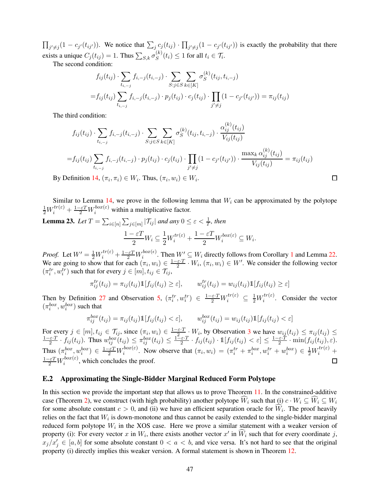$\prod_{j'\neq j}(1-c_{j'}(t_{ij'}))$ . We notice that  $\sum_j c_j(t_{ij}) \cdot \prod_{j'\neq j}(1-c_{j'}(t_{ij'}))$  is exactly the probability that there exists a unique  $C_j(t_{ij}) = 1$ . Thus  $\sum_{S,k} \sigma_S^{(k)}$  $S^{(k)}(t_i) \leq 1$  for all  $t_i \in \mathcal{T}_i$ .

The second condition:

$$
f_{ij}(t_{ij}) \cdot \sum_{t_{i,-j}} f_{i,-j}(t_{i,-j}) \cdot \sum_{S:j \in S} \sum_{k \in [K]} \sigma_S^{(k)}(t_{ij}, t_{i,-j})
$$
  
= 
$$
f_{ij}(t_{ij}) \sum_{t_{i,-j}} f_{i,-j}(t_{i,-j}) \cdot p_j(t_{ij}) \cdot c_j(t_{ij}) \cdot \prod_{j' \neq j} (1 - c_{j'}(t_{ij'})) = \pi_{ij}(t_{ij})
$$

The third condition:

$$
f_{ij}(t_{ij}) \cdot \sum_{t_{i,-j}} f_{i,-j}(t_{i,-j}) \cdot \sum_{S:j \in S} \sum_{k \in [K]} \sigma_S^{(k)}(t_{ij}, t_{i,-j}) \cdot \frac{\alpha_{ij}^{(k)}(t_{ij})}{V_{ij}(t_{ij})}
$$
  
\n
$$
= f_{ij}(t_{ij}) \sum_{t_{i,-j}} f_{i,-j}(t_{i,-j}) \cdot p_j(t_{ij}) \cdot c_j(t_{ij}) \cdot \prod_{j' \neq j} (1 - c_{j'}(t_{ij'})) \cdot \frac{\max_k \alpha_{ij}^{(k)}(t_{ij})}{V_{ij}(t_{ij})} = \pi_{ij}(t_{ij})
$$
  
\nDefinition 14.  $(\pi_i, \pi_i) \in W_i$ . Thus,  $(\pi_i, w_i) \in W_i$ .

By Definition [14,](#page-18-0)  $(\pi_i, \pi_i) \in W_i$ . Thus,  $(\pi_i, w_i) \in W_i$ .

<span id="page-47-1"></span>Similar to Lemma [14,](#page-36-0) we prove in the following lemma that  $W_i$  can be approximated by the polytope  $\frac{1}{2}W_i^{tr(\varepsilon)} + \frac{1-\varepsilon T}{2}W_i^{box(\varepsilon)}$  within a multiplicative factor.

**Lemma 23.** Let 
$$
T = \sum_{i \in [n]} \sum_{j \in [m]} |\mathcal{T}_{ij}|
$$
 and any  $0 \le \varepsilon < \frac{1}{T}$ , then  
\n
$$
\frac{1 - \varepsilon T}{2} W_i \subseteq \frac{1}{2} W_i^{tr(\varepsilon)} + \frac{1 - \varepsilon T}{2} W_i^{box(\varepsilon)} \subseteq W_i.
$$

*Proof.* Let  $W' = \frac{1}{2}W_i^{tr(\varepsilon)} + \frac{1-\varepsilon T}{2}W_i^{box(\varepsilon)}$  $\sum_{i}^{box(\epsilon)}$ . Then  $W' \subseteq W_i$  directly follows from Corollary [1](#page-46-2) and Lemma [22.](#page-46-3) We are going to show that for each  $(\pi_i, w_i) \in \frac{1-\varepsilon \cdot T}{2}$  $\frac{\varepsilon T}{2} \cdot W_i$ ,  $(\pi_i, w_i) \in W'$ . We consider the following vector  $(\pi_i^{tr}, w_i^{tr})$  such that for every  $j \in [m], t_{ij} \in \mathcal{T}_{ij}$ ,

$$
\pi_{ij}^{tr}(t_{ij}) = \pi_{ij}(t_{ij}) \mathbb{1}[f_{ij}(t_{ij}) \ge \varepsilon], \qquad w_{ij}^{tr}(t_{ij}) = w_{ij}(t_{ij}) \mathbb{1}[f_{ij}(t_{ij}) \ge \varepsilon]
$$

Then by Definition [27](#page-44-3) and Observation [5,](#page-44-4)  $(\pi_i^{tr}, w_i^{tr}) \in \frac{1-\varepsilon \cdot T}{2} W_i^{tr(\varepsilon)} \subseteq \frac{1}{2} W_i^{tr(\varepsilon)}$  $i^{tr(z)}$ . Consider the vector  $(\pi_i^{box}, w_i^{box})$  such that

$$
\pi_{ij}^{box}(t_{ij}) = \pi_{ij}(t_{ij}) \mathbb{1}[f_{ij}(t_{ij}) < \varepsilon], \qquad w_{ij}^{box}(t_{ij}) = w_{ij}(t_{ij}) \mathbb{1}[f_{ij}(t_{ij}) < \varepsilon]
$$

For every  $j \in [m], t_{ij} \in \mathcal{T}_{ij}$ , since  $(\pi_i, w_i) \in \frac{1-\varepsilon \cdot T}{2}$ For every  $j \in [m], t_{ij} \in \mathcal{T}_{ij}$ , since  $(\pi_i, w_i) \in \frac{1-\varepsilon T}{2} \cdot W_i$ , by Observation [3](#page-43-1) we have  $w_{ij}(t_{ij}) \leq \pi_{ij}(t_{ij}) \leq$ <br> $\frac{1-\varepsilon T}{2} \cdot f_{i,j}(t_{i,j})$ . Thus  $w^{box}(t_{i,j}) \leq \pi^{box}(t_{i,j}) \leq \frac{1-\varepsilon T}{2} \cdot f_{i,j}(t_{i,j})$ ,  $1 \mid f_{i,j}(t_{i,j}) \le$  $\frac{1}{2} \hat{z}^{i} \cdot f_{ij}(t_{ij})$ . Thus  $w_{ij}^{box}(t_{ij}) \leq \pi_{ij}^{box}(t_{ij}) \leq \frac{1-\varepsilon \cdot T}{2}$  $\frac{\varepsilon \cdot T}{2} \cdot f_{ij}(t_{ij}) \cdot \mathbb{1}[f_{ij}(t_{ij}) < \varepsilon] \leq \frac{1 - \varepsilon \cdot T}{2}$  $\frac{\varepsilon \varepsilon T}{2} \cdot \min(f_{ij}(t_{ij}), \varepsilon).$ Thus  $(\pi_i^{box}, w_i^{box}) \in \frac{1-\varepsilon T}{2} W_i^{box(\varepsilon)}$  $\sum_{i}^{box(\varepsilon)}$ . Now observe that  $(\pi_i, w_i) = (\pi_i^{tr} + \pi_i^{box}, w_i^{tr} + w_i^{box}) \in \frac{1}{2}W_i^{tr(\varepsilon)} +$  $\frac{1-\varepsilon T}{2}W_i^{box(\varepsilon)}$  $\sum_{i=1}^{300x(\epsilon)}$ , which concludes the proof. П

### E.2 Approximating the Single-Bidder Marginal Reduced Form Polytope

<span id="page-47-0"></span>In this section we provide the important step that allows us to prove Theorem [11.](#page-43-2) In the constrained-additive case (Theorem [2\)](#page-10-0), we construct (with high probability) another polytope  $\hat{W}_i$  such that (i)  $c \cdot W_i \subseteq \hat{W}_i \subseteq W_i$ for some absolute constant  $c > 0$ , and (ii) we have an efficient separation oracle for  $W_i$ . The proof heavily relies on the fact that  $W_i$  is down-monotone and thus cannot be easily extended to the single-bidder marginal reduced form polytope  $W_i$  in the XOS case. Here we prove a similar statement with a weaker version of property (i): For every vector x in  $W_i$ , there exists another vector  $x'$  in  $\widehat{W}_i$  such that for every coordinate j,  $x_j/x'_j \in [a, b]$  for some absolute constant  $0 < a < b$ , and vice versa. It's not hard to see that the original property (i) directly implies this weaker version. A formal statement is shown in Theorem [12.](#page-47-0)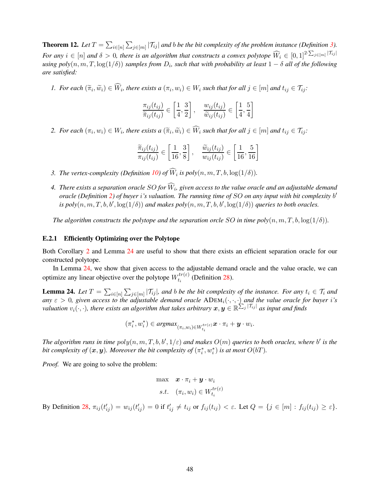**Theorem 12.** Let  $T = \sum_{i \in [n]} \sum_{j \in [m]} |\mathcal{T}_{ij}|$  and b be the bit complexity of the problem instance (Definition [3\)](#page-5-2). *For any*  $i \in [n]$  and  $\delta > 0$ , there is an algorithm that constructs a convex polytope  $\widehat{W}_i \in [0,1]^{2 \cdot \sum_{j \in [m]} |\mathcal{T}_{ij}|}$  $u$ sing  $poly(n,m,T,\log(1/\delta))$  samples from  $D_i$ , such that with probability at least  $1-\delta$  all of the following *are satisfied:*

*1.* For each  $(\widetilde{\pi}_i, \widetilde{w}_i) \in W_i$ , there exists  $a(\pi_i, w_i) \in W_i$  such that for all  $j \in [m]$  and  $t_{ij} \in \mathcal{T}_{ij}$ :

$$
\frac{\pi_{ij}(t_{ij})}{\widetilde{\pi}_{ij}(t_{ij})} \in \left[\frac{1}{4}, \frac{3}{2}\right], \quad \frac{w_{ij}(t_{ij})}{\widetilde{w}_{ij}(t_{ij})} \in \left[\frac{1}{4}, \frac{5}{4}\right]
$$

2. For each  $(\pi_i, w_i) \in W_i$ , there exists  $a(\widetilde{\pi}_i, \widetilde{w}_i) \in W_i$  such that for all  $j \in [m]$  and  $t_{ij} \in \mathcal{T}_{ij}$ :

$$
\frac{\widetilde{\pi}_{ij}(t_{ij})}{\pi_{ij}(t_{ij})} \in \left[\frac{1}{16}, \frac{3}{8}\right], \quad \frac{\widetilde{w}_{ij}(t_{ij})}{w_{ij}(t_{ij})} \in \left[\frac{1}{16}, \frac{5}{16}\right]
$$

- *3. The vertex-complexity (Definition [10\)](#page-14-1) of*  $W_i$  *is poly* $(n, m, T, b, \log(1/\delta))$ *.*
- 4. There exists a separation oracle SO for W<sub>i</sub>, given access to the value oracle and an adjustable demand *oracle (Definition [2\)](#page-5-4) of buyer* i*'s valuation. The running time of* SO *on any input with bit complexity* b ′ *is poly* $(n, m, T, b, b', \log(1/\delta))$  *and makes poly* $(n, m, T, b, b', \log(1/\delta))$  *queries to both oracles.*

*The algorithm constructs the polytope and the separation orcle* SO *in time poly* $(n, m, T, b, \log(1/\delta))$ *.* 

#### E.2.1 Efficiently Optimizing over the Polytope

Both Corollary [2](#page-50-0) and Lemma [24](#page-48-0) are useful to show that there exists an efficient separation oracle for our constructed polytope.

<span id="page-48-0"></span>In Lemma [24,](#page-48-0) we show that given access to the adjustable demand oracle and the value oracle, we can optimize any linear objective over the polytope  $W_{t_i}^{tr(\varepsilon)}$  $t_i^{tr(\varepsilon)}$  (Definition [28\)](#page-44-0).

**Lemma 24.** Let  $T = \sum_{i \in [n]} \sum_{j \in [m]} |\mathcal{T}_{ij}|$ , and b be the bit complexity of the instance. For any  $t_i \in \mathcal{T}_i$  and *any*  $\varepsilon > 0$ , given access to the adjustable demand oracle ADEM<sub>i</sub>( $\cdot, \cdot, \cdot$ ) and the value oracle for buyer i's *valuation*  $v_i(\cdot, \cdot)$ , there exists an algorithm that takes arbitrary  $\mathbf{x}, \mathbf{y} \in \mathbb{R}^{\sum_j |\mathcal{T}_{ij}|}$  as input and finds

$$
(\pi_i^*, w_i^*) \in \operatorname{argmax}_{(\pi_i, w_i) \in W_{t_i}^{tr(\varepsilon)}} \boldsymbol{x} \cdot \pi_i + \boldsymbol{y} \cdot w_i.
$$

The algorithm runs in time  $poly(n, m, T, b, b', 1/\varepsilon)$  and makes  $O(m)$  queries to both oracles, where  $b'$  is the bit complexity of  $(\bm{x}, \bm{y})$ . Moreover the bit complexity of  $(\pi_i^*, w_i^*)$  is at most  $O(bT)$ .

*Proof.* We are going to solve the problem:

$$
\begin{aligned}\n\max \quad & \mathbf{x} \cdot \pi_i + \mathbf{y} \cdot w_i \\
\text{s.t.} \quad & (\pi_i, w_i) \in W_{t_i}^{tr(\varepsilon)}\n\end{aligned}
$$

By Definition [28,](#page-44-0)  $\pi_{ij}(t'_{ij}) = w_{ij}(t'_{ij}) = 0$  if  $t'_{ij} \neq t_{ij}$  or  $f_{ij}(t_{ij}) < \varepsilon$ . Let  $Q = \{j \in [m] : f_{ij}(t_{ij}) \geq \varepsilon\}$ .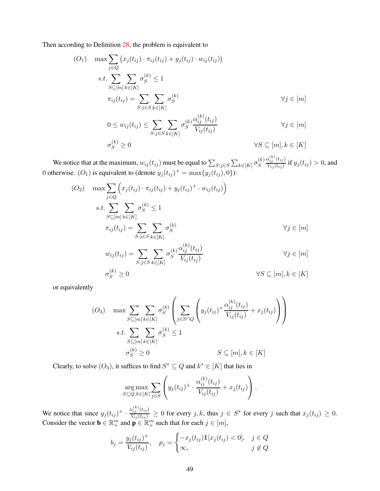Then according to Definition [28,](#page-44-0) the problem is equivalent to

$$
(O_1) \quad \max \sum_{j \in Q} (x_j(t_{ij}) \cdot \pi_{ij}(t_{ij}) + y_j(t_{ij}) \cdot w_{ij}(t_{ij}))
$$
\n
$$
s.t. \sum_{S \subseteq [m]} \sum_{k \in [K]} \sigma_S^{(k)} \le 1
$$
\n
$$
\pi_{ij}(t_{ij}) = \sum_{S:j \in S} \sum_{k \in [K]} \sigma_S^{(k)}
$$
\n
$$
\forall j \in [m]
$$
\n
$$
0 \le w_{ij}(t_{ij}) \le \sum_{S:j \in S} \sum_{k \in [K]} \sigma_S^{(k)} \frac{\alpha_{ij}^{(k)}(t_{ij})}{V_{ij}(t_{ij})}
$$
\n
$$
\forall j \in [m]
$$
\n
$$
\sigma_S^{(k)} \ge 0
$$
\n
$$
\forall S \subseteq [m], k \in [K]
$$

We notice that at the maximum,  $w_{ij}(t_{ij})$  must be equal to  $\sum_{S:j\in S}\sum_{k\in[K]}\sigma_S^{(k)}$ S  $\alpha^{(k)}_{ij}(t_{ij})$  $\frac{x_{ij} \cdot (y_i)}{V_{ij}(t_{ij})}$  if  $y_j(t_{ij}) > 0$ , and 0 otherwise.  $(O_1)$  is equivalent to (denote  $y_j(t_{ij})^+ = \max\{y_j(t_{ij}), 0\}$ ):

$$
(O_2) \quad \max \sum_{j \in Q} \left( x_j(t_{ij}) \cdot \pi_{ij}(t_{ij}) + y_j(t_{ij})^+ \cdot w_{ij}(t_{ij}) \right)
$$
\n
$$
s.t. \sum_{S \subseteq [m]} \sum_{k \in [K]} \sigma_S^{(k)} \le 1
$$
\n
$$
\pi_{ij}(t_{ij}) = \sum_{S:j \in S} \sum_{k \in [K]} \sigma_S^{(k)} \qquad \forall j \in [m]
$$
\n
$$
w_{ij}(t_{ij}) = \sum_{S:j \in S} \sum_{k \in [K]} \sigma_S^{(k)} \frac{\alpha_{ij}^{(k)}(t_{ij})}{V_{ij}(t_{ij})} \qquad \forall j \in [m]
$$
\n
$$
\sigma_S^{(k)} \ge 0 \qquad \forall S \subseteq [m], k \in [K]
$$

or equivalently

$$
(O_3) \quad \max \sum_{S \subseteq [m]} \sum_{k \in [K]} \sigma_S^{(k)} \left( \sum_{j \in S \cap Q} \left( y_j(t_{ij}) + \frac{\alpha_{ij}^{(k)}(t_{ij})}{V_{ij}(t_{ij})} + x_j(t_{ij}) \right) \right)
$$

$$
s.t. \sum_{S \subseteq [m]} \sum_{k \in [K]} \sigma_S^{(k)} \le 1
$$

$$
\sigma_S^{(k)} \ge 0 \qquad S \subseteq [m], k \in [K]
$$

Clearly, to solve  $(O_3)$ , it suffices to find  $S^* \subseteq Q$  and  $k^* \in [K]$  that lies in

$$
\arg\max_{S \subseteq Q, k \in [K]} \sum_{j \in S} \left( y_j(t_{ij})^+ \cdot \frac{\alpha_{ij}^{(k)}(t_{ij})}{V_{ij}(t_{ij})} + x_j(t_{ij}) \right).
$$

We notice that since  $y_j(t_{ij})^+ \cdot \frac{\alpha_{ij}^{(k)}(t_{ij})}{V_{ij}(t_{ij})} \ge 0$  for every j, k, thus  $j \in S^*$  for every j such that  $x_j(t_{ij}) \ge 0$ . Consider the vector  $\mathbf{b} \in \mathbb{R}^m_+$  and  $\mathbf{p} \in \mathbb{R}^m_+$  such that for each  $j \in [m]$ ,

$$
b_j = \frac{y_j(t_{ij})^+}{V_{ij}(t_{ij})}, \quad p_j = \begin{cases} -x_j(t_{ij})\mathbb{1}[x_j(t_{ij}) < 0], & j \in Q \\ \infty, & j \notin Q \end{cases}
$$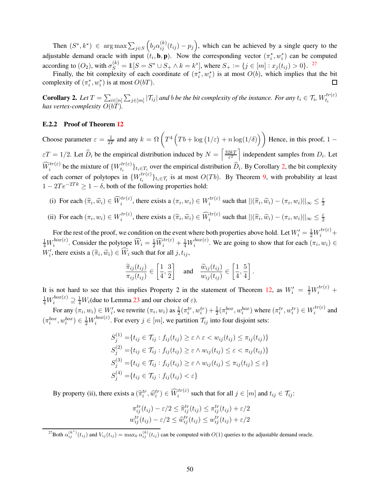Then  $(S^*, k^*) \in \arg \max \sum_{j \in S}$  $(b_j \alpha_{ij}^{(k)}(t_{ij}) - p_j),$  which can be achieved by a single query to the adjustable demand oracle with input  $(t_i, \mathbf{b}, \mathbf{p})$ . Now the corresponding vector  $(\pi_i^*, w_i^*)$  can be computed according to  $(O_2)$ , with  $\sigma_S^{(k)} = \mathbb{1}[S = S^* \cup S_+ \wedge k = k^*]$ , where  $S_+ := \{j \in [m] : x_j(t_{ij}) > 0\}$ . <sup>[27](#page-50-1)</sup>

Finally, the bit complexity of each coordinate of  $(\pi_i^*, w_i^*)$  is at most  $O(b)$ , which implies that the bit complexity of  $(\pi_i^*, w_i^*)$  is at most  $O(bT)$ .  $\Box$ 

<span id="page-50-0"></span>**Corollary 2.** Let  $T = \sum_{i \in [n]} \sum_{j \in [m]} |\mathcal{T}_{ij}|$  and b be the bit complexity of the instance. For any  $t_i \in \mathcal{T}_i$ ,  $W_{t_i}^{tr(\varepsilon)}$  $t_i$ *has vertex-complexity*  $O(bT)$ .

#### E.2.2 Proof of Theorem [12](#page-47-0)

Choose parameter  $\varepsilon = \frac{1}{27}$  $\frac{1}{2T}$  and any  $k = \Omega\left(T^4\left(Tb + \log(1/\varepsilon) + n\log(1/\delta)\right)\right)$  Hence, in this proof, 1 –  $\varepsilon T = 1/2$ . Let  $\widehat{D}_i$  be the empirical distribution induced by  $N = \left[\frac{32kT}{\varepsilon^2}\right]$  $\frac{2kT}{\varepsilon^2}$  independent samples from  $D_i$ . Let  $\widehat{W}_i^{tr(\varepsilon)}$  be the mixture of  $\{W_{t_i}^{tr(\varepsilon)}\}$  $\{t_i(t) \}_{t_i \in T_i}$  over the empirical distribution  $D_i$ . By Corollary [2,](#page-50-0) the bit complexity of each corner of polytopes in  $\{W_{t_i}^{tr(\varepsilon)}\}$  $\{t_i^{tr(\varepsilon)}\}_{t_i \in \mathcal{T}_i}$  is at most  $O(Tb)$ . By Theorem [9,](#page-36-1) with probability at least  $1 - 2Te^{-2Tk} \geq 1 - \delta$ , both of the following properties hold:

- (i) For each  $(\widehat{\pi}_i, \widehat{w}_i) \in \widehat{W}_i^{tr(\varepsilon)}$ , there exists a  $(\pi_i, w_i) \in W_i^{tr(\varepsilon)}$  $\sum_{i}^{tr(\varepsilon)}$  such that  $||(\widehat{\pi}_i, \widehat{w}_i) - (\pi_i, w_i)||_{\infty} \leq \frac{\varepsilon}{2}$ 2
- (ii) For each  $(\pi_i, w_i) \in W_i^{tr(\varepsilon)}$  $\hat{u}_i^{tr(\varepsilon)}$ , there exists a  $(\widehat{\pi}_i, \widehat{w}_i) \in \widehat{W}_i^{tr(\varepsilon)}$  such that  $||(\widehat{\pi}_i, \widehat{w}_i) - (\pi_i, w_i)||_{\infty} \leq \frac{\varepsilon}{2}$ 2

For the rest of the proof, we condition on the event where both properties above hold. Let  $W'_i = \frac{1}{2}W_i^{tr(\varepsilon)} +$  $\frac{1}{4}W_i^{box(\varepsilon)}$  $\widehat{w}_i^{box(\varepsilon)}$ . Consider the polytope  $\widehat{W}_i = \frac{1}{2} \widehat{W}_i^{tr(\varepsilon)} + \frac{1}{4} W_i^{box(\varepsilon)}$  $i^{\text{box}(\varepsilon)}$ . We are going to show that for each  $(\pi_i, w_i) \in$  $W'_i$ , there exists a  $(\tilde{\pi}_i, \tilde{w}_i) \in \tilde{W}_i$  such that for all  $j, t_{ij}$ ,

$$
\frac{\widetilde{\pi}_{ij}(t_{ij})}{\pi_{ij}(t_{ij})} \in \left[\frac{1}{4}, \frac{3}{2}\right] \quad \text{and} \quad \frac{\widetilde{w}_{ij}(t_{ij})}{w_{ij}(t_{ij})} \in \left[\frac{1}{4}, \frac{5}{4}\right].
$$

It is not hard to see that this implies Property 2 in the statement of Theorem [12,](#page-47-0) as  $W'_i = \frac{1}{2}W_i^{tr(\varepsilon)}$  +  $\frac{1}{4}W_i^{box(\varepsilon)} \supseteq \frac{1}{4}W_i$ (due to Lemma [23](#page-47-1) and our choice of  $\varepsilon$ ).

For any  $(\pi_i, w_i) \in W'_i$ , we rewrite  $(\pi_i, w_i)$  as  $\frac{1}{2}(\pi_i^{tr}, w_i^{tr}) + \frac{1}{2}(\pi_i^{box}, w_i^{box})$  where  $(\pi_i^{tr}, w_i^{tr}) \in W_i^{tr(\varepsilon)}$  $i^{tr(z)}$  and  $(\pi_i^{box}, w_i^{box}) \in \frac{1}{2}W_i^{box(\varepsilon)}$  $\tau_i^{\text{box}(\varepsilon)}$ . For every  $j \in [m]$ , we partition  $\mathcal{T}_{ij}$  into four disjoint sets:

$$
S_j^{(1)} = \{t_{ij} \in \mathcal{T}_{ij} : f_{ij}(t_{ij}) \ge \varepsilon \land \varepsilon < w_{ij}(t_{ij}) \le \pi_{ij}(t_{ij})\}
$$
\n
$$
S_j^{(2)} = \{t_{ij} \in \mathcal{T}_{ij} : f_{ij}(t_{ij}) \ge \varepsilon \land w_{ij}(t_{ij}) \le \varepsilon < \pi_{ij}(t_{ij})\}
$$
\n
$$
S_j^{(3)} = \{t_{ij} \in \mathcal{T}_{ij} : f_{ij}(t_{ij}) \ge \varepsilon \land w_{ij}(t_{ij}) \le \pi_{ij}(t_{ij}) \le \varepsilon\}
$$
\n
$$
S_j^{(4)} = \{t_{ij} \in \mathcal{T}_{ij} : f_{ij}(t_{ij}) < \varepsilon\}
$$

By property (ii), there exists a  $(\hat{\pi}_i^{tr}, \hat{w}_i^{tr}) \in \widehat{W}_i^{tr(\varepsilon)}$  such that for all  $j \in [m]$  and  $t_{ij} \in \mathcal{T}_{ij}$ :

$$
\pi_{ij}^{tr}(t_{ij}) - \varepsilon/2 \leq \hat{\pi}_{ij}^{tr}(t_{ij}) \leq \pi_{ij}^{tr}(t_{ij}) + \varepsilon/2
$$
  

$$
w_{ij}^{tr}(t_{ij}) - \varepsilon/2 \leq \hat{w}_{ij}^{tr}(t_{ij}) \leq w_{ij}^{tr}(t_{ij}) + \varepsilon/2
$$

<span id="page-50-1"></span><sup>27</sup>Both  $\alpha_{ij}^{(k^*)}(t_{ij})$  and  $V_{ij}(t_{ij}) = \max_k \alpha_{ij}^{(k)}(t_{ij})$  can be computed with  $O(1)$  queries to the adjustable demand oracle.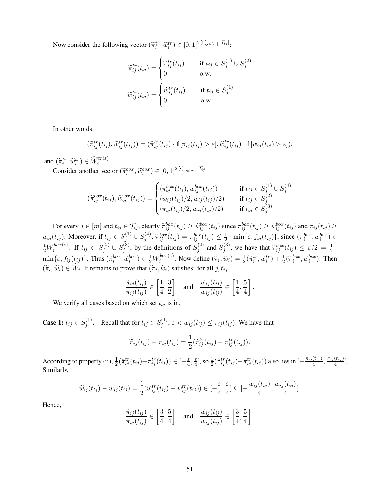Now consider the following vector  $(\widetilde{\pi}_i^{tr}, \widetilde{w}_i^{tr}) \in [0, 1]^2 \Sigma_{j \in [m]} |\tau_{ij}|$ .

$$
\widetilde{\pi}_{ij}^{tr}(t_{ij}) = \begin{cases}\n\widehat{\pi}_{ij}^{tr}(t_{ij}) & \text{if } t_{ij} \in S_j^{(1)} \cup S_j^{(2)} \\
0 & \text{o.w.} \n\end{cases}
$$
\n
$$
\widetilde{w}_{ij}^{tr}(t_{ij}) = \begin{cases}\n\widehat{w}_{ij}^{tr}(t_{ij}) & \text{if } t_{ij} \in S_j^{(1)} \\
0 & \text{o.w.} \n\end{cases}
$$

In other words,

$$
(\widetilde{\pi}_{ij}^{tr}(t_{ij}), \widetilde{\omega}_{ij}^{tr}(t_{ij})) = (\widehat{\pi}_{ij}^{tr}(t_{ij}) \cdot \mathbb{1}[\pi_{ij}(t_{ij}) > \varepsilon], \widehat{\omega}_{ij}^{tr}(t_{ij}) \cdot \mathbb{1}[w_{ij}(t_{ij}) > \varepsilon]),
$$

and  $(\widetilde{\pi}_i^{tr}, \widetilde{w}_i^{tr}) \in \widehat{W}_i^{tr(\varepsilon)}$ .

Consider another vector  $(\widetilde{\pi}_i^{box}, \widetilde{w}_i^{box}) \in [0,1]^2^{\sum_{j \in [m]} |\mathcal{T}_{ij}|}$ .

$$
(\tilde{\pi}_{ij}^{box}(t_{ij}), \tilde{w}_{ij}^{box}(t_{ij})) = \begin{cases}\n(\pi_{ij}^{box}(t_{ij}), w_{ij}^{box}(t_{ij})) & \text{if } t_{ij} \in S_j^{(1)} \cup S_j^{(4)} \\
(w_{ij}(t_{ij})/2, w_{ij}(t_{ij})/2) & \text{if } t_{ij} \in S_j^{(2)} \\
(\pi_{ij}(t_{ij})/2, w_{ij}(t_{ij})/2) & \text{if } t_{ij} \in S_j^{(3)}\n\end{cases}
$$

For every  $j \in [m]$  and  $t_{ij} \in \mathcal{T}_{ij}$ , clearly  $\widetilde{\pi}_{ij}^{box}(t_{ij}) \geq \widetilde{w}_{ij}^{box}(t_{ij})$  since  $\pi_{ij}^{box}(t_{ij}) \geq w_{ij}^{box}(t_{ij})$  and  $\pi_{ij}(t_{ij}) \geq$  $w_{ij}(t_{ij})$ . Moreover, if  $t_{ij} \in S_j^{(1)} \cup S_j^{(4)}$  $\pi_{ij}^{(4)}$ ,  $\widetilde{\pi}_{ij}^{box}(t_{ij}) = \pi_{ij}^{box}(t_{ij}) \leq \frac{1}{2}$  $\frac{1}{2} \cdot \min\{\varepsilon, f_{ij}(t_{ij})\},\text{ since } (\pi_i^{box}, w_i^{box}) \in$  $\frac{1}{2}W_i^{box(\varepsilon)}$  $s_i^{box(\varepsilon)}$ . If  $t_{ij}\,\in\,S_j^{(2)}\cup S_j^{(3)}$  $j^{(3)}$ , by the definitions of  $S_j^{(2)}$  $j^{(2)}$  and  $S_j^{(3)}$  $j^{(3)}$ , we have that  $\tilde{\pi}_{ij}^{box}(t_{ij}) \leq \varepsilon/2 = \frac{1}{2}$ .  $\min\{\varepsilon, f_{ij}(t_{ij})\}.$  Thus  $(\widetilde{\pi}_i^{box}, \widetilde{w}_i^{box}) \in \frac{1}{2}W_i^{box(\varepsilon)}$  $\hat{w}_i^{box(\varepsilon)}$ . Now define  $(\widetilde{\pi}_i, \widetilde{w}_i) = \frac{1}{2} (\widetilde{\pi}_i^{tr}, \widetilde{w}_i^{tr}) + \frac{1}{2} (\widetilde{\pi}_i^{box}, \widetilde{w}_i^{box})$ . Then  $(\widetilde{\pi}_i, \widetilde{w}_i) \in W_i$ . It remains to prove that  $(\widetilde{\pi}_i, \widetilde{w}_i)$  satisfies: for all  $j, t_{ij}$ 

$$
\frac{\widetilde{\pi}_{ij}(t_{ij})}{\pi_{ij}(t_{ij})} \in \left[\frac{1}{4}, \frac{3}{2}\right] \quad \text{and} \quad \frac{\widetilde{w}_{ij}(t_{ij})}{w_{ij}(t_{ij})} \in \left[\frac{1}{4}, \frac{5}{4}\right].
$$

We verify all cases based on which set  $t_{ij}$  is in.

**Case 1:**  $t_{ij} \in S_i^{(1)}$  $j^{(1)}$ . Recall that for  $t_{ij} \in S_j^{(1)}$  $y_j^{(1)}$ ,  $\varepsilon < w_{ij}(t_{ij}) \leq \pi_{ij}(t_{ij})$ . We have that

$$
\widetilde{\pi}_{ij}(t_{ij}) - \pi_{ij}(t_{ij}) = \frac{1}{2}(\widehat{\pi}_{ij}^{tr}(t_{ij}) - \pi_{ij}^{tr}(t_{ij})).
$$

According to property (ii),  $\frac{1}{2}(\hat{\pi}_{ij}^{tr}(t_{ij}) - \pi_{ij}^{tr}(t_{ij})) \in [-\frac{\varepsilon}{4}$  $\frac{\varepsilon}{4}$ ,  $\frac{\varepsilon}{4}$  $\frac{\varepsilon}{4}$ ], so  $\frac{1}{2}(\hat{\pi}_{ij}^{tr}(t_{ij}){-}\pi_{ij}^{tr}(t_{ij}))$  also lies in  $[-\frac{\pi_{ij}(t_{ij})}{4}]$  $\frac{(t_{ij})}{4}, \frac{\pi_{ij}(t_{ij})}{4}$  $\frac{(i_{ij})}{4}$ . Similarly,

$$
\widetilde{w}_{ij}(t_{ij})-w_{ij}(t_{ij})=\frac{1}{2}(\hat{w}_{ij}^{tr}(t_{ij})-w_{ij}^{tr}(t_{ij}))\in[-\frac{\varepsilon}{4},\frac{\varepsilon}{4}]\subseteq[-\frac{w_{ij}(t_{ij})}{4},\frac{w_{ij}(t_{ij})}{4}].
$$

Hence,

$$
\frac{\widetilde{\pi}_{ij}(t_{ij})}{\pi_{ij}(t_{ij})} \in \left[\frac{3}{4}, \frac{5}{4}\right] \quad \text{and} \quad \frac{\widetilde{w}_{ij}(t_{ij})}{w_{ij}(t_{ij})} \in \left[\frac{3}{4}, \frac{5}{4}\right].
$$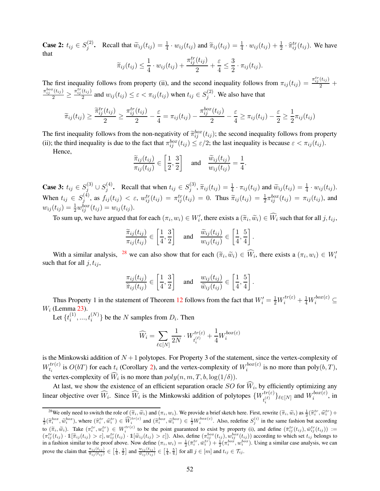**Case 2:**  $t_{ij} \in S_i^{(2)}$ (2). Recall that  $\widetilde{w}_{ij}(t_{ij}) = \frac{1}{4} \cdot w_{ij}(t_{ij})$  and  $\widetilde{\pi}_{ij}(t_{ij}) = \frac{1}{4} \cdot w_{ij}(t_{ij}) + \frac{1}{2} \cdot \widehat{\pi}_{ij}^{tr}(t_{ij})$ . We have that tr

$$
\widetilde{\pi}_{ij}(t_{ij}) \leq \frac{1}{4} \cdot w_{ij}(t_{ij}) + \frac{\pi_{ij}^{tr}(t_{ij})}{2} + \frac{\varepsilon}{4} \leq \frac{3}{2} \cdot \pi_{ij}(t_{ij}).
$$

The first inequality follows from property (ii), and the second inequality follows from  $\pi_{ij}(t_{ij}) = \frac{\pi_{ij}^{tr}(t_{ij})}{2} + \pi_{ij}^{tr}(t_{ij})$  $\frac{\pi_{ij}^{box}(t_{ij})}{2} \geq \frac{\pi_{ij}^{tr}(t_{ij})}{2}$  $\frac{(t_{ij})}{2}$  and  $w_{ij}(t_{ij}) \leq \varepsilon < \pi_{ij}(t_{ij})$  when  $t_{ij} \in S_j^{(2)}$  $j^{(2)}$ . We also have that

$$
\widetilde{\pi}_{ij}(t_{ij}) \ge \frac{\widetilde{\pi}_{ij}^{tr}(t_{ij})}{2} \ge \frac{\pi_{ij}^{tr}(t_{ij})}{2} - \frac{\varepsilon}{4} = \pi_{ij}(t_{ij}) - \frac{\pi_{ij}^{box}(t_{ij})}{2} - \frac{\varepsilon}{4} \ge \pi_{ij}(t_{ij}) - \frac{\varepsilon}{2} \ge \frac{1}{2}\pi_{ij}(t_{ij})
$$

The first inequality follows from the non-negativity of  $\tilde{\pi}_{ij}^{box}(t_{ij})$ ; the second inequality follows from property (ii); the third inequality is due to the fact that  $\pi_{ij}^{box}(t_{ij}) \leq \varepsilon/2$ ; the last inequality is because  $\varepsilon < \pi_{ij}(t_{ij})$ .

Hence,

$$
\frac{\widetilde{\pi}_{ij}(t_{ij})}{\pi_{ij}(t_{ij})} \in \left[\frac{1}{2}, \frac{3}{2}\right] \quad \text{and} \quad \frac{\widetilde{w}_{ij}(t_{ij})}{w_{ij}(t_{ij})} = \frac{1}{4}.
$$

**Case 3:**  $t_{ij} \in S_j^{(3)} \cup S_j^{(4)}$ . Recall that when  $t_{ij} \in S_j^{(3)}$ ,  $\tilde{\pi}_{ij}(t_{ij}) = \frac{1}{4} \cdot \pi_{ij}(t_{ij})$  and  $\tilde{w}_{ij}(t_{ij}) = \frac{1}{4} \cdot w_{ij}(t_{ij})$ .  $j$  and  $w_{ij}(v_{ij}) = \frac{1}{4}$  and  $w_{ij}(v_{ij}) = \frac{1}{4}$  and  $w_{ij}(v_{ij}) = \frac{1}{4}$ When  $t_{ij} \in S_i^{(4)}$  $f_{ij}(t_{ij}) < \varepsilon$ ,  $w_{ij}^{tr}(t_{ij}) = \pi_{ij}^{tr}(t_{ij}) = 0$ . Thus  $\tilde{\pi}_{ij}(t_{ij}) = \frac{1}{2}\pi_{ij}^{box}(t_{ij}) = \pi_{ij}(t_{ij})$ , and  $w_{ij}(t_{ij}) = \frac{1}{2} w_{ij}^{box}(t_{ij}) = w_{ij}(t_{ij}).$ 

To sum up, we have argued that for each  $(\pi_i, w_i) \in W'_i$ , there exists a  $(\widetilde{\pi}_i, \widetilde{w}_i) \in \widehat{W}_i$  such that for all  $j, t_{ij}$ ,

$$
\frac{\widetilde{\pi}_{ij}(t_{ij})}{\pi_{ij}(t_{ij})} \in \left[\frac{1}{4}, \frac{3}{2}\right] \quad \text{and} \quad \frac{\widetilde{w}_{ij}(t_{ij})}{w_{ij}(t_{ij})} \in \left[\frac{1}{4}, \frac{5}{4}\right].
$$

With a similar analysis, <sup>[28](#page-52-0)</sup> we can also show that for each  $(\tilde{\pi}_i, \tilde{w}_i) \in \tilde{W}_i$ , there exists a  $(\pi_i, w_i) \in W'_i$ such that for all  $j, t_{ij}$ ,

$$
\frac{\pi_{ij}(t_{ij})}{\widetilde{\pi}_{ij}(t_{ij})} \in \left[\frac{1}{4}, \frac{3}{2}\right] \quad \text{and} \quad \frac{w_{ij}(t_{ij})}{\widetilde{w}_{ij}(t_{ij})} \in \left[\frac{1}{4}, \frac{5}{4}\right]
$$

.

Thus Property 1 in the statement of Theorem [12](#page-47-0) follows from the fact that  $W_i' = \frac{1}{2}W_i^{tr(\varepsilon)} + \frac{1}{4}W_i^{box(\varepsilon)} \subseteq$  $W_i$  (Lemma [23\)](#page-47-1).

Let  $\{t_i^{(1)}\}$  $\{a_i^{(1)},...,t_i^{(N)}\}$  be the N samples from  $D_i$ . Then

$$
\widehat{W}_i = \sum_{\ell \in [N]} \frac{1}{2N} \cdot W^{tr(\varepsilon)}_{t^{(\ell)}_i} + \frac{1}{4} W^{box(\varepsilon)}_i
$$

is the Minkowski addition of  $N + 1$  polytopes. For Property 3 of the statement, since the vertex-complexity of  $W_{t_i}^{tr(\varepsilon)}$  $t_i^{tr(\varepsilon)}$  is  $O(bT)$  for each  $t_i$  (Corollary [2\)](#page-50-0), and the vertex-complexity of  $W_i^{box(\varepsilon)}$  $i^{\text{loc}(E)}$  is no more than  $\text{poly}(b, T)$ , the vertex-complexity of  $W_i$  is no more than  $poly(n, m, T, b, \log(1/\delta))$ .

At last, we show the existence of an efficient separation oracle SO for  $W_i$ , by efficiently optimizing any linear objective over  $\widehat{W}_i$ . Since  $\widehat{W}_i$  is the Minkowski addition of polytopes  $\{W_{t^{(\ell)}}^{tr(\varepsilon)}\}$  $\{t_i^{(l)}(t_i^{(l)})\}_{\ell \in [N]}$  and  $W_i^{box(\varepsilon)}$  $i^{(1)}$ , in

<span id="page-52-0"></span><sup>&</sup>lt;sup>28</sup>We only need to switch the role of  $(\tilde{\pi}_i, \tilde{w}_i)$  and  $(\pi_i, w_i)$ . We provide a brief sketch here. First, rewrite  $(\tilde{\pi}_i, \tilde{w}_i)$  as  $\frac{1}{2}(\tilde{\pi}_i^{tr}, \hat{w}_i^{tr}) + \frac{1}{2}(\tilde{\pi}_i^{box}, \tilde{w}_i^{box})$ , where  $(\tilde{\pi}_i^t, \hat{w$ to  $(\tilde{\pi}_i, \tilde{w}_i)$ . Take  $(\pi_i^{tr}, w_i^{tr}) \in W_i^{tr(\varepsilon)}$  to be the point guaranteed to exist by property (i), and define  $(\bar{\pi}_{ij}^{tr}(t_{ij}), \bar{w}_{ij}^{tr}(t_{ij})) :=$  $(\pi_{ij}^{tr}(t_{ij}) \cdot \mathbb{1}[\tilde{\pi}_{ij}(t_{ij}) > \varepsilon], w_{ij}^{tr}(t_{ij}) \cdot \mathbb{1}[\tilde{w}_{ij}(t_{ij}) > \varepsilon]).$  Also, define  $(\pi_{ij}^{box}(t_{ij}), w_{ij}^{box}(t_{ij}))$  according to which set  $t_{ij}$  belongs to in a fashion similar to the proof above. Now define  $(\pi_i, w_i) = \frac{1}{2} (\bar{\pi}_i^{tr}, \bar{w}_i^{tr}) + \frac{1}{2} (\pi_i^{box}, w_i^{box})$ . Using a similar case analysis, we can prove the claim that  $\frac{\pi_{ij}(t_{ij})}{\pi_{ij}(t_{ij})} \in \left[\frac{1}{4}, \frac{3}{2}\right]$  and  $\frac{w_{ij}(t_{ij})}{\tilde{w}_{ij}(t_{ij})} \in \left[\frac{1}{4}, \frac{5}{4}\right]$  for all  $j \in [m]$  and  $t_{ij} \in \mathcal{T}_{ij}$ .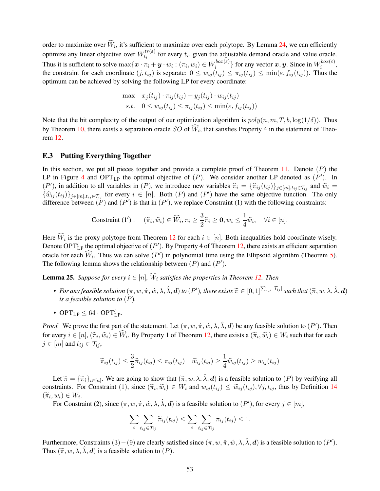order to maximize over  $W_i$ , it's sufficient to maximize over each polytope. By Lemma [24,](#page-48-0) we can efficiently optimize any linear objective over  $W_{t_i}^{tr(\varepsilon)}$  $t_i^{tr(\varepsilon)}$  for every  $t_i$ , given the adjustable demand oracle and value oracle. Thus it is sufficient to solve  $\max\{\bm x\cdot \pi_i+\bm y\cdot w_i: (\pi_i,w_i)\in W_i^{box(\varepsilon)}\}$  $\{e^{i\phi\alpha(\varepsilon)}\}$  for any vector  $\bm{x}, \bm{y}$ . Since in  $W_i^{box(\varepsilon)}$  $\begin{matrix} \text{loc}(\varepsilon),\ i \end{matrix}$ the constraint for each coordinate  $(j, t_{ij})$  is separate:  $0 \leq w_{ij}(t_{ij}) \leq \pi_{ij}(t_{ij}) \leq \min(\varepsilon, f_{ij}(t_{ij}))$ . Thus the optimum can be achieved by solving the following LP for every coordinate:

$$
\begin{aligned}\n\max \quad & x_j(t_{ij}) \cdot \pi_{ij}(t_{ij}) + y_j(t_{ij}) \cdot w_{ij}(t_{ij}) \\
\text{s.t.} \quad & 0 \le w_{ij}(t_{ij}) \le \pi_{ij}(t_{ij}) \le \min(\varepsilon, f_{ij}(t_{ij}))\n\end{aligned}
$$

Note that the bit complexity of the output of our optimization algorithm is  $poly(n, m, T, b, \log(1/\delta))$ . Thus by Theorem [10,](#page-37-0) there exists a separation oracle  $SO$  of  $W_i$ , that satisfies Property 4 in the statement of Theorem [12.](#page-47-0)

### E.3 Putting Everything Together

In this section, we put all pieces together and provide a complete proof of Theorem [11.](#page-43-2) Denote  $(P)$  the LP in Figure [4](#page-19-0) and OPT<sub>LP</sub> the optimal objective of  $(P)$ . We consider another LP denoted as  $(P')$ . In  $(P')$ , in addition to all variables in  $(P)$ , we introduce new variables  $\hat{\pi}_i = {\hat{\pi}_{ij}(t_{ij})}_{j \in [m], t_{ij} \in \mathcal{T}_{ij}}$  and  $\hat{w}_i =$  $\{\widehat{w}_{ij}(t_{ij})\}_{j\in[m],t_{ij}\in\mathcal{T}_{ij}}$  for every  $i \in [n]$ . Both  $(P)$  and  $(P')$  have the same objective function. The only difference between  $(\tilde{P})$  and  $(P')$  is that in  $(P')$ , we replace Constraint (1) with the following constraints:

$$
\text{Constraint } (1'): \quad (\widehat{\pi}_i, \widehat{w}_i) \in \widehat{W}_i, \pi_i \ge \frac{3}{2}\widehat{\pi}_i \ge \mathbf{0}, w_i \le \frac{1}{4}\widehat{w}_i, \quad \forall i \in [n].
$$

Here  $W_i$  is the proxy polytope from Theorem [12](#page-47-0) for each  $i \in [n]$ . Both inequalities hold coordinate-wisely. Denote OPT'<sub>LP</sub> the optimal objective of  $(P')$ . By Property 4 of Theorem [12,](#page-47-0) there exists an efficient separation oracle for each  $\hat{W}_i$ . Thus we can solve  $(P')$  in polynomial time using the Ellipsoid algorithm (Theorem [5\)](#page-15-4). The following lemma shows the relationship between  $(P)$  and  $(P')$ .

<span id="page-53-0"></span>**Lemma 25.** Suppose for every  $i \in [n]$ ,  $\widehat{W}_i$  satisfies the properties in Theorem [12.](#page-47-0) Then

- *For any feasible solution*  $(\pi, w, \hat{\pi}, \hat{w}, \lambda, \hat{\lambda}, \mathbf{d})$  *to*  $(P')$ *, there exists*  $\widetilde{\pi} \in [0, 1]^{\sum_{i,j} |\mathcal{T}_{ij}|}$  *such that*  $(\widetilde{\pi}, w, \lambda, \hat{\lambda}, \mathbf{d})$ *is a feasible solution to* (P)*.*
- $OPT_{LP} \leq 64 \cdot OPT'_{LP}$ .

*Proof.* We prove the first part of the statement. Let  $(\pi, w, \hat{\pi}, \hat{w}, \lambda, \hat{\lambda}, d)$  be any feasible solution to  $(P')$ . Then for every  $i \in [n]$ ,  $(\hat{\pi}_i, \hat{w}_i) \in W_i$ . By Property 1 of Theorem [12,](#page-47-0) there exists a  $(\tilde{\pi}_i, \tilde{w}_i) \in W_i$  such that for each  $j \in [m]$  and  $t_{ij} \in \mathcal{T}_{ij}$ ,

$$
\widetilde{\pi}_{ij}(t_{ij}) \leq \frac{3}{2}\widehat{\pi}_{ij}(t_{ij}) \leq \pi_{ij}(t_{ij}) \quad \widetilde{w}_{ij}(t_{ij}) \geq \frac{1}{4}\widehat{w}_{ij}(t_{ij}) \geq w_{ij}(t_{ij})
$$

Let  $\widetilde{\pi} = {\{\widetilde{\pi}_i\}}_{i \in [n]}$ . We are going to show that  $(\widetilde{\pi}, w, \lambda, \lambda, d)$  is a feasible solution to  $(P)$  by verifying all constraints. For Constraint (1), since  $(\tilde{\pi}_i, \tilde{w}_i) \in W_i$  and  $w_{ij}(t_{ij}) \leq \tilde{w}_{ij}(t_{ij}), \forall j, t_{ij}$ , thus by Definition [14](#page-18-0)  $(\widetilde{\pi}_i, w_i) \in W_i.$ 

For Constraint (2), since  $(\pi, w, \hat{\pi}, \hat{w}, \lambda, \hat{\lambda}, d)$  is a feasible solution to  $(P')$ , for every  $j \in [m]$ ,

$$
\sum_{i} \sum_{t_{ij} \in \mathcal{T}_{ij}} \widetilde{\pi}_{ij}(t_{ij}) \leq \sum_{i} \sum_{t_{ij} \in \mathcal{T}_{ij}} \pi_{ij}(t_{ij}) \leq 1.
$$

Furthermore, Constraints  $(3) - (9)$  are clearly satisfied since  $(\pi, w, \hat{\pi}, \hat{w}, \lambda, \hat{\lambda}, \hat{d})$  is a feasible solution to  $(P')$ . Thus  $(\tilde{\pi}, w, \lambda, \hat{\lambda}, d)$  is a feasible solution to  $(P)$ .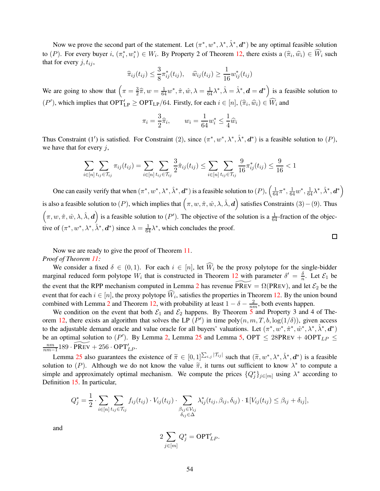Now we prove the second part of the statement. Let  $(\pi^*, w^*, \lambda^*, \hat{\lambda}^*, d^*)$  be any optimal feasible solution to  $(P)$ . For every buyer  $i, (\pi_i^*, w_i^*) \in W_i$ . By Property 2 of Theorem [12,](#page-47-0) there exists a  $(\hat{\pi}_i, \hat{w}_i) \in \hat{W}_i$  such that for every  $j, t_{ij}$ ,

$$
\widehat{\pi}_{ij}(t_{ij}) \leq \frac{3}{8} \pi_{ij}^*(t_{ij}), \quad \widehat{w}_{ij}(t_{ij}) \geq \frac{1}{16} w_{ij}^*(t_{ij})
$$

We are going to show that  $\left(\pi = \frac{3}{2}\right)$  $\frac{3}{2}\hat{\pi}, w = \frac{1}{64}w^*, \hat{\pi}, \hat{w}, \lambda = \frac{1}{64}\lambda^*, \hat{\lambda} = \hat{\lambda}^*, d = d^*$  is a feasible solution to  $(P')$ , which implies that  $OPT'_{LP} \geq OPT_{LP}/64$ . Firstly, for each  $i \in [n]$ ,  $(\hat{\pi}_i, \hat{w}_i) \in \widehat{W}_i$  and

$$
\pi_i = \frac{3}{2}\widehat{\pi}_i, \qquad w_i = \frac{1}{64}w_i^* \le \frac{1}{4}\widehat{w}_i
$$

Thus Constraint (1') is satisfied. For Constraint (2), since  $(\pi^*, w^*, \lambda^*, \hat{\lambda}^*, d^*)$  is a feasible solution to  $(P)$ , we have that for every  $j$ ,

$$
\sum_{i\in[n]} \sum_{t_{ij}\in \mathcal{T}_{ij}} \pi_{ij}(t_{ij}) = \sum_{i\in[n]} \sum_{t_{ij}\in \mathcal{T}_{ij}} \frac{3}{2} \hat{\pi}_{ij}(t_{ij}) \le \sum_{i\in[n]} \sum_{t_{ij}\in \mathcal{T}_{ij}} \frac{9}{16} \pi_{ij}^*(t_{ij}) \le \frac{9}{16} < 1
$$

One can easily verify that when  $(\pi^*, w^*, \lambda^*, \hat{\lambda}^*, \mathbf{d}^*)$  is a feasible solution to  $(P)$ ,  $\left(\frac{1}{64}\pi^*, \frac{1}{64}w^*, \frac{1}{64}\lambda^*, \hat{\lambda}^*, \mathbf{d}^*\right)$ is also a feasible solution to (P), which implies that  $(\pi, w, \hat{\pi}, \hat{w}, \lambda, \hat{\lambda}, \hat{d})$  satisfies Constraints (3) – (9). Thus  $(\pi, w, \hat{\pi}, \hat{w}, \lambda, \hat{\lambda}, d)$  is a feasible solution to  $(P')$ . The objective of the solution is a  $\frac{1}{64}$ -fraction of the objective of  $(\pi^*, w^*, \lambda^*, \hat{\lambda}^*, d^*)$  since  $\lambda = \frac{1}{64}\lambda^*$ , which concludes the proof.  $\Box$ 

Now we are ready to give the proof of Theorem [11.](#page-43-2) *Proof of Theorem [11:](#page-43-2)*

We consider a fixed  $\delta \in (0,1)$ . For each  $i \in [n]$ , let  $\widehat{W}_i$  be the proxy polytope for the single-bidder marginal reduced form polytope  $W_i$  that is constructed in Theorem [12](#page-47-0) with parameter  $\delta' = \frac{\delta}{n}$  $\frac{\delta}{n}$ . Let  $\mathcal{E}_1$  be the event that the RPP mechanism computed in Lemma [2](#page-10-2) has revenue PREV =  $\Omega(PREV)$ , and let  $\mathcal{E}_2$  be the event that for each  $i \in [n]$ , the proxy polytope  $W_i$ , satisfies the properties in Theorem [12.](#page-47-0) By the union bound combined with Lemma [2](#page-10-2) and Theorem [12,](#page-47-0) with probability at least  $1 - \delta - \frac{2}{nm}$ , both events happen.

We condition on the event that both  $\mathcal{E}_1$  and  $\mathcal{E}_2$  happens. By Theorem [5](#page-15-4) and Property 3 and 4 of The-orem [12,](#page-47-0) there exists an algorithm that solves the LP  $(P')$  in time poly $(n, m, T, b, \log(1/\delta))$ , given access to the adjustable demand oracle and value oracle for all buyers' valuations. Let  $(\pi^*, w^*, \hat{\pi}^*, \hat{w}^*, \lambda^*, \hat{\lambda}^*, d^*)$ be an optimal solution to  $(P')$ . By Lemma [2,](#page-10-2) Lemma [25](#page-53-0) and Lemma [5,](#page-19-3) OPT  $\leq$  28PREV + 4OPT<sub>LP</sub>  $\leq$ nm  $\frac{nm}{nm-1}$ 189 · PREV + 256 · OPT'<sub>LP</sub>.

Lemma [25](#page-53-0) also guarantees the existence of  $\widetilde{\pi} \in [0,1]^{\sum_{i,j} |\mathcal{T}_{ij}|}$  such that  $(\widetilde{\pi}, w^*, \lambda^*, \lambda^*, d^*)$  is a feasible solution to (P). Although we do not know the value  $\tilde{\pi}$ , it turns out sufficient to know  $\lambda^*$  to compute a simple and approximately optimal mechanism. We compute the prices  ${Q_j^*}_{j \in [m]}$  using  $\lambda^*$  according to Definition [15.](#page-22-0) In particular,

$$
Q_j^* = \frac{1}{2} \cdot \sum_{i \in [n]} \sum_{t_{ij} \in \mathcal{T}_{ij}} f_{ij}(t_{ij}) \cdot V_{ij}(t_{ij}) \cdot \sum_{\substack{\beta_{ij} \in \mathcal{V}_{ij} \\ \delta_{ij} \in \Delta}} \lambda_{ij}^*(t_{ij}, \beta_{ij}, \delta_{ij}) \cdot \mathbb{1}[V_{ij}(t_{ij}) \leq \beta_{ij} + \delta_{ij}],
$$

and

$$
2\sum_{j\in [m]}Q_j^*={\sf OPT}_{LP}'.
$$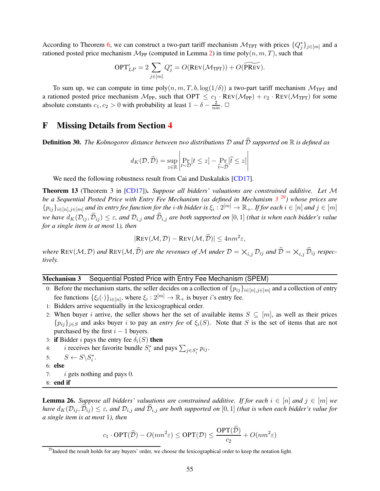According to Theorem [6,](#page-17-1) we can construct a two-part tariff mechanism  $\mathcal{M}_{TPT}$  with prices  $\{Q_j^*\}_{j \in [m]}$  and a rationed posted price mechanism  $\mathcal{M}_{PP}$  (computed in Lemma [2\)](#page-10-2) in time poly $(n, m, T)$ , such that

$$
\text{OPT}'_{LP} = 2\sum_{j\in [m]}Q^*_j = O(\text{Rev}(\mathcal{M}_{\text{TPT}})) + O(\widetilde{\text{PREV}}).
$$

To sum up, we can compute in time  $poly(n, m, T, b, \log(1/\delta))$  a two-part tariff mechanism  $\mathcal{M}_{TPT}$  and a rationed posted price mechanism  $\mathcal{M}_{PP}$ , such that  $OPT \leq c_1 \cdot REV(\mathcal{M}_{PP}) + c_2 \cdot REV(\mathcal{M}_{TPT})$  for some absolute constants  $c_1, c_2 > 0$  with probability at least  $1 - \delta - \frac{2}{nm}$ .  $\Box$ 

## <span id="page-55-1"></span><span id="page-55-0"></span>F Missing Details from Section [4](#page-13-2)

**Definition 30.** *The Kolmogorov distance between two distributions*  $D$  *and*  $\widehat{D}$  *supported on*  $\mathbb R$  *is defined as* 

$$
d_K(\mathcal{D}, \widehat{\mathcal{D}}) = \sup_{z \in \mathbb{R}} \left| \Pr_{t \sim \mathcal{D}}[t \leq z] - \Pr_{\widehat{t} \sim \widehat{\mathcal{D}}}[\widehat{t} \leq z] \right|
$$

<span id="page-55-4"></span>We need the following robustness result from Cai and Daskalakis [\[CD17\]](#page-62-8).

Theorem 13 (Theorem 3 in [\[CD17\]](#page-62-8)). *Suppose all bidders' valuations are constrained additive. Let* M *be a Sequential Posted Price with Entry Fee Mechanism (as defined in Mechanism [3](#page-55-2)* [29](#page-55-3)*) whose prices are*  $\{p_{ij}\}_{i\in[n],j\in[m]}$  and its entry fee function for the *i*-th bidder is  $\xi_i:2^{[m]}\to\mathbb{R}_+$ . If for each  $i\in[n]$  and  $j\in[m]$ *we have*  $d_K(\mathcal{D}_{ij}, \widehat{\mathcal{D}}_{ij}) \leq \varepsilon$ , and  $\mathcal{D}_{i,j}$  *and*  $\widehat{\mathcal{D}}_{i,j}$  *are both supported on* [0, 1] *(that is when each bidder's value for a single item is at most* 1*), then*

$$
|\text{Rev}(\mathcal{M}, \mathcal{D}) - \text{Rev}(\mathcal{M}, \widehat{\mathcal{D}})| \le 4nm^2 \varepsilon,
$$

*where*  $\text{REV}(\mathcal{M}, \mathcal{D})$  *and*  $\text{REV}(\mathcal{M}, \widehat{\mathcal{D}})$  *are the revenues of* M *under*  $\mathcal{D} = \times_{i,j} \mathcal{D}_{ij}$  *and*  $\widehat{\mathcal{D}} = \times_{i,j} \widehat{\mathcal{D}}_{ij}$  *respectively.*

#### Mechanism 3 Sequential Posted Price with Entry Fee Mechanism (SPEM)

- 0: Before the mechanism starts, the seller decides on a collection of  $\{p_{ij}\}_{i\in[n],j\in[m]}$  and a collection of entry fee functions  $\{\xi_i(\cdot)\}_{i \in [n]}$ , where  $\xi_i : 2^{[m]} \to \mathbb{R}_+$  is buyer *i*'s entry fee.
- 1: Bidders arrive sequentially in the lexicographical order.
- 2: When buyer i arrive, the seller shows her the set of available items  $S \subseteq [m]$ , as well as their prices  ${p_{ij}}_{i\in S}$  and asks buyer i to pay an *entry fee* of  $\xi_i(S)$ . Note that S is the set of items that are not purchased by the first  $i - 1$  buyers.
- 3: if Bidder *i* pays the entry fee  $\delta_i(S)$  then
- 4: *i* receives her favorite bundle  $S_i^*$  and pays  $\sum_{j \in S_i^*} p_{ij}$ .
- 5:  $S \leftarrow S \backslash S_i^*$ .
- 6: else
- 7:  $i$  gets nothing and pays 0.
- <span id="page-55-5"></span><span id="page-55-2"></span>8: end if

**Lemma 26.** *Suppose all bidders' valuations are constrained additive. If for each*  $i \in [n]$  *and*  $j \in [m]$  *we have*  $d_K(\mathcal{D}_{ij}, \widehat{\mathcal{D}}_{ij}) \leq \varepsilon$ , and  $\mathcal{D}_{i,j}$  *are both supported on* [0, 1] *(that is when each bidder's value for a single item is at most* 1*), then*

$$
c_1 \cdot \text{OPT}(\widehat{\mathcal{D}}) - O(nm^2\varepsilon) \le \text{OPT}(\mathcal{D}) \le \frac{\text{OPT}(\mathcal{D})}{c_2} + O(nm^2\varepsilon)
$$

<span id="page-55-3"></span> $^{29}$ Indeed the result holds for any buyers' order, we choose the lexicographical order to keep the notation light.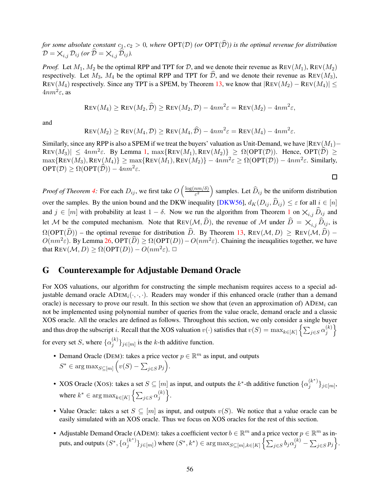*for some absolute constant*  $c_1, c_2 > 0$ *, where*  $\text{OPT}(\mathcal{D})$  *(or*  $\text{OPT}(\widehat{\mathcal{D}})$ *) is the optimal revenue for distribution*  $\mathcal{D} = \bigtimes_{i,j} \mathcal{D}_{ij}$  *(or*  $\widehat{\mathcal{D}} = \bigtimes_{i,j} \widehat{\mathcal{D}}_{ij}$ *).* 

*Proof.* Let  $M_1$ ,  $M_2$  be the optimal RPP and TPT for D, and we denote their revenue as  $Rev(M_1)$ ,  $Rev(M_2)$ respectively. Let  $M_3$ ,  $M_4$  be the optimal RPP and TPT for  $\hat{\mathcal{D}}$ , and we denote their revenue as REV( $M_3$ ), REV(M<sub>4</sub>) respectively. Since any TPT is a SPEM, by Theorem [13,](#page-55-4) we know that  $|Rev(M_2) - REV(M_4)| \le$  $4nm^2\varepsilon$ , as

$$
\text{Rev}(M_4) \ge \text{Rev}(M_2, \widehat{\mathcal{D}}) \ge \text{Rev}(M_2, \mathcal{D}) - 4nm^2 \varepsilon = \text{Rev}(M_2) - 4nm^2 \varepsilon,
$$

and

$$
\text{Rev}(M_2) \ge \text{Rev}(M_4, \mathcal{D}) \ge \text{Rev}(M_4, \widehat{\mathcal{D}}) - 4nm^2 \varepsilon = \text{Rev}(M_4) - 4nm^2 \varepsilon.
$$

Similarly, since any RPP is also a SPEM if we treat the buyers' valuation as Unit-Demand, we have  $|REV(M_1)$ −  $\text{REV}(M_3)$   $\leq 4nm^2\varepsilon$ . By Lemma [1,](#page-6-1)  $\max{\text{REV}(M_1), \text{REV}(M_2)} \geq \Omega(\text{OPT}(\mathcal{D}))$ . Hence,  $\text{OPT}(\widehat{\mathcal{D}}) \geq$  $\max\{\text{Rev}(M_3), \text{Rev}(M_4)\} \geq \max\{\text{Rev}(M_1), \text{Rev}(M_2)\} - 4nm^2\varepsilon \geq \Omega(\text{OPT}(\mathcal{D})) - 4nm^2\varepsilon$ . Similarly,  $\text{OPT}(\mathcal{D}) \geq \Omega(\text{OPT}(\widehat{\mathcal{D}})) - 4nm^2\varepsilon.$  $\Box$ 

*Proof of Theorem [4:](#page-13-0)* For each  $D_{ij}$ , we first take  $O\left(\frac{\log(nm/\delta)}{\epsilon^2}\right)$  $\left(\frac{nm/\delta)}{\epsilon^2}\right)$  samples. Let  $\widehat{D}_{ij}$  be the uniform distribution over the samples. By the union bound and the DKW inequality [\[DKW56\]](#page-64-8),  $d_K(D_{ij}, \hat{D}_{ij}) \leq \varepsilon$  for all  $i \in [n]$ and  $j \in [m]$  with probability at least  $1 - \delta$  $1 - \delta$ . Now we run the algorithm from Theorem 1 on  $\chi_{i,j}$   $\widehat{D}_{ij}$  and let M be the computed mechanism. Note that REV( $M, \hat{D}$ ), the revenue of M under  $\hat{D} = \times_{i,j} \hat{D}_{ij}$ , is  $\Omega(\mathrm{OPT}(\widehat{D}))$  – the optimal revenue for distribution  $\widehat{D}$ . By Theorem [13,](#page-55-4) REV( $\mathcal{M}, D$ ) > REV( $\mathcal{M}, \widehat{D}$ ) –  $O(nm^2\varepsilon)$ . By Lemma [26,](#page-55-5) OPT $(\widehat{D}) \ge \Omega(OPT(D)) - O(nm^2\varepsilon)$ . Chaining the ineugalities together, we have that  $\text{Rev}(\mathcal{M}, D) \ge \Omega(\text{OPT}(D)) - O(nm^2\varepsilon)$ .

## G Counterexample for Adjustable Demand Oracle

For XOS valuations, our algorithm for constructing the simple mechanism requires access to a special adjustable demand oracle  $ADEM_i(\cdot, \cdot)$ . Readers may wonder if this enhanced oracle (rather than a demand oracle) is necessary to prove our result. In this section we show that (even an approximation of)  $ADEM_i$  can not be implemented using polynomial number of queries from the value oracle, demand oracle and a classic XOS oracle. All the oracles are defined as follows. Throughout this section, we only consider a single buyer and thus drop the subscript i. Recall that the XOS valuation  $v(\cdot)$  satisfies that  $v(S) = \max_{k \in [K]} \left\{ \sum_{j \in S} \alpha_j^{(k)} \right\}$ j  $\mathcal{L}$ for every set S, where  $\{\alpha_i^{(k)}\}$  $\{S^{(k)}\}_{j\in[m]}$  is the k-th additive function.

• Demand Oracle (DEM): takes a price vector  $p \in \mathbb{R}^m$  as input, and outputs  $S^* \in \arg \max_{S \subseteq [m]} \left( v(S) - \sum_{j \in S} p_j \right).$ 

- XOS Oracle (XOS): takes a set  $S \subseteq [m]$  as input, and outputs the  $k^*$ -th additive function  $\{\alpha_i^{(k^*)}\}$  $\{ \binom{\kappa}{j} \}_{j \in [m]},$ where  $k^* \in \arg \max_{k \in [K]} \left\{ \sum_{j \in S} \alpha_j^{(k)} \right\}$ j  $\bigg\}$ .
- Value Oracle: takes a set  $S \subseteq [m]$  as input, and outputs  $v(S)$ . We notice that a value oracle can be easily simulated with an XOS oracle. Thus we focus on XOS oracles for the rest of this section.
- Adjustable Demand Oracle (ADEM): takes a coefficient vector  $b \in \mathbb{R}^m$  and a price vector  $p \in \mathbb{R}^m$  as inputs, and outputs  $(S^*, {\{\alpha_i^{(k^*)}\}})$  ${j<sub>j</sub> \in [m]}$ ) where  $(S^*, k^*) \in \arg \max_{S \subseteq [m], k \in [K]} \left\{ \sum_{j \in S} b_j \alpha_j^{(k)} - \sum_{j \in S} p_j \right\}.$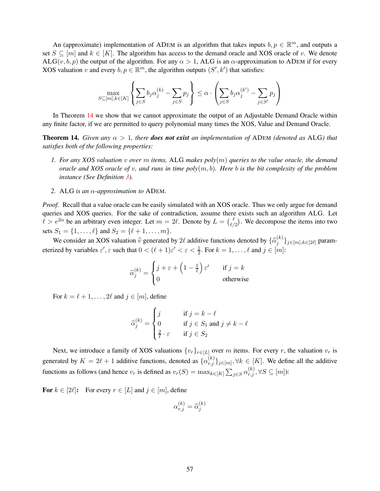An (approximate) implementation of ADEM is an algorithm that takes inputs  $b, p \in \mathbb{R}^m$ , and outputs a set  $S \subseteq [m]$  and  $k \in [K]$ . The algorithm has access to the demand oracle and XOS oracle of v. We denote ALG(v, b, p) the output of the algorithm. For any  $\alpha > 1$ , ALG is an  $\alpha$ -approximation to ADEM if for every XOS valuation v and every  $b, p \in \mathbb{R}^m$ , the algorithm outputs  $(S', k')$  that satisfies:

$$
\max_{S \subseteq [m], k \in [K]} \left\{ \sum_{j \in S} b_j \alpha_j^{(k)} - \sum_{j \in S} p_j \right\} \le \alpha \cdot \left( \sum_{j \in S} b_j \alpha_j^{(k')} - \sum_{j \in S'} p_j \right)
$$

<span id="page-57-0"></span>In Theorem [14](#page-57-0) we show that we cannot approximate the output of an Adjustable Demand Oracle within any finite factor, if we are permitted to query polynomial many times the XOS, Value and Demand Oracle.

**Theorem 14.** *Given any*  $\alpha > 1$ *, there does not exist an implementation of ADEM (denoted as ALG) that satisfies both of the following properties:*

- *1. For any XOS valuation* v *over* m *items,* ALG *makes poly*(m) *queries to the value oracle, the demand oracle and XOS oracle of* v*, and runs in time poly*(m, b)*. Here* b *is the bit complexity of the problem instance (See Definition [3\)](#page-5-2).*
- *2.* ALG *is an* α*-approximation to* ADEM*.*

*Proof.* Recall that a value oracle can be easily simulated with an XOS oracle. Thus we only argue for demand queries and XOS queries. For the sake of contradiction, assume there exists such an algorithm ALG. Let  $\ell > e^{2\alpha}$  be an arbitrary even integer. Let  $m = 2\ell$ . Denote by  $L = \binom{\ell}{\ell}$  $\binom{\ell}{\ell/2}$ . We decompose the items into two sets  $S_1 = \{1, ..., \ell\}$  and  $S_2 = \{\ell + 1, ..., m\}.$ 

We consider an XOS valuation  $\hat{v}$  generated by 2 $\ell$  additive functions denoted by  $\{\hat{\alpha}_j^{(k)}\}$  $\{S^{(k)}_j\}_{j\in[m],k\in[2\ell]}$  parameterized by variables  $\varepsilon'$ ,  $\varepsilon$  such that  $0 < (\ell + 1)\varepsilon' < \varepsilon < \frac{1}{2}$ . For  $k = 1, \ldots, \ell$  and  $j \in [m]$ :

$$
\widehat{\alpha}_{j}^{(k)} = \begin{cases} j + \varepsilon + \left(1 - \frac{1}{\ell}\right) \varepsilon' & \text{if } j = k \\ 0 & \text{otherwise} \end{cases}
$$

For  $k = \ell + 1, \ldots, 2\ell$  and  $j \in [m]$ , define

$$
\widehat{\alpha}_j^{(k)} = \begin{cases} j & \text{if } j = k - \ell \\ 0 & \text{if } j \in S_1 \text{ and } j \neq k - \ell \\ \frac{2}{\ell} \cdot \varepsilon & \text{if } j \in S_2 \end{cases}
$$

Next, we introduce a family of XOS valuations  $\{v_r\}_{r\in[L]}$  over m items. For every r, the valuation  $v_r$  is generated by  $K = 2\ell + 1$  additive functions, denoted as  $\{\alpha_{r,j}^{(k)}\}_{j \in [m]}, \forall k \in [K]$ . We define all the additive functions as follows (and hence  $v_r$  is defined as  $v_r(S) = \max_{k \in [K]} \sum_{j \in S} \alpha_{r,j}^{(k)}, \forall S \subseteq [m]$ ):

For  $k \in [2\ell]$ : For every  $r \in [L]$  and  $j \in [m]$ , define

$$
\alpha_{r,j}^{(k)} = \widehat{\alpha}_j^{(k)}
$$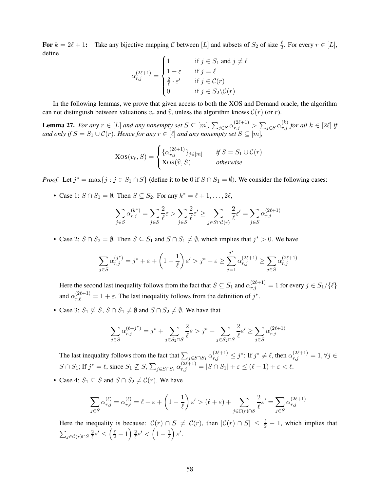For  $k = 2\ell + 1$ : Take any bijective mapping C between [L] and subsets of  $S_2$  of size  $\frac{\ell}{2}$ . For every  $r \in [L]$ , define

$$
\alpha_{r,j}^{(2\ell+1)} = \begin{cases} 1 & \text{if } j \in S_1 \text{ and } j \neq \ell \\ 1 + \varepsilon & \text{if } j = \ell \\ \frac{2}{\ell} \cdot \varepsilon' & \text{if } j \in \mathcal{C}(r) \\ 0 & \text{if } j \in S_2 \backslash \mathcal{C}(r) \end{cases}
$$

<span id="page-58-0"></span>In the following lemmas, we prove that given access to both the XOS and Demand oracle, the algorithm can not distinguish between valuations  $v_r$  and  $\hat{v}$ , unless the algorithm knows  $\mathcal{C}(r)$  (or r).

Lemma 27. For any  $r \in [L]$  and any nonempty set  $S \subseteq [m]$ ,  $\sum_{j \in S} \alpha_{r,j}^{(2\ell+1)} > \sum_{j \in S} \alpha_{r,j}^{(k)}$  for all  $k \in [2\ell]$  if *and only if*  $S = S_1 \cup C(r)$ *. Hence for any*  $r \in [\ell]$  *and any nonempty set*  $S \subseteq [m]$ *,* 

$$
\text{Xos}(v_r, S) = \begin{cases} \{\alpha_{r,j}^{(2\ell+1)}\}_{j \in [m]} & \text{if } S = S_1 \cup \mathcal{C}(r) \\ \text{Xos}(\widehat{v}, S) & \text{otherwise} \end{cases}
$$

*Proof.* Let  $j^* = \max\{j : j \in S_1 \cap S\}$  (define it to be 0 if  $S \cap S_1 = \emptyset$ ). We consider the following cases:

• Case 1:  $S \cap S_1 = \emptyset$ . Then  $S \subseteq S_2$ . For any  $k^* = \ell + 1, \ldots, 2\ell$ ,

$$
\sum_{j \in S} \alpha_{r,j}^{(k^*)} = \sum_{j \in S} \frac{2}{\ell} \varepsilon > \sum_{j \in S} \frac{2}{\ell} \varepsilon' \ge \sum_{j \in S \cap \mathcal{C}(r)} \frac{2}{\ell} \varepsilon' = \sum_{j \in S} \alpha_{r,j}^{(2\ell+1)}
$$

• Case 2:  $S \cap S_2 = \emptyset$ . Then  $S \subseteq S_1$  and  $S \cap S_1 \neq \emptyset$ , which implies that  $j^* > 0$ . We have

$$
\sum_{j \in S} \alpha^{(j^*)}_{r,j} = j^* + \varepsilon + \left(1-\frac{1}{\ell}\right)\varepsilon' > j^* + \varepsilon \geq \sum_{j=1}^{j^*} \alpha^{(2\ell+1)}_{r,j} \geq \sum_{j \in S} \alpha^{(2\ell+1)}_{r,j}
$$

Here the second last inequality follows from the fact that  $S \subseteq S_1$  and  $\alpha_{r,j}^{(2\ell+1)} = 1$  for every  $j \in S_1/\{\ell\}$ and  $\alpha_{r,\ell}^{(2\ell+1)} = 1 + \varepsilon$ . The last inequality follows from the definition of  $j^*$ .

• Case 3:  $S_1 \not\subseteq S$ ,  $S \cap S_1 \neq \emptyset$  and  $S \cap S_2 \neq \emptyset$ . We have that

$$
\sum_{j \in S} \alpha_{r,j}^{(\ell+j^*)} = j^* + \sum_{j \in S_2 \cap S} \frac{2}{\ell} \varepsilon > j^* + \sum_{j \in S_2 \cap S} \frac{2}{\ell} \varepsilon' \ge \sum_{j \in S} \alpha_{r,j}^{(2\ell+1)}
$$

The last inequality follows from the fact that  $\sum_{j \in S \cap S_1} \alpha_{r,j}^{(2\ell+1)} \leq j^*$ : If  $j^* \neq \ell$ , then  $\alpha_{r,j}^{(2\ell+1)} = 1, \forall j \in \mathbb{Z}$  $S \cap S_1$ ; If  $j^* = \ell$ , since  $S_1 \not\subseteq S$ ,  $\sum_{j \in S \cap S_1} \alpha_{r,j}^{(2\ell+1)} = |S \cap S_1| + \varepsilon \le (\ell - 1) + \varepsilon < \ell$ .

• Case 4:  $S_1 \subseteq S$  and  $S \cap S_2 \neq C(r)$ . We have

$$
\sum_{j \in S} \alpha_{r,j}^{(\ell)} = \alpha_{r,\ell}^{(\ell)} = \ell + \varepsilon + \left(1 - \frac{1}{\ell}\right) \varepsilon' > (\ell + \varepsilon) + \sum_{j \in \mathcal{C}(r) \cap S} \frac{2}{\ell} \varepsilon' = \sum_{j \in S} \alpha_{r,j}^{(2\ell+1)}
$$

Here the inequality is because:  $C(r) \cap S \neq C(r)$ , then  $|C(r) \cap S| \leq \frac{\ell}{2} - 1$ , which implies that  $\sum_{j\in \mathcal{C}(r)\cap S}\frac{2}{\ell}$  $\frac{2}{\ell} \varepsilon' \leq \left(\frac{\ell}{2} - 1\right) \frac{2}{\ell}$  $\frac{2}{\ell} \varepsilon' < \left(1 - \frac{1}{\ell}\right)$  $\ell$  $\epsilon'$ .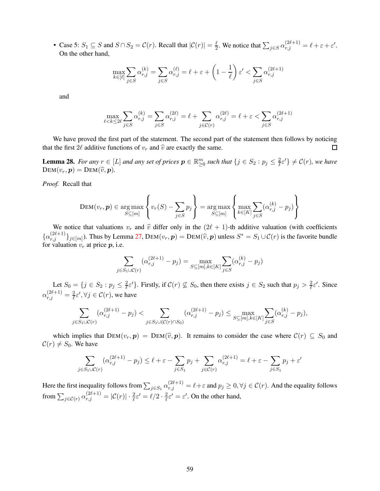• Case 5:  $S_1 \subseteq S$  and  $S \cap S_2 = C(r)$ . Recall that  $|\mathcal{C}(r)| = \frac{\ell}{2}$  $\frac{\ell}{2}$ . We notice that  $\sum_{j \in S} \alpha_{r,j}^{(2\ell+1)} = \ell + \varepsilon + \varepsilon'.$ On the other hand,

$$
\max_{k\in [\ell]}\sum_{j\in S}\alpha_{r,j}^{(k)}=\sum_{j\in S}\alpha_{r,j}^{(\ell)}=\ell+\varepsilon+\left(1-\frac{1}{\ell}\right)\varepsilon'<\sum_{j\in S}\alpha_{r,j}^{(2\ell+1)}
$$

and

$$
\max_{\ell < k \leq 2\ell} \sum_{j \in S} \alpha_{r,j}^{(k)} = \sum_{j \in S} \alpha_{r,j}^{(2\ell)} = \ell + \sum_{j \in \mathcal{C}(r)} \alpha_{r,j}^{(2\ell)} = \ell + \varepsilon < \sum_{j \in S} \alpha_{r,j}^{(2\ell+1)}
$$

We have proved the first part of the statement. The second part of the statement then follows by noticing that the first 2 $\ell$  additive functions of  $v_r$  and  $\hat{v}$  are exactly the same.  $\Box$ 

<span id="page-59-0"></span>**Lemma 28.** *For any*  $r \in [L]$  *and any set of prices*  $p \in \mathbb{R}_{\geq 0}^m$  *such that*  $\{j \in S_2 : p_j \leq \frac{2}{\ell}\}$  $\frac{2}{\ell} \varepsilon'$  }  $\neq$   $C(r)$ *, we have*  $DEM(v_r, p) = DEM(\widehat{v}, p)$ .

*Proof.* Recall that

$$
\text{DEM}(v_r, p) \in \underset{S \subseteq [m]}{\arg \max} \left\{ v_r(S) - \sum_{j \in S} p_j \right\} = \underset{S \subseteq [m]}{\arg \max} \left\{ \underset{k \in [K]}{\max} \sum_{j \in S} (\alpha_{r,j}^{(k)} - p_j) \right\}
$$

We notice that valuations  $v_r$  and  $\hat{v}$  differ only in the (2 $(\ell+1)$ -th additive valuation (with coefficients  $\{\alpha_{r,j}^{(2\ell+1)}\}_{j\in[m]}$ ). Thus by Lemma [27,](#page-58-0) DEM $(v_r, p)$  = DEM $(\widehat{v}, p)$  unless  $S^* = S_1 \cup C(r)$  is the favorite bundle for valuation  $v_r$  at price  $p$ , i.e.

$$
\sum_{j \in S_1 \cup \mathcal{C}(r)} (\alpha_{r,j}^{(2\ell+1)} - p_j) = \max_{S \subseteq [m], k \in [K]} \sum_{j \in S} (\alpha_{r,j}^{(k)} - p_j)
$$

Let  $S_0 = \{j \in S_2 : p_j \leq \frac{2}{\ell}\}$  $\frac{2}{\ell} \varepsilon'$ . Firstly, if  $C(r) \not\subseteq S_0$ , then there exists  $j \in S_2$  such that  $p_j > \frac{2}{\ell}$  $\frac{2}{\ell} \varepsilon'$ . Since  $\alpha_{r,j}^{(2\ell+1)}=\frac{2}{\ell}$  $\frac{2}{\ell} \varepsilon', \forall j \in \mathcal{C}(r)$ , we have

$$
\sum_{j \in S_1 \cup \mathcal{C}(r)} (\alpha_{r,j}^{(2\ell+1)} - p_j) < \sum_{j \in S_1 \cup (\mathcal{C}(r) \cap S_0)} (\alpha_{r,j}^{(2\ell+1)} - p_j) \le \max_{S \subseteq [m], k \in [K]} \sum_{j \in S} (\alpha_{r,j}^{(k)} - p_j),
$$

which implies that  $DEM(v_r, p) = DEM(\hat{v}, p)$ . It remains to consider the case where  $C(r) \subseteq S_0$  and  $\mathcal{C}(r) \neq S_0$ . We have

$$
\sum_{j \in S_1 \cup \mathcal{C}(r)} (\alpha_{r,j}^{(2\ell+1)} - p_j) \le \ell + \varepsilon - \sum_{j \in S_1} p_j + \sum_{j \in \mathcal{C}(r)} \alpha_{r,j}^{(2\ell+1)} = \ell + \varepsilon - \sum_{j \in S_1} p_j + \varepsilon'
$$

Here the first inequality follows from  $\sum_{j\in S_1}\alpha_{r,j}^{(2\ell+1)}=\ell+\varepsilon$  and  $p_j\geq 0, \forall j\in\mathcal{C}(r)$ . And the equality follows from  $\sum_{j\in\mathcal{C}(r)}\alpha_{r,j}^{(2\ell+1)}=|\mathcal{C}(r)|\cdot\frac{2}{\ell}\varepsilon'=\ell/2\cdot\frac{2}{\ell}$  $\frac{2}{\ell} \varepsilon' = \varepsilon'.$  On the other hand,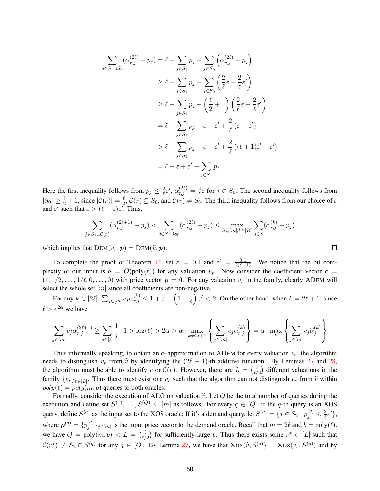$$
\sum_{j \in S_1 \cup S_0} (\alpha_{r,j}^{(2\ell)} - p_j) = \ell - \sum_{j \in S_1} p_j + \sum_{j \in S_0} \left( \alpha_{r,j}^{(2\ell)} - p_j \right)
$$
  
\n
$$
\geq \ell - \sum_{j \in S_1} p_j + \sum_{j \in S_0} \left( \frac{2}{\ell} \varepsilon - \frac{2}{\ell} \varepsilon' \right)
$$
  
\n
$$
\geq \ell - \sum_{j \in S_1} p_j + \left( \frac{\ell}{2} + 1 \right) \left( \frac{2}{\ell} \varepsilon - \frac{2}{\ell} \varepsilon' \right)
$$
  
\n
$$
= \ell - \sum_{j \in S_1} p_j + \varepsilon - \varepsilon' + \frac{2}{\ell} \left( \varepsilon - \varepsilon' \right)
$$
  
\n
$$
> \ell - \sum_{j \in S_1} p_j + \varepsilon - \varepsilon' + \frac{2}{\ell} \left( (\ell + 1) \varepsilon' - \varepsilon' \right)
$$
  
\n
$$
= \ell + \varepsilon + \varepsilon' - \sum_{j \in S_1} p_j
$$

Here the first inequality follows from  $p_j \leq \frac{2}{\ell} \varepsilon'$ ,  $\alpha_{r,j}^{(2\ell)} = \frac{2}{\ell} \varepsilon$  for  $j \in S_0$ . The second inequality follows from  $|S_0| \geq \frac{\ell}{2} + 1$ , since  $|\mathcal{C}(r)| = \frac{\ell}{2}$  $\frac{\ell}{2}$ ,  $C(r) \subseteq S_0$ , and  $C(r) \neq S_0$ . The third inequality follows from our choice of  $\varepsilon$ and  $\varepsilon'$  such that  $\varepsilon > (\ell + 1)\varepsilon'$ . Thus,

$$
\sum_{j \in S_1 \cup \mathcal{C}(r)} (\alpha_{r,j}^{(2\ell+1)} - p_j) < \sum_{j \in S_1 \cup S_0} (\alpha_{r,j}^{(2\ell)} - p_j) \le \max_{S \subseteq [m], k \in [K]} \sum_{j \in S} (\alpha_{r,j}^{(k)} - p_j)
$$

 $\Box$ 

which implies that  $DEM(v_r, p) = DEM(\hat{v}, p)$ .

To complete the proof of Theorem [14,](#page-57-0) set  $\varepsilon = 0.1$  and  $\varepsilon' = \frac{0.1}{2(\ell+1)}$ . We notice that the bit complexity of our input is  $b = O(poly(\ell))$  for any valuation  $v_r$ . Now consider the coefficient vector  $c =$  $(1, 1/2, \ldots, 1/\ell, 0, \ldots, 0)$  with price vector  $p = 0$ . For any valuation  $v_r$  in the family, clearly ADEM will select the whole set  $[m]$  since all coefficients are non-negative.

For any  $k \in [2\ell], \sum_{j \in [m]} c_j \alpha_{r,j}^{(k)} \leq 1 + \varepsilon + \left(1 - \frac{1}{\ell}\right)$  $\ell$  $\int \varepsilon' < 2$ . On the other hand, when  $k = 2\ell + 1$ , since  $\ell > e^{2\alpha}$  we have

$$
\sum_{j\in[m]}c_j\alpha_{r,j}^{(2\ell+1)}\geq \sum_{j\in[\ell]}\frac{1}{j}\cdot 1>\log(\ell)>2\alpha>\alpha\cdot \max_{k\neq 2\ell+1}\left\{\sum_{j\in[m]}c_j\alpha_{r,j}^{(k)}\right\}=\alpha\cdot \max_k\left\{\sum_{j\in[m]}c_j\widehat{\alpha}_j^{(k)}\right\}
$$

Thus informally speaking, to obtain an  $\alpha$ -approximation to ADEM for every valuation  $v_r$ , the algorithm needs to distinguish  $v_r$  from  $\hat{v}$  by identifying the  $(2\ell + 1)$ -th additive function. By Lemmas [27](#page-58-0) and [28,](#page-59-0) the algorithm must be able to identify r or  $\mathcal{C}(r)$ . However, there are  $L = \begin{pmatrix} \ell & \ell \\ \ell & \ell \end{pmatrix}$  $\ell$ <sub>(/2</sub>) different valuations in the family  $\{v_r\}_{r\in[L]}$ . Thus there must exist one  $v_r$  such that the algorithm can not distinguish  $v_r$  from  $\hat{v}$  within  $poly(\ell) = poly(m, b)$  queries to both oracles.

Formally, consider the execution of ALG on valuation  $\hat{v}$ . Let Q be the total number of queries during the execution and define set  $S^{(1)}, \ldots, S^{(Q)} \subseteq [m]$  as follows: For every  $q \in [Q]$ , if the q-th query is an XOS query, define  $S^{(q)}$  as the input set to the XOS oracle; If it's a demand query, let  $S^{(q)} = \{j \in S_2 : p_j^{(q)} \leq \frac{2}{\ell}\}$  $\frac{2}{\ell} \varepsilon' \},$ where  $p^{(q)} = \{p_i^{(q)}\}$  $\{g^{(q)}\}_{j\in[m]}$  is the input price vector to the demand oracle. Recall that  $m=2\ell$  and  $b=\text{poly}(\ell)$ , we have  $Q = \text{poly}(m, b) < L = \begin{pmatrix} \ell \\ \ell \end{pmatrix}$  $\ell_{\ell/2}^{\ell}$  for sufficiently large  $\ell$ . Thus there exists some  $r^* \in [L]$  such that  $\mathcal{C}(r^*) \neq S_2 \cap S^{(q)}$  for any  $q \in [Q]$ . By Lemma [27,](#page-58-0) we have that  $Xos(\hat{v}, S^{(q)}) = Xos(v_r, S^{(q)})$  and by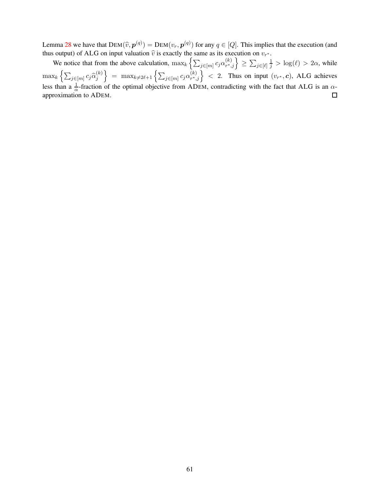Lemma [28](#page-59-0) we have that  $DEM(\hat{v}, p^{(q)}) = DEM(v_r, p^{(q)})$  for any  $q \in [Q]$ . This implies that the execution (and thus output) of ALG on input valuation  $\hat{v}$  is exactly the same as its execution on  $v_r$ thus output) of ALG on input valuation  $\hat{v}$  is exactly the same as its execution on  $v_{r^*}$ .

We notice that from the above calculation,  $\max_k \left\{ \sum_{j \in [m]} c_j \alpha_{r^*,}^{(k)} \right\}$  $\begin{cases} (k) \\ r^*,j \end{cases} \ge \sum_{j \in [\ell]} \frac{1}{j} > \log(\ell) > 2\alpha$ , while  $\max_k \left\{ \sum_{j \in [m]} c_j \widehat{\alpha}_{j}^{(k)} \right\}$  $\} = \max_{k \neq 2\ell+1} \left\{ \sum_{j \in [m]} c_j \alpha_{r*,j}^{(k)} \right\}$  $\begin{pmatrix} k \\ r^*, j \end{pmatrix}$  < 2. Thus on input  $(v_r^*, c)$ , ALG achieves j less than a  $\frac{1}{\alpha}$ -fraction of the optimal objective from ADEM, contradicting with the fact that ALG is an  $\alpha$ approximation to ADEM.  $\Box$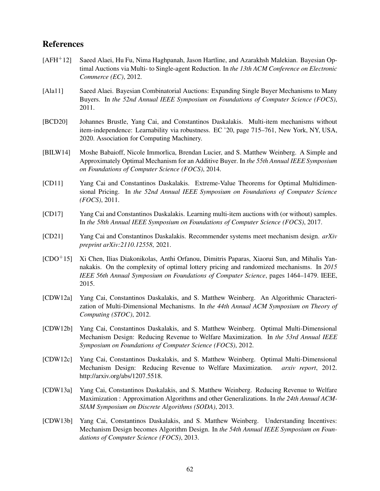## References

- <span id="page-62-1"></span>[AFH+12] Saeed Alaei, Hu Fu, Nima Haghpanah, Jason Hartline, and Azarakhsh Malekian. Bayesian Optimal Auctions via Multi- to Single-agent Reduction. In *the 13th ACM Conference on Electronic Commerce (EC)*, 2012.
- <span id="page-62-6"></span>[Ala11] Saeed Alaei. Bayesian Combinatorial Auctions: Expanding Single Buyer Mechanisms to Many Buyers. In *the 52nd Annual IEEE Symposium on Foundations of Computer Science (FOCS)*, 2011.
- <span id="page-62-10"></span>[BCD20] Johannes Brustle, Yang Cai, and Constantinos Daskalakis. Multi-item mechanisms without item-independence: Learnability via robustness. EC '20, page 715–761, New York, NY, USA, 2020. Association for Computing Machinery.
- <span id="page-62-7"></span>[BILW14] Moshe Babaioff, Nicole Immorlica, Brendan Lucier, and S. Matthew Weinberg. A Simple and Approximately Optimal Mechanism for an Additive Buyer. In *the 55th Annual IEEE Symposium on Foundations of Computer Science (FOCS)*, 2014.
- <span id="page-62-9"></span>[CD11] Yang Cai and Constantinos Daskalakis. Extreme-Value Theorems for Optimal Multidimensional Pricing. In *the 52nd Annual IEEE Symposium on Foundations of Computer Science (FOCS)*, 2011.
- <span id="page-62-8"></span>[CD17] Yang Cai and Constantinos Daskalakis. Learning multi-item auctions with (or without) samples. In *the 58th Annual IEEE Symposium on Foundations of Computer Science (FOCS)*, 2017.
- <span id="page-62-11"></span>[CD21] Yang Cai and Constantinos Daskalakis. Recommender systems meet mechanism design. *arXiv preprint arXiv:2110.12558*, 2021.
- <span id="page-62-0"></span>[CDO+15] Xi Chen, Ilias Diakonikolas, Anthi Orfanou, Dimitris Paparas, Xiaorui Sun, and Mihalis Yannakakis. On the complexity of optimal lottery pricing and randomized mechanisms. In *2015 IEEE 56th Annual Symposium on Foundations of Computer Science*, pages 1464–1479. IEEE, 2015.
- <span id="page-62-2"></span>[CDW12a] Yang Cai, Constantinos Daskalakis, and S. Matthew Weinberg. An Algorithmic Characterization of Multi-Dimensional Mechanisms. In *the 44th Annual ACM Symposium on Theory of Computing (STOC)*, 2012.
- <span id="page-62-3"></span>[CDW12b] Yang Cai, Constantinos Daskalakis, and S. Matthew Weinberg. Optimal Multi-Dimensional Mechanism Design: Reducing Revenue to Welfare Maximization. In *the 53rd Annual IEEE Symposium on Foundations of Computer Science (FOCS)*, 2012.
- <span id="page-62-12"></span>[CDW12c] Yang Cai, Constantinos Daskalakis, and S. Matthew Weinberg. Optimal Multi-Dimensional Mechanism Design: Reducing Revenue to Welfare Maximization. *arxiv report*, 2012. http://arxiv.org/abs/1207.5518.
- <span id="page-62-4"></span>[CDW13a] Yang Cai, Constantinos Daskalakis, and S. Matthew Weinberg. Reducing Revenue to Welfare Maximization : Approximation Algorithms and other Generalizations. In *the 24th Annual ACM-SIAM Symposium on Discrete Algorithms (SODA)*, 2013.
- <span id="page-62-5"></span>[CDW13b] Yang Cai, Constantinos Daskalakis, and S. Matthew Weinberg. Understanding Incentives: Mechanism Design becomes Algorithm Design. In *the 54th Annual IEEE Symposium on Foundations of Computer Science (FOCS)*, 2013.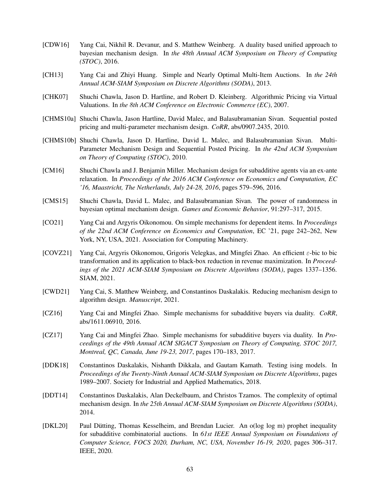- <span id="page-63-9"></span>[CDW16] Yang Cai, Nikhil R. Devanur, and S. Matthew Weinberg. A duality based unified approach to bayesian mechanism design. In *the 48th Annual ACM Symposium on Theory of Computing (STOC)*, 2016.
- <span id="page-63-8"></span>[CH13] Yang Cai and Zhiyi Huang. Simple and Nearly Optimal Multi-Item Auctions. In *the 24th Annual ACM-SIAM Symposium on Discrete Algorithms (SODA)*, 2013.
- <span id="page-63-4"></span>[CHK07] Shuchi Chawla, Jason D. Hartline, and Robert D. Kleinberg. Algorithmic Pricing via Virtual Valuations. In *the 8th ACM Conference on Electronic Commerce (EC)*, 2007.
- <span id="page-63-12"></span>[CHMS10a] Shuchi Chawla, Jason Hartline, David Malec, and Balasubramanian Sivan. Sequential posted pricing and multi-parameter mechanism design. *CoRR*, abs/0907.2435, 2010.
- <span id="page-63-0"></span>[CHMS10b] Shuchi Chawla, Jason D. Hartline, David L. Malec, and Balasubramanian Sivan. Multi-Parameter Mechanism Design and Sequential Posted Pricing. In *the 42nd ACM Symposium on Theory of Computing (STOC)*, 2010.
- <span id="page-63-2"></span>[CM16] Shuchi Chawla and J. Benjamin Miller. Mechanism design for subadditive agents via an ex-ante relaxation. In *Proceedings of the 2016 ACM Conference on Economics and Computation, EC '16, Maastricht, The Netherlands, July 24-28, 2016*, pages 579–596, 2016.
- <span id="page-63-1"></span>[CMS15] Shuchi Chawla, David L. Malec, and Balasubramanian Sivan. The power of randomness in bayesian optimal mechanism design. *Games and Economic Behavior*, 91:297–317, 2015.
- <span id="page-63-11"></span>[CO21] Yang Cai and Argyris Oikonomou. On simple mechanisms for dependent items. In *Proceedings of the 22nd ACM Conference on Economics and Computation*, EC '21, page 242–262, New York, NY, USA, 2021. Association for Computing Machinery.
- <span id="page-63-6"></span>[COVZ21] Yang Cai, Argyris Oikonomou, Grigoris Velegkas, and Mingfei Zhao. An efficient ε-bic to bic transformation and its application to black-box reduction in revenue maximization. In *Proceedings of the 2021 ACM-SIAM Symposium on Discrete Algorithms (SODA)*, pages 1337–1356. SIAM, 2021.
- <span id="page-63-14"></span>[CWD21] Yang Cai, S. Matthew Weinberg, and Constantinos Daskalakis. Reducing mechanism design to algorithm design. *Manuscript*, 2021.
- <span id="page-63-13"></span>[CZ16] Yang Cai and Mingfei Zhao. Simple mechanisms for subadditive buyers via duality. *CoRR*, abs/1611.06910, 2016.
- <span id="page-63-3"></span>[CZ17] Yang Cai and Mingfei Zhao. Simple mechanisms for subadditive buyers via duality. In *Proceedings of the 49th Annual ACM SIGACT Symposium on Theory of Computing, STOC 2017, Montreal, QC, Canada, June 19-23, 2017*, pages 170–183, 2017.
- <span id="page-63-7"></span>[DDK18] Constantinos Daskalakis, Nishanth Dikkala, and Gautam Kamath. Testing ising models. In *Proceedings of the Twenty-Ninth Annual ACM-SIAM Symposium on Discrete Algorithms*, pages 1989–2007. Society for Industrial and Applied Mathematics, 2018.
- <span id="page-63-5"></span>[DDT14] Constantinos Daskalakis, Alan Deckelbaum, and Christos Tzamos. The complexity of optimal mechanism design. In *the 25th Annual ACM-SIAM Symposium on Discrete Algorithms (SODA)*, 2014.
- <span id="page-63-10"></span>[DKL20] Paul Dütting, Thomas Kesselheim, and Brendan Lucier. An o(log log m) prophet inequality for subadditive combinatorial auctions. In *61st IEEE Annual Symposium on Foundations of Computer Science, FOCS 2020, Durham, NC, USA, November 16-19, 2020*, pages 306–317. IEEE, 2020.